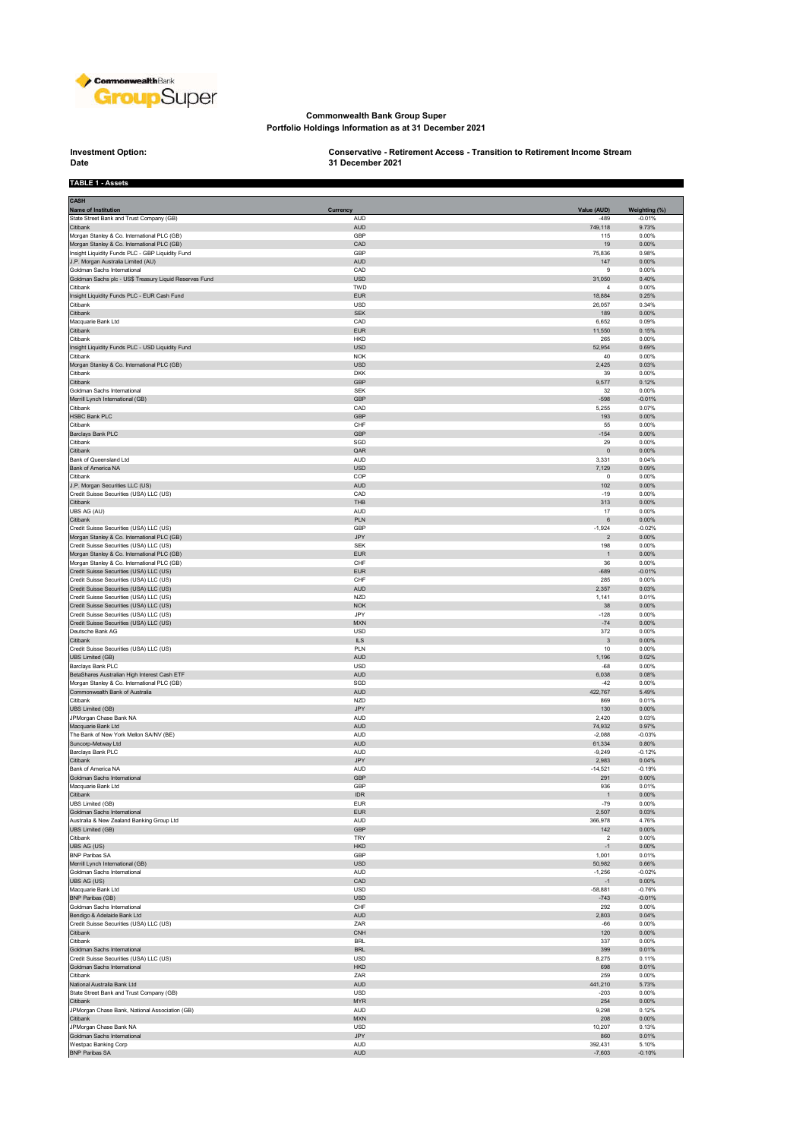

## **Commonwealth Bank Group Super Portfolio Holdings Information as at 31 December 2021**

## **Investment Option:**<br>Date

**TABLE 1 - Assets**

**Investment Option: Conservative - Retirement Access - Transition to Retirement Income Stream 31 December 2021**

| <b>CASH</b><br><b>Name of Institution</b>                                                  | Currency                 | Value (AUD)                | Weighting (%)        |
|--------------------------------------------------------------------------------------------|--------------------------|----------------------------|----------------------|
| State Street Bank and Trust Company (GB)                                                   | <b>AUD</b>               | $-489$                     | $-0.01%$             |
| Citibank<br>Morgan Stanley & Co. International PLC (GB)                                    | <b>AUD</b><br>GBP        | 749,118<br>115             | 9.73%<br>0.00%       |
| Morgan Stanley & Co. International PLC (GB)                                                | CAD                      | 19                         | 0.00%                |
| Insight Liquidity Funds PLC - GBP Liquidity Fund                                           | GBP                      | 75,836                     | 0.98%                |
| J.P. Morgan Australia Limited (AU)<br>Goldman Sachs International                          | <b>AUD</b><br>CAD        | 147<br>9                   | 0.00%<br>0.00%       |
| Goldman Sachs plc - US\$ Treasury Liquid Reserves Fund                                     | <b>USD</b>               | 31,050                     | 0.40%                |
| Citibank                                                                                   | TWD                      | $\overline{4}$             | 0.00%                |
| Insight Liquidity Funds PLC - EUR Cash Fund<br>Citibank                                    | <b>EUR</b><br><b>USD</b> | 18,884<br>26,057           | 0.25%<br>0.34%       |
| Citibank                                                                                   | <b>SEK</b>               | 189                        | $0.00\%$             |
| Macquarie Bank Ltd<br>Citibank                                                             | CAD<br><b>EUR</b>        | 6,652<br>11,550            | 0.09%<br>0.15%       |
| Citibank                                                                                   | <b>HKD</b>               | 265                        | 0.00%                |
| Insight Liquidity Funds PLC - USD Liquidity Fund                                           | <b>USD</b>               | 52,954                     | 0.69%                |
| Citibank<br>Morgan Stanley & Co. International PLC (GB)                                    | <b>NOK</b><br><b>USD</b> | 40<br>2,425                | 0.00%<br>0.03%       |
| Citibank                                                                                   | <b>DKK</b>               | 39                         | 0.00%                |
| Citibank                                                                                   | GBP                      | 9,577                      | 0.12%                |
| Goldman Sachs International<br>Merrill Lynch International (GB)                            | <b>SEK</b><br>GBP        | 32<br>$-598$               | 0.00%<br>$-0.01%$    |
| Citibank                                                                                   | CAD                      | 5,255                      | 0.07%                |
| HSBC Bank PLC                                                                              | GBP                      | 193                        | 0.00%                |
| Citibank<br>Barclays Bank PLC                                                              | CHF<br><b>GBP</b>        | 55<br>$-154$               | 0.00%<br>0.00%       |
| Citibank                                                                                   | SGD                      | 29                         | 0.00%                |
| Citibank                                                                                   | QAR                      | $\mathsf 0$                | $0.00\%$             |
| Bank of Queensland Ltd<br><b>Bank of America NA</b>                                        | <b>AUD</b><br><b>USD</b> | 3,331<br>7,129             | 0.04%<br>0.09%       |
| Citibank                                                                                   | COP                      | 0                          | 0.00%                |
| J.P. Morgan Securities LLC (US)                                                            | <b>AUD</b>               | 102                        | 0.00%                |
| Credit Suisse Securities (USA) LLC (US)<br>Citibank                                        | CAD<br>THB               | $-19$<br>313               | 0.00%<br>0.00%       |
| UBS AG (AU)                                                                                | <b>AUD</b>               | 17                         | 0.00%                |
| Citibank                                                                                   | PLN                      | 6                          | 0.00%                |
| Credit Suisse Securities (USA) LLC (US)<br>Morgan Stanley & Co. International PLC (GB)     | GBP<br>JPY               | $-1,924$<br>$\overline{2}$ | $-0.02%$<br>0.00%    |
| Credit Suisse Securities (USA) LLC (US)                                                    | <b>SEK</b>               | 198                        | 0.00%                |
| Morgan Stanley & Co. International PLC (GB)<br>Morgan Stanley & Co. International PLC (GB) | <b>EUR</b><br>CHF        | $\overline{1}$<br>36       | 0.00%<br>0.00%       |
| Credit Suisse Securities (USA) LLC (US)                                                    | <b>EUR</b>               | $-689$                     | $-0.01%$             |
| Credit Suisse Securities (USA) LLC (US)                                                    | CHF                      | 285                        | 0.00%                |
| Credit Suisse Securities (USA) LLC (US)<br>Credit Suisse Securities (USA) LLC (US)         | <b>AUD</b><br><b>NZD</b> | 2,357<br>1,141             | 0.03%<br>0.01%       |
| Credit Suisse Securities (USA) LLC (US)                                                    | <b>NOK</b>               | 38                         | 0.00%                |
| Credit Suisse Securities (USA) LLC (US)                                                    | JPY.                     | $-128$                     | 0.00%                |
| Credit Suisse Securities (USA) LLC (US)<br>Deutsche Bank AG                                | <b>MXN</b><br>USD        | $-74$<br>372               | 0.00%<br>0.00%       |
| Citibank                                                                                   | <b>ILS</b>               | 3                          | 0.00%                |
| Credit Suisse Securities (USA) LLC (US)                                                    | PLN                      | 10                         | 0.00%                |
| UBS Limited (GB)<br>Barclays Bank PLC                                                      | <b>AUD</b><br>USD        | 1,196<br>$-68$             | 0.02%<br>0.00%       |
| BetaShares Australian High Interest Cash ETF                                               | <b>AUD</b>               | 6,038                      | 0.08%                |
| Morgan Stanley & Co. International PLC (GB)                                                | SGD                      | $-42$                      | 0.00%                |
| Commonwealth Bank of Australia<br>Citibank                                                 | <b>AUD</b><br><b>NZD</b> | 422,767<br>869             | 5.49%<br>0.01%       |
| <b>UBS Limited (GB)</b>                                                                    | JPY                      | 130                        | 0.00%                |
| JPMorgan Chase Bank NA<br>Macquarie Bank Ltd                                               | <b>AUD</b><br><b>AUD</b> | 2,420<br>74,932            | 0.03%<br>0.97%       |
| The Bank of New York Mellon SA/NV (BE)                                                     | <b>AUD</b>               | $-2,088$                   | $-0.03%$             |
| Suncorp-Metway Ltd                                                                         | <b>AUD</b>               | 61,334                     | 0.80%                |
| Barclays Bank PLC<br>Citibank                                                              | <b>AUD</b><br><b>JPY</b> | $-9,249$<br>2,983          | $-0.12%$<br>0.04%    |
| Bank of America NA                                                                         | <b>AUD</b>               | $-14,521$                  | $-0.19%$             |
| Goldman Sachs International<br>Macquarie Bank Ltd                                          | GBP<br>GBP               | 291<br>936                 | 0.00%<br>0.01%       |
| Citibank                                                                                   | <b>IDR</b>               | $\mathbf{1}$               | 0.00%                |
| UBS Limited (GB)                                                                           | <b>EUR</b>               | $-79$                      | 0.00%                |
| Goldman Sachs International<br>Australia & New Zealand Banking Group Ltd                   | <b>EUR</b><br><b>AUD</b> | 2,507<br>366,978           | 0.03%<br>4.76%       |
| UBS Limited (GB)                                                                           | GBP                      | 142                        | $0.00\%$             |
| Citibank                                                                                   | TRY                      | $\overline{\mathbf{2}}$    | 0.00%                |
| UBS AG (US)<br><b>BNP Paribas SA</b>                                                       | <b>HKD</b><br>GBP        | $-1$<br>1,001              | $0.00\%$<br>0.01%    |
| Merrill Lynch International (GB)                                                           | <b>USD</b>               | 50,982                     | 0.66%                |
| Goldman Sachs International                                                                | AUD                      | $-1,256$                   | $-0.02%$             |
| UBS AG (US)<br>Macquarie Bank Ltd                                                          | CAD<br><b>USD</b>        | $-1$<br>$-58,881$          | $0.00\%$<br>$-0.76%$ |
| <b>BNP Paribas (GB)</b>                                                                    | <b>USD</b>               | $-743$                     | $-0.01%$             |
| Goldman Sachs International<br>Bendigo & Adelaide Bank Ltd                                 | CHF<br><b>AUD</b>        | 292<br>2,803               | 0.00%<br>0.04%       |
| Credit Suisse Securities (USA) LLC (US)                                                    | ZAR                      | $-66$                      | 0.00%                |
| Citibank                                                                                   | CNH                      | 120                        | $0.00\%$             |
| Citibank<br>Goldman Sachs International                                                    | <b>BRL</b><br><b>BRL</b> | 337<br>399                 | 0.00%<br>0.01%       |
| Credit Suisse Securities (USA) LLC (US)                                                    | <b>USD</b>               | 8,275                      | 0.11%                |
| Goldman Sachs International                                                                | <b>HKD</b>               | 698                        | 0.01%                |
| Citibank<br>National Australia Bank Ltd                                                    | ZAR<br><b>AUD</b>        | 259<br>441,210             | 0.00%<br>5.73%       |
| State Street Bank and Trust Company (GB)                                                   | USD                      | $-203$                     | 0.00%                |
| Citibank                                                                                   | <b>MYR</b>               | 254                        | $0.00\%$             |
| JPMorgan Chase Bank, National Association (GB)<br>Citibank                                 | <b>AUD</b><br><b>MXN</b> | 9,298<br>208               | 0.12%<br>0.00%       |
| JPMorgan Chase Bank NA                                                                     | USD                      | 10,207                     | 0.13%                |
| Goldman Sachs International                                                                | JPY                      | 860                        | 0.01%                |
| Westpac Banking Corp<br><b>BNP Paribas SA</b>                                              | <b>AUD</b><br>AUD        | 392,431<br>$-7,603$        | 5.10%<br>$-0.10%$    |
|                                                                                            |                          |                            |                      |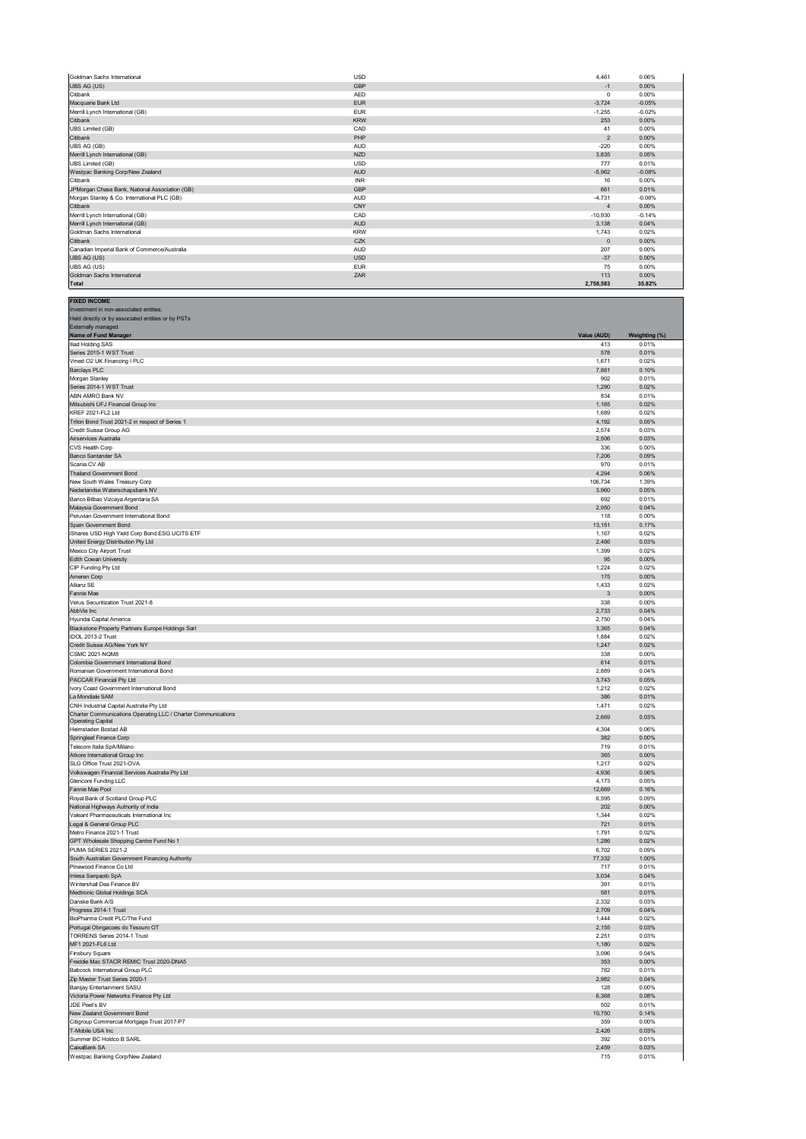| Goldman Sachs International                    | <b>USD</b> | 4,461          | 0.06%    |
|------------------------------------------------|------------|----------------|----------|
| UBS AG (US)                                    | GBP        | $-1$           | 0.00%    |
| Citibank                                       | <b>AED</b> | $\mathbf{0}$   | 0.00%    |
| Macquarie Bank Ltd                             | <b>EUR</b> | $-3,724$       | $-0.05%$ |
| Merrill Lynch International (GB)               | <b>EUR</b> | $-1.255$       | $-0.02%$ |
| Citibank                                       | <b>KRW</b> | 253            | 0.00%    |
| <b>UBS Limited (GB)</b>                        | CAD        | 41             | 0.00%    |
| Citibank                                       | PHP        | 2              | 0.00%    |
| UBS AG (GB)                                    | AUD        | $-220$         | 0.00%    |
| Merrill Lynch International (GB)               | <b>NZD</b> | 3,835          | 0.05%    |
| <b>UBS Limited (GB)</b>                        | <b>USD</b> | 777            | 0.01%    |
| Westpac Banking Corp/New Zealand               | <b>AUD</b> | $-5,962$       | $-0.08%$ |
| Citibank                                       | <b>INR</b> | 16             | 0.00%    |
| JPMorgan Chase Bank, National Association (GB) | GBP        | 661            | 0.01%    |
| Morgan Stanley & Co. International PLC (GB)    | <b>AUD</b> | $-4,731$       | $-0.06%$ |
| Citibank                                       | CNY        | $\overline{4}$ | 0.00%    |
| Merrill Lynch International (GB)               | CAD        | $-10,930$      | $-0.14%$ |
| Merrill Lynch International (GB)               | <b>AUD</b> | 3,138          | 0.04%    |
| Goldman Sachs International                    | <b>KRW</b> | 1,743          | 0.02%    |
| Citibank                                       | CZK        | $\Omega$       | 0.00%    |
| Canadian Imperial Bank of Commerce/Australia   | AUD        | 207            | 0.00%    |
| UBS AG (US)                                    | <b>USD</b> | $-37$          | 0.00%    |
| UBS AG (US)                                    | <b>EUR</b> | 75             | 0.00%    |
| Goldman Sachs International                    | ZAR        | 113            | 0.00%    |
| <b>Total</b>                                   |            | 2,758,583      | 35.82%   |

| <b>FIXED INCOME</b>                                                              |                    |                        |
|----------------------------------------------------------------------------------|--------------------|------------------------|
| Investment in non-associated entities;                                           |                    |                        |
| Held directly or by associated entities or by PSTs                               |                    |                        |
| Externally managed                                                               |                    |                        |
| Name of Fund Manager                                                             | Value (AUD)<br>413 | Weighting (%)<br>0.01% |
| Iliad Holding SAS<br>Series 2015-1 WST Trust                                     | 578                | 0.01%                  |
| Vmed O2 UK Financing I PLC                                                       | 1,671              | 0.02%                  |
| <b>Barclays PLC</b>                                                              | 7,881              | 0.10%                  |
| Morgan Stanley                                                                   | 902                | 0.01%                  |
| Series 2014-1 WST Trust                                                          | 1,290              | 0.02%                  |
| ABN AMRO Bank NV                                                                 | 834                | 0.01%                  |
| Mitsubishi UFJ Financial Group Inc<br>KREF 2021-FL2 Ltd                          | 1,165<br>1,689     | 0.02%<br>0.02%         |
| Triton Bond Trust 2021-2 in respect of Series 1                                  | 4,192              | 0.05%                  |
| Credit Suisse Group AG                                                           | 2,574              | 0.03%                  |
| Airservices Australia                                                            | 2,506              | 0.03%                  |
| CVS Health Corp                                                                  | 336                | 0.00%                  |
| Banco Santander SA                                                               | 7,206              | 0.09%                  |
| Scania CV AB                                                                     | 970                | 0.01%                  |
| Thailand Government Bond                                                         | 4,294              | 0.06%                  |
| New South Wales Treasury Corp<br>Nederlandse Waterschapsbank NV                  | 106,734<br>3,960   | 1.39%<br>0.05%         |
| Banco Bilbao Vizcaya Argentaria SA                                               | 692                | 0.01%                  |
| Malaysia Government Bond                                                         | 2,950              | 0.04%                  |
| Peruvian Government International Bond                                           | 118                | 0.00%                  |
| Spain Government Bond                                                            | 13,151             | 0.17%                  |
| iShares USD High Yield Corp Bond ESG UCITS ETF                                   | 1,167              | 0.02%                  |
| United Energy Distribution Pty Ltd                                               | 2,466              | 0.03%                  |
| Mexico City Airport Trust                                                        | 1,399              | 0.02%                  |
| Edith Cowan University<br>CIP Funding Pty Ltd                                    | 95                 | 0.00%                  |
| Ameren Corp                                                                      | 1,224<br>175       | 0.02%<br>0.00%         |
| Allianz SE                                                                       | 1,433              | 0.02%                  |
| Fannie Mae                                                                       | 3                  | 0.00%                  |
| Verus Securitization Trust 2021-8                                                | 338                | 0.00%                  |
| AbbVie Inc                                                                       | 2,733              | 0.04%                  |
| Hyundai Capital America                                                          | 2,750              | 0.04%                  |
| Blackstone Property Partners Europe Holdings Sarl                                | 3,365              | 0.04%                  |
| IDOL 2013-2 Trust                                                                | 1,884              | 0.02%                  |
| Credit Suisse AG/New York NY                                                     | 1,247              | 0.02%                  |
| <b>CSMC 2021-NQM8</b>                                                            | 338                | 0.00%                  |
| Colombia Government International Bond<br>Romanian Government International Bond | 614                | 0.01%                  |
| PACCAR Financial Pty Ltd                                                         | 2,889<br>3,743     | 0.04%<br>0.05%         |
| Ivory Coast Government International Bond                                        | 1,212              | 0.02%                  |
| La Mondiale SAM                                                                  | 386                | 0.01%                  |
| CNH Industrial Capital Australia Pty Ltd                                         | 1,471              | 0.02%                  |
| Charter Communications Operating LLC / Charter Communications                    | 2,669              | 0.03%                  |
| <b>Operating Capital</b>                                                         |                    |                        |
| Heimstaden Bostad AB                                                             | 4,304              | 0.06%                  |
| Springleaf Finance Corp<br>Telecom Italia SpA/Milano                             | 382<br>719         | 0.00%<br>0.01%         |
| Atkore International Group Inc                                                   | 365                | 0.00%                  |
| SLG Office Trust 2021-OVA                                                        | 1,217              | 0.02%                  |
| Volkswagen Financial Services Australia Pty Ltd                                  | 4,936              | 0.06%                  |
| Glencore Funding LLC                                                             | 4,173              | 0.05%                  |
| Fannie Mae Pool                                                                  | 12,669             | 0.16%                  |
| Royal Bank of Scotland Group PLC                                                 | 6,595              | 0.09%                  |
| National Highways Authority of India                                             | 202                | 0.00%                  |
| Valeant Pharmaceuticals International Inc                                        | 1,344              | 0.02%                  |
| Legal & General Group PLC                                                        | 721                | 0.01%                  |
| Metro Finance 2021-1 Trust<br>GPT Wholesale Shopping Centre Fund No 1            | 1,791<br>1,286     | 0.02%<br>0.02%         |
| PUMA SERIES 2021-2                                                               | 6,702              | 0.09%                  |
| South Australian Government Financing Authority                                  | 77,332             | 1.00%                  |
| Pinewood Finance Co Ltd                                                          | 717                | 0.01%                  |
| Intesa Sanpaolo SpA                                                              | 3,034              | 0.04%                  |
| Wintershall Dea Finance BV                                                       | 391                | 0.01%                  |
| Medtronic Global Holdings SCA                                                    | 581                | 0.01%                  |
| Danske Rank A/S                                                                  | 332                | 0.03%                  |
| Progress 2014-1 Trust                                                            | 2,709              | 0.04%                  |
| BioPharma Credit PLC/The Fund                                                    | 1,444              | 0.02%<br>0.03%         |
| Portugal Obrigacoes do Tesouro OT<br>TORRENS Series 2014-1 Trust                 | 2,155              | 0.03%                  |
| MF1 2021-FL6 Ltd                                                                 | 2,251<br>1,180     | 0.02%                  |
| Finsbury Square                                                                  | 3,096              | 0.04%                  |
| Freddie Mac STACR REMIC Trust 2020-DNA5                                          | 353                | $0.00\%$               |
| Babcock International Group PLC                                                  | 782                | 0.01%                  |
| Zip Master Trust Series 2020-1                                                   | 2,982              | 0.04%                  |
| Banijay Entertainment SASU                                                       | 128                | 0.00%                  |
| Victoria Power Networks Finance Pty Ltd                                          | 6,368              | 0.08%                  |
| JDE Peet's BV                                                                    | 502                | 0.01%                  |
| New Zealand Government Bond                                                      | 10,750             | 0.14%                  |
| Citigroup Commercial Mortgage Trust 2017-P7                                      | 359                | 0.00%                  |
| T-Mobile USA Inc<br>Summer BC Holdco B SARL                                      | 2,426              | 0.03%                  |
| CaixaBank SA                                                                     | 392<br>2,459       | 0.01%<br>0.03%         |
| Westpac Banking Corp/New Zealand                                                 | 715                | 0.01%                  |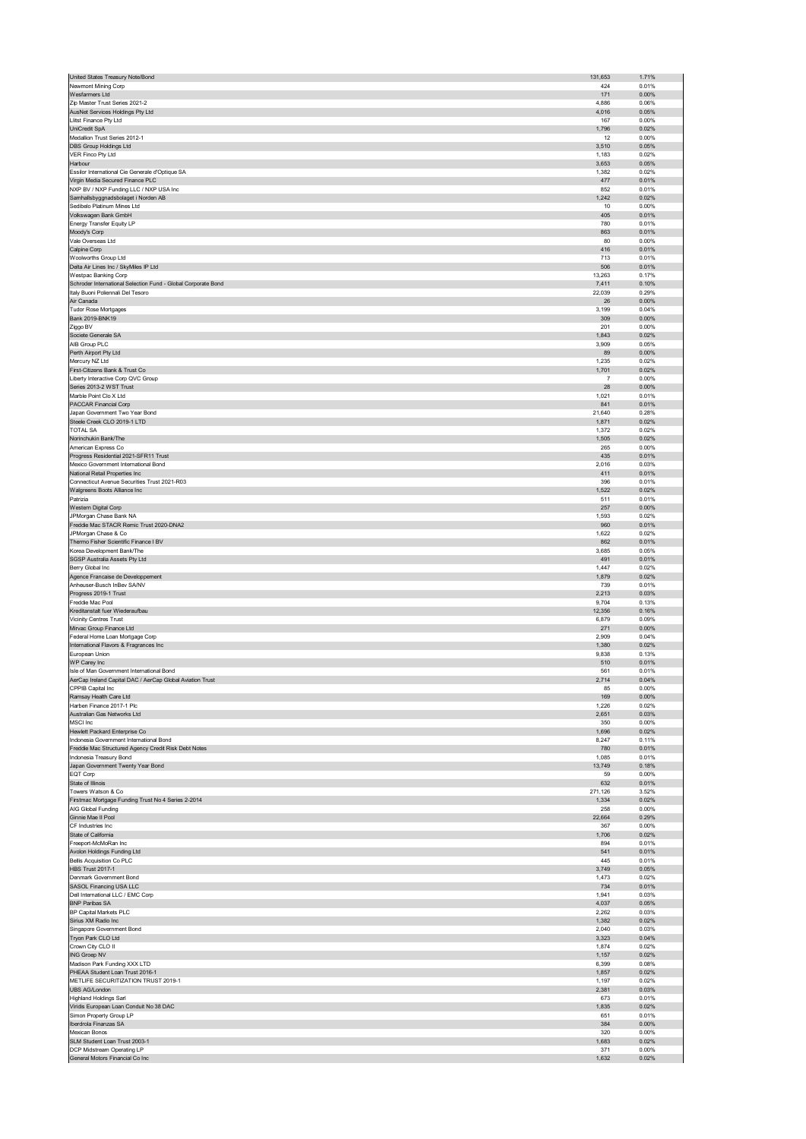| United States Treasury Note/Bond                                                                       | 131,653         | 1.71%          |
|--------------------------------------------------------------------------------------------------------|-----------------|----------------|
| Newmont Mining Corp                                                                                    | 424             | 0.01%          |
| Wesfarmers Ltd                                                                                         | 171             | 0.00%          |
| Zip Master Trust Series 2021-2<br>AusNet Services Holdings Pty Ltd                                     | 4,886<br>4,016  | 0.06%<br>0.05% |
| Llitst Finance Pty Ltd                                                                                 | 167             | 0.00%          |
| UniCredit SpA                                                                                          | 1,796           | 0.02%          |
| Medallion Trust Series 2012-1                                                                          | 12              | 0.00%          |
| DBS Group Holdings Ltd                                                                                 | 3,510           | 0.05%          |
| VER Finco Pty Ltd                                                                                      | 1,183           | 0.02%          |
| Harbour<br>Essilor International Cie Generale d'Optique SA                                             | 3,653           | 0.05%          |
| Virgin Media Secured Finance PLC                                                                       | 1,382<br>477    | 0.02%<br>0.01% |
| NXP BV / NXP Funding LLC / NXP USA Inc                                                                 | 852             | 0.01%          |
| Samhallsbyggnadsbolaget i Norden AB                                                                    | 1,242           | 0.02%          |
| Sedibelo Platinum Mines Ltd                                                                            | 10              | 0.00%          |
| Volkswagen Bank GmbH                                                                                   | 405             | 0.01%          |
| Energy Transfer Equity LP                                                                              | 780             | 0.01%          |
| Moody's Corp                                                                                           | 863             | 0.01%          |
| Vale Overseas Ltd<br>Calpine Corp                                                                      | 80<br>416       | 0.00%<br>0.01% |
| Woolworths Group Ltd                                                                                   | 713             | 0.01%          |
| Delta Air Lines Inc / SkyMiles IP Ltd                                                                  | 506             | 0.01%          |
| Westpac Banking Corp                                                                                   | 13,263          | 0.17%          |
| Schroder International Selection Fund - Global Corporate Bond                                          | 7,411           | 0.10%          |
| Italy Buoni Poliennali Del Tesoro<br>Air Canada                                                        | 22,039<br>26    | 0.29%<br>0.00% |
| Tudor Rose Mortgages                                                                                   | 3,199           | 0.04%          |
| Bank 2019-BNK19                                                                                        | 309             | 0.00%          |
| Ziggo BV                                                                                               | 201             | 0.00%          |
| Societe Generale SA                                                                                    | 1,843           | 0.02%          |
| AIB Group PLC                                                                                          | 3,909           | 0.05%          |
| Perth Airport Pty Ltd                                                                                  | 89              | 0.00%          |
| Mercury NZ Ltd                                                                                         | 1,235           | 0.02%          |
| First-Citizens Bank & Trust Co<br>Liberty Interactive Corp QVC Group                                   | 1,701<br>7      | 0.02%<br>0.00% |
| Series 2013-2 WST Trust                                                                                | 28              | 0.00%          |
| Marble Point Clo X Ltd                                                                                 | 1,021           | 0.01%          |
| PACCAR Financial Corp                                                                                  | 841             | 0.01%          |
| Japan Government Two Year Bond                                                                         | 21,640          | 0.28%          |
| Steele Creek CLO 2019-1 LTD                                                                            | 1,871           | 0.02%          |
| <b>TOTAL SA</b><br>Norinchukin Bank/The                                                                | 1,372<br>1,505  | 0.02%<br>0.02% |
| American Express Co                                                                                    | 265             | 0.00%          |
| Progress Residential 2021-SFR11 Trust                                                                  | 435             | 0.01%          |
| Mexico Government International Bond                                                                   | 2,016           | 0.03%          |
| National Retail Properties Inc                                                                         | 411             | 0.01%          |
| Connecticut Avenue Securities Trust 2021-R03                                                           | 396             | 0.01%          |
| Walgreens Boots Alliance Inc                                                                           | 1,522           | 0.02%          |
| Patrizia                                                                                               | 511<br>257      | 0.01%<br>0.00% |
| Western Digital Corp<br>JPMorgan Chase Bank NA                                                         | 1,593           | 0.02%          |
| Freddie Mac STACR Remic Trust 2020-DNA2                                                                | 960             | 0.01%          |
| JPMorgan Chase & Co                                                                                    | 1,622           | 0.02%          |
| Thermo Fisher Scientific Finance I BV                                                                  | 862             | 0.01%          |
| Korea Development Bank/The                                                                             | 3,685           | 0.05%          |
|                                                                                                        | 491             | 0.01%          |
| SGSP Australia Assets Pty Ltd                                                                          |                 |                |
| Berry Global Inc                                                                                       | 1,447           | 0.02%          |
| Agence Francaise de Developpement                                                                      | 1,879           | 0.02%          |
| Anheuser-Busch InBev SA/NV                                                                             | 739             | 0.01%          |
| Progress 2019-1 Trust                                                                                  | 2,213           | 0.03%          |
| Freddie Mac Pool<br>Kreditanstalt fuer Wiederaufbau                                                    | 9,704<br>12,356 | 0.13%<br>0.16% |
| Vicinity Centres Trust                                                                                 | 6,879           | 0.09%          |
| Mirvac Group Finance Ltd                                                                               | 271             | 0.00%          |
| Federal Home Loan Mortgage Corp                                                                        | 2,909           | 0.04%          |
| International Flavors & Fragrances Inc                                                                 | 1,380           | 0.02%          |
| European Union                                                                                         | 9,838           | 0.13%          |
| WP Carey Inc                                                                                           | 510             | 0.01%          |
| Isle of Man Government International Bond<br>AerCap Ireland Capital DAC / AerCap Global Aviation Trust | 561<br>2.714    | 0.01%<br>0.04% |
| CPPIB Capital Inc                                                                                      | 85              | 0.00%          |
| Ramsay Health Care Ltd                                                                                 | 169             | 0.00%          |
| Harben Finance 2017-1 Plc                                                                              | 1,226           | 0.02%          |
| Australian Gas Networks Ltd                                                                            | 2,651           | 0.03%          |
| <b>MSCI</b> Inc                                                                                        | 350             | 0.00%          |
| Hewlett Packard Enterprise Co                                                                          | 1,696           | 0.02%          |
| Indonesia Government International Bond<br>Freddie Mac Structured Agency Credit Risk Debt Notes        | 8,247<br>780    | 0.11%<br>0.01% |
| Indonesia Treasury Bond                                                                                | 1,085           | 0.01%          |
| Japan Government Twenty Year Bond                                                                      | 13,749          | 0.18%          |
| EQT Corp                                                                                               | 59              | 0.00%          |
| State of Illinois                                                                                      | 632             | 0.01%          |
| Towers Watson & Co                                                                                     | 271,126         | 3.52%          |
| Firstmac Mortgage Funding Trust No 4 Series 2-2014<br>AIG Global Funding                               | 1,334<br>258    | 0.02%<br>0.00% |
| Ginnie Mae II Pool                                                                                     | 22,664          | 0.29%          |
| CF Industries Inc                                                                                      | 367             | 0.00%          |
| State of California                                                                                    | 1,706           | 0.02%          |
| Freeport-McMoRan Inc                                                                                   | 894             | 0.01%          |
| Avolon Holdings Funding Ltd                                                                            | 541             | 0.01%          |
| <b>Bellis Acquisition Co PLC</b>                                                                       | 445             | 0.01%<br>0.05% |
| <b>HBS Trust 2017-1</b><br>Denmark Government Bond                                                     | 3,749<br>1,473  | 0.02%          |
| SASOL Financing USA LLC                                                                                | 734             | 0.01%          |
| Dell International LLC / EMC Corp                                                                      | 1,941           | 0.03%          |
| <b>BNP Paribas SA</b>                                                                                  | 4,037           | 0.05%          |
| BP Capital Markets PLC                                                                                 | 2,262           | 0.03%          |
| Sirius XM Radio Inc                                                                                    | 1,382           | 0.02%          |
| Singapore Government Bond                                                                              | 2,040<br>3,323  | 0.03%<br>0.04% |
| Tryon Park CLO Ltd<br>Crown City CLO II                                                                | 1,874           | 0.02%          |
| ING Groep NV                                                                                           | 1,157           | 0.02%          |
| Madison Park Funding XXX LTD                                                                           | 6,399           | 0.08%          |
| PHEAA Student Loan Trust 2016-1                                                                        | 1,857           | 0.02%          |
| METLIFE SECURITIZATION TRUST 2019-1                                                                    | 1,197           | 0.02%          |
| UBS AG/London                                                                                          | 2,381           | 0.03%          |
| <b>Highland Holdings Sarl</b>                                                                          | 673<br>1,835    | 0.01%<br>0.02% |
| Viridis European Loan Conduit No 38 DAC<br>Simon Property Group LP                                     | 651             | 0.01%          |
| Iberdrola Finanzas SA                                                                                  | 384             | 0.00%          |
| Mexican Bonos                                                                                          | 320             | 0.00%          |
| SLM Student Loan Trust 2003-1                                                                          | 1,683           | 0.02%          |
| DCP Midstream Operating LP<br>General Motors Financial Co Inc                                          | 371<br>1,632    | 0.00%<br>0.02% |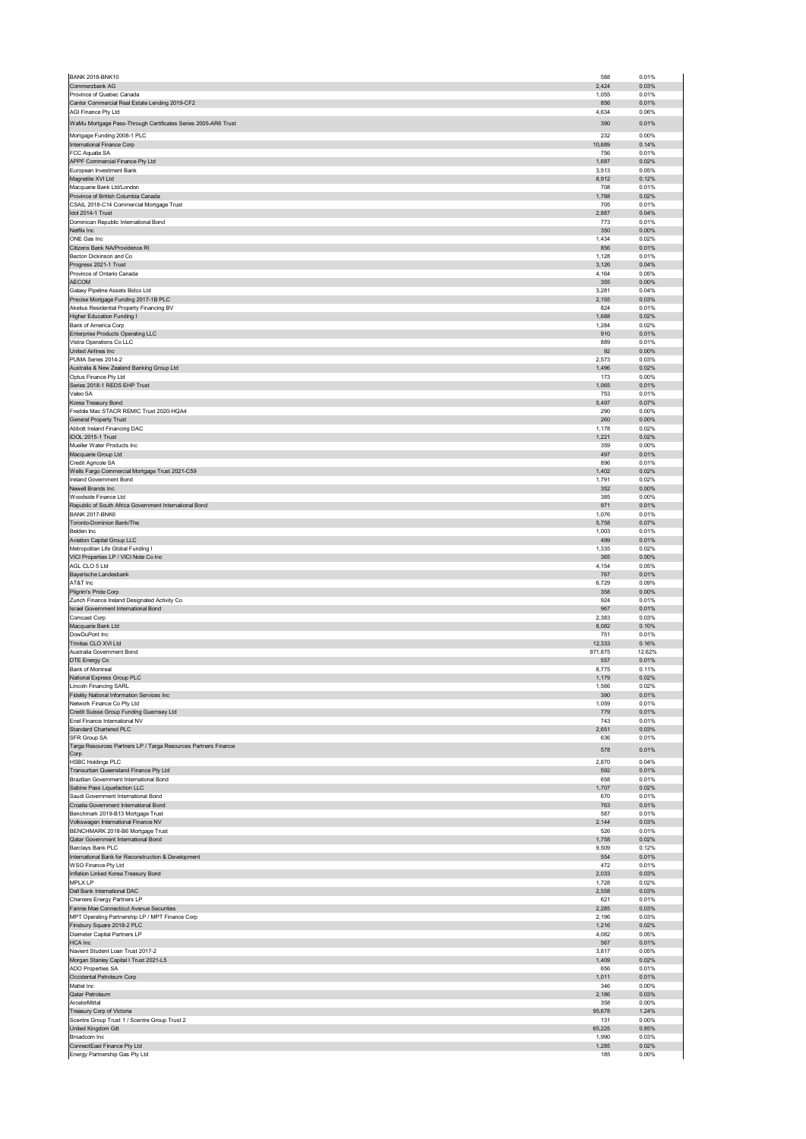| <b>BANK 2018-BNK10</b>                                                           | 588            | 0.01%           |
|----------------------------------------------------------------------------------|----------------|-----------------|
| Commerzbank AG<br>Province of Quebec Canada                                      | 2,424<br>1,055 | 0.03%<br>0.01%  |
| Cantor Commercial Real Estate Lending 2019-CF2                                   | 856            | 0.01%           |
| AGI Finance Pty Ltd                                                              | 4,634          | 0.06%           |
| WaMu Mortgage Pass-Through Certificates Series 2005-AR6 Trust                    | 390            | 0.01%           |
| Mortgage Funding 2008-1 PLC                                                      | 232            | 0.00%           |
| International Finance Corp<br>FCC Aqualia SA                                     | 10,689<br>756  | 0.14%<br>0.01%  |
| APPF Commercial Finance Pty Ltd                                                  | 1,687          | 0.02%           |
| European Investment Bank<br>Magnetite XVI Ltd                                    | 3,513<br>8,912 | 0.05%<br>0.12%  |
| Macquarie Bank Ltd/London                                                        | 708            | 0.01%           |
| Province of British Columbia Canada                                              | 1,788          | 0.02%           |
| CSAIL 2018-C14 Commercial Mortgage Trust<br>Idol 2014-1 Trust                    | 705<br>2,887   | 0.01%<br>0.04%  |
| Dominican Republic International Bond                                            | 773            | 0.01%           |
| Netflix Inc                                                                      | 350            | 0.00%           |
| ONE Gas Inc<br>Citizens Bank NA/Providence RI                                    | 1,434<br>856   | 0.02%<br>0.01%  |
| Becton Dickinson and Co                                                          | 1,128          | 0.01%           |
| Progress 2021-1 Trust                                                            | 3,126          | 0.04%           |
| Province of Ontario Canada<br><b>AECOM</b>                                       | 4,164<br>355   | 0.05%<br>0.00%  |
| Galaxy Pipeline Assets Bidco Ltd                                                 | 3,281          | 0.04%           |
| Precise Mortgage Funding 2017-1B PLC                                             | 2,155          | 0.03%           |
| Akelius Residential Property Financing BV<br>Higher Education Funding I          | 824<br>1,688   | 0.01%<br>0.02%  |
| Bank of America Corp                                                             | 1,284          | 0.02%           |
| <b>Enterprise Products Operating LLC</b>                                         | 910            | 0.01%           |
| Vistra Operations Co LLC<br>United Airlines Inc                                  | 889<br>92      | 0.01%<br>0.00%  |
| PUMA Series 2014-2                                                               | 2,573          | 0.03%           |
| Australia & New Zealand Banking Group Ltd                                        | 1,496          | 0.02%           |
| Optus Finance Pty Ltd<br>Series 2018-1 REDS EHP Trust                            | 173<br>1,065   | 0.00%<br>0.01%  |
| Valeo SA                                                                         | 753            | 0.01%           |
| Korea Treasury Bond                                                              | 5,497          | 0.07%           |
| Freddie Mac STACR REMIC Trust 2020-HQA4<br>General Property Trust                | 290<br>260     | 0.00%<br>0.00%  |
| Abbott Ireland Financing DAC                                                     | 1,178          | 0.02%           |
| IDOL 2015-1 Trust                                                                | 1,221          | 0.02%           |
| Mueller Water Products Inc<br>Macquarie Group Ltd                                | 359<br>497     | 0.00%<br>0.01%  |
| Credit Agricole SA                                                               | 896            | 0.01%           |
| Wells Fargo Commercial Mortgage Trust 2021-C59                                   | 1,402          | 0.02%           |
| Ireland Government Bond<br>Newell Brands Inc                                     | 1,791<br>352   | 0.02%<br>0.00%  |
| Woodside Finance Ltd                                                             | 385            | 0.00%           |
| Republic of South Africa Government International Bond                           | 971            | 0.01%           |
| <b>BANK 2017-BNK6</b><br>Toronto-Dominion Bank/The                               | 1,076<br>5,758 | 0.01%<br>0.07%  |
| Belden Inc                                                                       | 1,003          | 0.01%           |
| Aviation Capital Group LLC                                                       | 499            | 0.01%           |
| Metropolitan Life Global Funding I<br>VICI Properties LP / VICI Note Co Inc      | 1,335          | 0.02%<br>0.00%  |
| AGL CLO 5 Ltd                                                                    | 365<br>4,154   | 0.05%           |
| Bayerische Landesbank                                                            | 767            | 0.01%           |
| AT&T Inc<br>Pilgrim's Pride Corp                                                 | 6,729<br>358   | 0.09%<br>0.00%  |
| Zurich Finance Ireland Designated Activity Co                                    | 924            | 0.01%           |
| Israel Government International Bond                                             | 967            | 0.01%           |
| Comcast Corp<br>Macquarie Bank Ltd                                               | 2,383<br>8,082 | 0.03%<br>0.10%  |
| DowDuPont Inc                                                                    | 751            | 0.01%           |
| Trinitas CLO XVI Ltd                                                             | 12,333         | 0.16%           |
| Australia Government Bond<br>DTE Energy Co                                       | 971,875<br>557 | 12.62%<br>0.01% |
| Bank of Montreal                                                                 | 8,775          | 0.11%           |
| National Express Group PLC                                                       | 1,179          | 0.02%           |
| <b>Lincoln Financing SARL</b><br>Fidelity National Information Services Inc      | 1,566<br>390   | 0.02%<br>0.01%  |
| Network Finance Co Pty Ltd                                                       | 1,059          | 0.01%           |
| Credit Suisse Group Funding Guernsey Ltd                                         | 779            | 0.01%           |
| Enel Finance International NV<br>Standard Chartered PLC                          | 743<br>2,651   | 0.01%<br>0.03%  |
| SFR Group SA                                                                     | 636            | 0.01%           |
| Targa Resources Partners LP / Targa Resources Partners Finance<br>Corp           | 578            | 0.01%           |
| <b>HSBC Holdings PLC</b>                                                         | 2,870          | 0.04%           |
| Transurban Queensland Finance Pty Ltd<br>Brazilian Government International Bond | 592            | 0.01%           |
|                                                                                  | 658            | 0.01%<br>0.02%  |
| Sabine Pass Liquefaction LLC                                                     | 1,707          |                 |
| Saudi Government International Bond                                              | 670            | 0.01%           |
| Croatia Government International Bond                                            | 763            | 0.01%           |
| Benchmark 2019-B13 Mortgage Trust                                                | 587            | 0.01%           |
| Volkswagen International Finance NV<br>BENCHMARK 2018-B6 Mortgage Trust          | 2,144<br>526   | 0.03%<br>0.01%  |
| Qatar Government International Bond                                              | 1,758          | 0.02%           |
| Barclays Bank PLC                                                                | 9,509          | 0.12%           |
| International Bank for Reconstruction & Development<br>WSO Finance Pty Ltd       | 554<br>472     | 0.01%<br>0.01%  |
| Inflation Linked Korea Treasury Bond                                             | 2,033          | 0.03%           |
| <b>MPLX LP</b><br>Dell Bank International DAC                                    | 1,728<br>2,558 | 0.02%<br>0.03%  |
| Cheniere Energy Partners LP                                                      | 621            | 0.01%           |
| Fannie Mae Connecticut Avenue Securities                                         | 2,285          | 0.03%           |
| MPT Operating Partnership LP / MPT Finance Corp<br>Finsbury Square 2018-2 PLC    | 2,196<br>1,216 | 0.03%<br>0.02%  |
| Diameter Capital Partners LP                                                     | 4,082          | 0.05%           |
| HCA Inc                                                                          | 567            | 0.01%           |
| Navient Student Loan Trust 2017-2<br>Morgan Stanley Capital I Trust 2021-L5      | 3,817<br>1,409 | 0.05%<br>0.02%  |
| ADO Properties SA                                                                | 656            | 0.01%           |
| Occidental Petroleum Corp                                                        | 1,011          | 0.01%           |
| Mattel Inc<br>Qatar Petroleum                                                    | 346<br>2,186   | 0.00%<br>0.03%  |
| ArcelorMittal                                                                    | 358            | 0.00%           |
| Treasury Corp of Victoria                                                        | 95,678         | 1.24%           |
| Scentre Group Trust 1 / Scentre Group Trust 2<br>United Kingdom Gilt             | 131<br>65,225  | 0.00%<br>0.85%  |
| Broadcom Inc                                                                     | 1,990          | 0.03%           |
| ConnectEast Finance Pty Ltd<br>Energy Partnership Gas Pty Ltd                    | 1,285<br>185   | 0.02%<br>0.00%  |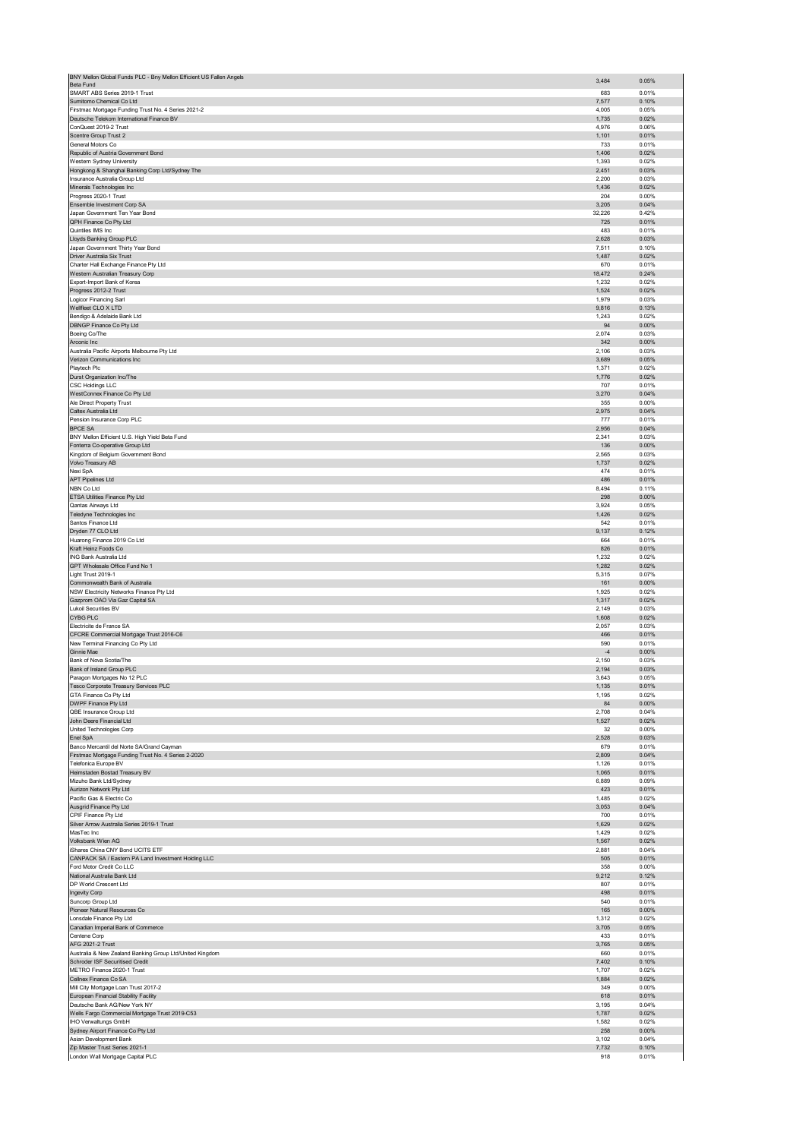| BNY Mellon Global Funds PLC - Bny Mellon Efficient US Fallen Angels<br>Beta Fund                 | 3,484          | 0.05%          |
|--------------------------------------------------------------------------------------------------|----------------|----------------|
| SMART ABS Series 2019-1 Trust                                                                    | 683            | 0.01%          |
| Sumitomo Chemical Co Ltd                                                                         | 7,577          | 0.10%          |
| Firstmac Mortgage Funding Trust No. 4 Series 2021-2<br>Deutsche Telekom International Finance BV | 4,005<br>1,735 | 0.05%<br>0.02% |
| ConQuest 2019-2 Trust                                                                            | 4,976          | 0.06%          |
| Scentre Group Trust 2<br>General Motors Co                                                       | 1,101<br>733   | 0.01%<br>0.01% |
| Republic of Austria Government Bond                                                              | 1,406          | 0.02%          |
| Western Sydney University                                                                        | 1,393          | 0.02%          |
| Hongkong & Shanghai Banking Corp Ltd/Sydney The<br>Insurance Australia Group Ltd                 | 2,451<br>2,200 | 0.03%<br>0.03% |
| Minerals Technologies Inc                                                                        | 1,436          | 0.02%          |
| Progress 2020-1 Trust<br>Ensemble Investment Corp SA                                             | 204<br>3,205   | 0.00%<br>0.04% |
| Japan Government Ten Year Bond                                                                   | 32,226         | 0.42%          |
| QPH Finance Co Pty Ltd                                                                           | 725            | 0.01%          |
| Quintiles IMS Inc<br>Lloyds Banking Group PLC                                                    | 483<br>2,628   | 0.01%<br>0.03% |
| Japan Government Thirty Year Bond                                                                | 7,511          | 0.10%          |
| Driver Australia Six Trust                                                                       | 1,487          | 0.02%          |
| Charter Hall Exchange Finance Pty Ltd<br>Western Australian Treasury Corp                        | 670<br>18,472  | 0.01%<br>0.24% |
| Export-Import Bank of Korea                                                                      | 1,232          | 0.02%          |
| Progress 2012-2 Trust<br>Logicor Financing Sarl                                                  | 1,524<br>1,979 | 0.02%<br>0.03% |
| Wellfleet CLO X LTD                                                                              | 9,816          | 0.13%          |
| Bendigo & Adelaide Bank Ltd                                                                      | 1,243          | 0.02%          |
| DBNGP Finance Co Pty Ltd<br>Boeing Co/The                                                        | 94<br>2,074    | 0.00%<br>0.03% |
| Arconic Inc                                                                                      | 342            | 0.00%          |
| Australia Pacific Airports Melbourne Pty Ltd                                                     | 2,106<br>3,689 | 0.03%<br>0.05% |
| Verizon Communications Inc<br>Playtech Plc                                                       | 1,371          | 0.02%          |
| Durst Organization Inc/The                                                                       | 1,776          | 0.02%          |
| <b>CSC Holdings LLC</b><br>WestConnex Finance Co Pty Ltd                                         | 707<br>3,270   | 0.01%<br>0.04% |
| Ale Direct Property Trust                                                                        | 355            | 0.00%          |
| Caltex Australia Ltd                                                                             | 2,975          | 0.04%          |
| Pension Insurance Corp PLC<br>BPCE SA                                                            | 777<br>2,956   | 0.01%<br>0.04% |
| BNY Mellon Efficient U.S. High Yield Beta Fund                                                   | 2,341          | 0.03%          |
| Fonterra Co-operative Group Ltd<br>Kingdom of Belgium Government Bond                            | 136<br>2,565   | 0.00%<br>0.03% |
| Volvo Treasury AB                                                                                | 1,737          | 0.02%          |
| Nexi SpA                                                                                         | 474            | 0.01%          |
| <b>APT Pipelines Ltd</b><br>NBN Co Ltd                                                           | 486<br>8,494   | 0.01%<br>0.11% |
| ETSA Utilities Finance Pty Ltd                                                                   | 298            | 0.00%          |
| Qantas Airways Ltd                                                                               | 3,924          | 0.05%          |
| Teledyne Technologies Inc<br>Santos Finance Ltd                                                  | 1,426<br>542   | 0.02%<br>0.01% |
| Dryden 77 CLO Ltd                                                                                | 9,137          | 0.12%          |
| Huarong Finance 2019 Co Ltd                                                                      | 664            | 0.01%          |
| Kraft Heinz Foods Co<br>ING Bank Australia Ltd                                                   | 826<br>1,232   | 0.01%<br>0.02% |
| GPT Wholesale Office Fund No 1                                                                   | 1,282          | 0.02%          |
| Light Trust 2019-1<br>Commonwealth Bank of Australia                                             | 5,315<br>161   | 0.07%<br>0.00% |
| NSW Electricity Networks Finance Pty Ltd                                                         | 1,925          | 0.02%          |
| Gazprom OAO Via Gaz Capital SA                                                                   | 1,317          | 0.02%          |
| <b>Lukoil Securities BV</b><br><b>CYBG PLC</b>                                                   | 2,149<br>1,608 | 0.03%<br>0.02% |
| Electricite de France SA                                                                         | 2,057          | 0.03%          |
| CFCRE Commercial Mortgage Trust 2016-C6                                                          | 466            | 0.01%          |
| New Terminal Financing Co Pty Ltd<br>Ginnie Mae                                                  | 590<br>$-4$    | 0.01%<br>0.00% |
| Bank of Nova Scotia/The                                                                          | 2,150          | 0.03%          |
| Bank of Ireland Group PLC                                                                        | 2,194<br>3,643 | 0.03%<br>0.05% |
| Paragon Mortgages No 12 PLC<br>Tesco Corporate Treasury Services PLC                             | 1,135          | 0.01%          |
| GTA Finance Co Pty Ltd                                                                           | 1,195          | 0.02%          |
| DWPF Finance Pty Ltd<br>QBE Insurance Group Ltd                                                  | 84<br>2,708    | 0.00%<br>0.04% |
| John Deere Financial Ltd                                                                         | 1,527          | 0.02%          |
| United Technologies Corp                                                                         | 32             | 0.00%          |
| Enel SpA<br>Banco Mercantil del Norte SA/Grand Cayman                                            | 2,528<br>679   | 0.03%<br>0.01% |
| Firstmac Mortgage Funding Trust No. 4 Series 2-2020                                              | 2,809          | 0.04%          |
| Telefonica Europe BV<br>Heimstaden Bostad Treasury BV                                            | 1,126<br>1,065 | 0.01%<br>0.01% |
| Mizuho Bank Ltd/Sydney                                                                           | 6,889          | 0.09%          |
| Aurizon Network Pty Ltd                                                                          | 423            | 0.01%          |
| Pacific Gas & Electric Co<br>Ausgrid Finance Pty Ltd                                             | 1,485<br>3,053 | 0.02%<br>0.04% |
| CPIF Finance Pty Ltd                                                                             | 700            | 0.01%          |
| Silver Arrow Australia Series 2019-1 Trust<br>MasTec Inc                                         | 1,629<br>1,429 | 0.02%<br>0.02% |
| Volksbank Wien AG                                                                                | 1,567          | 0.02%          |
| iShares China CNY Bond UCITS ETF                                                                 | 2,881          | 0.04%          |
| CANPACK SA / Eastern PA Land Investment Holding LLC<br>Ford Motor Credit Co LLC                  | 505<br>358     | 0.01%<br>0.00% |
| National Australia Bank Ltd                                                                      | 9,212          | 0.12%          |
| DP World Crescent Ltd                                                                            | 807<br>498     | 0.01%<br>0.01% |
| Ingevity Corp<br>Suncorp Group Ltd                                                               | 540            | 0.01%          |
| Pioneer Natural Resources Co                                                                     | 165            | 0.00%          |
| Lonsdale Finance Pty Ltd<br>Canadian Imperial Bank of Commerce                                   | 1,312<br>3,705 | 0.02%<br>0.05% |
| Centene Corp                                                                                     | 433            | 0.01%          |
| AFG 2021-2 Trust                                                                                 | 3,765          | 0.05%          |
| Australia & New Zealand Banking Group Ltd/United Kingdom<br>Schroder ISF Securitised Credit      | 660<br>7,402   | 0.01%<br>0.10% |
| METRO Finance 2020-1 Trust                                                                       | 1,707          | 0.02%          |
| Cellnex Finance Co SA                                                                            | 1,884          | 0.02%          |
| Mill City Mortgage Loan Trust 2017-2<br>European Financial Stability Facility                    | 349<br>618     | 0.00%<br>0.01% |
| Deutsche Bank AG/New York NY                                                                     | 3,195          | 0.04%          |
| Wells Fargo Commercial Mortgage Trust 2019-C53<br>IHO Verwaltungs GmbH                           | 1,787<br>1,582 | 0.02%<br>0.02% |
| Sydney Airport Finance Co Pty Ltd                                                                | 258            | 0.00%          |
| Asian Development Bank                                                                           | 3,102          | 0.04%          |
| Zip Master Trust Series 2021-1<br>London Wall Mortgage Capital PLC                               | 7,732<br>918   | 0.10%<br>0.01% |
|                                                                                                  |                |                |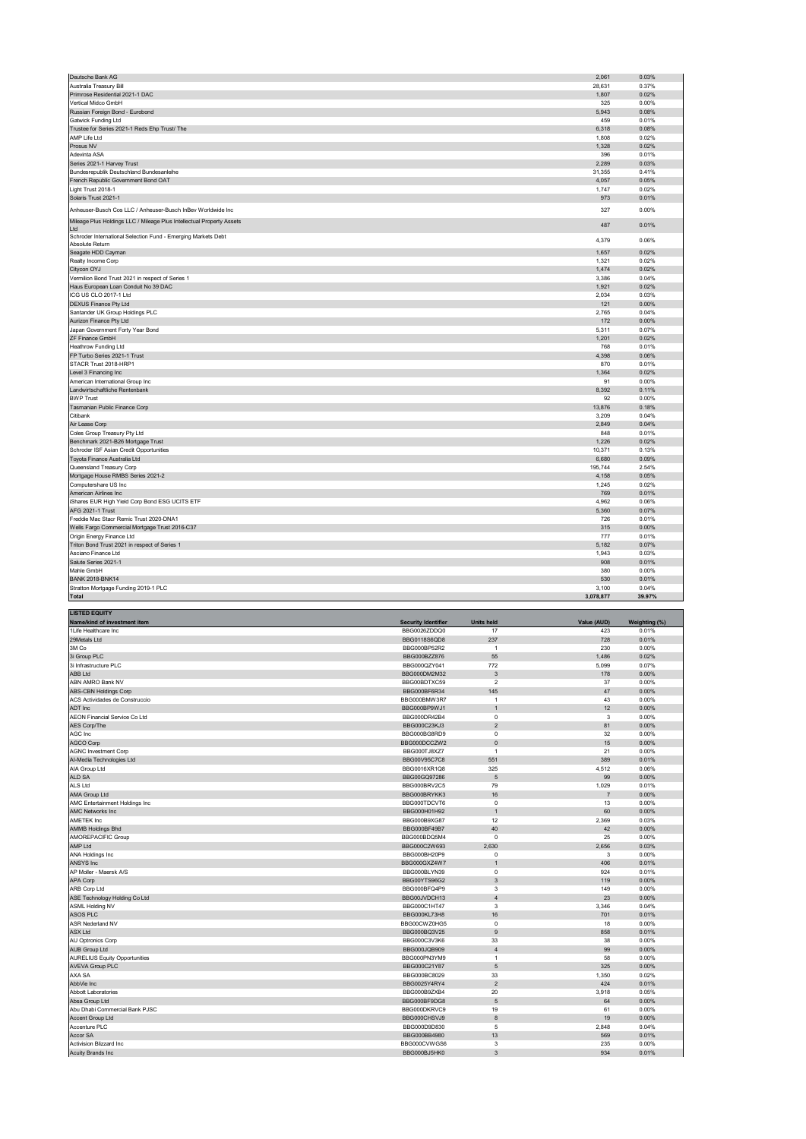| Deutsche Bank AG                                                      | 2,061     | 0.03%  |
|-----------------------------------------------------------------------|-----------|--------|
| Australia Treasury Bill                                               | 28,631    | 0.37%  |
| Primrose Residential 2021-1 DAC                                       | 1,807     | 0.02%  |
| Vertical Midco GmbH                                                   | 325       | 0.00%  |
| Russian Foreign Bond - Eurobond                                       | 5.943     | 0.08%  |
| Gatwick Funding Ltd                                                   | 459       | 0.01%  |
| Trustee for Series 2021-1 Reds Ehp Trust/ The                         | 6,318     | 0.08%  |
| AMP Life Ltd                                                          | 1,808     | 0.02%  |
| Prosus NV                                                             | 1,328     | 0.02%  |
| Adevinta ASA                                                          | 396       | 0.01%  |
| Series 2021-1 Harvey Trust                                            | 2,289     | 0.03%  |
| Bundesrepublik Deutschland Bundesanleihe                              | 31,355    | 0.41%  |
| French Republic Government Bond OAT                                   | 4.057     | 0.05%  |
| Light Trust 2018-1                                                    | 1,747     | 0.02%  |
| Solaris Trust 2021-1                                                  | 973       | 0.01%  |
| Anheuser-Busch Cos LLC / Anheuser-Busch InBev Worldwide Inc           | 327       | 0.00%  |
| Mileage Plus Holdings LLC / Mileage Plus Intellectual Property Assets |           |        |
| Ltd                                                                   | 487       | 0.01%  |
| Schroder International Selection Fund - Emerging Markets Debt         | 4,379     | 0.06%  |
| Absolute Return                                                       |           |        |
| Seagate HDD Cayman                                                    | 1,657     | 0.02%  |
| Realty Income Corp                                                    | 1,321     | 0.02%  |
| Citycon OYJ                                                           | 1,474     | 0.02%  |
| Vermilion Bond Trust 2021 in respect of Series 1                      | 3,386     | 0.04%  |
| Haus European Loan Conduit No 39 DAC                                  | 1,921     | 0.02%  |
| ICG US CLO 2017-1 Ltd                                                 | 2,034     | 0.03%  |
| DEXUS Finance Pty Ltd                                                 | 121       | 0.00%  |
| Santander UK Group Holdings PLC                                       | 2,765     | 0.04%  |
| Aurizon Finance Pty Ltd                                               | 172       | 0.00%  |
| Japan Government Forty Year Bond                                      | 5,311     | 0.07%  |
| ZF Finance GmbH                                                       | 1,201     | 0.02%  |
| <b>Heathrow Funding Ltd</b>                                           | 768       | 0.01%  |
| FP Turbo Series 2021-1 Trust                                          | 4,398     | 0.06%  |
| STACR Trust 2018-HRP1                                                 | 870       | 0.01%  |
| Level 3 Financing Inc                                                 | 1,364     | 0.02%  |
| American International Group Inc.                                     | 91        | 0.00%  |
| Landwirtschaftliche Rentenbank                                        | 8,392     | 0.11%  |
| <b>BWP Trust</b>                                                      | 92        | 0.00%  |
| Tasmanian Public Finance Corp                                         | 13,876    | 0.18%  |
| Citibank                                                              | 3,209     | 0.04%  |
| Air Lease Corp                                                        | 2,849     | 0.04%  |
| Coles Group Treasury Pty Ltd                                          | 848       | 0.01%  |
| Benchmark 2021-B26 Mortgage Trust                                     | 1,226     | 0.02%  |
| Schroder ISF Asian Credit Opportunities                               | 10,371    | 0.13%  |
| Toyota Finance Australia Ltd                                          | 6,680     | 0.09%  |
| Queensland Treasury Corp                                              | 195,744   | 2.54%  |
| Mortgage House RMBS Series 2021-2                                     | 4,158     | 0.05%  |
| Computershare US Inc                                                  | 1,245     | 0.02%  |
| American Airlines Inc                                                 | 769       | 0.01%  |
| iShares EUR High Yield Corp Bond ESG UCITS ETF                        | 4,962     | 0.06%  |
| AFG 2021-1 Trust                                                      | 5,360     | 0.07%  |
| Freddie Mac Stacr Remic Trust 2020-DNA1                               | 726       | 0.01%  |
| Wells Fargo Commercial Mortgage Trust 2016-C37                        | 315       | 0.00%  |
| Origin Energy Finance Ltd                                             | 777       | 0.01%  |
| Triton Bond Trust 2021 in respect of Series 1                         | 5,182     | 0.07%  |
| Asciano Finance Ltd                                                   | 1,943     | 0.03%  |
| Salute Series 2021-1                                                  | 908       | 0.01%  |
| Mahle GmbH                                                            | 380       | 0.00%  |
| <b>BANK 2018-BNK14</b>                                                | 530       | 0.01%  |
| Stratton Mortgage Funding 2019-1 PLC                                  | 3,100     | 0.04%  |
| <b>Total</b>                                                          | 3,078,877 | 39.97% |

| <b>LISTED EQUITY</b>                 |                            |                         |                |               |
|--------------------------------------|----------------------------|-------------------------|----------------|---------------|
| Name/kind of investment item         | <b>Security Identifier</b> | <b>Units held</b>       | Value (AUD)    | Weighting (%) |
| 1Life Healthcare Inc                 | BBG0026ZDDQ0               | 17                      | 423            | 0.01%         |
| 29Metals Ltd                         | BBG0118S6QD8               | 237                     | 728            | 0.01%         |
| 3M Co                                | BBG000BP52R2               | $\overline{1}$          | 230            | 0.00%         |
| 3i Group PLC                         | BBG000BZZ876               | 55                      | 1,486          | 0.02%         |
| 3i Infrastructure PLC                | BBG000QZY041               | 772                     | 5,099          | 0.07%         |
| <b>ABB Ltd</b>                       | BBG000DM2M32               | 3                       | 178            | 0.00%         |
| ABN AMRO Bank NV                     | BBG00BDTXC59               | $\overline{\mathbf{2}}$ | 37             | 0.00%         |
| ABS-CBN Holdings Corp                | BBG000BF6R34               | 145                     | 47             | 0.00%         |
| ACS Actividades de Construccio       | BBG000BMW3R7               | $\overline{1}$          | 43             | 0.00%         |
| ADT Inc                              | BBG000BP9WJ1               | $\overline{1}$          | 12             | 0.00%         |
| AEON Financial Service Co Ltd        | BBG000DR42B4               | $\pmb{0}$               | 3              | 0.00%         |
| AES Corp/The                         | BBG000C23KJ3               | $\overline{2}$          | 81             | 0.00%         |
| AGC Inc                              | BBG000BG8RD9               | $\mathbf 0$             | 32             | 0.00%         |
| AGCO Corp                            | BBG000DCCZW2               | $\mathbf 0$             | 15             | 0.00%         |
| <b>AGNC Investment Corp</b>          | BBG000TJ8XZ7               | $\overline{1}$          | 21             | 0.00%         |
| Al-Media Technologies Ltd            | BBG00V95C7C8               | 551                     | 389            | 0.01%         |
| AIA Group Ltd                        | BBG0016XR1Q8               | 325                     | 4,512          | 0.06%         |
| ALD SA                               | BBG00GQ97286               | 5                       | 99             | 0.00%         |
| ALS Ltd                              | BBG000BRV2C5               | 79                      | 1,029          | 0.01%         |
| AMA Group Ltd                        | BBG000BRYKK3               | 16                      | $\overline{7}$ | 0.00%         |
| AMC Entertainment Holdings Inc       | BBG000TDCVT6               | $\mathbf 0$             | 13             | 0.00%         |
| <b>AMC Networks Inc</b>              |                            | $\overline{1}$          | 60             | 0.00%         |
|                                      | BBG000H01H92               | 12                      |                |               |
| AMETEK Inc                           | BBG000B9XG87               |                         | 2,369          | 0.03%         |
| <b>AMMB Holdings Bhd</b>             | BBG000BF49B7               | 40                      | 42             | 0.00%         |
| AMOREPACIFIC Group                   | BBG000BDQ5M4               | $^{\circ}$              | 25             | 0.00%         |
| AMP Ltd                              | BBG000C2W693               | 2,630                   | 2,656          | 0.03%         |
| ANA Holdings Inc                     | BBG000BH20P9               | 0                       | 3              | 0.00%         |
| <b>ANSYS</b> Inc                     | BBG000GXZ4W7               | $\overline{1}$          | 406            | 0.01%         |
| AP Moller - Maersk A/S               | BBG000BLYN39               | $\mathbf 0$             | 924            | 0.01%         |
| <b>APA Corp</b>                      | BBG00YTS96G2               | 3                       | 119            | 0.00%         |
| ARB Corp Ltd                         | BBG000BFQ4P9               | 3                       | 149            | 0.00%         |
| ASE Technology Holding Co Ltd        | BBG00JVDCH13               | $\overline{4}$          | 23             | 0.00%         |
| <b>ASML Holding NV</b>               | BBG000C1HT47               | 3                       | 3,346          | 0.04%         |
| ASOS PLC                             | BBG000KL73H8               | 16                      | 701            | 0.01%         |
| ASR Nederland NV                     | BBG00CWZ0HG5               | 0                       | 18             | 0.00%         |
| <b>ASX Ltd</b>                       | BBG000BQ3V25               | 9                       | 858            | 0.01%         |
| AU Optronics Corp                    | BBG000C3V3K6               | 33                      | 38             | 0.00%         |
| <b>AUB Group Ltd</b>                 | BBG000JQB909               | $\overline{4}$          | 99             | 0.00%         |
| <b>AURELIUS Equity Opportunities</b> | BBG000PN3YM9               | $\overline{1}$          | 58             | 0.00%         |
| <b>AVEVA Group PLC</b>               | BBG000C21Y87               | 5                       | 325            | 0.00%         |
| AXA SA                               | BBG000BC8029               | 33                      | 1,350          | 0.02%         |
| AbbVie Inc                           | BBG0025Y4RY4               | $\overline{2}$          | 424            | 0.01%         |
| Abbott Laboratories                  | BBG000B9ZXB4               | 20                      | 3,918          | 0.05%         |
| Absa Group Ltd                       | BBG000BF9DG8               | 5                       | 64             | 0.00%         |
| Abu Dhabi Commercial Bank PJSC       | BBG000DKRVC9               | 19                      | 61             | 0.00%         |
| Accent Group Ltd                     | BBG000CHSVJ9               | 8                       | 19             | 0.00%         |
| Accenture PLC                        | BBG000D9D830               | 5                       | 2,848          | 0.04%         |
| Accor SA                             | BBG000BB4980               | 13                      | 569            | 0.01%         |
| Activision Blizzard Inc              | BBG000CVWGS6               | 3                       | 235            | 0.00%         |
| Acuity Brands Inc                    | BBG000BJ5HK0               | 3                       | 934            | 0.01%         |
|                                      |                            |                         |                |               |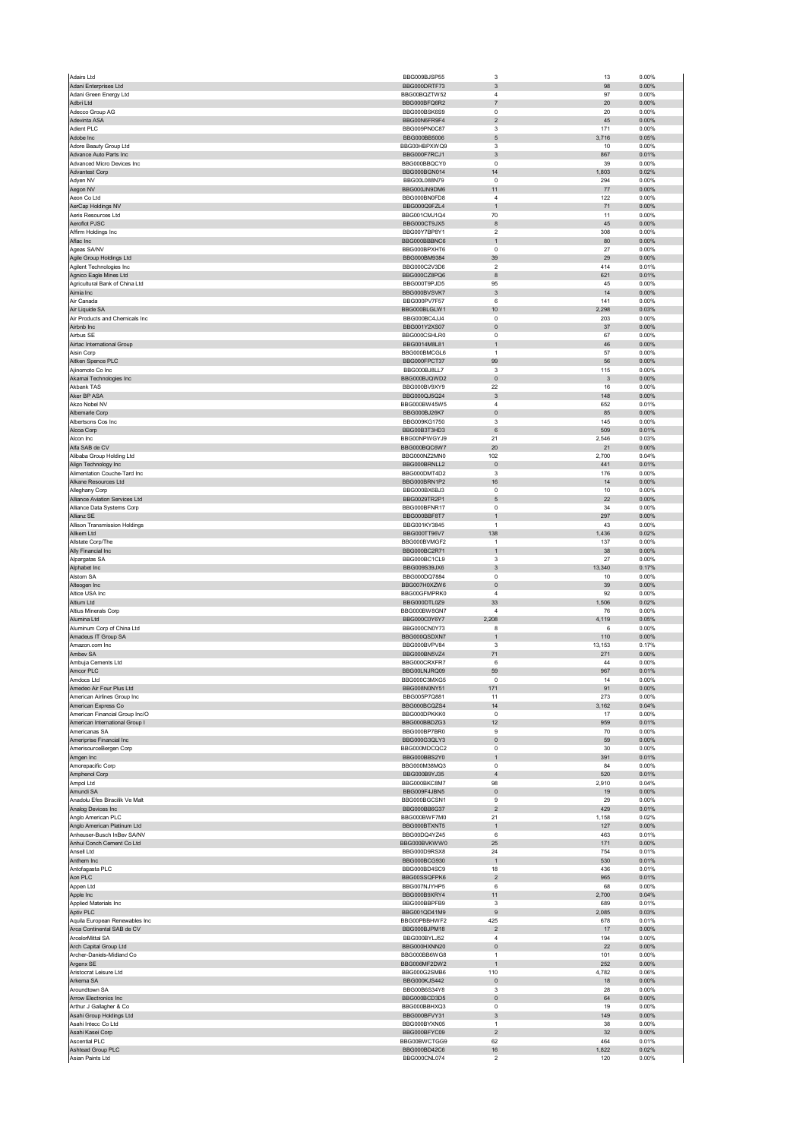| Adairs Ltd                                                       | BBG009BJSP55                 | 3                                         | 13           | 0.00%             |
|------------------------------------------------------------------|------------------------------|-------------------------------------------|--------------|-------------------|
| Adani Enterprises Ltd<br>Adani Green Energy Ltd                  | BBG000DRTF73<br>BBG00BQZTW52 | 3<br>$\sqrt{4}$                           | 98<br>97     | 0.00%<br>0.00%    |
| Adbri Ltd                                                        | BBG000BFQ6R2                 | $\overline{\mathfrak{z}}$                 | 20           | 0.00%             |
| Adecco Group AG                                                  | BBG000BSK6S9                 | $\mathbf 0$                               | 20           | 0.00%             |
| Adevinta ASA                                                     | BBG00N6FR9F4                 | $\mathbf 2$                               | 45           | 0.00%             |
| Adient PLC<br>Adobe Inc                                          | BBG009PN0C87<br>BBG000BB5006 | 3<br>$\mathbf 5$                          | 171<br>3,716 | 0.00%<br>0.05%    |
| Adore Beauty Group Ltd                                           | BBG00HBPXWQ9                 | 3                                         | 10           | 0.00%             |
| Advance Auto Parts Inc                                           | BBG000F7RCJ1                 | 3                                         | 867          | 0.01%             |
| Advanced Micro Devices Inc<br>Advantest Corp                     | BBG000BBQCY0<br>BBG000BGN014 | $\pmb{0}$<br>14                           | 39<br>1,803  | 0.00%<br>0.02%    |
| Adyen NV                                                         | BBG00L088N79                 | $\mathbf 0$                               | 294          | 0.00%             |
| Aegon NV                                                         | BBG000JN9DM6                 | 11                                        | 77           | 0.00%             |
| Aeon Co Ltd                                                      | BBG000BN0FD8                 | $\sqrt{4}$                                | 122          | 0.00%             |
| AerCap Holdings NV<br>Aeris Resources Ltd                        | BBG000Q9FZL4                 | $\mathbf{1}$                              | 71           | 0.00%             |
| Aeroflot PJSC                                                    | BBG001CMJ1Q4<br>BBG000CT9JX5 | 70<br>8                                   | 11<br>45     | 0.00%<br>0.00%    |
| Affirm Holdings Inc                                              | BBG00Y7BP8Y1                 | $\boldsymbol{2}$                          | 308          | 0.00%             |
| Aflac Inc                                                        | BBG000BBBNC6                 | $\mathbf{1}$                              | 80           | 0.00%             |
| Ageas SA/NV                                                      | BBG000BPXHT6                 | $\Omega$                                  | 27           | 0.00%             |
| Agile Group Holdings Ltd<br>Agilent Technologies Inc             | BBG000BM9384<br>BBG000C2V3D6 | 39<br>2                                   | 29<br>414    | 0.00%<br>0.01%    |
| Agnico Eagle Mines Ltd                                           | BBG000CZ8PQ6                 | 8                                         | 621          | 0.01%             |
| Agricultural Bank of China Ltd                                   | BBG000T9PJD5                 | 95                                        | 45           | 0.00%             |
| Aimia Inc                                                        | BBG000BVSVK7                 | $\ensuremath{\mathsf{3}}$                 | 14           | 0.00%             |
| Air Canada<br>Air Liquide SA                                     | BBG000PV7F57<br>BBG000BLGLW1 | 6<br>10                                   | 141<br>2,298 | 0.00%<br>0.03%    |
| Air Products and Chemicals Inc                                   | BBG000BC4JJ4                 | $\pmb{0}$                                 | 203          | 0.00%             |
| Airbnb Inc                                                       | BBG001Y2XS07                 | $\pmb{0}$                                 | 37           | 0.00%             |
| Airbus SE                                                        | BBG000CSHLR0                 | 0                                         | 67           | 0.00%             |
| Airtac International Group<br>Aisin Corp                         | BBG0014M8L81<br>BBG000BMCGL6 | $\mathbf{1}$<br>$\mathbf{1}$              | 46<br>57     | $0.00\%$<br>0.00% |
| Aitken Spence PLC                                                | BBG000FPCT37                 | 99                                        | 56           | 0.00%             |
| Ajinomoto Co Inc                                                 | BBG000BJ8LL7                 | 3                                         | 115          | 0.00%             |
| Akamai Technologies Inc                                          | BBG000BJQWD2                 | $\pmb{0}$                                 | $\mathbf{3}$ | $0.00\%$          |
| Akbank TAS                                                       | BBG000BV9XY9                 | 22                                        | 16           | 0.00%             |
| Aker BP ASA                                                      | BBG000QJ5Q24<br>BBG000BW45W5 | 3<br>$\overline{4}$                       | 148          | $0.00\%$          |
| Akzo Nobel NV<br>Albemarle Corp                                  | BBG000BJ26K7                 | $\pmb{0}$                                 | 652<br>85    | 0.01%<br>0.00%    |
| Albertsons Cos Inc                                               | BBG009KG1750                 | 3                                         | 145          | 0.00%             |
| Alcoa Corp                                                       | BBG00B3T3HD3                 | 6                                         | 509          | 0.01%             |
| Alcon Inc                                                        | BBG00NPWGYJ9                 | 21                                        | 2,546        | 0.03%             |
| Alfa SAB de CV                                                   | BBG000BQC6W7<br>BBG000NZ2MN0 | 20                                        | 21           | 0.00%             |
| Alibaba Group Holding Ltd<br>Align Technology Inc                | BBG000BRNLL2                 | 102<br>$\pmb{0}$                          | 2,700<br>441 | 0.04%<br>0.01%    |
| Alimentation Couche-Tard Inc                                     | BBG000DMT4D2                 | 3                                         | 176          | 0.00%             |
| Alkane Resources Ltd                                             | BBG000BRN1P2                 | 16                                        | 14           | $0.00\%$          |
| Alleghany Corp                                                   | BBG000BX6BJ3                 | $\mathbf 0$                               | 10           | 0.00%             |
| Alliance Aviation Services Ltd                                   | BBG0029TR2P1                 | 5                                         | 22           | 0.00%             |
| Alliance Data Systems Corp<br>Allianz SE                         | BBG000BFNR17<br>BBG000BBF8T7 | 0<br>$\mathbf{1}$                         | 34<br>297    | 0.00%<br>0.00%    |
| Allison Transmission Holdings                                    | BBG001KY3845                 | $\mathbf{1}$                              | 43           | 0.00%             |
| Allkem Ltd                                                       | BBG000TT96V7                 | 138                                       | 1,436        | 0.02%             |
| Allstate Corp/The                                                | BBG000BVMGF2                 | $\mathbf{1}$                              | 137          | 0.00%             |
| Ally Financial Inc                                               | BBG000BC2R71                 | $\mathbf{1}$                              | 38           | 0.00%             |
| Alpargatas SA<br>Alphabet Inc                                    | BBG000BC1CL9<br>BBG009S39JX6 | 3<br>$\sqrt{3}$                           | 27<br>13,340 | 0.00%<br>0.17%    |
| Alstom SA                                                        | BBG000DQ7884                 | $\pmb{0}$                                 | 10           | 0.00%             |
| Alteogen Inc                                                     | BBG007H0XZW6                 | $\pmb{0}$                                 | 39           | 0.00%             |
| Altice USA Inc                                                   | BBG00GFMPRK0                 | $\sqrt{4}$                                | 92           | 0.00%             |
| Altium Ltd                                                       | BBG000DTL0Z9                 | 33                                        | 1,506        | 0.02%             |
| Altius Minerals Corp<br>Alumina Ltd                              | BBG000BW8GN7<br>BBG000C0Y6Y7 | $\sqrt{4}$<br>2,208                       | 76<br>4,119  | 0.00%<br>0.05%    |
| Aluminum Corp of China Ltd                                       | BBG000CN0Y73                 | 8                                         | 6            | 0.00%             |
| Amadeus IT Group SA                                              | BBG000QSDXN7                 | $\mathbf{1}$                              | 110          | 0.00%             |
| Amazon.com Inc                                                   | BBG000BVPV84                 | 3                                         | 13,153       | 0.17%             |
| Ambev SA                                                         | BBG000BN5VZ4                 | 71                                        | 271          | 0.00%             |
| Ambuja Cements Ltd<br>Amcor PLC                                  | BBG000CRXFR7<br>BBG00LNJRQ09 | 6<br>59                                   | 44<br>967    | 0.00%<br>0.01%    |
| Amdore Ltr                                                       | BBG000C3MXG                  |                                           | 14           | n nn%             |
| Amedeo Air Four Plus Ltd                                         | BBG008N0NY51                 | 171                                       | 91           | 0.00%             |
| American Airlines Group Inc                                      | BBG005P7Q881                 | 11                                        | 273          | 0.00%             |
| American Express Co                                              | BBG000BCQZS4                 | 14                                        | 3,162        | 0.04%             |
| American Financial Group Inc/O<br>American International Group I | BBG000DPKKK0<br>BBG000BBDZG3 | $^{\circ}$<br>12                          | 17<br>959    | 0.00%<br>0.01%    |
| Americanas SA                                                    | BBG000BP7BR0                 | 9                                         | 70           | 0.00%             |
| Ameriprise Financial Inc                                         | BBG000G3QLY3                 | $\pmb{0}$                                 | 59           | 0.00%             |
| AmerisourceBergen Corp                                           | BBG000MDCQC2                 | $\pmb{0}$                                 | 30           | 0.00%             |
| Amgen Inc<br>Amorepacific Corp                                   | BBG000BBS2Y0<br>BBG000M38MQ3 | $\mathbf{1}$<br>0                         | 391<br>84    | 0.01%<br>0.00%    |
| Amphenol Corp                                                    | BBG000B9YJ35                 | $\sqrt{4}$                                | 520          | 0.01%             |
| Ampol Ltd                                                        | BBG000BKC8M7                 | 98                                        | 2,910        | 0.04%             |
| Amundi SA                                                        | BBG009F4JBN5                 | $\mathbf 0$                               | 19           | 0.00%             |
| Anadolu Efes Biracilik Ve Malt                                   | BBG000BGCSN1                 | 9                                         | 29           | 0.00%             |
| Analog Devices Inc<br>Anglo American PLC                         | BBG000BB6G37<br>BBG000BWF7M0 | $\sqrt{2}$<br>21                          | 429<br>1,158 | 0.01%<br>0.02%    |
| Anglo American Platinum Ltd                                      | BBG000BTXNT5                 | $\mathbf{1}$                              | 127          | $0.00\%$          |
| Anheuser-Busch InBev SA/NV                                       | BBG00DQ4YZ45                 | 6                                         | 463          | 0.01%             |
| Anhui Conch Cement Co Ltd                                        | BBG000BVKWW0                 | 25                                        | 171          | $0.00\%$          |
| Ansell Ltd                                                       | BBG000D9RSX8                 | 24                                        | 754          | 0.01%             |
| Anthem Inc<br>Antofagasta PLC                                    | BBG000BCG930<br>BBG000BD4SC9 | $\mathbf{1}$<br>18                        | 530<br>436   | 0.01%<br>0.01%    |
| Aon PLC                                                          | BBG00SSQFPK6                 | $\mathbf 2$                               | 965          | 0.01%             |
| Appen Ltd                                                        | BBG007NJYHP5                 | 6                                         | 68           | 0.00%             |
| Apple Inc                                                        | BBG000B9XRY4                 | 11                                        | 2,700        | 0.04%             |
| Applied Materials Inc<br>Aptiv PLC                               | BBG000BBPFB9<br>BBG001QD41M9 | 3<br>$\boldsymbol{9}$                     | 689<br>2,085 | 0.01%<br>0.03%    |
| Aquila European Renewables Inc                                   | BBG00PBBHWF2                 | 425                                       | 678          | 0.01%             |
| Arca Continental SAB de CV                                       | BBG000BJPM18                 | $\sqrt{2}$                                | 17           | 0.00%             |
| ArcelorMittal SA                                                 | BBG000BYLJ52                 | 4                                         | 194          | 0.00%             |
| Arch Capital Group Ltd                                           | BBG000HXNN20                 | $\pmb{0}$                                 | 22           | $0.00\%$          |
| Archer-Daniels-Midland Co<br>Argenx SE                           | BBG000BB6WG8<br>BBG006MF2DW2 | $\mathbf{1}$<br>$\mathbf{1}$              | 101<br>252   | 0.00%<br>$0.00\%$ |
| Aristocrat Leisure Ltd                                           | BBG000G2SMB6                 | 110                                       | 4,782        | 0.06%             |
| Arkema SA                                                        | BBG000KJS442                 | $\pmb{0}$                                 | $18$         | $0.00\%$          |
| Aroundtown SA                                                    | BBG00B6S34Y8                 | 3                                         | 28           | 0.00%             |
| Arrow Electronics Inc                                            | BBG000BCD3D5                 | $\pmb{0}$                                 | 64           | 0.00%             |
| Arthur J Gallagher & Co<br>Asahi Group Holdings Ltd              |                              | 0                                         | 19           | 0.00%             |
| Asahi Intecc Co Ltd                                              | BBG000BBHXQ3                 |                                           |              |                   |
|                                                                  | BBG000BFVY31                 | $\ensuremath{\mathsf{3}}$<br>$\mathbf{1}$ | 149<br>38    | $0.00\%$          |
| Asahi Kasei Corp                                                 | BBG000BYXN05<br>BBG000BFYC09 | $\sqrt{2}$                                | 32           | 0.00%<br>0.00%    |
| Ascential PLC                                                    | BBG00BWCTGG9                 | 62                                        | 464          | 0.01%             |
| Ashtead Group PLC<br>Asian Paints Ltd                            | BBG000BD42C6<br>BBG000CNL074 | 16<br>$\overline{\mathbf{c}}$             | 1,822<br>120 | 0.02%<br>0.00%    |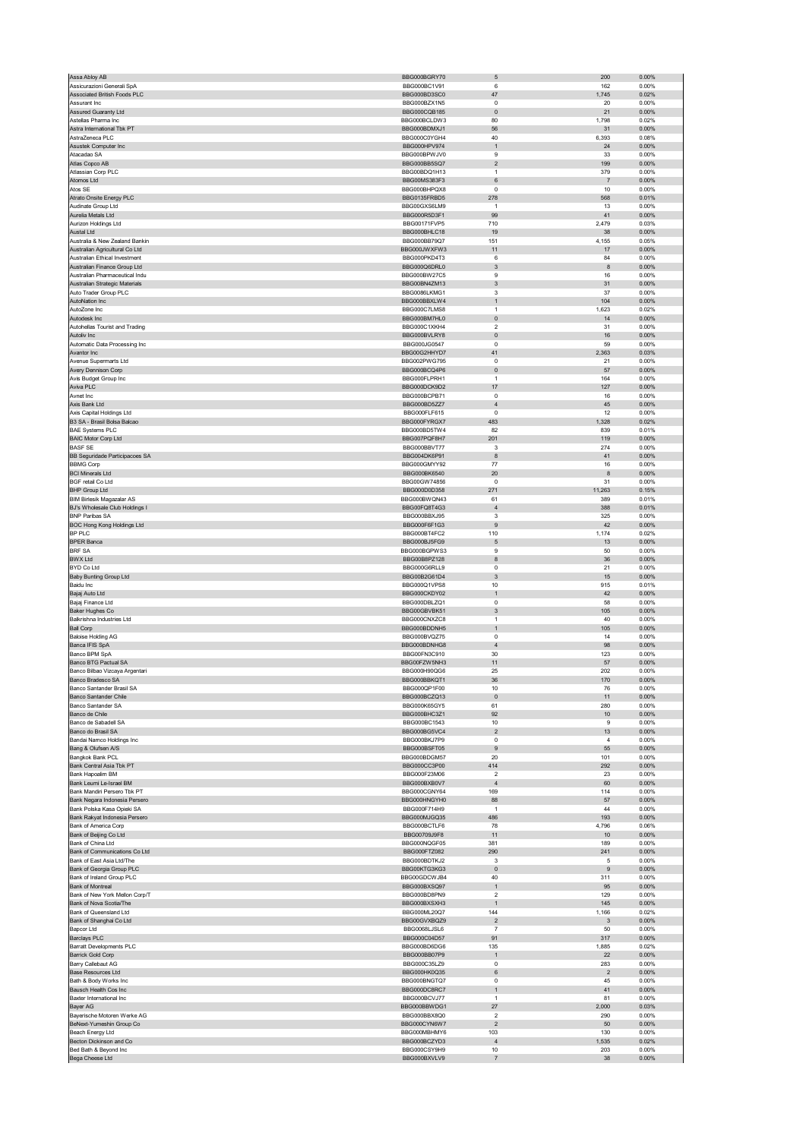| Assa Abloy AB                                                    | BBG000BGRY70                 | $\mathbf 5$                    | 200                     | 0.00%             |
|------------------------------------------------------------------|------------------------------|--------------------------------|-------------------------|-------------------|
| Assicurazioni Generali SpA                                       | BBG000BC1V91                 | 6                              | 162                     | 0.00%             |
| Associated British Foods PLC                                     | BBG000BD3SC0                 | 47                             | 1,745                   | 0.02%             |
| Assurant Inc                                                     | BBG000BZX1N5                 | 0                              | 20                      | 0.00%             |
| <b>Assured Guaranty Ltd</b>                                      | BBG000CQB185                 | $\pmb{0}$                      | 21                      | 0.00%             |
| Astellas Pharma Inc                                              | BBG000BCLDW3                 | 80                             | 1,798                   | 0.02%             |
| Astra International Tbk PT                                       | BBG000BDMXJ1                 | 56                             | 31                      | 0.00%             |
| AstraZeneca PLC<br>Asustek Computer Inc                          | BBG000C0YGH4<br>BBG000HPV974 | 40<br>$\mathbf{1}$             | 6,393<br>24             | 0.08%<br>0.00%    |
| Atacadao SA                                                      | BBG000BPWJV0                 | 9                              | 33                      | 0.00%             |
| Atlas Copco AB                                                   | BBG000BB5SQ7                 | $\sqrt{2}$                     | 199                     | 0.00%             |
| Atlassian Corp PLC                                               | BBG00BDQ1H13                 | $\mathbf{1}$                   | 379                     | 0.00%             |
| Atomos Ltd                                                       | BBG00MS383F3                 | $\,6\,$                        | $\overline{7}$          | 0.00%             |
| Atos SE                                                          | BBG000BHPQX8                 | $\pmb{0}$                      | 10                      | 0.00%             |
| Atrato Onsite Energy PLC                                         | BBG0135FRBD5                 | 278                            | 568                     | 0.01%             |
| Audinate Group Ltd                                               | BBG00GXS6LM9                 | $\overline{1}$                 | 13                      | 0.00%             |
| Aurelia Metals Ltd                                               | BBG000R5D3F1                 | 99                             | 41                      | 0.00%             |
| Aurizon Holdings Ltd                                             | BBG00171FVP5                 | 710                            | 2,479                   | 0.03%             |
| Austal Ltd                                                       | BBG000BHLC18                 | 19                             | 38                      | 0.00%             |
| Australia & New Zealand Bankin                                   | BBG000BB79Q7                 | 151                            | 4,155                   | 0.05%             |
| Australian Agricultural Co Ltd                                   | BBG000JWXFW3                 | 11                             | 17                      | 0.00%             |
| Australian Ethical Investment                                    | BBG000PKD4T3                 | 6                              | 84                      | 0.00%             |
| Australian Finance Group Ltd                                     | BBG000Q6DRL0                 | 3                              | 8                       | $0.00\%$          |
| Australian Pharmaceutical Indu<br>Australian Strategic Materials | BBG000BW27C5<br>BBG00BN4ZM13 | 9<br>$\ensuremath{\mathsf{3}}$ | 16<br>31                | 0.00%<br>$0.00\%$ |
| Auto Trader Group PLC                                            | BBG0086LKMG1                 | 3                              | 37                      | 0.00%             |
| AutoNation Inc                                                   | BBG000BBXLW4                 | 1                              | 104                     | 0.00%             |
| AutoZone Inc                                                     | BBG000C7LMS8                 | $\overline{1}$                 | 1,623                   | 0.02%             |
| Autodesk Inc                                                     | BBG000BM7HL0                 | $\pmb{0}$                      | 14                      | 0.00%             |
| Autohellas Tourist and Trading                                   | BBG000C1XKH4                 | $\overline{\mathbf{c}}$        | 31                      | 0.00%             |
| Autoliv Inc                                                      | BBG000BVLRY8                 | $\pmb{0}$                      | 16                      | 0.00%             |
| Automatic Data Processing Inc                                    | BBG000JG0547                 | 0                              | 59                      | 0.00%             |
| Avantor Inc                                                      | BBG00G2HHYD7                 | 41                             | 2,363                   | 0.03%             |
| Avenue Supermarts Ltd                                            | BBG002PWG795                 | $\pmb{0}$                      | 21                      | 0.00%             |
| Avery Dennison Corp                                              | BBG000BCQ4P6                 | 0                              | 57                      | 0.00%             |
| Avis Budget Group Inc                                            | BBG000FLPRH1                 | $\mathbf{1}$                   | 164                     | 0.00%             |
| Aviva PLC                                                        | BBG000DCK9D2                 | 17                             | 127                     | 0.00%             |
| Avnet Inc                                                        | BBG000BCPB71                 | $\mathbf 0$                    | 16                      | 0.00%             |
| Axis Bank Ltd                                                    | BBG000BD5ZZ7                 | $\sqrt{4}$                     | 45                      | 0.00%             |
| Axis Capital Holdings Ltd                                        | BBG000FLF615                 | 0                              | 12                      | 0.00%             |
| B3 SA - Brasil Bolsa Balcao<br><b>BAE Systems PLC</b>            | BBG000FYRGX7<br>BBG000BD5TW4 | 483<br>82                      | 1,328<br>839            | 0.02%<br>0.01%    |
|                                                                  |                              |                                |                         |                   |
| <b>BAIC Motor Corp Ltd</b><br><b>BASF SE</b>                     | BBG007PQF8H7<br>BBG000BBVT77 | 201<br>3                       | 119<br>274              | 0.00%<br>0.00%    |
| BB Seguridade Participacoes SA                                   | BBG004DK6P91                 | 8                              | 41                      | 0.00%             |
| <b>BBMG Corp</b>                                                 | BBG000GMYY92                 | 77                             | 16                      | 0.00%             |
| <b>BCI Minerals Ltd</b>                                          | BBG000BK6540                 | 20                             | 8                       | 0.00%             |
| <b>BGF retail Co Ltd</b>                                         | BBG00GW74856                 | 0                              | 31                      | 0.00%             |
| <b>BHP Group Ltd</b>                                             | BBG000D0D358                 | 271                            | 11,263                  | 0.15%             |
| <b>BIM Birlesik Magazalar AS</b>                                 | BBG000BWQN43                 | 61                             | 389                     | 0.01%             |
| BJ's Wholesale Club Holdings I                                   | BBG00FQ8T4G3                 | $\overline{4}$                 | 388                     | 0.01%             |
| <b>BNP Paribas SA</b>                                            | BBG000BBXJ95                 | 3                              | 325                     | 0.00%             |
| BOC Hong Kong Holdings Ltd                                       | BBG000F6F1G3                 | 9                              | 42                      | 0.00%             |
| BP PLC                                                           | BBG000BT4FC2                 | 110                            | 1,174                   | 0.02%             |
| <b>BPER Banca</b>                                                | BBG000BJ5FG9                 | $\mathbf 5$                    | 13                      | 0.00%             |
| <b>BRF SA</b>                                                    | BBG000BGPWS3                 | 9                              | 50                      | 0.00%             |
| <b>BWX Ltd</b>                                                   | BBG00B8PZ128                 | 8                              | 36                      | 0.00%             |
| <b>BYD Co Ltd</b>                                                | BBG000G6RLL9                 | 0                              | 21                      | 0.00%             |
| <b>Baby Bunting Group Ltd</b>                                    | BBG00B2G61D4                 | $\sqrt{3}$                     | 15                      | 0.00%             |
| Baidu Inc                                                        | BBG000Q1VPS8                 | 10                             | 915                     | 0.01%             |
| Bajaj Auto Ltd                                                   | BBG000CKDY02                 | $\mathbf{1}$                   | 42                      | 0.00%             |
| Bajaj Finance Ltd                                                | BBG000DBLZQ1                 | 0                              | 58                      | 0.00%             |
| <b>Baker Hughes Co</b>                                           | BBG00GBVBK51                 | $\sqrt{3}$                     | 105                     | 0.00%             |
| Balkrishna Industries Ltd                                        | BBG000CNXZC8                 | $\mathbf{1}$                   | 40                      | 0.00%             |
| <b>Ball Corp</b><br><b>Baloise Holding AG</b>                    | BBG000BDDNH5<br>BBG000BVQZ75 | $\mathbf{1}$<br>0              | 105                     | 0.00%<br>0.00%    |
| Banca IFIS SpA                                                   | BBG000BDNHG8                 | $\sqrt{4}$                     | 14<br>98                | 0.00%             |
| Banco BPM SpA                                                    | BBG00FN3C910                 | 30                             | 123                     | 0.00%             |
| Banco BTG Pactual SA                                             | BBG00FZW5NH3                 | 11                             | 57                      | 0.00%             |
| Banco Bilbao Vizcaya Argentari                                   | BBG000H90QG6                 | 25                             | 202                     | 0.00%             |
| Banco Bradesco SA                                                | BBG000BBKOT1                 | 36                             | 170                     | 0.00%             |
| Banco Santander Brasil SA                                        | BBG000QP1F00                 | 10                             | 76                      | 0.00%             |
| <b>Banco Santander Chile</b>                                     | BBG000BCZQ13                 | $\pmb{0}$                      | 11                      | 0.00%             |
| Banco Santander SA                                               | BBG000K65GY5                 | 61                             | 280                     | 0.00%             |
| Banco de Chile                                                   | BBG000BHC3Z1                 | 92                             | 10                      | 0.00%             |
| Banco de Sabadell SA                                             | BBG000BC1543                 | 10                             | 9                       | 0.00%             |
| Banco do Brasil SA                                               | BBG000BG5VC4                 | $\mathbf 2$                    | 13                      | 0.00%             |
| Bandai Namco Holdings Inc                                        | BBG000BKJ7P9                 | 0                              | $\overline{4}$          | 0.00%             |
| Bang & Olufsen A/S                                               | BBG000BSFT05                 | $\mathsf g$                    | 55                      | 0.00%             |
| Bangkok Bank PCL                                                 | BBG000BDGM57                 | 20                             | 101                     | 0.00%             |
| Bank Central Asia Tbk PT                                         | BBG000CC3P00                 | 414                            | 292                     | 0.00%             |
| Bank Hapoalim BM<br>Bank Leumi Le-Israel BM                      | BBG000F23M06<br>BBG000BXB0V7 | 2<br>$\sqrt{4}$                | 23<br>60                | 0.00%<br>0.00%    |
| Bank Mandiri Persero Tbk PT                                      | BBG000CGNY64                 | 169                            | 114                     | 0.00%             |
| Bank Negara Indonesia Persero                                    | BBG000HNGYH0                 | 88                             | 57                      | 0.00%             |
| Bank Polska Kasa Opieki SA                                       | BBG000F714H9                 | $\mathbf{1}$                   | 44                      | 0.00%             |
| Bank Rakyat Indonesia Persero                                    | BBG000MJGQ35                 | 486                            | 193                     | $0.00\%$          |
| Bank of America Corp                                             | BBG000BCTLF6                 | 78                             | 4,796                   | 0.06%             |
| Bank of Beijing Co Ltd                                           | BBG00709J9F8                 | 11                             | 10                      | $0.00\%$          |
| Bank of China Ltd                                                | BBG000NQGF05                 | 381                            | 189                     | 0.00%             |
| Bank of Communications Co Ltd                                    | BBG000FTZ082                 | 290                            | 241                     | $0.00\%$          |
| Bank of East Asia Ltd/The                                        | BBG000BDTKJ2                 | 3                              | 5                       | 0.00%             |
| Bank of Georgia Group PLC                                        | BBG00KTG3KG3                 | $\pmb{0}$                      | 9                       | 0.00%             |
| Bank of Ireland Group PLC                                        | BBG00GDCWJB4                 | 40                             | 311                     | 0.00%             |
| Bank of Montreal<br>Bank of New York Mellon Corp/T               | BBG000BXSQ97<br>BBG000BD8PN9 | 1<br>$\boldsymbol{2}$          | 95<br>129               | $0.00\%$<br>0.00% |
| Bank of Nova Scotia/The                                          | BBG000BXSXH3                 | $\mathbf{1}$                   | 145                     | 0.00%             |
| Bank of Queensland Ltd                                           | BBG000ML20Q7                 | 144                            | 1,166                   | 0.02%             |
| Bank of Shanghai Co Ltd                                          | BBG00GVXBQZ9                 | $\mathbf 2$                    | 3                       | $0.00\%$          |
| Bapcor Ltd                                                       | BBG0068LJSL6                 | $\overline{7}$                 | 50                      | 0.00%             |
| <b>Barclays PLC</b>                                              | BBG000C04D57                 | 91                             | 317                     | 0.00%             |
| Barratt Developments PLC                                         | BBG000BD6DG6                 | 135                            | 1,885                   | 0.02%             |
| <b>Barrick Gold Corp</b>                                         | BBG000BB07P9                 | $\mathbf{1}$                   | 22                      | $0.00\%$          |
| <b>Barry Callebaut AG</b>                                        | BBG000C35LZ9                 | $\pmb{0}$                      | 283                     | 0.00%             |
| <b>Base Resources Ltd</b>                                        | BBG000HK0Q35                 | 6                              | $\overline{\mathbf{c}}$ | $0.00\%$          |
| Bath & Body Works Inc                                            | BBG000BNGTQ7                 | 0                              | 45                      | 0.00%             |
| Bausch Health Cos Inc                                            | BBG000DC8RC7                 | 1                              | 41                      | $0.00\%$          |
| Baxter International Inc                                         | BBG000BCVJ77                 | $\mathbf{1}$                   | 81                      | 0.00%             |
| <b>Bayer AG</b>                                                  | BBG000BBWDG1                 | 27                             | 2,000                   | 0.03%             |
| Bayerische Motoren Werke AG                                      | BBG000BBX8Q0                 | 2                              | 290                     | 0.00%             |
| BeNext-Yumeshin Group Co                                         | BBG000CYN6W7<br>BBG000MBHMY6 | $\mathbf 2$<br>103             | 50<br>130               | $0.00\%$<br>0.00% |
| Beach Energy Ltd<br>Becton Dickinson and Co                      | BBG000BCZYD3                 | $\overline{4}$                 | 1,535                   | 0.02%             |
|                                                                  |                              |                                |                         |                   |
| Bed Bath & Beyond Inc                                            | BBG000CSY9H9                 | 10                             | 203                     | 0.00%             |
| Bega Cheese Ltd                                                  | BBG000BXVLV9                 | $\overline{\mathfrak{c}}$      | 38                      | $0.00\%$          |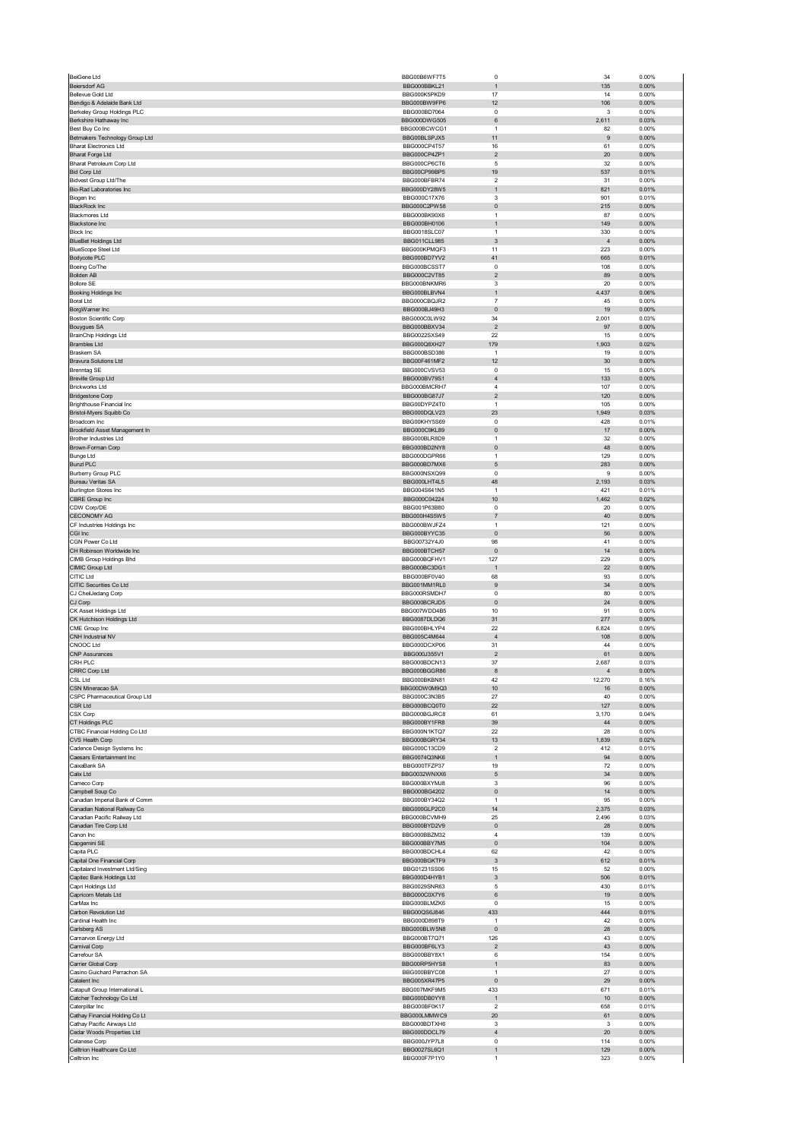| <b>BeiGene Ltd</b>                                           | BBG00B6WF7T5                 | $\mathbf 0$                  | 34             | 0.00%             |
|--------------------------------------------------------------|------------------------------|------------------------------|----------------|-------------------|
| <b>Beiersdorf AG</b>                                         | BBG000BBKL21                 | $\overline{1}$               | 135            | 0.00%             |
| Bellevue Gold Ltd                                            | BBG000K5PKD9                 | 17                           | 14             | 0.00%             |
| Bendigo & Adelaide Bank Ltd<br>Berkeley Group Holdings PLC   | BBG000BW9FP6<br>BBG000BD7064 | 12<br>$\mathbf 0$            | 106<br>3       | $0.00\%$<br>0.00% |
| Berkshire Hathaway Inc                                       | BBG000DWG505                 | 6                            | 2,611          | 0.03%             |
| Best Buy Co Inc                                              | BBG000BCWCG1                 | $\overline{1}$               | 82             | 0.00%             |
| Betmakers Technology Group Ltd                               | BBG00BLSPJX5                 | 11                           | 9              | 0.00%             |
| <b>Bharat Electronics Ltd</b>                                | BBG000CP4T57                 | 16                           | 61             | 0.00%             |
| <b>Bharat Forge Ltd</b>                                      | BBG000CP4ZP1                 | $\overline{\mathbf{c}}$      | 20             | $0.00\%$          |
| Bharat Petroleum Corp Ltd                                    | BBG000CP6CT6                 | 5                            | 32             | 0.00%             |
| <b>Bid Corp Ltd</b>                                          | BBG00CP99BP5<br>BBG000BFBR74 | 19<br>$\overline{2}$         | 537<br>31      | 0.01%<br>0.00%    |
| <b>Bidvest Group Ltd/The</b><br>Bio-Rad Laboratories Inc     | BBG000DY28W5                 | $\overline{1}$               | 821            | 0.01%             |
| Biogen Inc                                                   | BBG000C17X76                 | 3                            | 901            | 0.01%             |
| <b>BlackRock Inc</b>                                         | BBG000C2PW58                 | $\pmb{0}$                    | 215            | $0.00\%$          |
| <b>Blackmores Ltd</b>                                        | BBG000BK90X6                 | $\overline{1}$               | 87             | 0.00%             |
| <b>Blackstone Inc</b>                                        | BBG000BH0106                 | $\overline{1}$               | 149            | 0.00%             |
| <b>Block Inc</b>                                             | BBG0018SLC07                 | $\mathbf{1}$                 | 330            | 0.00%             |
| <b>BlueBet Holdings Ltd</b>                                  | BBG011CLL985<br>BBG000KPMQF3 | 3                            | $\overline{4}$ | $0.00\%$          |
| <b>BlueScope Steel Ltd</b>                                   | BBG000BD7YV2                 | 11<br>41                     | 223<br>665     | 0.00%<br>0.01%    |
| Bodycote PLC<br>Boeing Co/The                                | BBG000BCSST7                 | $\overline{0}$               | 108            | 0.00%             |
| <b>Boliden AB</b>                                            | BBG000C2VT85                 | $\overline{c}$               | 89             | 0.00%             |
| <b>Bollore SE</b>                                            | BBG000BNKMR6                 | 3                            | 20             | 0.00%             |
| Booking Holdings Inc                                         | BBG000BLBVN4                 | $\mathbf{1}$                 | 4,437          | 0.06%             |
| <b>Boral Ltd</b>                                             | BBG000CBQJR2                 | $\overline{7}$               | 45             | 0.00%             |
| BorgWarner Inc                                               | BBG000BJ49H3                 | $\pmb{0}$                    | 19             | 0.00%             |
| <b>Boston Scientific Corp</b>                                | BBG000C0LW92                 | 34                           | 2,001          | 0.03%             |
| <b>Bouygues SA</b><br>BrainChip Holdings Ltd                 | BBG000BBXV34<br>BBG0022SXS49 | $\overline{2}$<br>22         | 97<br>15       | 0.00%<br>0.00%    |
| <b>Brambles Ltd</b>                                          | BBG000Q8XH27                 | 179                          | 1,903          | 0.02%             |
| Braskem SA                                                   | BBG000BSD386                 | $\overline{1}$               | 19             | 0.00%             |
| Bravura Solutions Ltd                                        | BBG00F461MF2                 | 12                           | 30             | 0.00%             |
| <b>Brenntag SE</b>                                           | BBG000CVSV53                 | $^{\circ}$                   | 15             | 0.00%             |
| <b>Breville Group Ltd</b>                                    | BBG000BV79S1                 | $\overline{4}$               | 133            | 0.00%             |
| <b>Brickworks Ltd</b>                                        | BBG000BMCRH7                 | $\overline{4}$               | 107            | 0.00%             |
| <b>Bridgestone Corp</b>                                      | BBG000BG87J7                 | $\overline{2}$               | 120            | $0.00\%$          |
| Brighthouse Financial Inc                                    | BBG00DYPZ4T0<br>BBG000DQLV23 | $\overline{1}$<br>23         | 105<br>1,949   | 0.00%<br>0.03%    |
| Bristol-Myers Squibb Co<br>Broadcom Inc                      | BBG00KHY5S69                 | $\pmb{0}$                    | 428            | 0.01%             |
| Brookfield Asset Management In                               | BBG000C9KL89                 | $\pmb{0}$                    | 17             | 0.00%             |
| Brother Industries Ltd                                       | BBG000BLR8D9                 | $\mathbf{1}$                 | 32             | 0.00%             |
| Brown-Forman Corp                                            | BBG000BD2NY8                 | $\pmb{0}$                    | 48             | 0.00%             |
| <b>Bunge Ltd</b>                                             | BBG000DGPR66                 | $\overline{1}$               | 129            | 0.00%             |
| <b>Bunzl PLC</b>                                             | BBG000BD7MX6                 | 5                            | 283            | 0.00%             |
| Burberry Group PLC                                           | BBG000NSXQ99                 | $^{\circ}$                   | 9              | 0.00%             |
| <b>Bureau Veritas SA</b>                                     | BBG000LHT4L5                 | 48                           | 2,193          | 0.03%             |
| <b>Burlington Stores Inc</b>                                 | BBG004S641N5                 | $\mathbf{1}$                 | 421            | 0.01%             |
| CBRE Group Inc                                               | BBG000C04224                 | 10                           | 1,462          | 0.02%             |
| CDW Corp/DE                                                  | BBG001P63B80<br>BBG000H4S5W5 | $^{\circ}$<br>$\overline{7}$ | 20<br>40       | 0.00%<br>0.00%    |
| <b>CECONOMY AG</b><br>CF Industries Holdings Inc             | BBG000BWJFZ4                 | $\mathbf{1}$                 | 121            | 0.00%             |
| CGI Inc                                                      | BBG000BYYC35                 | $\pmb{0}$                    | 56             | $0.00\%$          |
| CGN Power Co Ltd                                             | BBG00732Y4J0                 | 98                           | 41             | 0.00%             |
| CH Robinson Worldwide Inc                                    | BBG000BTCH57                 | $\pmb{0}$                    | 14             | $0.00\%$          |
| CIMB Group Holdings Bhd                                      | BBG000BQFHV1                 | 127                          | 229            | 0.00%             |
| CIMIC Group Ltd                                              | BBG000BC3DG1                 | $\overline{1}$               | 22             | 0.00%             |
| CITIC Ltd                                                    | BBG000BF0V40                 | 68                           | 93             | 0.00%             |
| CITIC Securities Co Ltd                                      | BBG001MM1RL0                 | 9                            | 34             | $0.00\%$          |
| CJ CheilJedang Corp                                          | BBG000RSMDH7                 | 0                            | 80             | 0.00%             |
| CJ Corp<br>CK Asset Holdings Ltd                             | BBG000BCRJD5<br>BBG007WDD4B5 | $\pmb{0}$<br>10              | 24<br>91       | $0.00\%$<br>0.00% |
| CK Hutchison Holdings Ltd                                    | BBG0087DLDQ6                 | 31                           | 277            | 0.00%             |
| CME Group Inc                                                | BBG000BHLYP4                 | 22                           | 6,824          | 0.09%             |
| CNH Industrial NV                                            | BBG005C4M644                 | $\sqrt{4}$                   | 108            | $0.00\%$          |
| CNOOC Ltd                                                    | BBG000DCXP06                 | 31                           | 44             | 0.00%             |
| <b>CNP Assurances</b>                                        | BBG000J355V1                 | $\overline{\mathbf{c}}$      | 61             | 0.00%             |
| CRH PLC                                                      | BBG000BDCN13                 | 37                           | 2,687          | 0.03%             |
| CRRC Corp Ltd<br>CSI Ltd                                     | BBG000BGGR86                 |                              |                |                   |
|                                                              |                              | 8                            |                | 0.00%             |
|                                                              | <b>BRG000BKBN81</b>          | 42                           | 12 270         | 0.16%             |
| CSN Mineracao SA                                             | BBG00DW0M9Q3                 | 10                           | 16             | 0.00%             |
| CSPC Pharmaceutical Group Ltd                                | BBG000C3N3B5                 | 27                           | 40             | 0.00%             |
| CSR Ltd<br>CSX Corp                                          | BBG000BCQ0T0<br>BBG000BGJRC8 | 22<br>61                     | 127<br>3,170   | 0.00%<br>0.04%    |
| CT Holdings PLC                                              | BBG000BY1FR8                 | 39                           | 44             | $0.00\%$          |
| CTBC Financial Holding Co Ltd                                | BBG000N1KTQ7                 | 22                           | 28             | 0.00%             |
| CVS Health Corp                                              | BBG000BGRY34                 | 13                           | 1,839          | 0.02%             |
| Cadence Design Systems Inc                                   | BBG000C13CD9                 | $\overline{2}$               | 412            | 0.01%             |
| Caesars Entertainment Inc                                    | BBG0074Q3NK6                 | $\mathbf{1}$                 | 94             | 0.00%             |
| CaixaBank SA                                                 | BBG000TFZP37                 | 19                           | 72             | 0.00%             |
| Calix Ltd<br>Cameco Corp                                     | BBG0032WNXX6<br>BBG000BXYMJ8 | $\sqrt{5}$<br>3              | 34<br>96       | $0.00\%$<br>0.00% |
| Campbell Soup Co                                             | BBG000BG4202                 | $\pmb{0}$                    | 14             | $0.00\%$          |
| Canadian Imperial Bank of Comm                               | BBG000BY34Q2                 | $\overline{1}$               | 95             | 0.00%             |
| Canadian National Railway Co                                 | BBG000GLP2C0                 | 14                           | 2,375          | 0.03%             |
| Canadian Pacific Railway Ltd                                 | BBG000BCVMH9                 | 25                           | 2,496          | 0.03%             |
| Canadian Tire Corp Ltd                                       | BBG000BYD2V9                 | $\pmb{0}$                    | 28             | $0.00\%$          |
| Canon Inc                                                    | BBG000BBZM32                 | $\sqrt{4}$                   | 139            | 0.00%             |
| Capgemini SE                                                 | BBG000BBY7M5                 | $\pmb{0}$                    | 104            | 0.00%             |
| Capita PLC                                                   | BBG000BDCHL4<br>BBG000BGKTF9 | 62<br>$\mathbf{3}$           | 42<br>612      | 0.00%<br>0.01%    |
| Capital One Financial Corp<br>Capitaland Investment Ltd/Sing | BBG01231SS06                 | 15                           | 52             | 0.00%             |
| Capitec Bank Holdings Ltd                                    | BBG000D4HYB1                 | $\mathbf{3}$                 | 506            | 0.01%             |
| Capri Holdings Ltd                                           | BBG0029SNR63                 | $\mathbf 5$                  | 430            | 0.01%             |
| Capricorn Metals Ltd                                         | BBG000C0X7Y6                 | 6                            | 19             | 0.00%             |
| CarMax Inc                                                   | BBG000BLMZK6                 | $\mathbf 0$                  | 15             | 0.00%             |
| Carbon Revolution Ltd                                        | BBG00QS6J846                 | 433                          | 444            | 0.01%             |
| Cardinal Health Inc                                          | BBG000D898T9                 | $\mathbf{1}$                 | 42             | 0.00%             |
| Carlsberg AS                                                 | BBG000BLW5N8                 | $\pmb{0}$                    | 28             | 0.00%             |
| Carnarvon Energy Ltd                                         | BBG000BT7Q71<br>BBG000BF6LY3 | 126<br>$\overline{c}$        | 43<br>43       | 0.00%<br>0.00%    |
| Carnival Corp<br>Carrefour SA                                | BBG000BBY8X1                 | 6                            | 154            | 0.00%             |
| Carrier Global Corp                                          | BBG00RP5HYS8                 | $\mathbf{1}$                 | 83             | $0.00\%$          |
| Casino Guichard Perrachon SA                                 | BBG000BBYC08                 | $\overline{1}$               | 27             | 0.00%             |
| Catalent Inc                                                 | BBG005XR47P5                 | $\pmb{0}$                    | 29             | 0.00%             |
| Catapult Group International L                               | BBG007MKF9M5                 | 433                          | 671            | 0.01%             |
| Catcher Technology Co Ltd                                    | BBG000DB0YY8                 | $\mathbf{1}$                 | 10             | 0.00%             |
| Caterpillar Inc                                              | BBG000BF0K17                 | $\overline{2}$               | 658            | 0.01%             |
| Cathay Financial Holding Co Lt<br>Cathay Pacific Airways Ltd | BBG000LMMWC9<br>BBG000BDTXH6 | 20<br>3                      | 61<br>3        | 0.00%<br>0.00%    |
| Cedar Woods Properties Ltd                                   | BBG000DDCL79                 | $\overline{4}$               | 20             | 0.00%             |
| Celanese Corp                                                | BBG000JYP7L8                 | $\mathbf 0$                  | 114            | 0.00%             |
| Celltrion Healthcare Co Ltd<br>Celltrion Inc                 | BBG0027SL6Q1<br>BBG000F7P1Y0 | $\mathbf{1}$<br>$\mathbf{1}$ | 129<br>323     | 0.00%<br>0.00%    |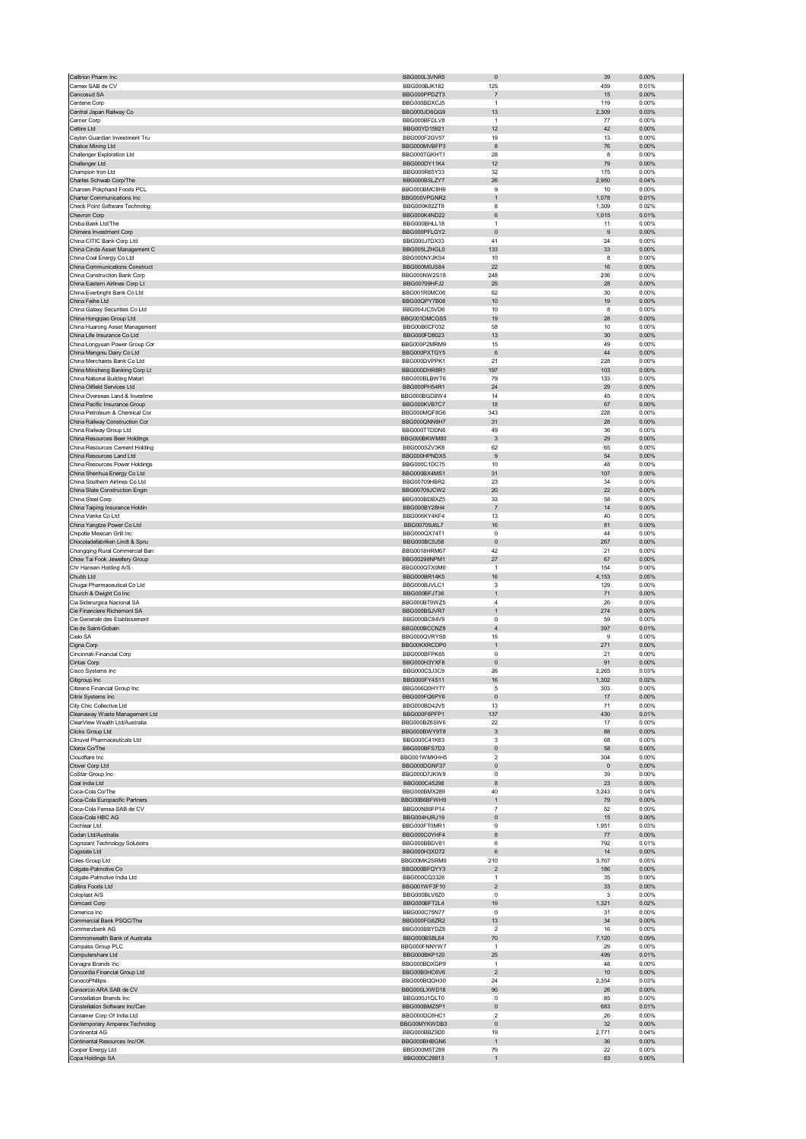|                                                                  | BBG000L3VNR5                 | $\pmb{0}$                      | 39             | 0.00%          |
|------------------------------------------------------------------|------------------------------|--------------------------------|----------------|----------------|
| Cemex SAB de CV                                                  | BBG000BJK182                 | 125                            | 459            | 0.01%          |
| Cencosud SA<br>Centene Corp                                      | BBG000PPDZT3<br>BBG000BDXCJ5 | $\overline{7}$<br>$\mathbf{1}$ | 15<br>119      | 0.00%<br>0.00% |
| Central Japan Railway Co                                         | BBG000JD6QG9                 | 13                             | 2,309          | 0.03%          |
| Cerner Corp                                                      | BBG000BFDLV8                 | $\mathbf{1}$                   | 77             | 0.00%          |
| Cettire Ltd                                                      | BBG00YD15921                 | 12                             | 42             | 0.00%          |
| Ceylon Guardian Investment Tru                                   | <b>BBG000F2GV57</b>          | 19                             | 13             | 0.00%          |
| Chalice Mining Ltd                                               | BBG000MVBFP3<br>BBG000TGKHT1 | $\bf8$<br>28                   | 76<br>8        | 0.00%<br>0.00% |
| Challenger Exploration Ltd<br>Challenger Ltd                     | BBG000DY11K4                 | 12                             | 79             | 0.00%          |
| Champion Iron Ltd                                                | BBG000R65Y33                 | 32                             | 175            | 0.00%          |
| Charles Schwab Corp/The                                          | BBG000BSLZY7                 | 26                             | 2,950          | 0.04%          |
| Charoen Pokphand Foods PCL                                       | BBG000BMC8H9                 | 9                              | 10             | 0.00%          |
| Charter Communications Inc                                       | BBG000VPGNR2                 | $\mathbf{1}$                   | 1,078          | 0.01%          |
| Check Point Software Technolog<br>Chevron Corp                   | BBG000K82ZT8<br>BBG000K4ND22 | 8<br>6                         | 1,309<br>1,015 | 0.02%<br>0.01% |
| Chiba Bank Ltd/The                                               | BBG000BHLL18                 | $\mathbf{1}$                   | 11             | 0.00%          |
| Chimera Investment Corp                                          | BBG000PFLGY2                 | $\pmb{0}$                      | 9              | 0.00%          |
| China CITIC Bank Corp Ltd                                        | BBG000J7DX33                 | 41                             | 24             | 0.00%          |
| China Cinda Asset Management C                                   | BBG005LZHGL0                 | 133                            | 33             | $0.00\%$       |
| China Coal Energy Co Ltd<br>China Communications Construct       | BBG000NYJKS4<br>BBG000M0JS84 | 10<br>22                       | 8<br>16        | 0.00%<br>0.00% |
| China Construction Bank Corp                                     | BBG000NW2S18                 | 248                            | 236            | 0.00%          |
| China Eastern Airlines Corp Lt                                   | BBG00709HFJ2                 | 25                             | 28             | 0.00%          |
| China Everbright Bank Co Ltd                                     | BBG001R0MC06                 | 62                             | 30             | 0.00%          |
| China Feihe Ltd                                                  | BBG00QPY7B08<br>BBG004JC5VD6 | 10<br>10                       | 19             | 0.00%<br>0.00% |
| China Galaxy Securities Co Ltd<br>China Hongqiao Group Ltd       | BBG001DMCGS5                 | 19                             | 8<br>28        | 0.00%          |
| China Huarong Asset Management                                   | BBG00B6CF032                 | 58                             | $10$           | 0.00%          |
| China Life Insurance Co Ltd                                      | BBG000FD8023                 | 13                             | 30             | 0.00%          |
| China Longyuan Power Group Cor                                   | BBG000P2MRM9                 | 15                             | 49             | 0.00%          |
| China Mengniu Dairy Co Ltd                                       | BBG000PXTGY5                 | $\,6\,$                        | 44             | 0.00%          |
| China Merchants Bank Co Ltd<br>China Minsheng Banking Corp Lt    | BBG000DVPPK1<br>BBG000DHR8R1 | 21<br>197                      | 228<br>103     | 0.00%<br>0.00% |
| China National Building Materi                                   | BBG000BLBWT6                 | 79                             | 133            | 0.00%          |
| China Oilfield Services Ltd                                      | BBG000PH54R1                 | 24                             | 29             | 0.00%          |
| China Overseas Land & Investme                                   | BBG000BGD8W4                 | 14                             | 45             | 0.00%          |
| China Pacific Insurance Group                                    | BBG000KVB7C7                 | 18                             | 67             | 0.00%          |
| China Petroleum & Chemical Cor<br>China Railway Construction Cor | BBG000MQF8G6<br>BBG000QNN9H7 | 343<br>31                      | 228<br>28      | 0.00%<br>0.00% |
| China Railway Group Ltd                                          | BBG000TTDDN6                 | 49                             | 36             | 0.00%          |
| China Resources Beer Holdings                                    | BBG000BKWM80                 | $\ensuremath{\mathsf{3}}$      | 29             | 0.00%          |
| China Resources Cement Holding                                   | BBG000SZV3K8                 | 62                             | 65             | 0.00%          |
| China Resources Land Ltd                                         | BBG000HPNDX5                 | 9                              | 54             | 0.00%          |
| China Resources Power Holdings                                   | BBG000C1DC75                 | 10                             | 48<br>107      | 0.00%          |
| China Shenhua Energy Co Ltd<br>China Southern Airlines Co Ltd    | BBG000BX4MS1<br>BBG00709HBR2 | 31<br>23                       | 34             | 0.00%<br>0.00% |
| China State Construction Engin                                   | BBG00709JCW2                 | 20                             | 22             | 0.00%          |
| China Steel Corp                                                 | BBG000BDBXZ5                 | 33                             | 58             | 0.00%          |
| China Taiping Insurance Holdin                                   | BBG000BY28H4                 | $\overline{7}$                 | 14             | 0.00%          |
| China Vanke Co Ltd                                               | BBG006KY4KF4                 | 13                             | 40             | 0.00%          |
| China Yangtze Power Co Ltd<br>Chipotle Mexican Grill Inc         | BBG00709J6L7<br>BBG000QX74T1 | 16<br>$\pmb{0}$                | 81<br>44       | 0.00%<br>0.00% |
| Chocoladefabriken Lindt & Spru                                   | BBG000BC5J58                 | $\pmb{0}$                      | 267            | 0.00%          |
| Chongqing Rural Commercial Ban                                   | BBG0018HRM67                 | 42                             | 21             | 0.00%          |
| Chow Tai Fook Jewellery Group                                    | BBG00299NPM1                 | 27                             | 67             | 0.00%          |
| Chr Hansen Holding A/S                                           | BBG000QTX0M6                 | $\mathbf{1}$                   | 154            | 0.00%          |
| Chubb Ltd<br>Chugai Pharmaceutical Co Ltd                        | BBG000BR14K5<br>BBG000BJVLC1 | 16<br>3                        | 4,153<br>129   | 0.05%<br>0.00% |
| Church & Dwight Co Inc                                           | BBG000BFJT36                 | $\mathbf{1}$                   | 71             | 0.00%          |
| Cia Siderurgica Nacional SA                                      | BBG000BT9WZ5                 | $\sqrt{4}$                     | 26             | 0.00%          |
| Cie Financiere Richemont SA                                      | BBG000BSJVR7                 | $\mathbf{1}$                   | 274            | 0.00%          |
|                                                                  | BBG000BC84V9                 | 0                              |                | 0.00%          |
| Cie Generale des Etablissement                                   |                              |                                | 59             |                |
| Cie de Saint-Gobain                                              | BBG000BCCNZ8                 | $\sqrt{4}$                     | 397            | 0.01%          |
| Cielo SA                                                         | BBG000QVRYS8                 | 15                             | 9              | 0.00%          |
| Cigna Corp<br>Cincinnati Financial Corp                          | BBG00KXRCDP0<br>BBG000BFPK65 | $\mathbf{1}$<br>0              | 271<br>21      | 0.00%<br>0.00% |
| Cintas Corp                                                      | BBG000H3YXF8                 | $\mathbf 0$                    | 91             | 0.00%          |
| Cisco Systems Inc                                                | BBG000C3J3C9                 | 26                             | 2,265          | 0.03%          |
| tigroup Inc                                                      | BBG000EY4S11                 | 16                             | 302            | 0.02%          |
| Citizens Financial Group Inc                                     | BBG006Q0HY77                 | 5                              | 303            | 0.00%          |
| Citrix Systems Inc<br>City Chic Collective Ltd                   | BBG000FQ6PY6<br>BBG000BD42V5 | $\pmb{0}$<br>13                | $17\,$<br>71   | 0.00%<br>0.00% |
| Cleanaway Waste Management Ltd                                   | BBG000F6PFP1                 | 137                            | 430            | 0.01%          |
| ClearView Wealth Ltd/Australia                                   | BBG000BZ6SW6                 | 22                             | 17             | 0.00%          |
| Clicks Group Ltd                                                 | BBG000BWY9T8                 | $\ensuremath{\mathsf{3}}$      | 88             | 0.00%          |
| Clinuvel Pharmaceuticals Ltd                                     | BBG000C41K83                 | 3                              | 68             | 0.00%          |
| Clorox Co/The<br>Cloudflare Inc                                  | BBG000BFS7D3<br>BBG001WMKHH5 | $\pmb{0}$<br>2                 | 58<br>304      | 0.00%<br>0.00% |
| Clover Corp Ltd                                                  | BBG000DGNF37                 | $\pmb{0}$                      | $\mathbf 0$    | $0.00\%$       |
| CoStar Group Inc                                                 | BBG000D7JKW9                 | $\mathbf 0$                    | 39             | 0.00%          |
| Coal India Ltd                                                   | BBG000C45298<br>BBG000BMX289 | 8                              | 23             | 0.00%          |
| Coca-Cola Co/The<br>Coca-Cola Europacific Partners               | BBG00B6BFWH9                 | 40<br>$\mathbf{1}$             | 3,243<br>79    | 0.04%<br>0.00% |
| Coca-Cola Femsa SAB de CV                                        | BBG00N86FP14                 | $\overline{7}$                 | 52             | 0.00%          |
| Coca-Cola HBC AG                                                 | BBG004HJRJ19                 | $\pmb{0}$                      | 15             | $0.00\%$       |
| Cochlear Ltd                                                     | BBG000FT0MR1                 | 9                              | 1,951          | 0.03%          |
| Codan Ltd/Australia                                              | BBG000C0YHF4                 | 8                              | 77             | 0.00%          |
| Cognizant Technology Solutions<br>Cogstate Ltd                   | BBG000BBDV81<br>BBG000H3XD72 | 6<br>$\,6\,$                   | 792<br>14      | 0.01%<br>0.00% |
| Coles Group Ltd                                                  | BBG00MK2SRM0                 | 210                            | 3,767          | 0.05%          |
| Colgate-Palmolive Co                                             | BBG000BFQYY3                 | $\mathbf 2$                    | 186            | 0.00%          |
| Colgate-Palmolive India Ltd                                      | BBG000CQ3326                 | $\mathbf{1}$                   | 35             | 0.00%          |
| Collins Foods Ltd<br>Coloplast A/S                               | BBG001WF3F10<br>BBG000BLV8Z0 | $\sqrt{2}$<br>$\mathbf 0$      | 33<br>3        | 0.00%<br>0.00% |
| Comcast Corp                                                     | BBG000BFT2L4                 | 19                             | 1,321          | 0.02%          |
| Comerica Inc                                                     | BBG000C75N77                 | 0                              | 31             | 0.00%          |
| Commercial Bank PSQC/The                                         | BBG000FG8ZR2                 | 13                             | 34             | 0.00%          |
| Commerzbank AG                                                   | BBG000BBYDZ8                 | $\overline{2}$                 | 16             | 0.00%          |
| Commonwealth Bank of Australia<br>Compass Group PLC              | BBG000BS8L64<br>BBG000FNNYW7 | 70<br>$\mathbf{1}$             | 7,120<br>29    | 0.09%<br>0.00% |
| Computershare Ltd                                                | BBG000BKP120                 | 25                             | 499            | 0.01%          |
| Conagra Brands Inc                                               | BBG000BDXGP9                 | $\mathbf{1}$                   | 48             | 0.00%          |
| Concordia Financial Group Ltd                                    | BBG00B0HC6V6                 | $\mathbf 2$                    | 10             | 0.00%          |
| ConocoPhillips                                                   | BBG000BQQH30                 | 24                             | 2,354          | 0.03%          |
| Consorcio ARA SAB de CV<br><b>Constellation Brands Inc</b>       | BBG000LXWD18<br>BBG000J1QLT0 | 90<br>$^{\circ}$               | 26<br>85       | 0.00%<br>0.00% |
| Constellation Software Inc/Can                                   | BBG000BMZ5P1                 | $\pmb{0}$                      | 683            | 0.01%          |
| Container Corp Of India Ltd                                      | BBG000DC6HC1                 | 2                              | 26             | 0.00%          |
| Contemporary Amperex Technolog                                   | BBG00MYKWDB3                 | $\mathbf{0}$                   | 32             | 0.00%          |
| Continental AG                                                   | BBG000BBZ9D0                 | 19                             | 2,771          | 0.04%          |
| Continental Resources Inc/OK<br>Cooper Energy Ltd                | BBG000BHBGN6<br>BBG000M5T289 | $\mathbf{1}$<br>79             | 36<br>22       | 0.00%<br>0.00% |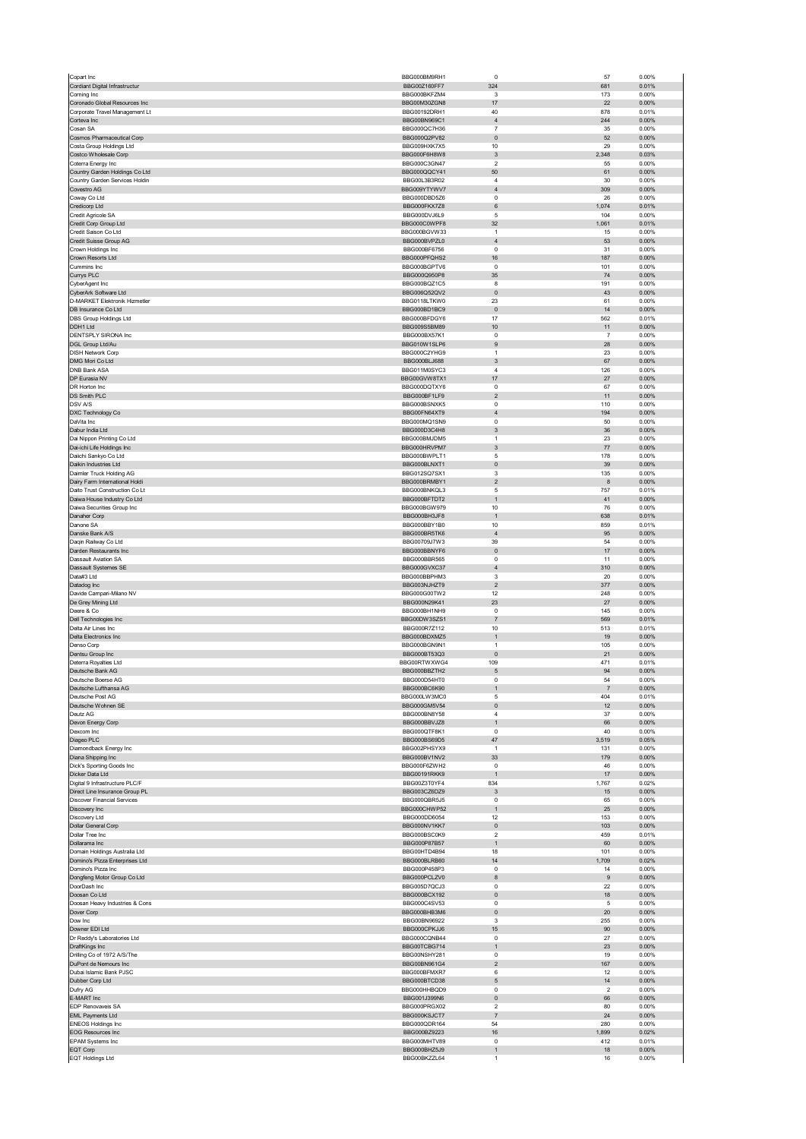| Copart Inc                                                    | BBG000BM9RH1                 | $\circ$                                   | 57                   | 0.00%             |
|---------------------------------------------------------------|------------------------------|-------------------------------------------|----------------------|-------------------|
| Cordiant Digital Infrastructur<br>Corning Inc                 | BBG00Z160FF7<br>BBG000BKFZM4 | 324<br>3                                  | 681<br>173           | 0.01%<br>0.00%    |
| Coronado Global Resources Inc                                 | BBG00M30ZGN8                 | 17                                        | 22                   | 0.00%             |
| Corporate Travel Management Lt                                | BBG00192DRH1                 | 40                                        | 878                  | 0.01%             |
| Corteva Inc<br>Cosan SA                                       | BBG00BN969C1<br>BBG000QC7H36 | $\overline{4}$<br>$\overline{7}$          | 244<br>35            | 0.00%<br>0.00%    |
| Cosmos Pharmaceutical Corp                                    | BBG000Q2PV82                 | $\pmb{0}$                                 | 52                   | 0.00%             |
| Costa Group Holdings Ltd                                      | BBG009HXK7X5<br>BBG000F6H8W8 | $10$<br>3                                 | 29<br>2,348          | 0.00%<br>0.03%    |
| Costco Wholesale Corp<br>Coterra Energy Inc                   | BBG000C3GN47                 | $\sqrt{2}$                                | 55                   | 0.00%             |
| Country Garden Holdings Co Ltd                                | BBG000QQCY41                 | 50                                        | 61                   | 0.00%             |
| Country Garden Services Holdin<br>Covestro AG                 | BBG00L3B3R02<br>BBG009YTYWV7 | $\sqrt{4}$<br>$\overline{4}$              | 30<br>309            | 0.00%<br>0.00%    |
| Coway Co Ltd                                                  | BBG000DBD5Z6                 | $\pmb{0}$                                 | 26                   | 0.00%             |
| Credicorp Ltd                                                 | BBG000FKX7Z8                 | $\,6\,$                                   | 1,074                | 0.01%             |
| Credit Agricole SA<br>Credit Corp Group Ltd                   | BBG000DVJ6L9<br>BBG000C0WPF8 | 5<br>32                                   | 104<br>1,061         | 0.00%<br>0.01%    |
| Credit Saison Co Ltd                                          | BBG000BGVW33                 | $\mathbf{1}$                              | 15                   | 0.00%             |
| Credit Suisse Group AG                                        | BBG000BVPZL0                 | $\overline{4}$                            | 53                   | 0.00%             |
| Crown Holdings Inc<br>Crown Resorts Ltd                       | BBG000BF6756<br>BBG000PFQHS2 | $\overline{0}$<br>16                      | 31<br>187            | 0.00%<br>0.00%    |
| Cummins Inc                                                   | BBG000BGPTV6                 | 0                                         | 101                  | 0.00%             |
| Currys PLC                                                    | BBG000Q950P8                 | 35                                        | 74                   | 0.00%             |
| CyberAgent Inc<br>CyberArk Software Ltd                       | BBG000BQZ1C5<br>BBG006Q52QV2 | 8<br>$\pmb{0}$                            | 191<br>43            | 0.00%<br>0.00%    |
| D-MARKET Elektronik Hizmetler                                 | BBG0118LTKW0                 | 23                                        | 61                   | 0.00%             |
| DB Insurance Co Ltd                                           | BBG000BD1BC9<br>BBG000BFDGY6 | $\pmb{0}$<br>17                           | 14<br>562            | 0.00%<br>0.01%    |
| DBS Group Holdings Ltd<br>DDH1 Ltd                            | BBG009S5BM89                 | 10                                        | 11                   | 0.00%             |
| DENTSPLY SIRONA Inc                                           | BBG000BX57K1                 | 0                                         | $\overline{7}$       | 0.00%             |
| DGL Group Ltd/Au<br><b>DISH Network Corp</b>                  | BBG010W1SLP6<br>BBG000C2YHG9 | 9<br>$\overline{1}$                       | 28<br>23             | $0.00\%$<br>0.00% |
| DMG Mori Co Ltd                                               | BBG000BLJ688                 | 3                                         | 67                   | 0.00%             |
| <b>DNB Bank ASA</b>                                           | BBG011M0SYC3                 | $\overline{4}$                            | 126                  | 0.00%             |
| DP Eurasia NV<br>DR Horton Inc.                               | BBG00GVW8TX1<br>BBG000DQTXY6 | 17<br>$\mathbf 0$                         | 27<br>67             | $0.00\%$<br>0.00% |
| DS Smith PLC                                                  | BBG000BF1LF9                 | $\overline{\mathbf{c}}$                   | 11                   | $0.00\%$          |
| DSV A/S                                                       | BBG000BSNXK5                 | 0                                         | 110                  | 0.00%             |
| DXC Technology Co<br>DaVita Inc.                              | BBG00FN64XT9<br>BBG000MQ1SN9 | $\sqrt{4}$<br>$\mathbf 0$                 | 194<br>50            | 0.00%<br>0.00%    |
| Dabur India Ltd                                               | BBG000D3C4H8                 | $\mathbf{3}$                              | 36                   | 0.00%             |
| Dai Nippon Printing Co Ltd                                    | BBG000BMJDM5                 | $\mathbf{1}$                              | 23                   | 0.00%             |
| Dai-ichi Life Holdings Inc                                    | BBG000HRVPM7<br>BBG000BWPLT1 | 3<br>5                                    | 77<br>178            | 0.00%<br>0.00%    |
| Daiichi Sankyo Co Ltd<br>Daikin Industries Ltd                | BBG000BLNXT1                 | $\pmb{0}$                                 | 39                   | 0.00%             |
| Daimler Truck Holding AG                                      | BBG012SQ7SX1                 | 3                                         | 135                  | 0.00%             |
| Dairy Farm International Holdi                                | BBG000BRMBY1                 | $\overline{\mathbf{c}}$                   | $\bf8$               | $0.00\%$          |
| Daito Trust Construction Co Lt<br>Daiwa House Industry Co Ltd | BBG000BNKQL3<br>BBG000BFTDT2 | 5<br>$\mathbf{1}$                         | 757<br>41            | 0.01%<br>0.00%    |
| Daiwa Securities Group Inc                                    | BBG000BGW979                 | 10                                        | 76                   | 0.00%             |
| Danaher Corp                                                  | BBG000BH3JF8                 | $\mathbf{1}$                              | 638                  | 0.01%             |
| Danone SA<br>Danske Bank A/S                                  | BBG000BBY1B0<br>BBG000BR5TK6 | 10<br>$\overline{4}$                      | 859<br>95            | 0.01%<br>0.00%    |
| Daqin Railway Co Ltd                                          | BBG00709J7W3                 | 39                                        | 54                   | 0.00%             |
| Darden Restaurants Inc                                        | BBG000BBNYF6                 | $\pmb{0}$                                 | 17                   | 0.00%             |
| Dassault Aviation SA<br>Dassault Systemes SE                  | BBG000BBR565<br>BBG000GVXC37 | $\pmb{0}$<br>$\overline{4}$               | 11<br>310            | 0.00%<br>0.00%    |
| Data#3 Ltd                                                    | BBG000BBPHM3                 | 3                                         | 20                   | 0.00%             |
| Datadog Inc                                                   | BBG003NJHZT9                 | $\overline{\mathbf{c}}$                   | 377                  | 0.00%             |
| Davide Campari-Milano NV<br>De Grey Mining Ltd                | BBG000G00TW2<br>BBG000N29K41 | 12<br>23                                  | 248<br>27            | 0.00%<br>0.00%    |
| Deere & Co                                                    | BBG000BH1NH9                 | $\pmb{0}$                                 | 145                  | 0.00%             |
| Dell Technologies Inc                                         | BBG00DW3SZS1                 | $\overline{7}$                            | 569                  | 0.01%             |
| Delta Air Lines Inc<br>Delta Electronics Inc                  | BBG000R7Z112<br>BBG000BDXMZ5 | 10<br>$\overline{1}$                      | 513<br>19            | 0.01%<br>0.00%    |
| Denso Corp                                                    | BBG000BGN9N1                 | $\mathbf{1}$                              | 105                  | 0.00%             |
| Dentsu Group Inc                                              | BBG000BT53Q3                 | $\pmb{0}$                                 | 21                   | 0.00%             |
| Deterra Royalties Ltd<br>Deutsche Bank AG                     | BBG00RTWXWG4<br>BBG000BBZTH2 | 109<br>5                                  | 471<br>94            | 0.01%<br>0.00%    |
| Deutsche Boerse AC                                            | <b>RRG000D54HT0</b>          |                                           | 54                   | n nn%             |
| Deutsche Lufthansa AG                                         | BBG000BC6K90                 | $\mathbf{1}$                              | $\sqrt{7}$           | 0.00%             |
| Deutsche Post AG<br>Deutsche Wohnen SE                        | BBG000LW3MC0<br>BBG000GM5V54 | $\mathbf 5$<br>$\pmb{0}$                  | 404<br>12            | 0.01%<br>0.00%    |
| Deutz AG                                                      | BBG000BN8Y58                 | $\overline{4}$                            | 37                   | 0.00%             |
| Devon Energy Corp                                             | BBG000BBVJZ8                 | $\overline{1}$                            | 66                   | 0.00%             |
| Dexcom Inc<br>Diageo PLC                                      | BBG000QTF8K1<br>BBG000BS69D5 | $\pmb{0}$<br>47                           | 40<br>3,519          | 0.00%<br>0.05%    |
| Diamondback Energy Inc                                        | BBG002PHSYX9                 | $\overline{1}$                            | 131                  | 0.00%             |
| Diana Shipping Inc                                            | BBG000BV1NV2                 | 33                                        | 179                  | 0.00%             |
| Dick's Sporting Goods Inc<br>Dicker Data Ltd                  | BBG000F6ZWH2<br>BBG00191RKK9 | $\pmb{0}$<br>$\mathbf{1}$                 | 46<br>$17$           | 0.00%<br>0.00%    |
| Digital 9 Infrastructure PLC/F                                | BBG00Z3T0YF4                 | 834                                       | 1,767                | 0.02%             |
| Direct Line Insurance Group PL                                | BBG003CZ6DZ9<br>BBG000QBR5J5 | 3<br>0                                    | 15<br>65             | 0.00%<br>0.00%    |
| <b>Discover Financial Services</b><br>Discovery Inc           | BBG000CHWP52                 | $\mathbf{1}$                              | 25                   | $0.00\%$          |
| Discovery Ltd                                                 |                              |                                           |                      |                   |
| Dollar General Corp                                           | BBG000DD6054                 | 12                                        | 153                  | 0.00%             |
| Dollar Tree Inc<br>Dollarama Inc                              | BBG000NV1KK7                 | $\pmb{0}$                                 | 103                  | $0.00\%$          |
|                                                               | BBG000BSC0K9                 | $\overline{\mathbf{c}}$                   | 459                  | 0.01%             |
| Domain Holdings Australia Ltd                                 | BBG000P87B57<br>BBG00HTD4B94 | $\mathbf{1}$<br>18                        | 60<br>101            | $0.00\%$<br>0.00% |
| Domino's Pizza Enterprises Ltd                                | BBG000BLRB60                 | 14                                        | 1,709                | 0.02%             |
| Domino's Pizza Inc<br>Dongfeng Motor Group Co Ltd             | BBG000P458P3<br>BBG000PCLZV0 | 0<br>8                                    | 14<br>9              | 0.00%<br>$0.00\%$ |
| DoorDash Inc                                                  | BBG005D7QCJ3                 | $\mathbf 0$                               | 22                   | 0.00%             |
| Doosan Co Ltd                                                 | BBG000BCX192                 | $\pmb{0}$                                 | 18                   | 0.00%             |
| Doosan Heavy Industries & Cons<br>Dover Corp                  | BBG000C4SV53<br>BBG000BHB3M6 | 0<br>$\pmb{0}$                            | 5<br>20              | 0.00%<br>$0.00\%$ |
| Dow Inc.                                                      | BBG00BN96922                 | 3                                         | 255                  | 0.00%             |
| Downer EDI Ltd                                                | BBG000CPKJJ6                 | 15                                        | 90                   | 0.00%             |
| Dr Reddy's Laboratories Ltd                                   | BBG000CQNB44                 | 0                                         | 27                   | 0.00%             |
| DraftKings Inc<br>Drilling Co of 1972 A/S/The                 | BBG00TCBG714<br>BBG00NSHY281 | $\mathbf{1}$<br>$\mathbf 0$               | 23<br>19             | $0.00\%$<br>0.00% |
| DuPont de Nemours Inc                                         | BBG00BN961G4                 | $\overline{c}$                            | 167                  | $0.00\%$          |
| Dubai Islamic Bank PJSC                                       | BBG000BFMXR7                 | 6                                         | 12                   | 0.00%             |
| Dubber Corp Ltd<br>Dufry AG                                   | BBG000BTCD38<br>BBG000HHBQD9 | $\sqrt{5}$<br>$\mathbf 0$                 | 14<br>$\overline{2}$ | $0.00\%$<br>0.00% |
| E-MART Inc                                                    | BBG001J399N6                 | $\pmb{0}$                                 | 66                   | $0.00\%$          |
| EDP Renovaveis SA<br><b>EML Payments Ltd</b>                  | BBG000PRGX02<br>BBG000KSJCT7 | $\overline{\mathbf{c}}$<br>$\overline{7}$ | 80<br>24             | 0.00%<br>$0.00\%$ |
| <b>ENEOS Holdings Inc</b>                                     | BBG000QDR164                 | 54                                        | 280                  | 0.00%             |
| <b>EOG Resources Inc</b>                                      | BBG000BZ9223                 | 16                                        | 1,899                | 0.02%             |
| EPAM Systems Inc<br>EQT Corp                                  | BBG000MHTV89<br>BBG000BHZ5J9 | 0<br>$\mathbf{1}$                         | 412<br>18            | 0.01%<br>0.00%    |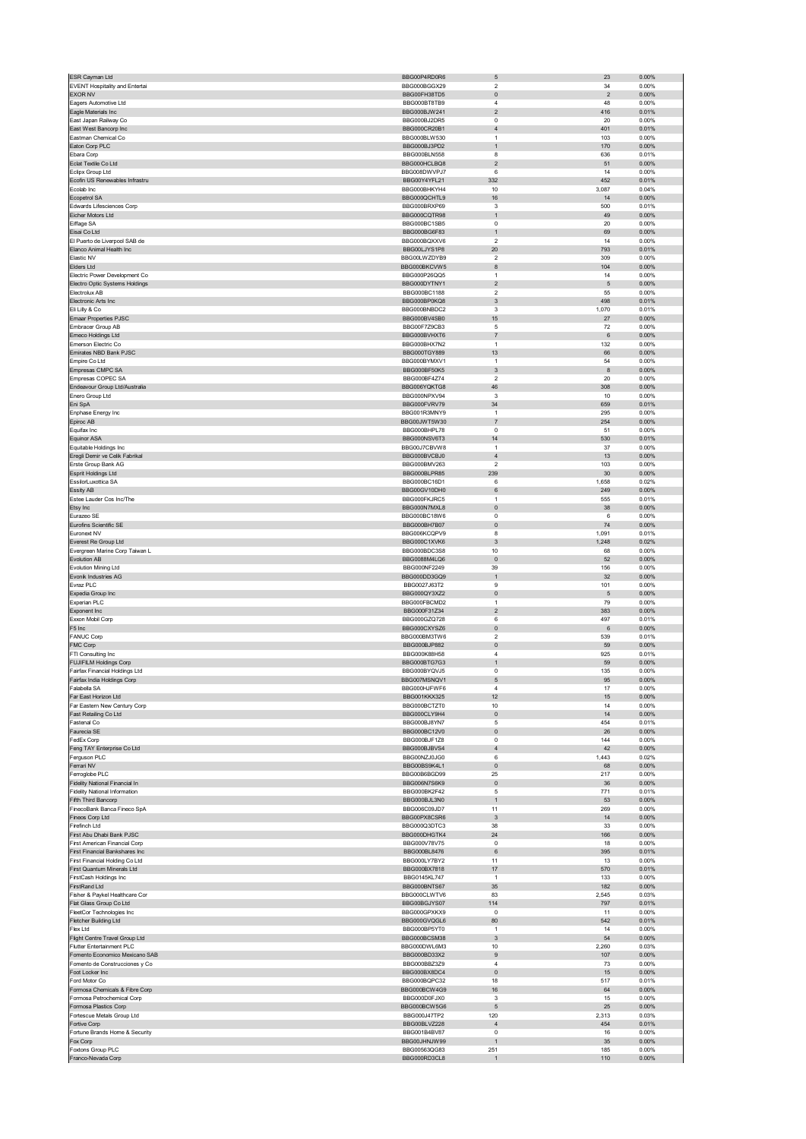| ESR Cayman Ltd                                             | BBG00P4RD0R6                 | $\mathbf 5$                              | 23             | 0.00%          |
|------------------------------------------------------------|------------------------------|------------------------------------------|----------------|----------------|
| EVENT Hospitality and Entertai                             | BBG000BGGX29                 | 2                                        | 34             | 0.00%          |
| <b>EXOR NV</b>                                             | BBG00FH38TD5                 | $\pmb{0}$                                | $\overline{2}$ | 0.00%          |
| Eagers Automotive Ltd                                      | BBG000BT8TB9                 | $\sqrt{4}$                               | 48             | 0.00%          |
| Eagle Materials Inc                                        | BBG000BJW241                 | $\overline{c}$                           | 416            | 0.01%          |
| East Japan Railway Co                                      | BBG000BJ2DR5                 | $\mathbf 0$                              | 20             | 0.00%          |
| East West Bancorp Inc                                      | BBG000CR20B1                 | $\sqrt{4}$                               | 401            | 0.01%          |
| Eastman Chemical Co                                        | BBG000BLW530<br>BBG000BJ3PD2 | $\mathbf{1}$                             | 103            | 0.00%          |
| Eaton Corp PLC                                             |                              | $\mathbf{1}$<br>8                        | 170            | 0.00%<br>0.01% |
| Ebara Corp<br>Eclat Textile Co Ltd                         | BBG000BLN558<br>BBG000HCLBQ8 | $\sqrt{2}$                               | 636<br>51      | 0.00%          |
| Eclipx Group Ltd                                           | BBG008DWVPJ7                 | 6                                        | 14             | 0.00%          |
| Ecofin US Renewables Infrastru                             | BBG00Y4YFL21                 | 332                                      | 452            | 0.01%          |
| Ecolab Inc                                                 | BBG000BHKYH4                 | 10                                       | 3,087          | 0.04%          |
| Ecopetrol SA                                               | BBG000QCHTL9                 | 16                                       | 14             | 0.00%          |
| Edwards Lifesciences Corp                                  | BBG000BRXP69                 | 3                                        | 500            | 0.01%          |
| Eicher Motors Ltd                                          | BBG000COTR98                 | $\mathbf{1}$                             | 49             | 0.00%          |
| Eiffage SA                                                 | BBG000BC1SB5                 | $\mathbf 0$                              | 20             | 0.00%          |
| Eisai Co Ltd                                               | BBG000BG6F83                 | $\mathbf{1}$                             | 69             | 0.00%          |
| El Puerto de Liverpool SAB de                              | BBG000BQXXV6                 | $\boldsymbol{2}$                         | 14             | 0.00%          |
| Elanco Animal Health Inc                                   | BBG00LJYS1P8                 | 20                                       | 793            | 0.01%          |
| Elastic NV                                                 | BBG00LWZDYB9                 | $\overline{2}$                           | 309            | 0.00%          |
| Elders Ltd                                                 | BBG000BKCVW5                 | 8                                        | 104            | 0.00%          |
| Electric Power Development Co                              | BBG000P26QQ5                 | 1                                        | 14             | 0.00%          |
| Electro Optic Systems Holdings                             | BBG000DYTNY1                 | $\mathbf 2$                              | 5              | 0.00%          |
| Electrolux AB                                              | BBG000BC1188                 | $\overline{\mathbf{c}}$                  | 55             | 0.00%          |
| Electronic Arts Inc                                        | BBG000BP0KQ8                 | 3                                        | 498            | 0.01%          |
| Eli Lilly & Co                                             | BBG000BNBDC2                 | 3                                        | 1,070          | 0.01%          |
| <b>Emaar Properties PJSC</b>                               | BBG000BV4SB0                 | 15                                       | 27             | 0.00%          |
| Embracer Group AB                                          | BBG00F7Z9CB3                 | 5                                        | 72             | 0.00%          |
| Emeco Holdings Ltd                                         | BBG000BVHXT6                 | $\overline{\mathfrak{c}}$                | 6              | 0.00%          |
| Emerson Electric Co                                        | BBG000BHX7N2                 | $\mathbf{1}$                             | 132            | 0.00%          |
| Emirates NBD Bank PJSC                                     | BBG000TGY889                 | 13                                       | 66             | 0.00%          |
| Empire Co Ltd                                              | BBG000BYMXV1                 | $\mathbf{1}$                             | 54             | 0.00%          |
| Empresas CMPC SA<br>Empresas COPEC SA                      | BBG000BF50K5                 | 3                                        | 8              | 0.00%          |
|                                                            | BBG000BF4Z74                 | 2                                        | 20             | 0.00%          |
| Endeavour Group Ltd/Australia<br>Enero Group Ltd           | BBG006YQKTG8<br>BBG000NPXV94 | 46<br>3                                  | 308<br>10      | 0.00%<br>0.00% |
|                                                            | BBG000FVRV79                 | 34                                       | 659            | 0.01%          |
| Eni SpA<br>Enphase Energy Inc                              | BBG001R3MNY9                 | $\mathbf{1}$                             | 295            | 0.00%          |
|                                                            | BBG00JWT5W30                 |                                          | 254            | 0.00%          |
| Epiroc AB<br>Equifax Inc.                                  | BBG000BHPL78                 | $\overline{\mathfrak{c}}$<br>$\mathbf 0$ | 51             | 0.00%          |
|                                                            | BBG000NSV6T3                 | 14                                       | 530            | 0.01%          |
| <b>Equinor ASA</b>                                         | BBG00J7CBVW8                 | 1                                        | 37             | 0.00%          |
| Equitable Holdings Inc<br>Eregli Demir ve Celik Fabrikal   | BBG000BVCBJ0                 | $\overline{4}$                           | 13             | 0.00%          |
| Erste Group Bank AG                                        | BBG000BMV263                 | $\overline{\mathbf{c}}$                  | 103            | 0.00%          |
| Esprit Holdings Ltd                                        | BBG000BLPR85                 | 239                                      | 30             | 0.00%          |
| EssilorLuxottica SA                                        | BBG000BC16D1                 | 6                                        | 1,658          | 0.02%          |
| Essity AB                                                  | BBG00GV10DH0                 | 6                                        | 249            | 0.00%          |
| Estee Lauder Cos Inc/The                                   | BBG000FKJRC5                 | $\mathbf{1}$                             | 555            | 0.01%          |
| Etsy Inc                                                   | BBG000N7MXL8                 | $\pmb{0}$                                | 38             | 0.00%          |
| Eurazeo SE                                                 | BBG000BC18W6                 | 0                                        | 6              | 0.00%          |
| Eurofins Scientific SE                                     | BBG000BH7B07                 | $\pmb{0}$                                | 74             | 0.00%          |
| Euronext NV                                                | BBG006KCQPV9                 | 8                                        | 1,091          | 0.01%          |
| Everest Re Group Ltd                                       | BBG000C1XVK6                 | $\sqrt{3}$                               | 1,248          | 0.02%          |
| Evergreen Marine Corp Taiwan L                             | BBG000BDC3S8                 | 10                                       | 68             | 0.00%          |
| Evolution AB                                               | BBG0088M4LQ6                 | $\pmb{0}$                                | 52             | 0.00%          |
| <b>Evolution Mining Ltd</b>                                | BBG000NF2249                 | 39                                       | 156            | 0.00%          |
| Evonik Industries AG                                       | BBG000DD3GQ9                 |                                          | 32             | 0.00%          |
|                                                            |                              | $\overline{1}$                           |                |                |
| Evraz PLC                                                  | BBG0027J63T2                 | 9                                        | 101            | 0.00%          |
| Expedia Group Inc                                          | BBG000QY3XZ2                 | $\pmb{0}$                                | 5              | 0.00%          |
| Experian PLC                                               | BBG000FBCMD2                 | $\mathbf{1}$                             | 79             | 0.00%          |
| Exponent Inc                                               | BBG000F31Z34                 | $\sqrt{2}$                               | 383            | 0.00%          |
| Exxon Mobil Corp                                           | BBG000GZQ728                 | 6                                        | 497            | 0.01%          |
| F5 Inc                                                     | BBG000CXYSZ6                 | $\pmb{0}$                                | 6              | 0.00%          |
| <b>FANUC Corp</b>                                          | BBG000BM3TW6                 | $\boldsymbol{2}$                         | 539            | 0.01%          |
| FMC Corp                                                   | BBG000BJP882                 | $\pmb{0}$                                | 59             | 0.00%          |
| FTI Consulting Inc                                         | BBG000K88H58                 | $\overline{4}$                           | 925            | 0.01%          |
| <b>FUJIFILM Holdings Corp</b>                              | BBG000BTG7G3                 | 1                                        | 59             | 0.00%          |
| Fairfax Financial Holdings Ltd                             | BBG000BYQVJ5                 | 0                                        | 135            | 0.00%          |
| Fairfax India Holdings Corp.                               | BBG007MSNOV1                 | 5                                        | 95             | 0.00%          |
| Falabella SA                                               | BBG000HJFWF6                 | $\overline{4}$                           | 17             | 0.00%          |
| Far East Horizon Ltd                                       | BBG001KKX325                 | 12                                       | 15             | 0.00%          |
| Far Eastern New Century Corp                               | BBG000BCTZT0                 | 10                                       | 14             | 0.00%          |
| Fast Retailing Co Ltd                                      | BBG000CLY9H4                 | $\mathsf 0$                              | 14             | 0.00%          |
| Fastenal Co                                                | BBG000BJ8YN7                 | 5                                        | 454            | 0.01%          |
| Faurecia SE                                                | BBG000BC12V0                 | $\pmb{0}$                                | 26             | 0.00%          |
| FedEx Corp                                                 | BBG000BJF1Z8                 | 0                                        | 144            | 0.00%          |
| Feng TAY Enterprise Co Ltd                                 | BBG000BJBVS4                 | $\sqrt{4}$                               | 42             | 0.00%          |
| Ferguson PLC                                               | BBG00NZJ0JG0                 | 6                                        | 1,443          | 0.02%          |
| Ferrari NV                                                 | BBG00BS9K4L1                 | $\pmb{0}$                                | 68             | 0.00%          |
| Ferroglobe PLC                                             | BBG00B6BGD99<br>BBG006N7S6K9 | 25                                       | 217            | 0.00%          |
| Fidelity National Financial In                             | BBG000BK2F42                 | $\pmb{0}$                                | 36             | 0.00%          |
| <b>Fidelity National Information</b>                       | BBG000BJL3N0                 | 5<br>$\mathbf{1}$                        | 771            | 0.01%          |
| Fifth Third Bancorp                                        |                              |                                          | 53             | 0.00%          |
| FinecoBank Banca Fineco SpA<br>Fineos Corp Ltd             | BBG006C09JD7<br>BBG00PX8CSR6 | 11<br>$\mathbf{3}$                       | 269<br>14      | 0.00%<br>0.00% |
|                                                            | BBG000Q3DTC3                 |                                          | 33             |                |
| Firefinch Ltd                                              |                              | 38                                       |                | 0.00%          |
| First Abu Dhabi Bank PJSC<br>First American Financial Corp | BBG000DHGTK4<br>BBG000V78V75 | 24<br>0                                  | 166<br>18      | 0.00%<br>0.00% |
| First Financial Bankshares Inc                             | BBG000BL8476                 | 6                                        | 395            | 0.01%          |
| First Financial Holding Co Ltd                             | BBG000LY7BY2                 | 11                                       | 13             | 0.00%          |
| First Quantum Minerals Ltd                                 | BBG000BX7818                 | 17                                       | 570            | 0.01%          |
| FirstCash Holdings Inc                                     | BBG0145KL747                 | 1                                        | 133            | 0.00%          |
| FirstRand Ltd                                              | BBG000BNTS67                 | 35                                       | 182            | 0.00%          |
| Fisher & Paykel Healthcare Cor                             | BBG000CLWTV6                 | 83                                       | 2,545          | 0.03%          |
| Flat Glass Group Co Ltd                                    | BBG00BGJYS07                 | 114                                      | 797            | 0.01%          |
| FleetCor Technologies Inc                                  | BBG000GPXKX9                 | 0                                        | 11             | 0.00%          |
| Fletcher Building Ltd                                      | BBG000GVQGL6                 | 80                                       | 542            | 0.01%          |
| Flex Ltd                                                   | BBG000BP5YT0                 | $\mathbf{1}$                             | 14             | 0.00%          |
| Flight Centre Travel Group Ltd                             | BBG000BCSM38                 | 3                                        | 54             | 0.00%          |
| Flutter Entertainment PLC                                  | BBG000DWL6M3                 | 10                                       | 2,260          | 0.03%          |
| Fomento Economico Mexicano SAB                             | BBG000BD33X2                 | $\boldsymbol{9}$                         | 107            | 0.00%          |
| Fomento de Construcciones y Co                             | BBG000BBZ3Z9                 | $\sqrt{4}$                               | 73             | 0.00%          |
| Foot Locker Inc                                            | BBG000BX8DC4                 | $\pmb{0}$                                | 15             | $0.00\%$       |
| Ford Motor Co                                              | BBG000BQPC32                 | 18                                       | 517            | 0.01%          |
| Formosa Chemicals & Fibre Corp                             | BBG000BCW4G9                 | 16                                       | 64             | $0.00\%$       |
| Formosa Petrochemical Corp                                 | BBG000D0FJX0                 | 3                                        | 15             | 0.00%          |
| Formosa Plastics Corp                                      | BBG000BCW5G6                 | 5                                        | 25             | 0.00%          |
| Fortescue Metals Group Ltd                                 | BBG000J47TP2                 | 120                                      | 2,313          | 0.03%          |
| Fortive Corp                                               | BBG00BLVZ228<br>BBG001B4BV87 | $\overline{4}$                           | 454            | 0.01%          |
| Fortune Brands Home & Security                             |                              | $\pmb{0}$<br>1                           | 16             | 0.00%          |
| Fox Corp<br>Foxtons Group PLC                              | BBG00JHNJW99<br>BBG00563QG83 | 251                                      | 35<br>185      | 0.00%<br>0.00% |
| Franco-Nevada Corp                                         | BBG000RD3CL8                 | $\overline{1}$                           | 110            | $0.00\%$       |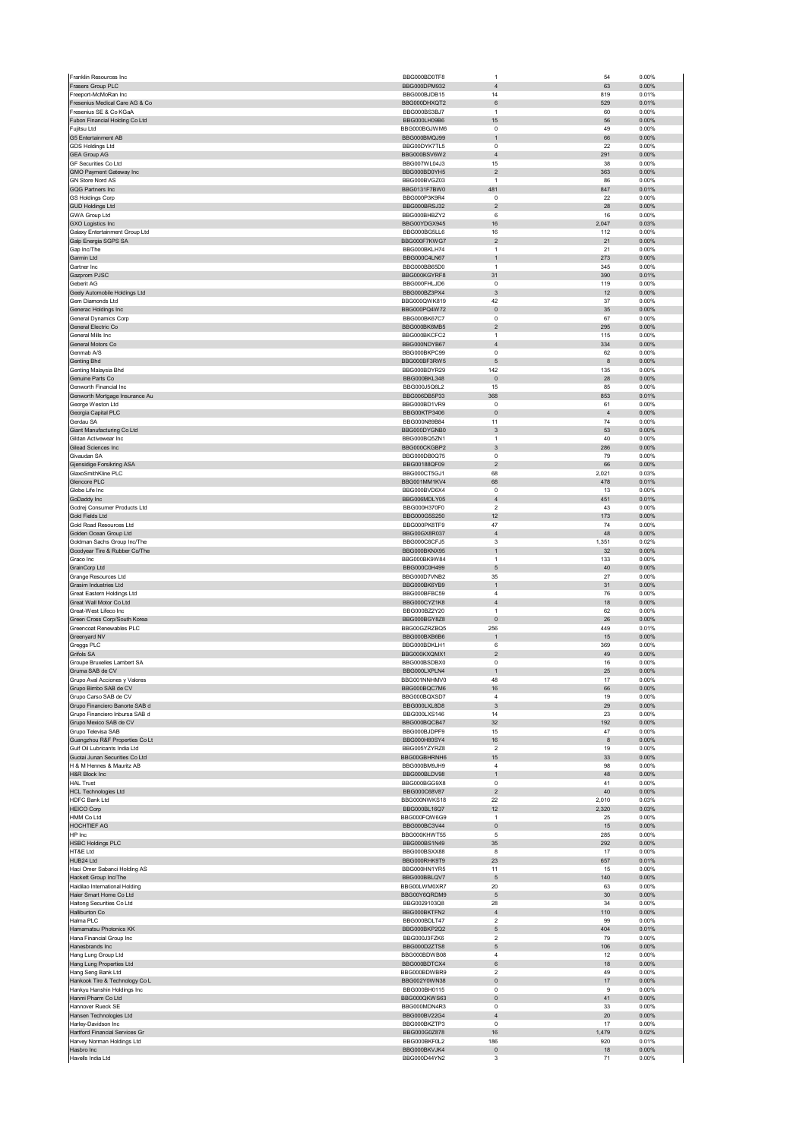|                                                              | BBG000BD0TF8                 | $\mathbf{1}$                           | 54                      | 0.00%             |
|--------------------------------------------------------------|------------------------------|----------------------------------------|-------------------------|-------------------|
| Frasers Group PLC                                            | BBG000DPM932                 | $\overline{4}$                         | 63                      | 0.00%             |
| Freeport-McMoRan Inc                                         | BBG000BJDB15                 | 14                                     | 819                     | 0.01%             |
| Fresenius Medical Care AG & Co                               | BBG000DHXQT2                 | 6<br>$\overline{1}$                    | 529                     | 0.01%             |
| Fresenius SE & Co KGaA<br>Fubon Financial Holding Co Ltd     | BBG000BS3BJ7<br>BBG000LH09B6 | 15                                     | 60<br>56                | 0.00%<br>$0.00\%$ |
| Fujitsu Ltd                                                  | BBG000BGJWM6                 | $\mathbf 0$                            | 49                      | 0.00%             |
| G5 Entertainment AB                                          | BBG000BMQJ99                 | 1                                      | 66                      | 0.00%             |
| GDS Holdings Ltd                                             | BBG00DYK7TL5                 | $\pmb{0}$                              | 22                      | 0.00%             |
| <b>GEA Group AG</b>                                          | BBG000BSV6W2                 | $\overline{4}$                         | 291                     | 0.00%             |
| GF Securities Co Ltd                                         | BBG007WL04J3                 | 15                                     | 38                      | 0.00%             |
| GMO Payment Gateway Inc                                      | BBG000BD0YH5                 | $\sqrt{2}$                             | 363                     | 0.00%             |
| GN Store Nord AS                                             | BBG000BVGZ03                 | $\mathbf{1}$                           | 86                      | 0.00%             |
| GQG Partners Inc                                             | BBG0131F7BW0                 | 481<br>$\mathbf 0$                     | 847<br>22               | 0.01%             |
| GS Holdings Corp<br><b>GUD Holdings Ltd</b>                  | BBG000P3K9R4<br>BBG000BRSJ32 | $\overline{c}$                         | 28                      | 0.00%<br>0.00%    |
| GWA Group Ltd                                                | BBG000BHBZY2                 | 6                                      | 16                      | 0.00%             |
| <b>GXO Logistics Inc</b>                                     | BBG00YDGX945                 | $16\,$                                 | 2,047                   | 0.03%             |
| Galaxy Entertainment Group Ltd                               | BBG000BG5LL6                 | 16                                     | 112                     | 0.00%             |
| Galp Energia SGPS SA                                         | BBG000F7KWG7                 | $\sqrt{2}$                             | 21                      | 0.00%             |
| Gap Inc/The                                                  | BBG000BKLH74                 | $\mathbf{1}$                           | 21                      | 0.00%             |
| Garmin Ltd                                                   | BBG000C4LN67                 | $\mathbf{1}$                           | 273                     | $0.00\%$          |
| Gartner Inc                                                  | BBG000BB65D0                 | $\overline{1}$                         | 345                     | 0.00%             |
| Gazprom PJSC                                                 | BBG000KGYRF8                 | 31                                     | 390                     | 0.01%             |
| Geberit AG<br>Geely Automobile Holdings Ltd                  | BBG000FHLJD6<br>BBG000BZ3PX4 | $\pmb{0}$<br>$\ensuremath{\mathsf{3}}$ | 119<br>12               | 0.00%<br>0.00%    |
| Gem Diamonds Ltd                                             | BBG000QWK819                 | 42                                     | 37                      | 0.00%             |
| Generac Holdings Inc                                         | BBG000PQ4W72                 | $\pmb{0}$                              | 35                      | $0.00\%$          |
| General Dynamics Corp                                        | BBG000BK67C7                 | 0                                      | 67                      | 0.00%             |
| General Electric Co                                          | BBG000BK6MB5                 | $\sqrt{2}$                             | 295                     | 0.00%             |
| General Mills Inc                                            | BBG000BKCFC2                 | $\mathbf{1}$                           | 115                     | 0.00%             |
| General Motors Co                                            | BBG000NDYB67                 | $\overline{4}$                         | 334                     | 0.00%             |
| Genmab A/S                                                   | BBG000BKPC99                 | $\pmb{0}$                              | 62                      | 0.00%             |
| Genting Bhd                                                  | BBG000BF3RW5<br>BBG000BDYR29 | 5<br>142                               | $\boldsymbol{8}$<br>135 | 0.00%<br>0.00%    |
| Genting Malaysia Bhd<br>Genuine Parts Co                     | BBG000BKL348                 | $\pmb{0}$                              | 28                      | $0.00\%$          |
| Genworth Financial Inc                                       | BBG000J5Q6L2                 | 15                                     | 85                      | 0.00%             |
| Genworth Mortgage Insurance Au                               | BBG006DB5P33                 | 368                                    | 853                     | 0.01%             |
| George Weston Ltd                                            | BBG000BD1VR9                 | $\mathbf 0$                            | 61                      | 0.00%             |
| Georgia Capital PLC                                          | BBG00KTP3406                 | $\pmb{0}$                              | $\overline{4}$          | 0.00%             |
| Gerdau SA                                                    | BBG000N89B84                 | 11                                     | 74                      | 0.00%             |
| Giant Manufacturing Co Ltd                                   | BBG000DYGNB0                 | $\ensuremath{\mathsf{3}}$              | 53                      | 0.00%             |
| Gildan Activewear Inc                                        | BBG000BQ5ZN1                 | $\overline{1}$                         | 40                      | 0.00%             |
| Gilead Sciences Inc                                          | BBG000CKGBP2                 | $\mathbf{3}$                           | 286                     | $0.00\%$          |
| Givaudan SA                                                  | BBG000DB0Q75                 | 0                                      | 79                      | 0.00%             |
| <b>Gjensidige Forsikring ASA</b><br>GlaxoSmithKline PLC      | BBG00188QF09                 | $\sqrt{2}$<br>68                       | 66                      | 0.00%             |
| Glencore PLC                                                 | BBG000CT5GJ1<br>BBG001MM1KV4 | 68                                     | 2,021<br>478            | 0.03%<br>0.01%    |
| Globe Life Inc                                               | BBG000BVD6X4                 | $\mathbf 0$                            | 13                      | 0.00%             |
| GoDaddy Inc                                                  | BBG006MDLY05                 | $\sqrt{4}$                             | 451                     | 0.01%             |
| Godrej Consumer Products Ltd                                 | BBG000H370F0                 | $\overline{2}$                         | 43                      | 0.00%             |
| Gold Fields Ltd                                              | BBG000G5S250                 | 12                                     | 173                     | 0.00%             |
| Gold Road Resources Ltd                                      | BBG000PK8TF9                 | 47                                     | 74                      | 0.00%             |
| Golden Ocean Group Ltd                                       | BBG00GX8R037                 | $\sqrt{4}$                             | 48                      | 0.00%             |
| Goldman Sachs Group Inc/The<br>Goodyear Tire & Rubber Co/The | BBG000C6CFJ5<br>BBG000BKNX95 | 3<br>1                                 | 1,351<br>32             | 0.02%<br>$0.00\%$ |
| Graco Inc                                                    | BBG000BK9W84                 | $\mathbf{1}$                           | 133                     | 0.00%             |
| GrainCorp Ltd                                                | BBG000C0H499                 | 5                                      | 40                      | 0.00%             |
| Grange Resources Ltd                                         | BBG000D7VNB2                 | 35                                     | 27                      | 0.00%             |
| Grasim Industries Ltd                                        | BBG000BK6YB9                 | $\mathbf{1}$                           | 31                      | 0.00%             |
| Great Eastern Holdings Ltd                                   | BBG000BFBC59                 | $\overline{4}$                         | 76                      | 0.00%             |
| Great Wall Motor Co Ltd                                      | BBG000CYZ1K8                 | $\overline{4}$                         | 18                      | 0.00%             |
| Great-West Lifeco Inc                                        | BBG000BZ2Y20                 | $\mathbf{1}$                           | 62                      | 0.00%             |
| Green Cross Corp/South Korea<br>Greencoat Renewables PLC     | BBG000BGY8Z8                 | $\pmb{0}$                              | 26                      | 0.00%             |
| Greenyard NV                                                 | BBG00GZRZBQ5<br>BBG000BXB6B6 | 256<br>1                               | 449<br>15               | 0.01%<br>0.00%    |
| Greggs PLC                                                   | BBG000BDKLH1                 | 6                                      | 369                     | 0.00%             |
| Grifols SA                                                   | BBG000KXQMX1                 | $\overline{2}$                         | 49                      | 0.00%             |
| Groupe Bruxelles Lambert SA                                  | BBG000BSDBX0                 | $\mathbf 0$                            | 16                      | 0.00%             |
| Gruma SAB de CV                                              | BBG000LXPLN4                 | 1                                      |                         |                   |
| Grupo Aval Acciones y Valores                                |                              |                                        | 25                      | 0.00%             |
| Grupo Bimbo SAB de CV                                        | BBG001NNHMV0                 | 48                                     | 17                      | 0.00%             |
|                                                              | BBG000BQC7M6                 | $16\,$                                 | 66                      | 0.00%             |
| Grupo Carso SAB de CV                                        | BBG000BQXSD7                 | 4                                      | 19                      | 0.00%             |
| Grupo Financiero Banorte SAB d                               | BBG000LXL8D8                 | $\ensuremath{\mathsf{3}}$              | 29                      | 0.00%             |
| Grupo Financiero Inbursa SAB d                               | BBG000LXS146<br>BBG000BQCB47 | 14<br>32                               | 23<br>192               | 0.00%<br>0.00%    |
| Grupo Mexico SAB de CV<br>Grupo Televisa SAB                 | BBG000BJDPF9                 | 15                                     | 47                      | 0.00%             |
| Guangzhou R&F Properties Co Lt                               | BBG000H80SY4                 | 16                                     | 8                       | 0.00%             |
| Gulf Oil Lubricants India Ltd                                | BBG005YZYRZ8                 | $\sqrt{2}$                             | 19                      | 0.00%             |
| Guotai Junan Securities Co Ltd                               | BBG00GBHRNH6                 | 15                                     | 33                      | 0.00%             |
| H & M Hennes & Mauritz AB                                    | BBG000BM9JH9                 | $\overline{4}$                         | 98                      | 0.00%             |
| H&R Block Inc                                                | BBG000BLDV98                 | 1                                      | 48                      | 0.00%             |
| <b>HAL Trust</b>                                             | BBG000BGG9X8                 | $\mathbf 0$                            | 41                      | 0.00%             |
| <b>HCL Technologies Ltd</b><br>HDFC Bank Ltd                 | BBG000C68V87<br>BBG000NWKS18 | $\sqrt{2}$<br>22                       | 40<br>2,010             | $0.00\%$<br>0.03% |
| <b>HEICO Corp</b>                                            | BBG000BL16Q7                 | 12                                     | 2,320                   | 0.03%             |
| HMM Co Ltd                                                   | BBG000FQW6G9                 | $\mathbf{1}$                           | 25                      | 0.00%             |
| HOCHTIEF AG                                                  | BBG000BC3V44                 | $\mathbf 0$                            | 15                      | $0.00\%$          |
| HP Inc                                                       | BBG000KHWT55                 | 5                                      | 285                     | 0.00%             |
| <b>HSBC Holdings PLC</b>                                     | BBG000BS1N49                 | 35                                     | 292                     | 0.00%             |
| HT&E Ltd                                                     | BBG000BSXX88                 | 8                                      | 17                      | 0.00%             |
| HUB24 Ltd                                                    | BBG000RHK9T9                 | 23                                     | 657<br>15               | 0.01%             |
| Haci Omer Sabanci Holding AS                                 | BBG000HN1YR5                 | 11                                     |                         | 0.00%             |
| Hackett Group Inc/The<br>Haidilao International Holding      | BBG000BBLQV7<br>BBG00LWM0XR7 | 5<br>20                                | 140<br>63               | $0.00\%$<br>0.00% |
| Haier Smart Home Co Ltd                                      | BBG00Y6QRDM9                 | $\mathbf 5$                            | 30                      | 0.00%             |
| Haitong Securities Co Ltd                                    | BBG0029103Q8                 | 28                                     | 34                      | 0.00%             |
| Halliburton Co                                               | BBG000BKTFN2                 | $\sqrt{4}$                             | 110                     | 0.00%             |
| Halma PLC                                                    | BBG000BDLT47                 | $\overline{2}$                         | 99                      | 0.00%             |
| Hamamatsu Photonics KK                                       | BBG000BKP2Q2                 | $\mathbf 5$                            | 404                     | 0.01%             |
| Hana Financial Group Inc                                     | BBG000J3FZK6                 | $\overline{2}$                         | 79                      | 0.00%             |
| Hanesbrands Inc                                              | BBG000D2ZTS8                 | 5                                      | 106                     | $0.00\%$          |
| Hang Lung Group Ltd<br>Hang Lung Properties Ltd              | BBG000BDWB08<br>BBG000BDTCX4 | 4<br>6                                 | 12<br>18                | 0.00%<br>0.00%    |
| Hang Seng Bank Ltd                                           | BBG000BDWBR9                 | $\overline{2}$                         | 49                      | 0.00%             |
| Hankook Tire & Technology Co L                               | BBG002Y0WN38                 | $\mathbf 0$                            | 17                      | 0.00%             |
| Hankyu Hanshin Holdings Inc                                  | BBG000BH0115                 | 0                                      | 9                       | 0.00%             |
| Hanmi Pharm Co Ltd                                           | BBG000QKWS63                 | $\mathbf 0$                            | 41                      | 0.00%             |
| Hannover Rueck SE                                            | BBG000MDN4R3                 | $\mathbf 0$                            | 33                      | 0.00%             |
| Hansen Technologies Ltd                                      | BBG000BV22G4                 | $\sqrt{4}$                             | 20                      | $0.00\%$          |
| Harley-Davidson Inc                                          | BBG000BKZTP3                 | 0                                      | 17                      | 0.00%             |
| Hartford Financial Services Gr                               | BBG000G0Z878                 | $16\,$                                 | 1,479                   | 0.02%             |
| Harvey Norman Holdings Ltd<br>Hasbro Inc                     | BBG000BKF0L2<br>BBG000BKVJK4 | 186<br>$\pmb{0}$                       | 920<br>18               | 0.01%<br>$0.00\%$ |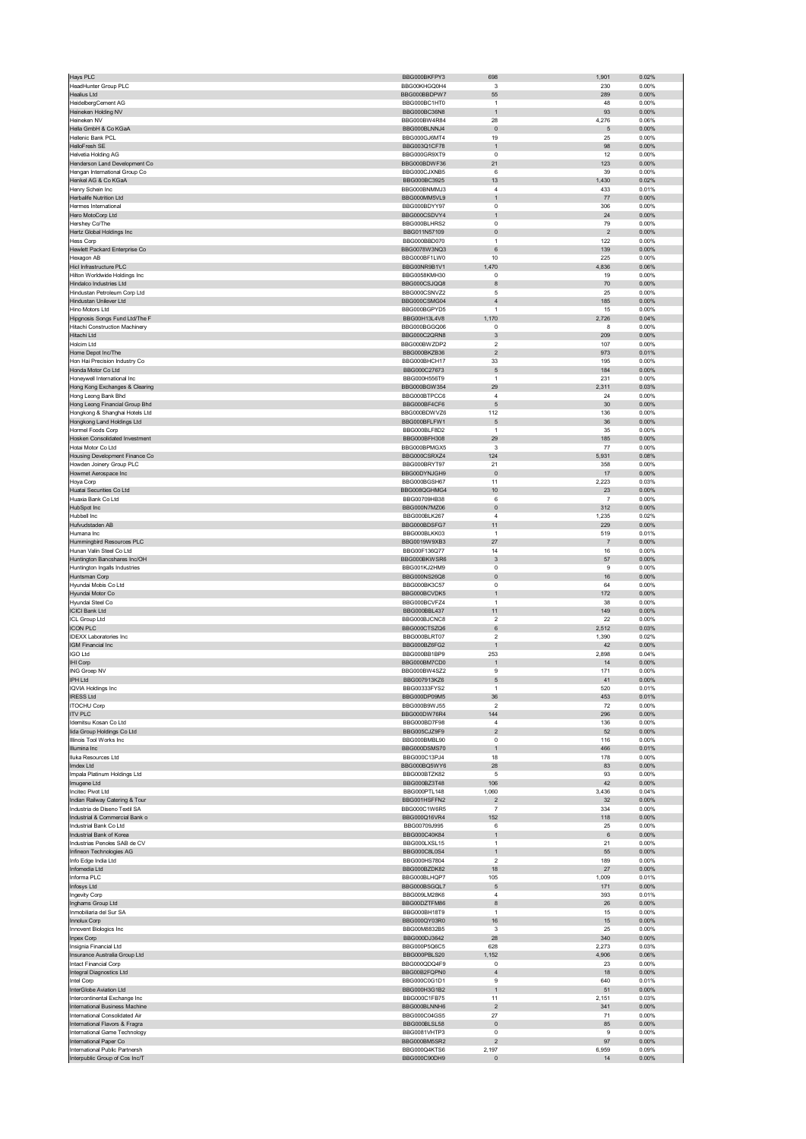| Hays PLC                                                         | BBG000BKFPY3                 | 698                              | 1,901          | 0.02%             |
|------------------------------------------------------------------|------------------------------|----------------------------------|----------------|-------------------|
| HeadHunter Group PLC                                             | BBG00KHGQ0H4                 | 3                                | 230            | 0.00%             |
| <b>Healius Ltd</b>                                               | BBG000BBDPW7                 | 55                               | 289            | 0.00%             |
| HeidelbergCement AG                                              | BBG000BC1HT0                 | $\overline{1}$                   | 48             | 0.00%             |
| Heineken Holding NV<br>Heineken NV                               | BBG000BC36N8<br>BBG000BW4R84 | $\mathbf{1}$<br>28               | 93<br>4,276    | $0.00\%$<br>0.06% |
| Hella GmbH & Co KGaA                                             | BBG000BLNNJ4                 | $\pmb{0}$                        | 5              | 0.00%             |
| Hellenic Bank PCL                                                | BBG000GJ6MT4                 | 19                               | 25             | 0.00%             |
| HelloFresh SE                                                    | BBG003Q1CF78                 | $\overline{1}$                   | 98             | 0.00%             |
| Helvetia Holding AG                                              | BBG000GR9XT9                 | 0                                | 12             | 0.00%             |
| Henderson Land Development Co                                    | BBG000BDWF36                 | 21                               | 123            | 0.00%             |
| Hengan International Group Co                                    | BBG000CJXNB5                 | 6                                | 39             | 0.00%             |
| Henkel AG & Co KGaA                                              | BBG000BC3925                 | 13                               | 1,430          | 0.02%             |
| Henry Schein Inc<br>Herbalife Nutrition Ltd                      | BBG000BNMMJ3<br>BBG000MM5VL9 | $\overline{4}$<br>$\overline{1}$ | 433<br>77      | 0.01%<br>$0.00\%$ |
| Hermes International                                             | BBG000BDYY97                 | $\mathbf 0$                      | 306            | 0.00%             |
| Hero MotoCorp Ltd                                                | BBG000CSDVY4                 | $\mathbf{1}$                     | 24             | 0.00%             |
| Hershey Co/The                                                   | BBG000BLHRS2                 | $\overline{0}$                   | 79             | 0.00%             |
| Hertz Global Holdings Inc                                        | BBG011N57109                 | $\pmb{0}$                        | $\overline{2}$ | $0.00\%$          |
| <b>Hess Corp</b>                                                 | BBG000BBD070                 | $\overline{1}$                   | 122            | 0.00%             |
| Hewlett Packard Enterprise Co                                    | BBG0078W3NQ3                 | 6                                | 139            | $0.00\%$          |
| Hexagon AB<br>Hicl Infrastructure PLC                            | BBG000BF1LW0<br>BBG00NR9B1V1 | 10<br>1,470                      | 225<br>4,836   | 0.00%<br>0.06%    |
| Hilton Worldwide Holdings Inc                                    | BBG0058KMH30                 | 0                                | 19             | 0.00%             |
| Hindalco Industries Ltd                                          | BBG000CSJQQ8                 | 8                                | 70             | 0.00%             |
| Hindustan Petroleum Corp Ltd                                     | BBG000CSNVZ2                 | 5                                | 25             | 0.00%             |
| Hindustan Unilever Ltd                                           | BBG000CSMG04                 | $\overline{4}$                   | 185            | 0.00%             |
| Hino Motors Ltd                                                  | BBG000BGPYD5                 | $\overline{1}$                   | 15             | 0.00%             |
| Hipgnosis Songs Fund Ltd/The F                                   | BBG00H13L4V8                 | 1,170                            | 2,726          | 0.04%             |
| Hitachi Construction Machinery<br>Hitachi Ltd                    | BBG000BGGQ06<br>BBG000C2QRN8 | $\overline{0}$<br>3              | 8<br>209       | 0.00%<br>0.00%    |
| Holcim Ltd                                                       | BBG000BWZDP2                 | $\overline{\mathbf{c}}$          | 107            | 0.00%             |
| Home Depot Inc/The                                               | BBG000BKZB36                 | $\overline{2}$                   | 973            | 0.01%             |
| Hon Hai Precision Industry Co                                    | BBG000BHCH17                 | 33                               | 195            | 0.00%             |
| Honda Motor Co Ltd                                               | BBG000C27673                 | $\sqrt{5}$                       | 184            | 0.00%             |
| Honeywell International Inc                                      | BBG000H556T9                 | $\overline{1}$                   | 231            | 0.00%             |
| Hong Kong Exchanges & Clearing                                   | BBG000BGW354                 | 29                               | 2,311          | 0.03%             |
| Hong Leong Bank Bhd                                              | BBG000BTPCC6                 | $\overline{4}$                   | 24             | 0.00%             |
| Hong Leong Financial Group Bhd                                   | BBG000BF4CF6                 | 5                                | $30\,$         | 0.00%             |
| Hongkong & Shanghai Hotels Ltd<br>Hongkong Land Holdings Ltd     | BBG000BDWVZ6<br>BBG000BFLFW1 | 112<br>5                         | 136<br>36      | 0.00%<br>0.00%    |
| Hormel Foods Corp                                                | BBG000BLF8D2                 | $\mathbf{1}$                     | 35             | 0.00%             |
| Hosken Consolidated Investment                                   | BBG000BFH308                 | 29                               | 185            | 0.00%             |
| Hotai Motor Co Ltd                                               | BBG000BPMGX5                 | 3                                | 77             | 0.00%             |
| Housing Development Finance Co                                   | BBG000CSRXZ4                 | 124                              | 5,931          | 0.08%             |
| Howden Joinery Group PLC                                         | BBG000BRYT97                 | 21                               | 358            | 0.00%             |
| Howmet Aerospace Inc                                             | BBG00DYNJGH9                 | $\pmb{0}$                        | $17\,$         | 0.00%             |
| Hoya Corp<br>Huatai Securities Co Ltd                            | BBG000BGSH67<br>BBG008QGHMG4 | 11                               | 2,223<br>23    | 0.03%<br>0.00%    |
| Huaxia Bank Co Ltd                                               | BBG00709HB38                 | 10<br>6                          | $\overline{7}$ | 0.00%             |
| HubSpot Inc                                                      | BBG000N7MZ06                 | $\pmb{0}$                        | 312            | 0.00%             |
| Hubbell Inc                                                      | BBG000BLK267                 | $\overline{4}$                   | 1,235          | 0.02%             |
| Hufvudstaden AB                                                  | BBG000BDSFG7                 | 11                               | 229            | $0.00\%$          |
| Humana Inc                                                       | BBG000BLKK03                 | $\overline{1}$                   | 519            | 0.01%             |
| Hummingbird Resources PLC                                        | BBG0019W9XB3                 | 27                               | $\overline{7}$ | 0.00%             |
| Hunan Valin Steel Co Ltd                                         | BBG00F136Q77                 | 14                               | 16             | 0.00%             |
| Huntington Bancshares Inc/OH<br>Huntington Ingalls Industries    | BBG000BKWSR6<br>BBG001KJ2HM9 | $\mathbf{3}$<br>$\mathbf 0$      | 57<br>9        | 0.00%<br>0.00%    |
| Huntsman Corp                                                    | BBG000NS26Q8                 | $\pmb{0}$                        | 16             | 0.00%             |
| Hyundai Mobis Co Ltd                                             | BBG000BK3C57                 | 0                                | 64             | 0.00%             |
| Hyundai Motor Co                                                 | BBG000BCVDK5                 | $\overline{1}$                   | 172            | 0.00%             |
| Hyundai Steel Co                                                 | BBG000BCVFZ4                 | $\mathbf{1}$                     | 38             | 0.00%             |
| <b>ICICI Bank Ltd</b>                                            | BBG000BBL437                 | 11                               | 149            | 0.00%             |
| ICL Group Ltd                                                    | BBG000BJCNC8                 | $\overline{\mathbf{c}}$          | 22             | 0.00%             |
| <b>ICON PLC</b><br><b>IDEXX Laboratories Inc</b>                 | BBG000CTSZQ6<br>BBG000BLRT07 | $\,6$<br>$\overline{\mathbf{2}}$ | 2,512<br>1,390 | 0.03%<br>0.02%    |
| IGM Financial Inc                                                | BBG000BZ6FG2                 | $\overline{1}$                   | 42             | 0.00%             |
| <b>IGO Ltd</b>                                                   | BBG000BB1BP9                 | 253                              | 2,898          | 0.04%             |
| IHI Corp                                                         | BBG000BM7CD0                 | $\overline{1}$                   | 14             | 0.00%             |
| ING Groep NV                                                     | BBG000BW4SZ2                 | 9                                | 171            | 0.00%             |
| PH Ltd                                                           | BBG007913K76                 |                                  |                | n nn%             |
| <b>IQVIA Holdings Inc.</b>                                       | BBG00333FYS2                 | $\overline{1}$                   | 520            | 0.01%             |
| <b>IRESS Ltd</b>                                                 | BBG000DP09M5                 | 36                               | 453            | 0.01%             |
| <b>ITOCHU Corp</b>                                               | BBG000B9WJ55                 | $\overline{\mathbf{2}}$          | 72             | 0.00%             |
| <b>ITV PLC</b><br>Idemitsu Kosan Co Ltd                          | BBG000DW76R4<br>BBG000BD7F98 | 144<br>$\overline{4}$            | 296<br>136     | $0.00\%$<br>0.00% |
| lida Group Holdings Co Ltd                                       | BBG005CJZ9F9                 | $\overline{\mathbf{c}}$          | 52             | $0.00\%$          |
| Illinois Tool Works Inc                                          | BBG000BMBL90                 | $\mathbf 0$                      | 116            | 0.00%             |
| Illumina Inc                                                     | BBG000DSMS70                 | $\overline{1}$                   | 466            | 0.01%             |
| Iluka Resources Ltd                                              | BBG000C13PJ4                 | 18                               | 178            | 0.00%             |
| Imdex Ltd                                                        | BBG000BQ5WY6                 | 28                               | 83             | $0.00\%$          |
| Impala Platinum Holdings Ltd                                     | BBG000BTZK82                 | 5                                | 93             | 0.00%             |
| Imugene Ltd<br>Incitec Pivot Ltd                                 | BBG000BZ3T48<br>BBG000PTL148 | 106<br>1,060                     | 42<br>3,436    | 0.00%<br>0.04%    |
| Indian Railway Catering & Tour                                   | BBG001HSFFN2                 | $\overline{c}$                   | 32             | 0.00%             |
| Industria de Diseno Textil SA                                    | BBG000C1W6R5                 | $\overline{7}$                   | 334            | 0.00%             |
| Industrial & Commercial Bank o                                   | BBG000Q16VR4                 | 152                              | 118            | $0.00\%$          |
| Industrial Bank Co Ltd                                           | BBG00709J995                 | 6                                | 25             | 0.00%             |
| Industrial Bank of Korea                                         | BBG000C40K84                 | $\mathbf{1}$                     | 6              | 0.00%             |
| Industrias Penoles SAB de CV                                     | BBG000LXSL15                 | $\overline{1}$                   | 21             | 0.00%             |
| Infineon Technologies AG                                         | BBG000C8L0S4                 | $\mathbf{1}$<br>$\overline{2}$   | 55             | 0.00%             |
| Info Edge India Ltd<br>Infomedia Ltd                             | BBG000HS7804<br>BBG000BZDK82 | 18                               | 189<br>27      | 0.00%<br>0.00%    |
| Informa PLC                                                      | BBG000BLHQP7                 | 105                              | 1,009          | 0.01%             |
| Infosys Ltd                                                      | BBG000BSGQL7                 | 5                                | 171            | 0.00%             |
| Ingevity Corp                                                    | BBG009LM28K6                 | $\sqrt{4}$                       | 393            | 0.01%             |
| Inghams Group Ltd                                                | BBG00DZTFM86                 | 8                                | 26             | 0.00%             |
| Inmobiliaria del Sur SA                                          | BBG000BH18T9                 | $\overline{1}$                   | 15             | 0.00%             |
| Innolux Corp                                                     | BBG000QY03R0                 | 16                               | 15             | 0.00%             |
| Innovent Biologics Inc                                           | BBG00M8832B5                 | 3                                | 25             | 0.00%             |
| Inpex Corp<br>Insignia Financial Ltd                             | BBG000DJ3642<br>BBG000P5Q6C5 | 28<br>628                        | 340<br>2,273   | 0.00%<br>0.03%    |
| Insurance Australia Group Ltd                                    | BBG000PBLS20                 | 1,152                            | 4,906          | 0.06%             |
| Intact Financial Corp                                            | BBG000QDQ4F9                 | $^{\circ}$                       | 23             | 0.00%             |
| Integral Diagnostics Ltd                                         | BBG00B2FQPN0                 | $\overline{4}$                   | 18             | 0.00%             |
| Intel Corp                                                       | BBG000C0G1D1                 | 9                                | 640            | 0.01%             |
| InterGlobe Aviation Ltd                                          |                              | $\mathbf{1}$                     | 51             | 0.00%             |
| Intercontinental Exchange Inc                                    | BBG000H3G1B2                 |                                  | 2,151          | 0.03%             |
|                                                                  | BBG000C1FB75                 | 11                               |                |                   |
| International Business Machine                                   | BBG000BLNNH6                 | $\overline{c}$                   | 341            | 0.00%             |
| International Consolidated Air                                   | BBG000C04GS5                 | 27                               | 71             | 0.00%             |
| International Flavors & Fragra                                   | BBG000BLSL58                 | $\pmb{0}$<br>$\pmb{0}$           | 85<br>9        | 0.00%             |
| International Game Technology<br>International Paper Co          | BBG0081VHTP3<br>BBG000BM5SR2 | $\overline{\mathbf{c}}$          | 97             | 0.00%<br>0.00%    |
| International Public Partnersh<br>Interpublic Group of Cos Inc/T | BBG000Q4KTS6<br>BBG000C90DH9 | 2,197<br>$\pmb{0}$               | 6,959<br>14    | 0.09%<br>$0.00\%$ |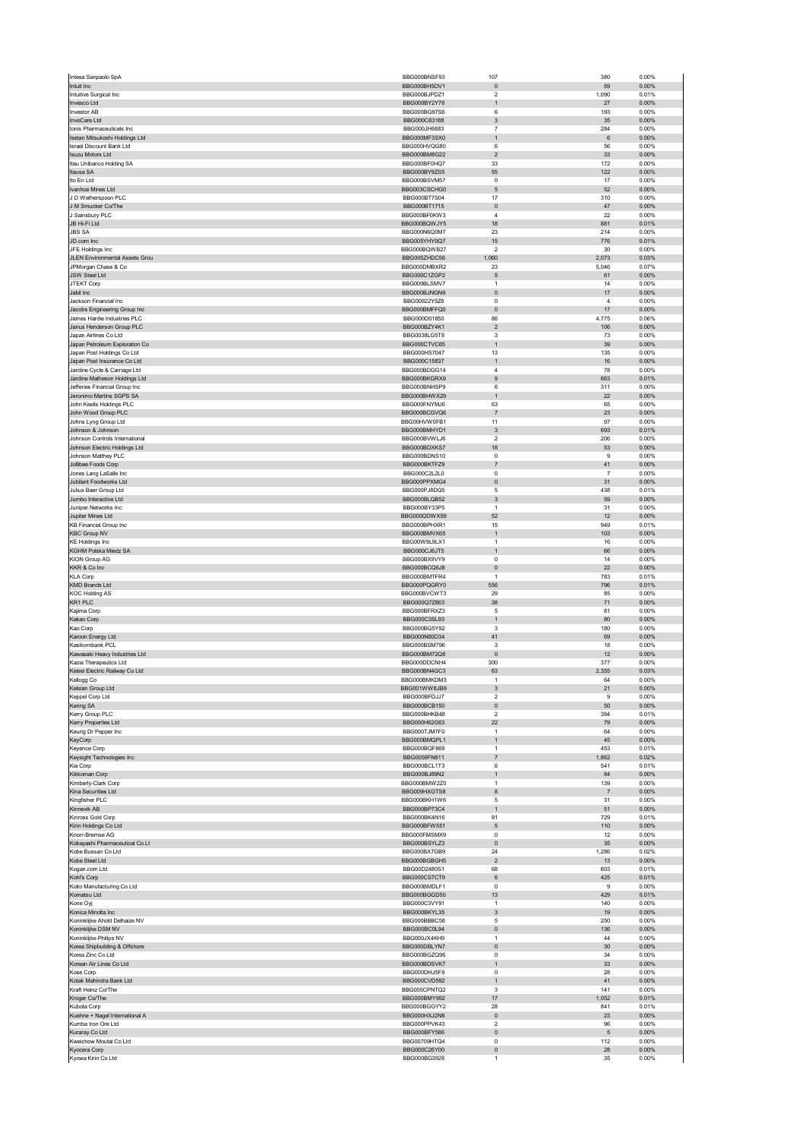|                                                              | BBG000BNSF93                        | 107                             | 380                   | 0.00%             |
|--------------------------------------------------------------|-------------------------------------|---------------------------------|-----------------------|-------------------|
| Intuit Inc                                                   | BBG000BH5DV1                        | $\mathbf{0}$                    | 59                    | 0.00%             |
| Intuitive Surgical Inc                                       | BBG000BJPDZ1                        | 2                               | 1,090                 | 0.01%             |
| Invesco Ltd<br><b>Investor AB</b>                            | BBG000BY2Y78<br><b>BBG000BG97S6</b> | $\mathbf{1}$<br>6               | 27<br>193             | 0.00%<br>0.00%    |
| InvoCare Ltd                                                 | BBG000C63188                        | 3                               | 35                    | 0.00%             |
| Ionis Pharmaceuticals Inc                                    | BBG000JH6683                        | $\overline{7}$                  | 284                   | 0.00%             |
| Isetan Mitsukoshi Holdings Ltd                               | BBG000MF3SX0                        | $\mathbf{1}$                    | $\,6\,$               | 0.00%             |
| <b>Israel Discount Bank Ltd</b>                              | BBG000HVQG80                        | 6                               | 56                    | 0.00%             |
| <b>Isuzu Motors Ltd</b>                                      | BBG000BM8G22                        | $\overline{2}$                  | 33                    | 0.00%             |
| Itau Unibanco Holding SA                                     | BBG000BF0HQ7                        | 33                              | 172                   | 0.00%             |
| Itausa SA<br>Ito En Ltd                                      | BBG000BY9ZS5<br>BBG000BSVM57        | 55<br>$\mathbf 0$               | 122<br>17             | 0.00%<br>0.00%    |
| Ivanhoe Mines Ltd                                            | BBG003CSCHG0                        | 5                               | 52                    | 0.00%             |
| J D Wetherspoon PLC                                          | BBG000BT7S04                        | 17                              | 310                   | 0.00%             |
| J M Smucker Co/The                                           | BBG000BT1715                        | $\pmb{0}$                       | 47                    | $0.00\%$          |
| J Sainsbury PLC                                              | BBG000BF0KW3                        | $\sqrt{4}$                      | 22                    | 0.00%             |
| JB Hi-Fi Ltd                                                 | BBG000BQWJY5                        | 18                              | 881                   | 0.01%             |
| <b>JBS SA</b>                                                | BBG000N6Q0M7                        | 23                              | 214                   | 0.00%             |
| JD.com Inc                                                   | BBG005YHY0Q7                        | 15                              | 776                   | 0.01%             |
| JFE Holdings Inc                                             | BBG000BQWB27<br>BBG005ZHDC56        | $\boldsymbol{2}$                | 30<br>2,073           | 0.00%<br>0.03%    |
| JLEN Environmental Assets Grou<br>JPMorgan Chase & Co        | BBG000DMBXR2                        | 1,060<br>23                     | 5,046                 | 0.07%             |
| JSW Steel Ltd                                                | BBG000C1ZGP2                        | $\sqrt{5}$                      | 61                    | 0.00%             |
| JTEKT Corp                                                   | BBG000BLSMV7                        | 1                               | 14                    | 0.00%             |
| Jabil Inc                                                    | BBG000BJNGN9                        | $\pmb{0}$                       | 17                    | 0.00%             |
| Jackson Financial Inc                                        | BBG00922Y5Z6                        | $\pmb{0}$                       | 4                     | 0.00%             |
| Jacobs Engineering Group Inc                                 | BBG000BMFFQ0                        | $\pmb{0}$                       | 17                    | 0.00%             |
| James Hardie Industries PLC                                  | BBG000D01850                        | 86                              | 4,775                 | 0.06%             |
| Janus Henderson Group PLC                                    | BBG000BZY4K1<br>BBG0038LG5T8        | $\sqrt{2}$<br>3                 | 106<br>73             | 0.00%<br>0.00%    |
| Japan Airlines Co Ltd<br>Japan Petroleum Exploration Co      | BBG000CTVC65                        | $\mathbf{1}$                    | 39                    | 0.00%             |
| Japan Post Holdings Co Ltd                                   | BBG000HS7047                        | 13                              | 135                   | 0.00%             |
| Japan Post Insurance Co Ltd                                  | BBG000C15837                        | $\mathbf{1}$                    | 16                    | 0.00%             |
| Jardine Cycle & Carriage Ltd                                 | BBG000BDGG14                        | $\overline{4}$                  | 78                    | 0.00%             |
| Jardine Matheson Holdings Ltd                                | BBG000BKGRX9                        | 9                               | 663                   | 0.01%             |
| Jefferies Financial Group Inc                                | BBG000BNHSP9                        | 6                               | 311                   | 0.00%             |
| Jeronimo Martins SGPS SA                                     | BBG000BHWX29                        | $\mathbf{1}$                    | 22                    | 0.00%             |
| John Keells Holdings PLC                                     | BBG000FNYMJ6                        | 63                              | 65                    | 0.00%             |
| John Wood Group PLC<br>Johns Lyng Group Ltd                  | BBG000BCGVQ6<br>BBG00HVW0FB1        | $\overline{7}$                  | 23                    | 0.00%             |
| Johnson & Johnson                                            | BBG000BMHYD1                        | 11<br>$\ensuremath{\mathsf{3}}$ | 97<br>693             | 0.00%<br>0.01%    |
| Johnson Controls International                               | BBG000BVWLJ6                        | $\overline{2}$                  | 206                   | 0.00%             |
| Johnson Electric Holdings Ltd                                | BBG000BDXKS7                        | 18                              | 53                    | 0.00%             |
| Johnson Matthey PLC                                          | BBG000BDNS10                        | $\pmb{0}$                       | 9                     | 0.00%             |
| Jollibee Foods Corp                                          | BBG000BKTFZ9                        | $\overline{7}$                  | 41                    | 0.00%             |
| Jones Lang LaSalle Inc                                       | BBG000C2L2L0                        | $\pmb{0}$                       | $\overline{7}$        | 0.00%             |
| Jubilant Foodworks Ltd                                       | BBG000PPXMG4                        | $\pmb{0}$                       | 31                    | 0.00%             |
| Julius Baer Group Ltd                                        | BBG000PJ8DQ5                        | 5                               | 438                   | 0.01%             |
| Jumbo Interactive Ltd                                        | BBG000BLQB52                        | $\ensuremath{\mathsf{3}}$       | 59                    | 0.00%             |
| Juniper Networks Inc                                         | BBG000BY33P5                        | $\mathbf{1}$                    | 31                    | 0.00%             |
| Jupiter Mines Ltd<br><b>KB Financial Group Inc</b>           | BBG000QDWX59<br>BBG000BPHXR1        | 52<br>15                        | 12<br>949             | 0.00%<br>0.01%    |
| <b>KBC Group NV</b>                                          | BBG000BMVX65                        | $\mathbf{1}$                    | 103                   | 0.00%             |
| <b>KE Holdings Inc</b>                                       | BBG00W9L9LX1                        | $\mathbf{1}$                    | 16                    | 0.00%             |
| KGHM Polska Miedz SA                                         | BBG000CJ6JT5                        | $\mathbf{1}$                    | 66                    | 0.00%             |
| <b>KION Group AG</b>                                         | BBG000BX9VY9                        | 0                               | 14                    | 0.00%             |
| KKR & Co Inc                                                 | BBG000BCQ6J8                        | $\pmb{0}$                       | 22                    | $0.00\%$          |
| <b>KLA Corp</b>                                              | BBG000BMTFR4                        | $\mathbf{1}$                    | 783                   | 0.01%             |
| KMD Brands Ltd                                               | BBG000PQGRY0                        | 556                             | 796                   | 0.01%             |
| <b>KOC Holding AS</b>                                        | BBG000BVCWT3                        | 29                              | 85                    | 0.00%             |
| KR1 PLC                                                      | BBG000Q7Z863                        | 38                              | 71                    | 0.00%             |
| Kajima Corp<br>Kakao Corp                                    | BBG000BFRXZ3                        | 5                               | 81                    | 0.00%             |
| Kao Corp                                                     | BBG000C3SL93<br>BBG000BG5Y92        | $\mathbf{1}$<br>3               | 80<br>180             | 0.00%<br>0.00%    |
| Karoon Energy Ltd                                            | BBG000N80D34                        | 41                              | 69                    | $0.00\%$          |
|                                                              |                                     |                                 | 18                    | 0.00%             |
| Kasikornbank PCL                                             | BBG000BSM796                        | 3                               |                       |                   |
| Kawasaki Heavy Industries Ltd                                | BBG000BM72Q8                        | $\mathbf{0}$                    | 12                    | 0.00%             |
| Kazia Therapeutics Ltd                                       | BBG000DDCNH4                        | 300                             | 377                   | 0.00%             |
| Keisei Electric Railway Co Ltd                               | BBG000BN4GC3                        | 63                              | 2,355                 | 0.03%             |
| Cellogg Co                                                   | BBG000BMKDM3                        |                                 | 64                    | 0.00%             |
| Kelsian Group Ltd                                            | BBG001WW8JB9                        | 3                               | 21                    | $0.00\%$          |
| Keppel Corp Ltd                                              | BBG000BFDJJ7                        | 2                               | 9                     | 0.00%             |
| Kering SA                                                    | BBG000BCB150                        | $\pmb{0}$                       | 50                    | $0.00\%$          |
| Kerry Group PLC                                              | BBG000BHKB48                        | $\overline{\mathbf{2}}$<br>22   | 394                   | 0.01%             |
| Kerry Properties Ltd<br>Keurig Dr Pepper Inc                 | BBG000H62G63<br>BBG000TJM7F0        | $\mathbf{1}$                    | 79<br>64              | 0.00%<br>0.00%    |
| KeyCorp                                                      | BBG000BMQPL1                        | $\mathbf{1}$                    | 45                    | $0.00\%$          |
| Keyence Corp                                                 | BBG000BQF869                        | $\mathbf{1}$                    | 453                   | 0.01%             |
| Keysight Technologies Inc                                    | BBG0059FN811                        | $\overline{7}$                  | 1,862                 | 0.02%             |
| Kia Corp                                                     | BBG000BCL1T3                        | 6                               | 541                   | 0.01%             |
| Kikkoman Corp                                                | BBG000BJ89N2                        | $\mathbf{1}$                    | 84                    | $0.00\%$          |
| Kimberly-Clark Corp<br>Kina Securities Ltd                   | BBG000BMW2Z0<br>BBG009HXGTS8        | $\mathbf{1}$<br>8               | 139<br>$\overline{7}$ | 0.00%<br>0.00%    |
| Kingfisher PLC                                               | BBG000BKH1W6                        | 5                               | 31                    | 0.00%             |
| Kinnevik AB                                                  | BBG000BP73C4                        | $\mathbf{1}$                    | 51                    | 0.00%             |
| Kinross Gold Corp                                            | BBG000BK4N16                        | 91                              | 729                   | 0.01%             |
| Kirin Holdings Co Ltd                                        | BBG000BFW551                        | $\mathbf 5$                     | 110                   | $0.00\%$          |
| Knorr-Bremse AG                                              | BBG000FMSMX9                        | $\mathbf 0$                     | 12                    | 0.00%             |
| Kobayashi Pharmaceutical Co Lt                               | BBG000BSYLZ3                        | $\pmb{0}$                       | 35                    | 0.00%             |
| Kobe Bussan Co Ltd                                           | BBG000BX7GB9                        | 24                              | 1,286                 | 0.02%             |
| Kobe Steel Ltd                                               | BBG000BGBGH5                        | $\overline{2}$                  | 13                    | 0.00%             |
| Kogan.com Ltd<br>Kohľ's Corp                                 | BBG00D2480S1<br>BBG000CS7CT9        | 68<br>6                         | 603<br>425            | 0.01%<br>0.01%    |
| Koito Manufacturing Co Ltd                                   | BBG000BMDLF1                        | $\pmb{0}$                       | 9                     | 0.00%             |
| Komatsu Ltd                                                  | BBG000BGGD50                        | 13                              | 429                   | 0.01%             |
| Kone Oyj                                                     | BBG000C3VY91                        | $\mathbf{1}$                    | 140                   | 0.00%             |
| Konica Minolta Inc                                           | BBG000BKYL35                        | 3                               | 19                    | 0.00%             |
| Koninklijke Ahold Delhaize NV                                | BBG000BBBC58                        | $\sqrt{5}$                      | 250                   | 0.00%             |
| Koninklijke DSM NV                                           | BBG000BC0L94                        | $\pmb{0}$                       | 136                   | 0.00%             |
| Koninklijke Philips NV                                       | BBG000JX4KH9                        | $\mathbf{1}$                    | 44                    | 0.00%             |
| Korea Shipbuilding & Offshore                                | BBG000DBLYN7                        | $\pmb{0}$                       | 30<br>34              | 0.00%             |
| Korea Zinc Co Ltd<br>Korean Air Lines Co Ltd                 | BBG000BGZQ96<br>BBG000BDSVK7        | 0<br>$\mathbf{1}$               | 33                    | 0.00%<br>$0.00\%$ |
| Kose Corp                                                    | BBG000DHJ5F9                        | $\mathbf 0$                     | 28                    | 0.00%             |
| Kotak Mahindra Bank Ltd                                      | BBG000CVD592                        | $\mathbf{1}$                    | 41                    | 0.00%             |
| Kraft Heinz Co/The                                           | BBG005CPNTQ2                        | 3                               | 141                   | 0.00%             |
| Kroger Co/The                                                | BBG000BMY992                        | 17                              | 1,052                 | 0.01%             |
| Kubota Corp                                                  | BBG000BGGYY2                        | 28                              | 841                   | 0.01%             |
| Kuehne + Nagel International A                               | BBG000HXJ2N8                        | $\pmb{0}$                       | 23                    | 0.00%             |
| Kumba Iron Ore Ltd                                           | BBG000PPVK43                        | $\boldsymbol{2}$                | 96                    | 0.00%             |
| Kuraray Co Ltd                                               | BBG000BFY586<br>BBG00709HTQ4        | $\pmb{0}$<br>$\mathsf 0$        | $\sqrt{5}$<br>112     | 0.00%<br>0.00%    |
| Kweichow Moutai Co Ltd<br>Kyocera Corp<br>Kyowa Kirin Co Ltd | BBG000C26Y00<br>BBG000BG3926        | 0<br>$\mathbf{1}$               | 28<br>35              | $0.00\%$<br>0.00% |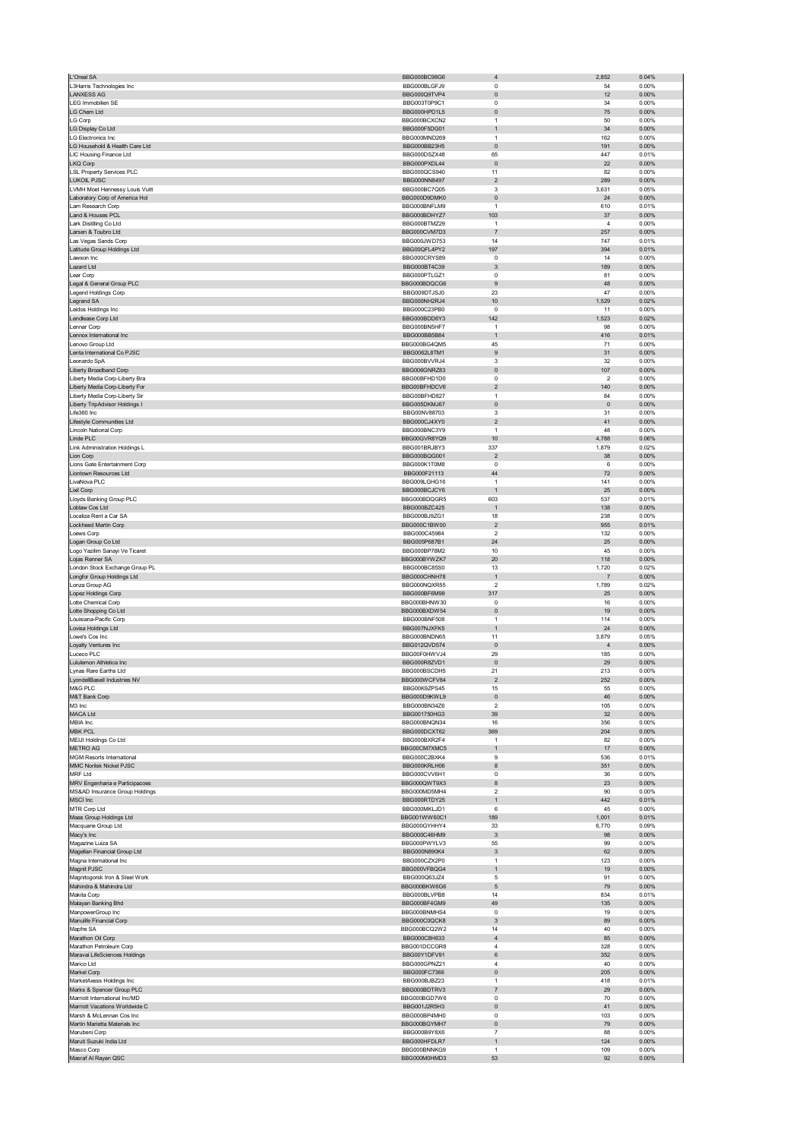| L'Oreal SA                                                  | BBG000BC98G6                 | $\overline{4}$                 | 2,852                          | 0.04%             |
|-------------------------------------------------------------|------------------------------|--------------------------------|--------------------------------|-------------------|
| L3Harris Technologies Inc                                   | BBG000BLGFJ9                 | $^{\circ}$                     | 54                             | 0.00%             |
| <b>LANXESS AG</b>                                           | BBG000Q9TVP4                 | $\pmb{0}$                      | 12                             | 0.00%             |
| LEG Immobilien SE                                           | BBG003T0P9C1                 | 0                              | 34                             | 0.00%             |
| LG Chem Ltd                                                 | BBG000HPD1L5                 | $\pmb{0}$                      | 75                             | 0.00%             |
| LG Corp                                                     | BBG000BCXCN2                 | $\mathbf{1}$                   | 50                             | 0.00%             |
| LG Display Co Ltd<br>LG Electronics Inc                     | BBG000F5DG01<br>BBG000MND269 | $\mathbf{1}$<br>1              | 34<br>162                      | 0.00%<br>0.00%    |
| LG Household & Health Care Ltd                              | BBG000BB23H5                 | $\pmb{0}$                      | 191                            | 0.00%             |
| LIC Housing Finance Ltd                                     | BBG000DSZX48                 | 65                             | 447                            | 0.01%             |
| LKQ Corp                                                    | BBG000PXDL44                 | $\pmb{0}$                      | 22                             | 0.00%             |
| <b>LSL Property Services PLC</b>                            | BBG000QCS940                 | 11                             | 82                             | 0.00%             |
| LUKOIL PJSC                                                 | BBG000NN8497                 | $\overline{2}$                 | 289                            | 0.00%             |
| LVMH Moet Hennessy Louis Vuitt                              | BBG000BC7Q05                 | 3                              | 3,631                          | 0.05%             |
| Laboratory Corp of America Hol                              | BBG000D9DMK0                 | $\pmb{0}$                      | 24                             | 0.00%             |
| Lam Research Corp<br>Land & Houses PCL                      | BBG000BNFLM9<br>BBG000BDHY77 | 1<br>103                       | 610<br>37                      | 0.01%<br>0.00%    |
| Lark Distilling Co Ltd                                      | BBG000BTMZ29                 | $\overline{1}$                 | $\overline{4}$                 | 0.00%             |
| Larsen & Toubro Ltd                                         | BBG000CVM7D3                 | $\overline{7}$                 | 257                            | 0.00%             |
| Las Vegas Sands Corp                                        | BBG000JWD753                 | 14                             | 747                            | 0.01%             |
| Latitude Group Holdings Ltd                                 | BBG00QFL4PY2                 | 197                            | 394                            | 0.01%             |
| Lawson Inc                                                  | BBG000CRYS89                 | $\mathbf 0$                    | 14                             | 0.00%             |
| Lazard Ltd                                                  | BBG000BT4C39                 | 3                              | 189                            | 0.00%             |
| Lear Corp                                                   | BBG000PTLGZ1                 | 0                              | 81                             | 0.00%             |
| Legal & General Group PLC                                   | BBG000BDQCG6<br>BBG009DTJSJ0 | $\boldsymbol{9}$<br>23         | 48<br>47                       | 0.00%<br>0.00%    |
| Legend Holdings Corp<br>Legrand SA                          | BBG000NH2RJ4                 | 10                             | 1,529                          | 0.02%             |
| Leidos Holdings Inc                                         | BBG000C23PB0                 | 0                              | 11                             | 0.00%             |
| Lendlease Corp Ltd                                          | BBG000BDD6Y3                 | 142                            | 1,523                          | 0.02%             |
| Lennar Corp                                                 | BBG000BN5HF7                 | $\mathbf{1}$                   | 98                             | 0.00%             |
| Lennox International Inc                                    | BBG000BB5B84                 | $\overline{1}$                 | 416                            | 0.01%             |
| Lenovo Group Ltd                                            | BBG000BG4QM5                 | 45                             | 71                             | 0.00%             |
| Lenta International Co PJSC                                 | BBG0062L8TM1                 | 9                              | 31                             | 0.00%             |
| Leonardo SpA                                                | BBG000BVVRJ4                 | 3                              | 32                             | 0.00%             |
| Liberty Broadband Corp<br>Liberty Media Corp-Liberty Bra    | BBG006GNRZ83<br>BBG00BFHD1D0 | $\pmb{0}$<br>0                 | 107<br>$\overline{\mathbf{2}}$ | 0.00%<br>0.00%    |
| Liberty Media Corp-Liberty For                              | BBG00BFHDCV6                 | $\mathbf 2$                    | 140                            | 0.00%             |
| Liberty Media Corp-Liberty Sir                              | BBG00BFHD827                 | 1                              | 84                             | 0.00%             |
| Liberty TripAdvisor Holdings I                              | BBG005DKMJ67                 | $\pmb{0}$                      | $\mathbf 0$                    | 0.00%             |
| Life360 Inc                                                 | BBG00NV88703                 | 3                              | 31                             | 0.00%             |
| Lifestyle Communities Ltd                                   | BBG000CJ4XY0                 | $\mathbf 2$                    | 41                             | 0.00%             |
| Lincoln National Corp                                       | BBG000BNC3Y9                 | $\mathbf{1}$                   | 48                             | 0.00%             |
| Linde PLC                                                   | BBG00GVR8YQ9                 | 10                             | 4,788                          | 0.06%             |
| Link Administration Holdings L<br>Lion Corp                 | BBG001BRJBY3<br>BBG000BQG001 | 337<br>$\sqrt{2}$              | 1,879<br>38                    | 0.02%<br>0.00%    |
| Lions Gate Entertainment Corp                               | BBG000K1T0M8                 | $\mathbf 0$                    | 6                              | 0.00%             |
| Liontown Resources Ltd                                      | BBG000F21113                 | 44                             | 72                             | 0.00%             |
| LivaNova PLC                                                | BBG009LGHG16                 | $\mathbf{1}$                   | 141                            | 0.00%             |
| Lixil Corp                                                  | BBG000BCJCY6                 | $\overline{1}$                 | 25                             | 0.00%             |
| Lloyds Banking Group PLC                                    | BBG000BDQGR5                 | 603                            | 537                            | 0.01%             |
| Loblaw Cos Ltd                                              | BBG000BZC425                 | $\overline{1}$                 | 138                            | 0.00%             |
| Localiza Rent a Car SA                                      | BBG000BJ9ZG1                 | 18                             | 238                            | 0.00%             |
| Lockheed Martin Corp<br>Loews Corp                          | BBG000C1BW00<br>BBG000C45984 | $\overline{c}$<br>$\sqrt{2}$   | 955<br>132                     | 0.01%<br>0.00%    |
| Logan Group Co Ltd                                          | BBG005P687B1                 | 24                             | 25                             | 0.00%             |
| Logo Yazilim Sanayi Ve Ticaret                              | BBG000BP78M2                 | 10                             | 45                             | 0.00%             |
| Lojas Renner SA                                             | BBG000BYWZK7                 | 20                             | 118                            | $0.00\%$          |
|                                                             |                              |                                |                                |                   |
| London Stock Exchange Group PL                              | BBG000BC85S0                 | 13                             | 1,720                          | 0.02%             |
| Longfor Group Holdings Ltd                                  | BBG000CHNH78                 | $\mathbf{1}$                   | 7                              | 0.00%             |
| Lonza Group AG                                              | BBG000NQXR55                 | $\sqrt{2}$                     | 1,789                          | 0.02%             |
| Lopez Holdings Corp                                         | BBG000BF6M99                 | 317                            | 25                             | 0.00%             |
| Lotte Chemical Corp                                         | BBG000BHNW30<br>BBG000BXDW54 | 0                              | 16                             | 0.00%             |
| Lotte Shopping Co Ltd                                       | <b>BBG000BNF508</b>          | $\overline{0}$<br>$\mathbf{1}$ | 19                             | 0.00%             |
| Louisiana-Pacific Corp<br>Lovisa Holdings Ltd               | BBG007NJXFK5                 | $\overline{1}$                 | 114<br>24                      | 0.00%<br>0.00%    |
| Lowe's Cos Inc                                              | BBG000BNDN65                 | 11                             | 3,879                          | 0.05%             |
| Loyalty Ventures Inc                                        | BBG012QVD574                 | $\pmb{0}$                      | $\overline{4}$                 | 0.00%             |
| Luceco PLC                                                  | BBG00F0HWVJ4                 | 29                             | 185                            | 0.00%             |
| Lululemon Athletica Inc                                     | BBG000R8ZVD1                 | $\pmb{0}$                      | 29                             | 0.00%             |
| Lynas Rare Earths Ltd                                       | BBG000BSCDH5                 | 21                             | 213                            | 0.00%             |
| vondellBasell Industries NV                                 | BBG000WCFV84                 |                                | 252                            | 0.00%             |
| M&G PLC<br>M&T Bank Corp                                    | BBG00K9ZPS45<br>BBG000D9KWL9 | 15<br>$\pmb{0}$                | 55<br>46                       | 0.00%<br>0.00%    |
| M3 Inc                                                      | BBG000BN34Z6                 | $\sqrt{2}$                     | 105                            | 0.00%             |
| <b>MACA Ltd</b>                                             | BBG001750HG3                 | 39                             | 32                             | 0.00%             |
| MBIA Inc                                                    | BBG000BNQN34                 | 16                             | 356                            | 0.00%             |
| <b>MBK PCL</b>                                              | BBG000DCXT62                 | 369                            | 204                            | 0.00%             |
| MEIJI Holdings Co Ltd                                       | BBG000BXR2F4                 | $\overline{1}$                 | 82                             | 0.00%             |
| <b>METRO AG</b>                                             | BBG00CM7XMC5<br>BBG000C2BXK4 | -1<br>9                        | 17<br>536                      | 0.00%<br>0.01%    |
| <b>MGM Resorts International</b><br>MMC Norilsk Nickel PJSC | BBG000KRLH06                 | 8                              | 351                            | 0.00%             |
| MRF Ltd                                                     | BBG000CVV6H1                 | 0                              | 36                             | 0.00%             |
| MRV Engenharia e Participacoes                              | BBG000QWT9X3                 | $\bf8$                         | 23                             | 0.00%             |
| MS&AD Insurance Group Holdings                              | BBG000MD5MH4                 | $\overline{2}$                 | 90                             | 0.00%             |
| <b>MSCI</b> Inc                                             | BBG000RTDY25                 | $\mathbf{1}$                   | 442                            | 0.01%             |
| MTR Corp Ltd                                                | BBG000MKLJD1                 | 6                              | 45                             | 0.00%             |
| Maas Group Holdings Ltd                                     | BBG001WW60C1<br>BBG000GYHHY4 | 189                            | 1,001                          | 0.01%             |
| Macquarie Group Ltd<br>Macy's Inc                           | BBG000C46HM9                 | 33<br>$\mathbf{3}$             | 6,770<br>98                    | 0.09%<br>$0.00\%$ |
| Magazine Luiza SA                                           | BBG000PWYLV3                 | 55                             | 99                             | 0.00%             |
| Magellan Financial Group Ltd                                | BBG000N890K4                 | $\ensuremath{\mathsf{3}}$      | 62                             | $0.00\%$          |
| Magna International Inc                                     | BBG000CZX2P0                 | $\mathbf{1}$                   | 123                            | 0.00%             |
| Magnit PJSC                                                 | BBG000VFBQG4                 | $\mathbf{1}$                   | 19                             | 0.00%             |
| Magnitogorsk Iron & Steel Work                              | BBG000Q63JZ4                 | 5                              | 91                             | 0.00%             |
| Mahindra & Mahindra Ltd<br>Makita Corp                      | BBG000BKW6G6<br>BBG000BLVPB8 | $\sqrt{5}$<br>14               | 79<br>834                      | 0.00%<br>0.01%    |
| Malayan Banking Bhd                                         | BBG000BF4GM9                 | 49                             | 135                            | $0.00\%$          |
| ManpowerGroup Inc                                           | BBG000BNMHS4                 | 0                              | 19                             | 0.00%             |
| Manulife Financial Corp                                     | BBG000C0QCK8                 | $\ensuremath{\mathsf{3}}$      | 89                             | $0.00\%$          |
| Mapfre SA                                                   | BBG000BCQ2W2                 | 14                             | 40                             | 0.00%             |
| Marathon Oil Corp                                           | BBG000C8H633                 | $\sqrt{4}$                     | 85                             | 0.00%             |
| Marathon Petroleum Corp                                     | BBG001DCCGR8                 | $\overline{4}$                 | 328                            | 0.00%             |
| Maravai LifeSciences Holdings<br>Marico Ltd                 | BBG00Y1DFV91<br>BBG000GPNZ21 | 6<br>$\sqrt{4}$                | 352<br>40                      | $0.00\%$<br>0.00% |
| Markel Corp                                                 | BBG000FC7366                 | $\pmb{0}$                      | 205                            | $0.00\%$          |
| MarketAxess Holdings Inc                                    | BBG000BJBZ23                 | $\mathbf{1}$                   | 418                            | 0.01%             |
| Marks & Spencer Group PLC                                   | BBG000BDTRV3                 | $\overline{7}$                 | 29                             | $0.00\%$          |
| Marriott International Inc/MD                               | BBG000BGD7W6                 | $\mathbf 0$                    | 70                             | 0.00%             |
| Marriott Vacations Worldwide C                              | BBG001J2R5H3                 | $\pmb{0}$                      | 41                             | 0.00%             |
| Marsh & McLennan Cos Inc                                    | BBG000BP4MH0                 | 0                              | 103                            | 0.00%             |
| Martin Marietta Materials Inc<br>Marubeni Corp              | BBG000BGYMH7<br>BBG000B9Y8X6 | $\mathbf 0$<br>$\overline{7}$  | 79<br>88                       | $0.00\%$<br>0.00% |
| Maruti Suzuki India Ltd                                     | BBG000HFDLR7                 | -1                             | 124                            | 0.00%             |
| Masco Corp<br>Masraf Al Rayan QSC                           | BBG000BNNKG9<br>BBG000M0HMD3 | $\mathbf{1}$<br>53             | 109<br>92                      | 0.00%<br>$0.00\%$ |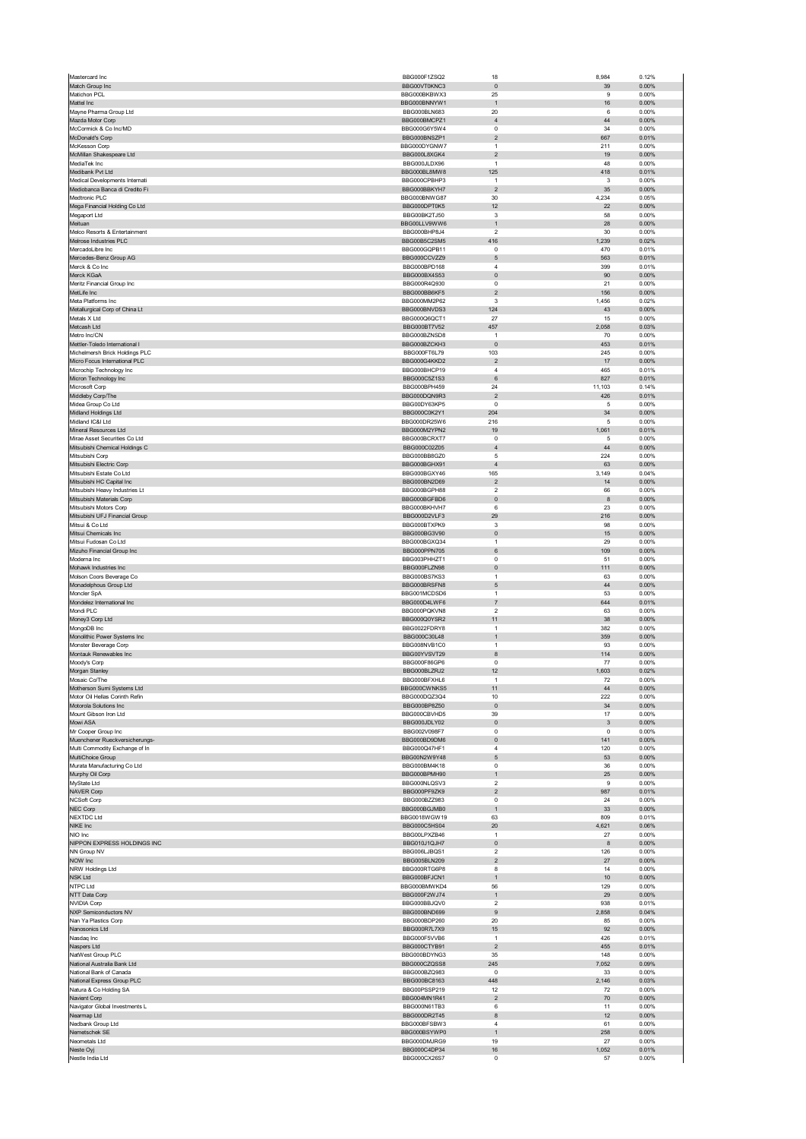| Mastercard Inc                                              | BBG000F1ZSQ2                 | 18                             | 8,984         | 0.12%             |
|-------------------------------------------------------------|------------------------------|--------------------------------|---------------|-------------------|
| Match Group Inc                                             | BBG00VT0KNC3                 | $\pmb{0}$                      | 39            | 0.00%             |
| Matichon PCL                                                | BBG000BKBWX3                 | 25                             | 9             | 0.00%             |
| Mattel Inc                                                  | BBG000BNNYW1                 | $\mathbf{1}$                   | 16            | $0.00\%$          |
| Mayne Pharma Group Ltd<br>Mazda Motor Corp                  | BBG000BLN683                 | 20                             | 6<br>44       | 0.00%<br>0.00%    |
| McCormick & Co Inc/MD                                       | BBG000BMCPZ1<br>BBG000G6Y5W4 | $\sqrt{4}$<br>0                | 34            | 0.00%             |
| McDonald's Corp                                             | BBG000BNSZP1                 | $\sqrt{2}$                     | 667           | 0.01%             |
| McKesson Corp                                               | BBG000DYGNW7                 | $\overline{1}$                 | 211           | 0.00%             |
| McMillan Shakespeare Ltd                                    | BBG000L8XGK4                 | $\overline{c}$                 | 19            | 0.00%             |
| MediaTek Inc                                                | BBG000JLDX96                 | $\mathbf{1}$                   | 48            | 0.00%             |
| Medibank Pvt Ltd                                            | BBG000BL8MW8                 | 125                            | 418           | 0.01%             |
| Medical Developments Internati                              | BBG000CPBHP3                 | $\mathbf{1}$                   | 3             | 0.00%             |
| Mediobanca Banca di Credito Fi                              | BBG000BBKYH7                 | $\overline{\mathbf{c}}$        | 35            | 0.00%             |
| Medtronic PLC                                               | BBG000BNWG87                 | 30                             | 4,234         | 0.05%             |
| Mega Financial Holding Co Ltd                               | BBG000DPT0K5<br>BBG00BK2TJ50 | 12<br>3                        | 22<br>58      | $0.00\%$<br>0.00% |
| Megaport Ltd<br>Meituan                                     | BBG00LLV9WW6                 | $\mathbf{1}$                   | 28            | 0.00%             |
| Melco Resorts & Entertainment                               | BBG000BHP8J4                 | $\overline{2}$                 | 30            | 0.00%             |
| Melrose Industries PLC                                      | BBG00B5C2SM5                 | 416                            | 1,239         | 0.02%             |
| MercadoLibre Inc                                            | BBG000GQPB11                 | $\mathbf 0$                    | 470           | 0.01%             |
| Mercedes-Benz Group AG                                      | BBG000CCVZZ9                 | 5                              | 563           | 0.01%             |
| Merck & Co Inc                                              | BBG000BPD168                 | $\overline{4}$                 | 399           | 0.01%             |
| Merck KGaA                                                  | BBG000BX4S53                 | $\pmb{0}$                      | 90            | 0.00%             |
| Meritz Financial Group Inc                                  | BBG000R4Q930                 | $\pmb{0}$                      | 21            | 0.00%             |
| MetLife Inc                                                 | BBG000BB6KF5                 | $\overline{2}$<br>3            | 156           | 0.00%             |
| Meta Platforms Inc<br>Metallurgical Corp of China Lt        | BBG000MM2P62<br>BBG000BNVDS3 | 124                            | 1,456<br>43   | 0.02%<br>0.00%    |
| Metals X Ltd                                                | BBG000Q6QCT1                 | 27                             | 15            | 0.00%             |
| Metcash Ltd                                                 | BBG000BT7V52                 | 457                            | 2,058         | 0.03%             |
| Metro Inc/CN                                                | BBG000BZNSD8                 | $\overline{1}$                 | 70            | 0.00%             |
| Mettler-Toledo International I                              | BBG000BZCKH3                 | $\pmb{0}$                      | 453           | 0.01%             |
| Michelmersh Brick Holdings PLC                              | BBG000FT6L79                 | 103                            | 245           | 0.00%             |
| Micro Focus International PLC                               | BBG000G4KKD2                 | $\overline{2}$                 | 17            | 0.00%             |
| Microchip Technology Inc                                    | BBG000BHCP19                 | $\overline{4}$                 | 465           | 0.01%             |
| Micron Technology Inc                                       | BBG000C5Z1S3                 | $\,6\,$                        | 827           | 0.01%             |
| Microsoft Corp<br>Middleby Corp/The                         | BBG000BPH459<br>BBG000DQN9R3 | 24<br>$\overline{2}$           | 11,103<br>426 | 0.14%<br>0.01%    |
| Midea Group Co Ltd                                          | BBG00DY63KP5                 | $\overline{0}$                 | 5             | 0.00%             |
| Midland Holdings Ltd                                        | BBG000C0K2Y1                 | 204                            | 34            | 0.00%             |
| Midland IC&I Ltd                                            | BBG000DR25W6                 | 216                            | 5             | 0.00%             |
| Mineral Resources Ltd                                       | BBG000M2YPN2                 | 19                             | 1,061         | 0.01%             |
| Mirae Asset Securities Co Ltd                               | BBG000BCRXT7                 | $\pmb{0}$                      | 5             | 0.00%             |
| Mitsubishi Chemical Holdings C                              | BBG000C02Z05                 | $\overline{4}$                 | 44            | 0.00%             |
| Mitsubishi Corp                                             | BBG000BB8GZ0                 | $\mathbf 5$                    | 224           | 0.00%             |
| Mitsubishi Electric Corp                                    | BBG000BGHX91                 | $\overline{4}$                 | 63            | 0.00%             |
| Mitsubishi Estate Co Ltd                                    | BBG000BGXY46                 | 165                            | 3,149         | 0.04%             |
| Mitsubishi HC Capital Inc<br>Mitsubishi Heavy Industries Lt | BBG000BN2D69<br>BBG000BGPH88 | $\sqrt{2}$<br>$\sqrt{2}$       | 14<br>66      | 0.00%<br>0.00%    |
| Mitsubishi Materials Corp                                   | BBG000BGFBD6                 | $\pmb{0}$                      | 8             | 0.00%             |
| Mitsubishi Motors Corp                                      | BBG000BKHVH7                 | 6                              | 23            | 0.00%             |
| Mitsubishi UFJ Financial Group                              | BBG000D2VLF3                 | 29                             | 216           | 0.00%             |
| Mitsui & Co Ltd                                             | BBG000BTXPK9                 | 3                              | 98            | 0.00%             |
| Mitsui Chemicals Inc                                        | BBG000BG3V90                 | $\pmb{0}$                      | 15            | $0.00\%$          |
| Mitsui Fudosan Co Ltd                                       | BBG000BGXQ34                 | $\overline{1}$                 | 29            | 0.00%             |
| Mizuho Financial Group Inc                                  | BBG000PPN705                 | 6                              | 109           | 0.00%             |
| Moderna Inc                                                 | BBG003PHHZT1                 | 0                              | 51            | 0.00%             |
| Mohawk Industries Inc<br>Molson Coors Beverage Co           | BBG000FLZN98<br>BBG000BS7KS3 | $\pmb{0}$<br>$\overline{1}$    | 111<br>63     | 0.00%<br>0.00%    |
| Monadelphous Group Ltd                                      | BBG000BRSFN8                 | 5                              | 44            | 0.00%             |
| Moncler SpA                                                 | BBG001MCDSD6                 | $\mathbf{1}$                   | 53            | 0.00%             |
| Mondelez International Inc                                  | BBG000D4LWF6                 | $\overline{7}$                 | 644           | 0.01%             |
| Mondi PLC                                                   | BBG000PQKVN8                 | $\overline{2}$                 | 63            | 0.00%             |
| Money3 Corp Ltd                                             | BBG000Q0YSR2                 | 11                             | 38            | 0.00%             |
| MongoDB Inc                                                 | BBG0022FDRY8                 | $\mathbf{1}$                   | 382           | 0.00%             |
| Monolithic Power Systems Inc                                | BBG000C30L48                 | 1                              | 359           | 0.00%             |
| Monster Beverage Corp                                       | BBG008NVB1C0                 | $\overline{1}$                 | 93            | 0.00%             |
| Montauk Renewables Inc<br>Moody's Corp                      | BBG00YVSVT29<br>BBG000F86GP6 | 8<br>$\overline{0}$            | 114<br>77     | 0.00%<br>0.00%    |
| Morgan Stanley                                              | BBG000BLZRJ2                 | 12                             | 1,603         | 0.02%             |
| Mosaic Co/The                                               | <b>BRG000BEXHL6</b>          |                                | 72            | 0.00%             |
| Motherson Sumi Systems Ltd                                  | BBG000CWNKS5                 | 11                             | 44            | 0.00%             |
| Motor Oil Hellas Corinth Refin                              | BBG000DQZ3Q4                 | 10                             | 222           | 0.00%             |
| Motorola Solutions Inc                                      | BBG000BP8Z50                 | $\pmb{0}$                      | 34            | 0.00%             |
| Mount Gibson Iron Ltd                                       | BBG000CBVHD5                 |                                | 17            | 0.00%             |
| Mowi ASA<br>Mr Cooper Group Inc                             |                              | 39                             |               |                   |
|                                                             | BBG000JDLY02                 | $\pmb{0}$                      | 3             | $0.00\%$          |
|                                                             | BBG002V098F7                 | 0                              | 0             | 0.00%             |
| Muenchener Rueckversicherungs-                              | BBG000BD9DM6                 | $\pmb{0}$                      | 141           | 0.00%             |
| Multi Commodity Exchange of In<br>MultiChoice Group         | BBG000Q47HF1<br>BBG00N2W9Y48 | $\overline{4}$<br>5            | 120<br>53     | 0.00%<br>$0.00\%$ |
| Murata Manufacturing Co Ltd                                 | BBG000BM4K18                 | 0                              | 36            | 0.00%             |
| Murphy Oil Corp                                             | BBG000BPMH90                 | $\mathbf{1}$                   | 25            | $0.00\%$          |
| MyState Ltd                                                 | BBG000NLQSV3                 | $\overline{2}$                 | 9             | 0.00%             |
| <b>NAVER Corp</b>                                           | BBG000PF9ZK9                 | $\overline{2}$                 | 987           | 0.01%             |
| NCSoft Corp                                                 | BBG000BZZ983                 | $\mathbf 0$                    | 24            | 0.00%             |
| NEC Corp                                                    | BBG000BGJMB0                 | $\mathbf{1}$                   | 33            | 0.00%             |
| NEXTDC Ltd<br>NIKE Inc                                      | BBG0018WGW19                 | 63<br>20                       | 809           | 0.01%             |
| NIO Inc                                                     | BBG000C5HS04<br>BBG00LPXZB46 | $\overline{1}$                 | 4,621<br>27   | 0.06%<br>0.00%    |
| NIPPON EXPRESS HOLDINGS INC                                 | BBG010J1QJH7                 | $\mathbf 0$                    | 8             | 0.00%             |
| NN Group NV                                                 | BBG006LJBQS1                 | $\sqrt{2}$                     | 126           | 0.00%             |
| NOW Inc                                                     | BBG005BLN209                 | $\overline{2}$                 | 27            | 0.00%             |
| NRW Holdings Ltd                                            | BBG000RTG6P8                 | 8                              | 14            | 0.00%             |
| <b>NSK Ltd</b>                                              | BBG000BFJCN1                 | $\mathbf{1}$                   | 10            | 0.00%             |
| NTPC Ltd                                                    | BBG000BMWKD4                 | 56                             | 129           | 0.00%             |
| NTT Data Corp                                               | BBG000F2WJ74<br>BBG000BBJQV0 | $\mathbf{1}$<br>$\overline{2}$ | 29<br>938     | 0.00%<br>0.01%    |
| <b>NVIDIA Corp</b><br>NXP Semiconductors NV                 | BBG000BND699                 | $9\,$                          | 2,858         | 0.04%             |
| Nan Ya Plastics Corp                                        | BBG000BDP260                 | 20                             | 85            | 0.00%             |
| Nanosonics Ltd                                              | BBG000R7L7X9                 | 15                             | 92            | 0.00%             |
| Nasdaq Inc                                                  | BBG000F5VVB6                 | $\overline{1}$                 | 426           | 0.01%             |
| Naspers Ltd                                                 | BBG000CTYB91                 | $\overline{c}$                 | 455           | 0.01%             |
| NatWest Group PLC                                           | BBG000BDYNG3                 | 35                             | 148           | 0.00%             |
| National Australia Bank Ltd                                 | BBG000CZQSS8                 | 245                            | 7,052         | 0.09%             |
| National Bank of Canada                                     | BBG000BZQ983                 | $^{\circ}$                     | 33            | 0.00%             |
| National Express Group PLC<br>Natura & Co Holding SA        | BBG000BC8163<br>BBG00PSSP219 | 448<br>12                      | 2,146<br>72   | 0.03%<br>0.00%    |
| Navient Corp                                                | BBG004MN1R41                 | $\overline{2}$                 | 70            | 0.00%             |
| Navigator Global Investments L                              | BBG000N61TB3                 | 6                              | 11            | 0.00%             |
| Nearmap Ltd                                                 | BBG000DR2T45                 | 8                              | 12            | 0.00%             |
| Nedbank Group Ltd                                           | BBG000BFSBW3                 | $\sqrt{4}$                     | 61            | 0.00%             |
| Nemetschek SE                                               | BBG000BSYWP0                 | $\mathbf{1}$                   | 258           | 0.00%             |
| Neometals Ltd                                               | BBG000DMJRG9                 | 19                             | 27            | 0.00%             |
| Neste Oyj<br>Nestle India Ltd                               | BBG000C4DP34<br>BBG000CX26S7 | $16\,$<br>0                    | 1,052<br>57   | 0.01%<br>0.00%    |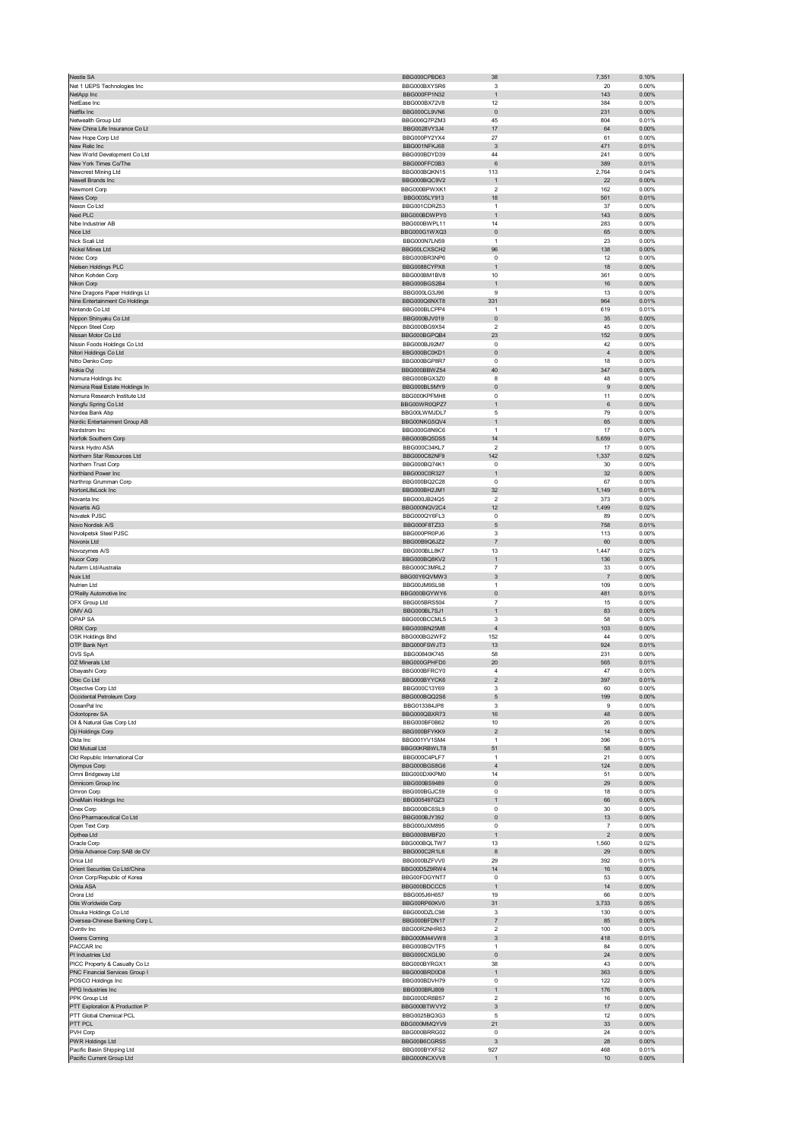| Nestle SA                                                        | BBG000CPBD63                 | 38                             | 7,351                                     | 0.10%             |
|------------------------------------------------------------------|------------------------------|--------------------------------|-------------------------------------------|-------------------|
| Net 1 UEPS Technologies Inc                                      | BBG000BXYSR6                 | 3                              | 20                                        | 0.00%             |
| NetApp Inc                                                       | BBG000FP1N32                 | $\mathbf{1}$                   | 143                                       | 0.00%             |
| NetEase Inc                                                      | BBG000BX72V8                 | 12                             | 384                                       | 0.00%             |
| Netflix Inc                                                      | BBG000CL9VN6                 | $\pmb{0}$                      | 231                                       | 0.00%             |
| Netwealth Group Ltd<br>New China Life Insurance Co Lt            | BBG006Q7PZM3<br>BBG0028VY3J4 | 45<br>17                       | 804<br>64                                 | 0.01%<br>0.00%    |
| New Hope Corp Ltd                                                | BBG000PY2YX4                 | 27                             | 61                                        | 0.00%             |
| New Relic Inc                                                    | BBG001NFKJ68                 | 3                              | 471                                       | 0.01%             |
| New World Development Co Ltd                                     | BBG000BDYD39                 | 44                             | 241                                       | 0.00%             |
| New York Times Co/The                                            | BBG000FFC0B3                 | $\,6\,$                        | 389                                       | 0.01%             |
| Newcrest Mining Ltd                                              | BBG000BQKN15                 | 113                            | 2,764                                     | 0.04%             |
| Newell Brands Inc                                                | BBG000BQC9V2                 | $\mathbf{1}$                   | 22                                        | 0.00%             |
| Newmont Corp                                                     | BBG000BPWXK1                 | $\boldsymbol{2}$               | 162                                       | 0.00%             |
| News Corp                                                        | BBG0035LY913                 | 18                             | 561                                       | 0.01%             |
| Nexon Co Ltd                                                     | BBG001CDRZ53                 | $\overline{1}$                 | 37                                        | 0.00%             |
| Next PLC<br>Nibe Industrier AB                                   | BBG000BDWPY0<br>BBG000BWPL11 | $\mathbf{1}$<br>14             | 143<br>283                                | 0.00%<br>0.00%    |
| Nice Ltd                                                         | BBG000G1WXQ3                 | $\pmb{0}$                      | 65                                        | 0.00%             |
| Nick Scali Ltd                                                   | BBG000N7LN59                 | $\mathbf{1}$                   | 23                                        | 0.00%             |
| Nickel Mines Ltd                                                 | BBG00LCXSCH2                 | 96                             | 138                                       | 0.00%             |
| Nidec Corp                                                       | BBG000BR3NP6                 | 0                              | 12                                        | 0.00%             |
| Nielsen Holdings PLC                                             | BBG0088CYPX8                 | $\mathbf{1}$                   | 18                                        | $0.00\%$          |
| Nihon Kohden Corp                                                | BBG000BM1BV8                 | 10                             | 361                                       | 0.00%             |
| Nikon Corp                                                       | BBG000BGS2B4                 | $\mathbf{1}$                   | 16                                        | 0.00%             |
| Nine Dragons Paper Holdings Lt<br>Nine Entertainment Co Holdings | BBG000LG3J96<br>BBG000Q6NXT8 | 9<br>331                       | 13<br>964                                 | 0.00%<br>0.01%    |
| Nintendo Co Ltd                                                  | BBG000BLCPP4                 | 1                              | 619                                       | 0.01%             |
| Nippon Shinyaku Co Ltd                                           | BBG000BJV019                 | $\pmb{0}$                      | 35                                        | 0.00%             |
| Nippon Steel Corp                                                | BBG000BG9X54                 | 2                              | 45                                        | 0.00%             |
| Nissan Motor Co Ltd                                              | BBG000BGPQB4                 | 23                             | 152                                       | $0.00\%$          |
| Nissin Foods Holdings Co Ltd                                     | BBG000BJ92M7                 | $\pmb{0}$                      | 42                                        | 0.00%             |
| Nitori Holdings Co Ltd                                           | BBG000BC0KD1                 | $\pmb{0}$                      | $\overline{4}$                            | 0.00%             |
| Nitto Denko Corp                                                 | BBG000BGP8R7                 | 0                              | 18                                        | 0.00%             |
| Nokia Oyj<br>Nomura Holdings Inc                                 | BBG000BBWZ54<br>BBG000BGX3Z0 | 40<br>8                        | 347<br>48                                 | 0.00%<br>0.00%    |
| Nomura Real Estate Holdings In                                   | BBG000BL5MY9                 | $\pmb{0}$                      | 9                                         | 0.00%             |
| Nomura Research Institute Ltd                                    | BBG000KPFMH8                 | 0                              | 11                                        | 0.00%             |
| Nongfu Spring Co Ltd                                             | BBG00WR0QPZ7                 | 1                              | $\,6$                                     | $0.00\%$          |
| Nordea Bank Abp                                                  | BBG00LWMJDL7                 | 5                              | 79                                        | 0.00%             |
| Nordic Entertainment Group AB                                    | BBG00NKG5QV4                 | $\mathbf{1}$                   | 65                                        | 0.00%             |
| Nordstrom Inc                                                    | BBG000G8N9C6                 | $\mathbf{1}$                   | 17                                        | 0.00%             |
| Norfolk Southern Corp                                            | BBG000BQ5DS5                 | 14                             | 5,659                                     | 0.07%             |
| Norsk Hydro ASA                                                  | BBG000C34KL7                 | $\boldsymbol{2}$               | 17                                        | 0.00%             |
| Northern Star Resources Ltd                                      | BBG000C82NF9                 | 142                            | 1,337                                     | 0.02%             |
| Northern Trust Corp                                              | BBG000BQ74K1                 | 0                              | 30                                        | 0.00%             |
| Northland Power Inc                                              | BBG000C0R327                 | $\mathbf{1}$                   | 32                                        | $0.00\%$          |
| Northrop Grumman Corp<br>NortonLifeLock Inc                      | BBG000BQ2C28<br>BBG000BH2JM1 | $\pmb{0}$<br>32                | 67                                        | 0.00%<br>0.01%    |
| Novanta Inc                                                      | BBG000JB24Q5                 | $\overline{2}$                 | 1,149<br>373                              | 0.00%             |
| Novartis AG                                                      | BBG000NQV2C4                 | 12                             | 1,499                                     | 0.02%             |
| Novatek PJSC                                                     | BBG000QY6FL3                 | $\pmb{0}$                      | 89                                        | 0.00%             |
| Novo Nordisk A/S                                                 | BBG000F8TZ33                 | $\mathbf 5$                    | 758                                       | 0.01%             |
| Novolipetsk Steel PJSC                                           | BBG000PR0PJ6                 | 3                              | 113                                       | 0.00%             |
| Novonix Ltd                                                      | BBG00B9Q6JZ2                 | $\overline{\mathfrak{c}}$      | 60                                        | 0.00%             |
| Novozymes A/S                                                    | BBG000BLL8K7                 | 13                             | 1,447                                     | 0.02%             |
| Nucor Corp                                                       | BBG000BQ8KV2                 | $\mathbf{1}$                   | 136                                       | 0.00%             |
| Nufarm Ltd/Australia<br>Nuix Ltd                                 | BBG000C3MRL2<br>BBG00Y6QVMW3 | $\overline{7}$<br>3            | 33<br>7                                   | 0.00%<br>0.00%    |
| Nutrien Ltd                                                      | BBG00JM9SL98                 | $\mathbf{1}$                   | 109                                       | 0.00%             |
| O'Reilly Automotive Inc                                          | BBG000BGYWY6                 | $\mathbf{0}$                   | 481                                       | 0.01%             |
| OFX Group Ltd                                                    | BBG005BRS504                 | $\overline{7}$                 | 15                                        | 0.00%             |
| OMV AG                                                           | BBG000BL7SJ1                 | $\mathbf{1}$                   | 83                                        | 0.00%             |
| OPAP SA                                                          | BBG000BCCML5                 | 3                              | 58                                        | 0.00%             |
| ORIX Corp                                                        | BBG000BN25M8                 | $\sqrt{4}$                     | 103                                       | 0.00%             |
| OSK Holdings Bhd                                                 | BBG000BG2WF2                 | 152                            | 44                                        | 0.00%             |
| OTP Bank Nyrt                                                    | BBG000FSWJT3                 | 13                             | 924                                       | 0.01%             |
| OVS SpA                                                          | BBG00840K745<br>BBG000GPHFD0 | 58                             | 231                                       | 0.00%             |
| OZ Minerals Ltd<br>Obayashi Corp                                 | BBG000BFRCY0                 | 20<br>$\overline{4}$           | 565<br>47                                 | 0.01%<br>0.00%    |
| bic Co Ltd                                                       | BBG000BYYCK6                 |                                | 397                                       | 0.01%             |
| Objective Corp Ltd                                               | BBG000C13Y69                 | 3                              | 60                                        | 0.00%             |
| Occidental Petroleum Corp                                        | BBG000BQQ2S6                 | $\mathbf 5$                    | 199                                       | 0.00%             |
| OceanPal Inc                                                     | BBG013384JP8                 | 3                              | 9                                         | 0.00%             |
| Odontoprev SA                                                    | BBG000QBXR73                 | 16                             | 48                                        | 0.00%             |
| Oil & Natural Gas Corp Ltd                                       | BBG000BF0B62                 | 10                             | 26                                        | 0.00%             |
| Oji Holdings Corp                                                | BBG000BFYKK9                 | $\sqrt{2}$                     | 14                                        | $0.00\%$          |
| Okta Inc                                                         | BBG001YV1SM4                 | $\mathbf{1}$                   | 396                                       | 0.01%             |
| Old Mutual Ltd<br>Old Republic International Cor                 | BBG00KRBWLT8<br>BBG000C4PLF7 | 51<br>$\mathbf{1}$             | 58<br>21                                  | 0.00%<br>0.00%    |
| Olympus Corp                                                     | BBG000BGS8G6                 | $\sqrt{4}$                     | 124                                       | $0.00\%$          |
| Omni Bridgeway Ltd                                               | BBG000DXKPM0                 | 14                             | 51                                        | 0.00%             |
| Omnicom Group Inc                                                | BBG000BS9489                 | $\pmb{0}$                      | 29                                        | 0.00%             |
| Omron Corp                                                       | BBG000BGJC59                 | 0                              | 18                                        | 0.00%             |
| OneMain Holdings Inc                                             | BBG005497GZ3                 | $\mathbf{1}$                   | 66                                        | $0.00\%$          |
| Onex Corp                                                        | BBG000BC6SL9                 | $\pmb{0}$                      | 30                                        | 0.00%             |
| Ono Pharmaceutical Co Ltd                                        | BBG000BJY392                 | 0                              | 13                                        | $0.00\%$          |
| Open Text Corp<br>Opthea Ltd                                     | BBG000JXM895<br>BBG000BMBF20 | 0<br>1                         | $\overline{7}$<br>$\overline{\mathbf{c}}$ | 0.00%<br>$0.00\%$ |
| Oracle Corp                                                      | BBG000BQLTW7                 | 13                             | 1,560                                     | 0.02%             |
| Orbia Advance Corp SAB de CV                                     | BBG000C2R1L6                 | 8                              | 29                                        | 0.00%             |
| Orica Ltd                                                        | BBG000BZFVV0                 | 29                             | 392                                       | 0.01%             |
| Orient Securities Co Ltd/China                                   | BBG00D5Z9RW4                 | 14                             | 16                                        | $0.00\%$          |
| Orion Corp/Republic of Korea                                     | BBG00FDGYNT7                 | $\pmb{0}$                      | 53                                        | 0.00%             |
| Orkla ASA                                                        | BBG000BDCCC5                 | $\mathbf{1}$                   | 14                                        | 0.00%             |
| Orora Ltd                                                        | BBG005J6H657                 | 19                             | 66                                        | 0.00%             |
| Otis Worldwide Corp<br>Otsuka Holdings Co Ltd                    | BBG00RP60KV0<br>BBG000DZLC98 | 31<br>3                        | 3,733<br>130                              | 0.05%<br>0.00%    |
| Oversea-Chinese Banking Corp L                                   | BBG000BFDN17                 | 7                              | 85                                        | 0.00%             |
| Ovintiv Inc                                                      | BBG00R2NHR63                 | $\overline{2}$                 | 100                                       | 0.00%             |
| Owens Corning                                                    | BBG000M44VW8                 | $\ensuremath{\mathsf{3}}$      | 418                                       | 0.01%             |
| PACCAR Inc                                                       | BBG000BQVTF5                 | $\mathbf{1}$                   | 84                                        | 0.00%             |
| PI Industries Ltd                                                | BBG000CXGL90                 | $\pmb{0}$                      | 24                                        | 0.00%             |
| PICC Property & Casualty Co Lt                                   | BBG000BYRGX1                 | 38                             | 43                                        | 0.00%             |
| PNC Financial Services Group I                                   | BBG000BRD0D8                 | 1                              | 363                                       | $0.00\%$          |
| POSCO Holdings Inc                                               | BBG000BDVH79                 | $\pmb{0}$                      | 122                                       | 0.00%             |
| PPG Industries Inc<br>PPK Group Ltd                              |                              | $\mathbf{1}$                   | 176                                       | 0.00%             |
|                                                                  | BBG000BRJ809                 |                                |                                           |                   |
|                                                                  | BBG000DR8B57                 | $\overline{2}$                 | 16                                        | 0.00%             |
| PTT Exploration & Production P<br>PTT Global Chemical PCL        | BBG000BTWVY2<br>BBG0025BQ3G3 | $\ensuremath{\mathsf{3}}$<br>5 | 17<br>12                                  | $0.00\%$<br>0.00% |
| PTT PCL                                                          | BBG000MMQYV9                 | 21                             | 33                                        | 0.00%             |
| PVH Corp                                                         | BBG000BRRG02                 | 0                              | 24                                        | 0.00%             |
| PWR Holdings Ltd                                                 | BBG00B6CGRS5                 | $\ensuremath{\mathsf{3}}$      | 28                                        | $0.00\%$          |
| Pacific Basin Shipping Ltd<br>Pacific Current Group Ltd          | BBG000BYXFS2<br>BBG000NCXVV8 | 927<br>$\mathbf{1}$            | 468<br>$10$                               | 0.01%<br>0.00%    |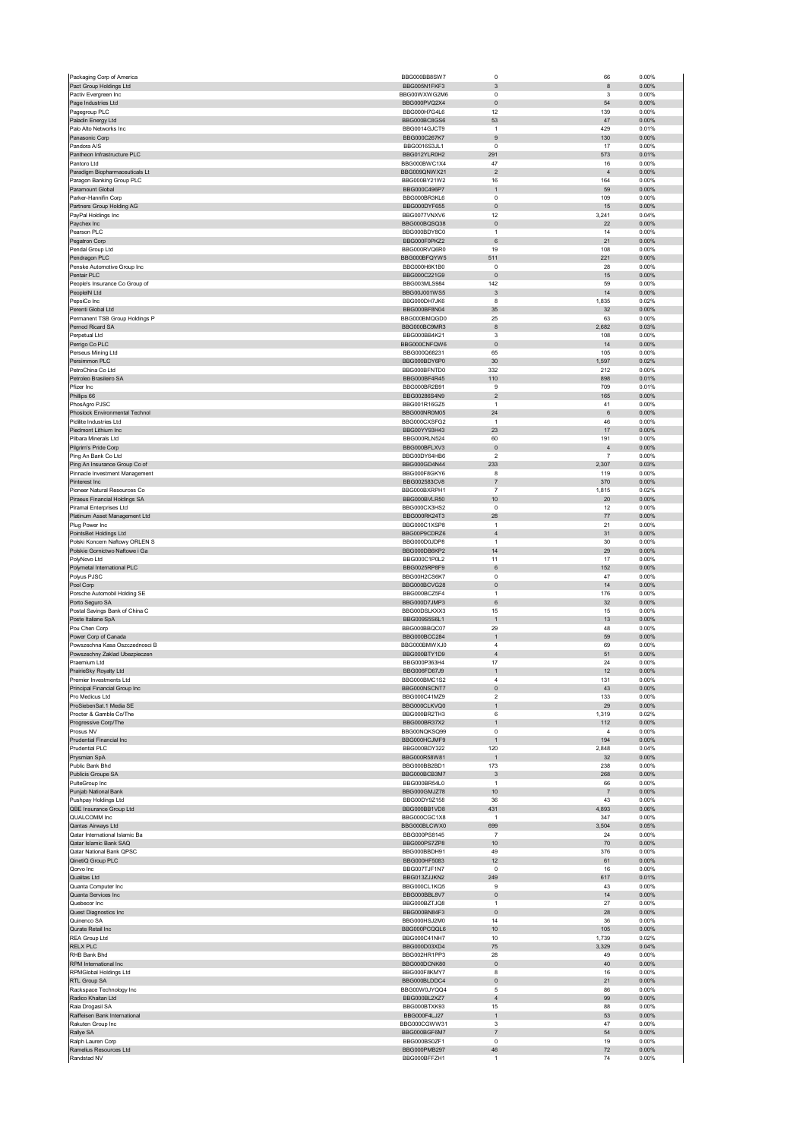| Packaging Corp of America                                   | BBG000BB8SW7                 | $\mathbf 0$               | 66                    | 0.00%             |
|-------------------------------------------------------------|------------------------------|---------------------------|-----------------------|-------------------|
| Pact Group Holdings Ltd                                     | BBG005N1FKF3                 | $\ensuremath{\mathsf{3}}$ | 8                     | 0.00%             |
| Pactiv Evergreen Inc                                        | BBG00WXWG2M6                 | 0                         | 3                     | 0.00%             |
| Page Industries Ltd<br>Pagegroup PLC                        | BBG000PVQ2X4<br>BBG000H7G4L6 | $\pmb{0}$<br>12           | 54<br>139             | $0.00\%$<br>0.00% |
| Paladin Energy Ltd                                          | BBG000BC8GS6                 | 53                        | 47                    | $0.00\%$          |
| Palo Alto Networks Inc                                      | BBG0014GJCT9                 | $\mathbf{1}$              | 429                   | 0.01%             |
| Panasonic Corp                                              | BBG000C267K7                 | $\boldsymbol{9}$          | 130                   | 0.00%             |
| Pandora A/S                                                 | BBG0016S3JL1                 | $\mathbf 0$               | 17                    | 0.00%             |
| Pantheon Infrastructure PLC                                 | BBG012YLR0H2                 | 291                       | 573                   | 0.01%             |
| Pantoro Ltd                                                 | BBG000BWC1X4                 | 47                        | 16                    | 0.00%             |
| Paradigm Biopharmaceuticals Lt<br>Paragon Banking Group PLC | BBG009QNWX21<br>BBG000BY21W2 | $\mathbf 2$<br>16         | $\overline{4}$<br>164 | 0.00%<br>0.00%    |
| Paramount Global                                            | BBG000C496P7                 | $\mathbf{1}$              | 59                    | 0.00%             |
| Parker-Hannifin Corp                                        | BBG000BR3KL6                 | 0                         | 109                   | 0.00%             |
| Partners Group Holding AG                                   | BBG000DYF655                 | $\pmb{0}$                 | 15                    | $0.00\%$          |
| PayPal Holdings Inc                                         | BBG0077VNXV6                 | 12                        | 3,241                 | 0.04%             |
| Paychex Inc                                                 | BBG000BQSQ38                 | $\pmb{0}$                 | 22                    | 0.00%             |
| Pearson PLC                                                 | BBG000BDY8C0                 | $\mathbf{1}$              | 14                    | 0.00%             |
| Pegatron Corp                                               | BBG000F0PKZ2                 | 6                         | 21                    | $0.00\%$          |
| Pendal Group Ltd<br>Pendragon PLC                           | BBG000RVQ6R0                 | 19<br>511                 | 108<br>221            | 0.00%<br>$0.00\%$ |
| Penske Automotive Group Inc                                 | BBG000BFQYW5<br>BBG000H6K1B0 | $\mathbf 0$               | 28                    | 0.00%             |
| Pentair PLC                                                 | BBG000C221G9                 | $\pmb{0}$                 | 15                    | $0.00\%$          |
| People's Insurance Co Group of                              | BBG003MLS984                 | 142                       | 59                    | 0.00%             |
| PeopleIN Ltd                                                | BBG00J001WS5                 | $\ensuremath{\mathsf{3}}$ | 14                    | 0.00%             |
| PepsiCo Inc                                                 | BBG000DH7JK6                 | 8                         | 1,835                 | 0.02%             |
| Perenti Global Ltd                                          | BBG000BF8N04                 | 35                        | 32                    | 0.00%             |
| Permanent TSB Group Holdings P                              | BBG000BMQGD0                 | 25                        | 63                    | 0.00%             |
| Pernod Ricard SA<br>Perpetual Ltd                           | BBG000BC9MR3<br>BBG000BB4K21 | 8<br>3                    | 2,682<br>108          | 0.03%<br>0.00%    |
| Perrigo Co PLC                                              | BBG000CNFQW6                 | $\pmb{0}$                 | 14                    | 0.00%             |
| Perseus Mining Ltd                                          | BBG000Q68231                 | 65                        | 105                   | 0.00%             |
| Persimmon PLC                                               | BBG000BDY6P0                 | 30                        | 1,597                 | 0.02%             |
| PetroChina Co Ltd                                           | BBG000BFNTD0                 | 332                       | 212                   | 0.00%             |
| Petroleo Brasileiro SA                                      | BBG000BF4R45                 | 110                       | 898                   | 0.01%             |
| Pfizer Inc                                                  | BBG000BR2B91                 | 9                         | 709                   | 0.01%             |
| Phillips 66                                                 | BBG00286S4N9                 | $\sqrt{2}$                | 165                   | $0.00\%$          |
| PhosAgro PJSC                                               | BBG001R16GZ5                 | $\mathbf{1}$              | 41                    | 0.00%             |
| Phoslock Environmental Technol<br>Pidilite Industries Ltd   | BBG000NR0M05<br>BBG000CXSFG2 | 24<br>$\mathbf{1}$        | 6<br>46               | 0.00%<br>0.00%    |
| Piedmont Lithium Inc                                        | BBG00YY93H43                 | 23                        | 17                    | 0.00%             |
| Pilbara Minerals Ltd                                        | BBG000RLN524                 | 60                        | 191                   | 0.00%             |
| Pilgrim's Pride Corp                                        | BBG000BFLXV3                 | $\pmb{0}$                 | $\overline{4}$        | 0.00%             |
| Ping An Bank Co Ltd                                         | BBG00DY64HB6                 | $\sqrt{2}$                | 7                     | 0.00%             |
| Ping An Insurance Group Co of                               | BBG000GD4N44                 | 233                       | 2,307                 | 0.03%             |
| Pinnacle Investment Management                              | BBG000F8GKY6                 | 8                         | 119                   | 0.00%             |
| Pinterest Inc                                               | BBG002583CV8                 | $\sqrt{7}$                | 370                   | 0.00%             |
| Pioneer Natural Resources Co                                | BBG000BXRPH1                 | $\overline{\mathfrak{c}}$ | 1,815                 | 0.02%             |
| Piraeus Financial Holdings SA                               | BBG000BVLR50                 | 10                        | 20                    | 0.00%             |
| Piramal Enterprises Ltd                                     | BBG000CX3HS2                 | $\mathbf 0$               | 12                    | 0.00%             |
| Platinum Asset Management Ltd<br>Plug Power Inc             | BBG000RK24T3<br>BBG000C1XSP8 | 28<br>$\mathbf{1}$        | 77<br>21              | 0.00%<br>0.00%    |
| PointsBet Holdings Ltd                                      | BBG00P9CDRZ6                 | $\sqrt{4}$                | 31                    | $0.00\%$          |
| Polski Koncern Naftowy ORLEN S                              | BBG000D0JDP8                 | $\mathbf{1}$              | 30                    | 0.00%             |
| Polskie Gornictwo Naftowe i Ga                              | BBG000DB6KP2                 | 14                        | 29                    | $0.00\%$          |
| PolyNovo Ltd                                                | BBG000C1P0L2                 | 11                        | 17                    | 0.00%             |
| Polymetal International PLC                                 | BBG0025RP8F9                 | 6                         | 152                   | 0.00%             |
| Polyus PJSC                                                 | BBG00H2CS6K7                 | $\mathbf 0$               | 47                    | 0.00%             |
| Pool Corp                                                   | BBG000BCVG28                 | $\pmb{0}$                 | 14                    | 0.00%             |
| Porsche Automobil Holding SE                                | BBG000BCZ5F4                 | $\mathbf{1}$              | 176                   | 0.00%             |
| Porto Seguro SA                                             | BBG000D7JMP3                 | 6                         | 32                    | 0.00%             |
| Postal Savings Bank of China C                              | BBG00DSLKXX3                 | 15<br>$\mathbf{1}$        | 15                    | 0.00%             |
| Poste Italiane SpA<br>Pou Chen Corp                         | BBG009S5S6L1<br>BBG000BBQC07 | 29                        | 13<br>48              | 0.00%<br>0.00%    |
| Power Corp of Canada                                        | BBG000BCC284                 | $\mathbf{1}$              | 59                    | $0.00\%$          |
| Powszechna Kasa Oszczednosci B                              | BBG000BMWXJ0                 | $\sqrt{4}$                | 69                    | 0.00%             |
| Powszechny Zaklad Ubezpieczen                               | BBG000BTY1D9                 | $\overline{4}$            | 51                    | 0.00%             |
| Praemium Ltd                                                | BBG000P363H4                 | 17                        | 24                    | 0.00%             |
| PrairieSky Royalty Ltd                                      | BBG006FD67J9                 | $\mathbf{1}$              | 12                    | 0.00%             |
| Premier Investments Ltd                                     | BBG000BMC1S2                 | $\overline{4}$            | 131                   | 0.00%             |
| Principal Financial Group Inc                               | BBG000NSCNT7                 | 0                         | 43                    | $0.00\%$          |
| Pro Medicus Ltd<br>ProSiebenSat.1 Media SE                  | BBG000C41MZ9<br>BBG000CLKVQ0 | 2<br>$\mathbf 1$          | 133<br>29             | 0.00%<br>0.00%    |
| Procter & Gamble Co/The                                     | BBG000BR2TH3                 | 6                         | 1,319                 | 0.02%             |
| Progressive Corp/The                                        | BBG000BR37X2                 | $\mathbf{1}$              | 112                   | 0.00%             |
| Prosus NV                                                   | BBG00NQKSQ99                 | 0                         | 4                     | 0.00%             |
| Prudential Financial Inc                                    | BBG000HCJMF9                 |                           |                       |                   |
| Prudential PLC                                              |                              | $\mathbf{1}$              | 194                   | $0.00\%$          |
| Prysmian SpA                                                | BBG000BDY322                 | 120                       | 2,848                 | 0.04%             |
|                                                             | BBG000R58W81                 | $\mathbf{1}$              | 32                    | $0.00\%$          |
| Public Bank Bhd                                             | BBG000BB2BD1                 | 173                       | 238                   | 0.00%             |
| Publicis Groupe SA                                          | BBG000BCB3M7                 | $\ensuremath{\mathsf{3}}$ | 268                   | $0.00\%$          |
| PulteGroup Inc                                              | BBG000BR54L0                 | $\mathbf{1}$              | 66                    | 0.00%             |
| Punjab National Bank                                        | BBG000GMJZ78<br>BBG00DY9Z158 | 10<br>36                  | $\overline{7}$<br>43  | 0.00%<br>0.00%    |
| Pushpay Holdings Ltd<br>QBE Insurance Group Ltd             | BBG000BB1VD8                 | 431                       | 4,893                 | 0.06%             |
| QUALCOMM Inc                                                | BBG000CGC1X8                 | $\mathbf{1}$              | 347                   | 0.00%             |
| Qantas Airways Ltd                                          | BBG000BLCWX0                 | 699                       | 3,504                 | 0.05%             |
| Qatar International Islamic Ba                              | BBG000PS8145                 | $\overline{7}$            | 24                    | 0.00%             |
| Qatar Islamic Bank SAQ                                      | BBG000PS7ZP8                 | 10                        | 70                    | 0.00%             |
| Qatar National Bank QPSC                                    | BBG000BBDH91                 | 49                        | 376                   | 0.00%             |
| QinetiQ Group PLC                                           | BBG000HF5083                 | 12                        | 61                    | 0.00%             |
| Qorvo Inc                                                   | BBG007TJF1N7                 | $^{\circ}$                | 16                    | 0.00%             |
| Qualitas Ltd                                                | BBG013ZJJKN2                 | 249                       | 617                   | 0.01%             |
| Quanta Computer Inc<br>Quanta Services Inc                  | BBG000CL1KQ5<br>BBG000BBL8V7 | 9<br>$\pmb{0}$            | 43<br>14              | 0.00%<br>0.00%    |
| Quebecor Inc                                                | BBG000BZTJQ8                 | $\mathbf{1}$              | 27                    | 0.00%             |
| Quest Diagnostics Inc                                       | BBG000BN84F3                 | $\pmb{0}$                 | 28                    | 0.00%             |
| Quinenco SA                                                 | BBG000HSJ2M0                 | 14                        | 36                    | 0.00%             |
| Qurate Retail Inc                                           | BBG000PCQQL6                 | 10                        | 105                   | 0.00%             |
| REA Group Ltd                                               | BBG000C41NH7                 | 10                        | 1,739                 | 0.02%             |
| <b>RELX PLC</b>                                             | BBG000D03XD4                 | 75                        | 3,329                 | 0.04%             |
| RHB Bank Bhd                                                | BBG002HR1PP3                 | 28                        | 49                    | 0.00%             |
| RPM International Inc                                       | BBG000DCNK80                 | $\pmb{0}$<br>8            | 40                    | $0.00\%$          |
| RPMGlobal Holdings Ltd                                      | BBG000F8KMY7                 |                           | 16                    | 0.00%             |
| RTL Group SA<br>Rackspace Technology Inc                    | BBG000BLDDC4<br>BBG00W0JYQQ4 | $\pmb{0}$<br>5            | 21<br>86              | 0.00%<br>0.00%    |
| Radico Khaitan Ltd                                          | BBG000BL2XZ7                 | $\sqrt{4}$                | 99                    | 0.00%             |
| Raia Drogasil SA                                            | BBG000BTXK93                 | 15                        | 88                    | 0.00%             |
| Raiffeisen Bank International                               | BBG000F4LJ27                 | $\mathbf{1}$              | 53                    | 0.00%             |
| Rakuten Group Inc                                           | BBG000CGWW31                 | 3                         | 47                    | 0.00%             |
| Rallye SA                                                   | BBG000BGF6M7                 | $\overline{\mathfrak{z}}$ | 54                    | 0.00%             |
| Ralph Lauren Corp                                           | BBG000BS0ZF1                 | $\Omega$                  | 19                    | 0.00%             |
| Ramelius Resources Ltd<br>Randstad NV                       | BBG000PMB297<br>BBG000BFFZH1 | 46<br>$\mathbf{1}$        | 72<br>74              | $0.00\%$<br>0.00% |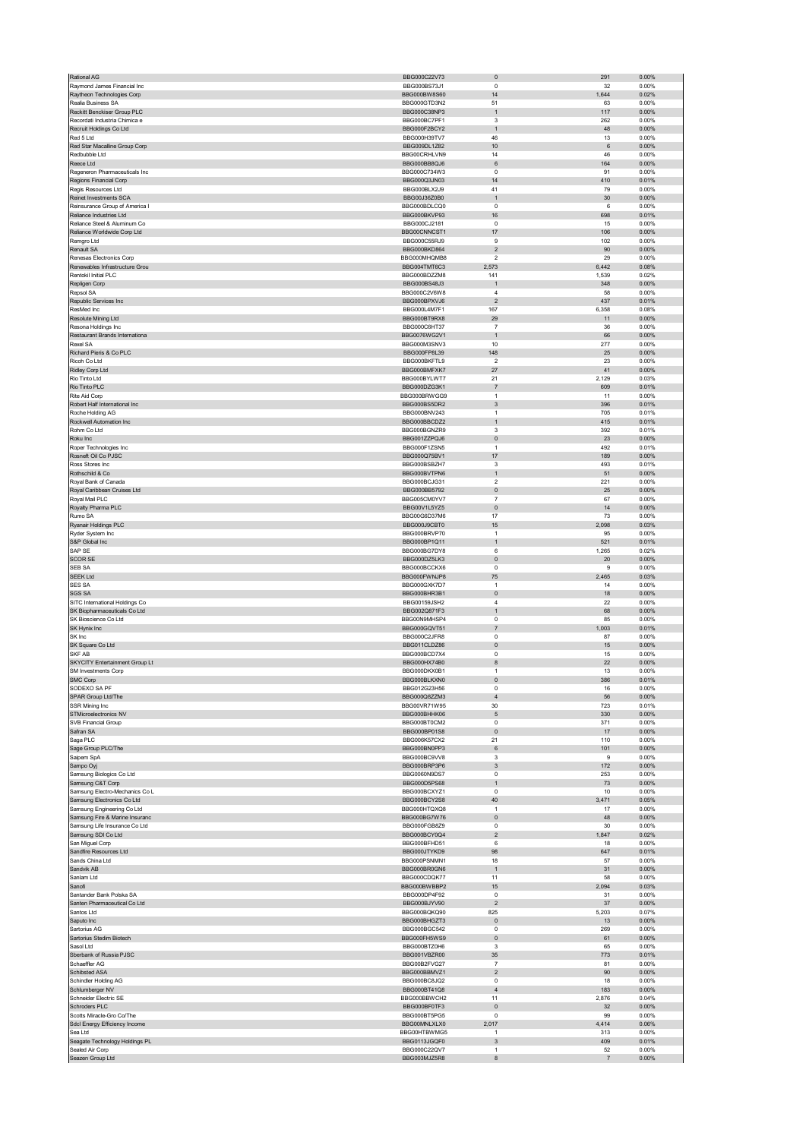|                                                | BBG000C22V73                 | $\pmb{0}$                                 | 291          | 0.00%             |
|------------------------------------------------|------------------------------|-------------------------------------------|--------------|-------------------|
| Raymond James Financial Inc                    | BBG000BS73J1                 | $\pmb{0}$                                 | 32           | 0.00%             |
| Raytheon Technologies Corp                     | BBG000BW8S60                 | 14                                        | 1,644        | 0.02%             |
| Realia Business SA                             | BBG000GTD3N2                 | 51                                        | 63           | 0.00%             |
| Reckitt Benckiser Group PLC                    | BBG000C38NP3                 | $\mathbf 1$                               | 117          | 0.00%             |
| Recordati Industria Chimica e                  | BBG000BC7PF1                 | 3                                         | 262          | 0.00%             |
| Recruit Holdings Co Ltd                        | BBG000F2BCY2                 | $\mathbf{1}$                              | 48           | 0.00%             |
| Red 5 Ltd                                      | BBG000H39TV7                 | 46                                        | 13           | 0.00%             |
| Red Star Macalline Group Corp<br>Redbubble Ltd | BBG009DL1Z82<br>BBG00CRHLVN9 | 10<br>14                                  | 6<br>46      | 0.00%<br>0.00%    |
| Reece Ltd                                      | BBG000BB8QJ6                 | 6                                         | 164          | 0.00%             |
| Regeneron Pharmaceuticals Inc                  | BBG000C734W3                 | 0                                         | 91           | 0.00%             |
| Regions Financial Corp                         | BBG000Q3JN03                 | 14                                        | 410          | 0.01%             |
| Regis Resources Ltd                            | BBG000BLX2J9                 | 41                                        | 79           | 0.00%             |
| Reinet Investments SCA                         | BBG00J36Z0B0                 | $\mathbf{1}$                              | 30           | 0.00%             |
| Reinsurance Group of America I                 | BBG000BDLCQ0                 | $\mathbf 0$                               | 6            | 0.00%             |
| Reliance Industries Ltd                        | BBG000BKVP93                 | 16                                        | 698          | 0.01%             |
| Reliance Steel & Aluminum Co                   | BBG000CJ2181                 | $\pmb{0}$                                 | 15           | 0.00%             |
| Reliance Worldwide Corp Ltd                    | BBG00CNNCST1                 | 17                                        | 106          | $0.00\%$          |
| Remgro Ltd                                     | BBG000C55RJ9                 | 9                                         | 102          | 0.00%             |
| Renault SA                                     | BBG000BKD864                 | $\mathbf 2$                               | 90           | 0.00%             |
| Renesas Electronics Corp                       | BBG000MHQMB8                 | $\boldsymbol{2}$                          | 29           | 0.00%             |
| Renewables Infrastructure Grou                 | BBG004TMT6C3                 | 2,573                                     | 6,442        | 0.08%             |
| Rentokil Initial PLC                           | BBG000BDZZM8                 | 141                                       | 1,539        | 0.02%             |
| Repligen Corp                                  | BBG000BS48J3                 | $\mathbf{1}$                              | 348          | 0.00%             |
| Repsol SA                                      | BBG000C2V6W8                 | $\sqrt{4}$                                | 58           | 0.00%             |
| Republic Services Inc                          | BBG000BPXVJ6                 | $\sqrt{2}$                                | 437          | 0.01%             |
| ResMed Inc                                     | BBG000L4M7F1                 | 167                                       | 6,358        | 0.08%             |
| Resolute Mining Ltd<br>Resona Holdings Inc     | BBG000BT9RX8<br>BBG000C6HT37 | 29<br>$\overline{7}$                      | 11<br>36     | 0.00%<br>0.00%    |
| Restaurant Brands Internationa                 | BBG0076WG2V1                 | $\mathbf{1}$                              | 66           | 0.00%             |
| Rexel SA                                       | BBG000M3SNV3                 | 10                                        | 277          | 0.00%             |
| Richard Pieris & Co PLC                        | BBG000FP8L39                 | 148                                       | 25           | 0.00%             |
| Ricoh Co Ltd                                   | BBG000BKFTL9                 | $\boldsymbol{2}$                          | 23           | 0.00%             |
| Ridley Corp Ltd                                | BBG000BMFXK7                 | 27                                        | 41           | 0.00%             |
| Rio Tinto Ltd                                  | BBG000BYLWT7                 | 21                                        | 2,129        | 0.03%             |
| Rio Tinto PLC                                  | BBG000DZG3K1                 | $\overline{\mathfrak{c}}$                 | 609          | 0.01%             |
| Rite Aid Corp                                  | BBG000BRWGG9                 | $\mathbf{1}$                              | 11           | 0.00%             |
| Robert Half International Inc                  | BBG000BS5DR2                 | $\sqrt{3}$                                | 396          | 0.01%             |
| Roche Holding AG                               | BBG000BNV243                 | $\mathbf{1}$                              | 705          | 0.01%             |
| Rockwell Automation Inc                        | BBG000BBCDZ2                 | $\mathbf{1}$                              | 415          | 0.01%             |
| Rohm Co Ltd                                    | BBG000BGNZR9                 | 3                                         | 392          | 0.01%             |
| Roku Inc                                       | BBG001ZZPQJ6                 | $\pmb{0}$                                 | 23           | 0.00%             |
| Roper Technologies Inc                         | BBG000F1ZSN5                 | $\mathbf{1}$                              | 492          | 0.01%             |
| Rosneft Oil Co PJSC                            | BBG000Q75BV1                 | 17                                        | 189          | 0.00%             |
| Ross Stores Inc                                | BBG000BSBZH7                 | 3                                         | 493          | 0.01%             |
| Rothschild & Co                                | BBG000BVTPN6                 | $\mathbf 1$                               | 51           | 0.00%             |
| Royal Bank of Canada                           | BBG000BCJG31                 | $\mathfrak{p}$                            | 221          | 0.00%             |
| Royal Caribbean Cruises Ltd                    | BBG000BB5792                 | $\pmb{0}$                                 | 25           | 0.00%             |
| Royal Mail PLC                                 | BBG005CM0YV7                 | $\overline{7}$                            | 67           | 0.00%             |
| Royalty Pharma PLC                             | BBG00V1L5YZ5                 | $\pmb{0}$                                 | 14           | 0.00%             |
| Rumo SA                                        | BBG00G6D37M6                 | 17                                        | 73           | 0.00%             |
| Ryanair Holdings PLC                           | BBG000J9CBT0                 | 15                                        | 2,098        | 0.03%             |
| Ryder System Inc                               | BBG000BRVP70                 | $\mathbf{1}$<br>$\mathbf{1}$              | 95           | 0.00%             |
| S&P Global Inc<br>SAP SE                       | BBG000BP1Q11<br>BBG000BG7DY8 | 6                                         | 521<br>1,265 | 0.01%<br>0.02%    |
| <b>SCOR SE</b>                                 | BBG000DZ5LK3                 | $\pmb{0}$                                 | 20           | 0.00%             |
| SEB SA                                         | BBG000BCCKX6                 | 0                                         | 9            | 0.00%             |
| <b>SEEK Ltd</b>                                | BBG000FWNJP8                 | 75                                        | 2,465        | 0.03%             |
| SES SA                                         | BBG000GXK7D7                 | $\mathbf{1}$                              | 14           | 0.00%             |
| <b>SGS SA</b>                                  | BBG000BHR3B1                 | $\mathbf{0}$                              | 18           | 0.00%             |
| SITC International Holdings Co                 | BBG00159JSH2                 | 4                                         | 22           | 0.00%             |
| SK Biopharmaceuticals Co Ltd                   | BBG002Q871F3                 | $\mathbf{1}$                              | 68           | $0.00\%$          |
| SK Bioscience Co Ltd                           | BBG00N9MHSP4                 | $\mathsf 0$                               | 85           | 0.00%             |
| SK Hynix Inc                                   | BBG000GQVT51                 | $\overline{7}$                            | 1,003        | 0.01%             |
| SK Inc                                         | BBG000C2JFR8                 | $\mathbf 0$                               | 87           | 0.00%             |
| SK Square Co Ltd                               | BBG011CLDZ86                 | $\pmb{0}$                                 | 15           | $0.00\%$          |
| SKF AB                                         | BBG000BCD7X4                 | $\pmb{0}$                                 | 15           | 0.00%             |
| SKYCITY Entertainment Group Lt                 |                              |                                           | 22           | 0.00%             |
| SM Investments Corp                            | BBG000HX74B0                 | 8                                         |              |                   |
|                                                | BBG000DKX0B1                 | $\mathbf{1}$                              | 13           | 0.00%             |
| ∋MC Corp                                       | <b>BBG000BLKXN0</b>          | υ                                         | 380          | <b>U.UT%</b>      |
| SODEXO SA PF                                   | BBG012G23H56                 | $\mathbf 0$                               | 16           | 0.00%             |
| SPAR Group Ltd/The                             | BBG000Q8ZZM3                 | $\sqrt{4}$                                | 56           | 0.00%             |
| SSR Mining Inc                                 | BBG00VR71W95                 | 30                                        | 723          | 0.01%             |
| STMicroelectronics NV                          | BBG000BHHK06                 | $\mathbf 5$                               | 330          | $0.00\%$          |
| SVB Financial Group                            | BBG000BT0CM2                 | $\mathsf 0$                               | 371          | 0.00%             |
| Safran SA                                      | BBG000BP01S8                 | $\pmb{0}$                                 | 17           | 0.00%             |
| Saga PLC                                       | BBG006K57CX2                 | 21                                        | 110          | 0.00%             |
| Sage Group PLC/The                             | BBG000BN0PP3<br>BBG000BC9VV8 | 6                                         | 101          | $0.00\%$          |
| Saipem SpA                                     | BBG000BRP3P6                 | 3                                         | 9            | 0.00%             |
| Sampo Oyj<br>Samsung Biologics Co Ltd          | BBG0060N9DS7                 | 3<br>0                                    | 172<br>253   | 0.00%<br>0.00%    |
| Samsung C&T Corp                               | BBG000D5PS68                 | $\mathbf{1}$                              | 73           | $0.00\%$          |
| Samsung Electro-Mechanics Co L                 | BBG000BCXYZ1                 | $^{\circ}$                                | 10           | 0.00%             |
| Samsung Electronics Co Ltd                     | BBG000BCY2S8                 | 40                                        | 3,471        | 0.05%             |
| Samsung Engineering Co Ltd                     | BBG000HTQXQ8                 | $\mathbf{1}$                              | 17           | 0.00%             |
| Samsung Fire & Marine Insuranc                 | BBG000BG7W76                 | 0                                         | 48           | 0.00%             |
| Samsung Life Insurance Co Ltd                  | BBG000FGB8Z9                 | 0                                         | 30           | 0.00%             |
| Samsung SDI Co Ltd                             | BBG000BCY0Q4                 | $\overline{c}$                            | 1,847        | 0.02%             |
| San Miguel Corp                                | BBG000BFHD51                 | 6                                         | 18           | 0.00%             |
| Sandfire Resources Ltd                         | BBG000JTYKD9                 | 98                                        | 647          | 0.01%             |
| Sands China Ltd                                | BBG000PSNMN1                 | 18                                        | 57           | 0.00%             |
| Sandvik AB                                     | BBG000BR0GN6                 | $\mathbf{1}$                              | 31           | $0.00\%$          |
| Sanlam Ltd                                     | BBG000CDQK77                 | 11                                        | 58           | 0.00%             |
| Sanofi                                         | BBG000BWBBP2                 | 15                                        | 2,094        | 0.03%             |
| Santander Bank Polska SA                       | BBG000DP4F92                 | 0<br>$\sqrt{2}$                           | 31           | 0.00%             |
| Santen Pharmaceutical Co Ltd<br>Santos Ltd     | BBG000BJYV90                 | 825                                       | 37           | $0.00\%$<br>0.07% |
| Saputo Inc                                     | BBG000BQKQ90<br>BBG000BHGZT3 | 0                                         | 5,203<br>13  | 0.00%             |
| Sartorius AG                                   | BBG000BGC542                 | 0                                         | 269          | 0.00%             |
| Sartorius Stedim Biotech                       | BBG000FH5WS9                 | $\pmb{0}$                                 | 61           | $0.00\%$          |
| Sasol Ltd                                      | BBG000BTZ0H6                 | 3                                         | 65           | 0.00%             |
| Sberbank of Russia PJSC                        | BBG001VBZR00                 | 35                                        | 773          | 0.01%             |
| Schaeffler AG                                  | BBG00B2FVG27                 | $\overline{\mathfrak{c}}$                 | 81           | 0.00%             |
| Schibsted ASA                                  | BBG000BBMVZ1                 | $\overline{c}$                            | 90           | 0.00%             |
| Schindler Holding AG                           | BBG000BC8JQ2                 | $^{\circ}$                                | 18           | 0.00%             |
| Schlumberger NV                                | BBG000BT41Q8                 | $\sqrt{4}$                                | 183          | 0.00%             |
| Schneider Electric SE                          | BBG000BBWCH2                 | 11                                        | 2,876        | 0.04%             |
| Schroders PLC                                  | BBG000BF0TF3                 | $\pmb{0}$                                 | 32           | $0.00\%$          |
| Scotts Miracle-Gro Co/The                      | BBG000BT5PG5                 | $\pmb{0}$                                 | 99           | 0.00%             |
| Sdcl Energy Efficiency Income                  | BBG00MNLXLX0                 | 2,017                                     | 4,414        | 0.06%             |
| Sea Ltd                                        | BBG00HTBWMG5                 | $\mathbf{1}$                              | 313          | 0.00%             |
| Seagate Technology Holdings PL                 | BBG0113JGQF0                 | $\ensuremath{\mathsf{3}}$<br>$\mathbf{1}$ | 409          | 0.01%             |
| Sealed Air Corp<br>Seazen Group Ltd            | BBG000C22QV7<br>BBG003MJZ5R8 | 8                                         | 52<br>7      | 0.00%<br>$0.00\%$ |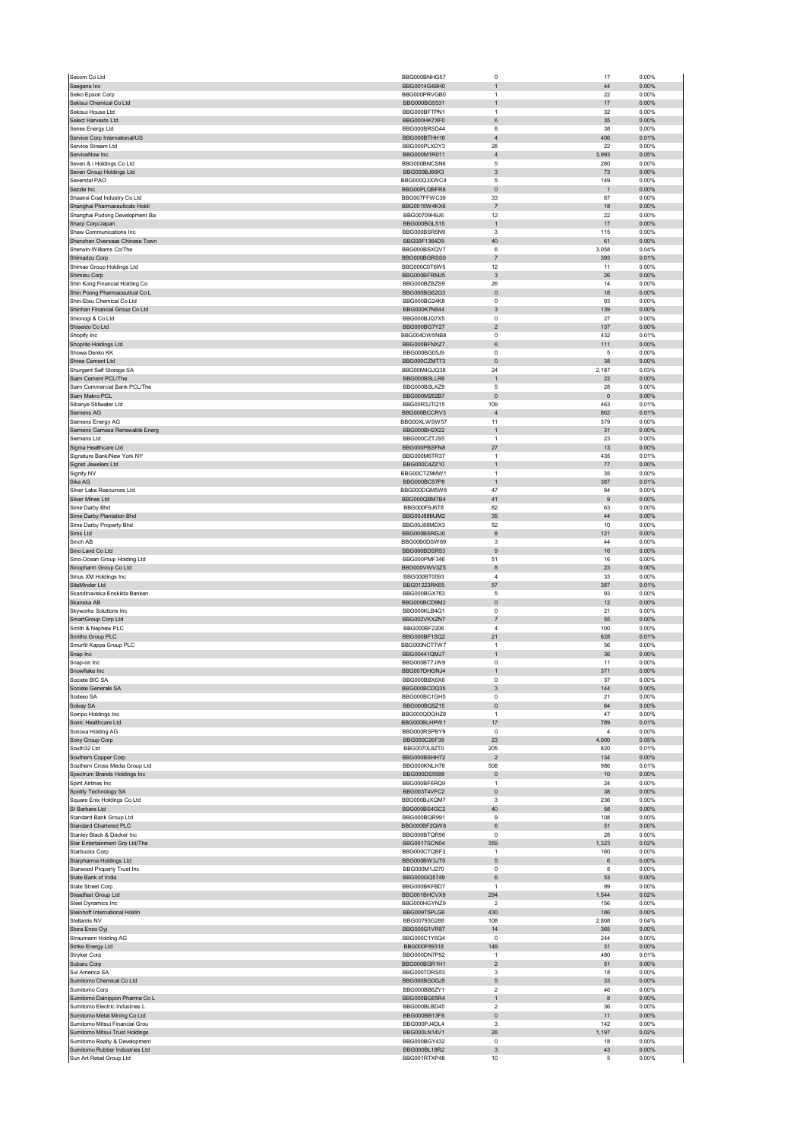| Secom Co Ltd                                                    | BBG000BNHG57                 | 0                                        | 17               | 0.00%             |
|-----------------------------------------------------------------|------------------------------|------------------------------------------|------------------|-------------------|
| Seegene Inc                                                     | BBG0014G4BH0                 | $\mathbf{1}$                             | 44               | 0.00%             |
| Seiko Epson Corp                                                | BBG000PRVGB0                 | $\mathbf{1}$                             | 22               | 0.00%             |
| Sekisui Chemical Co Ltd<br>Sekisui House Ltd                    | BBG000BG5531                 | $\mathbf{1}$<br>$\mathbf{1}$             | 17<br>32         | 0.00%             |
| Select Harvests Ltd                                             | BBG000BFTPN1<br>BBG000HK7XF0 | 6                                        | 35               | 0.00%<br>$0.00\%$ |
| Senex Energy Ltd                                                | BBG000BRSD44                 | 8                                        | 38               | 0.00%             |
| Service Corp International/US                                   | BBG000BTHH16                 | $\sqrt{4}$                               | 406              | 0.01%             |
| Service Stream Ltd                                              | BBG000PLXDY3                 | 28                                       | 22               | 0.00%             |
| ServiceNow Inc                                                  | BBG000M1R011                 | $\sqrt{4}$                               | 3,993            | 0.05%             |
| Seven & i Holdings Co Ltd                                       | BBG000BNCSN6                 | 5                                        | 280              | 0.00%             |
| Seven Group Holdings Ltd                                        | BBG000BJ66K3                 | 3                                        | 73               | 0.00%             |
| Severstal PAO                                                   | BBG000Q3XWC4                 | 5                                        | 149              | 0.00%             |
| Sezzle Inc<br>Shaanxi Coal Industry Co Ltd                      | BBG00PLQBFR8<br>BBG007FFWC39 | $\pmb{0}$<br>33                          | 1<br>87          | 0.00%<br>0.00%    |
| Shanghai Pharmaceuticals Holdi                                  | BBG0015W4KX6                 | $\sqrt{7}$                               | 18               | 0.00%             |
| Shanghai Pudong Development Ba                                  | BBG00709H9J6                 | 12                                       | 22               | 0.00%             |
| Sharp Corp/Japan                                                | BBG000BGL515                 | $\mathbf{1}$                             | 17               | 0.00%             |
| Shaw Communications Inc                                         | BBG000BSR5N9                 | 3                                        | 115              | 0.00%             |
| Shenzhen Overseas Chinese Town                                  | BBG00F1364D9                 | 40                                       | 61               | 0.00%             |
| Sherwin-Williams Co/The                                         | BBG000BSXQV7                 | 6                                        | 3,058            | 0.04%             |
| Shimadzu Corp                                                   | BBG000BGRSS0                 | $\overline{\mathfrak{z}}$                | 393              | 0.01%             |
| Shimao Group Holdings Ltd                                       | BBG000C0T6W5                 | 12                                       | 11               | 0.00%             |
| Shimizu Corp<br>Shin Kong Financial Holding Co                  | BBG000BFRMJ5<br>BBG000BZBZS9 | 3<br>26                                  | 26<br>14         | $0.00\%$<br>0.00% |
| Shin Poong Pharmaceutical Co L                                  | BBG000BG62G3                 | $\pmb{0}$                                | 18               | 0.00%             |
| Shin-Etsu Chemical Co Ltd                                       | BBG000BG24K8                 | $\mathbf 0$                              | 93               | 0.00%             |
| Shinhan Financial Group Co Ltd                                  | BBG000K7N844                 | $\ensuremath{\mathsf{3}}$                | 139              | 0.00%             |
| Shionogi & Co Ltd                                               | BBG000BJQ7X5                 | 0                                        | 27               | 0.00%             |
| Shiseido Co Ltd                                                 | BBG000BG7Y27                 | $\mathbf 2$                              | 137              | 0.00%             |
| Shopify Inc                                                     | BBG004DW5NB8                 | $\pmb{0}$                                | 432              | 0.01%             |
| Shoprite Holdings Ltd                                           | BBG000BFNXZ7                 | 6                                        | 111              | 0.00%             |
| Showa Denko KK<br>Shree Cement Ltd                              | BBG000BG05J9<br>BBG000CZMT73 | 0<br>$\mathbf 0$                         | 5<br>38          | 0.00%<br>$0.00\%$ |
| Shurgard Self Storage SA                                        | BBG00M4QJQ38                 | 24                                       | 2,187            | 0.03%             |
| Siam Cement PCL/The                                             | BBG000BSLLR6                 | $\mathbf{1}$                             | 22               | 0.00%             |
| Siam Commercial Bank PCL/The                                    | BBG000BSLKZ9                 | 5                                        | 28               | 0.00%             |
| Siam Makro PCL                                                  | BBG000M262B7                 | $\mathbf{0}$                             | $\mathbf 0$      | 0.00%             |
| Sibanye Stillwater Ltd                                          | BBG00R3JTQ15                 | 109                                      | 463              | 0.01%             |
| Siemens AG                                                      | BBG000BCCRV3                 | $\sqrt{4}$                               | 862              | 0.01%             |
| Siemens Energy AG                                               | BBG00XLWSW57                 | 11                                       | 379              | 0.00%             |
| Siemens Gamesa Renewable Energ<br>Siemens I td                  | BBG000BH2X22<br>BBG000CZTJS5 | $\mathbf{1}$<br>$\mathbf{1}$             | 31<br>23         | 0.00%<br>0.00%    |
| Sigma Healthcare Ltd                                            | BBG000PBSFN8                 | 27                                       | 13               | 0.00%             |
| Signature Bank/New York NY                                      | BBG000M6TR37                 | 1                                        | 435              | 0.01%             |
| Signet Jewelers Ltd                                             | BBG000C4ZZ10                 | $\mathbf{1}$                             | 77               | 0.00%             |
| Signify NV                                                      | BBG00CTZ9MW1                 | $\mathbf{1}$                             | 35               | 0.00%             |
| Sika AG                                                         | BBG000BC97P8                 | $\mathbf{1}$                             | 387              | 0.01%             |
| Silver Lake Resources Ltd                                       | BBG000DGM5W8                 | 47                                       | 84               | 0.00%             |
| Silver Mines Ltd                                                | BBG000QBM7B4                 | 41                                       | $\boldsymbol{9}$ | $0.00\%$          |
| Sime Darby Bhd                                                  | BBG000F9J6T8                 | 82                                       | 63               | 0.00%             |
| Sime Darby Plantation Bhd<br>Sime Darby Property Bhd            | BBG00J88MJM2<br>BBG00J88MDX3 | 35<br>52                                 | 44<br>10         | 0.00%<br>0.00%    |
| Sims Ltd                                                        | BBG000BSRGJ0                 | 8                                        | 121              | 0.00%             |
| Sinch AB                                                        | BBG00B0DSW69                 | 3                                        | 44               | 0.00%             |
| Sino Land Co Ltd                                                | BBG000BDSR53                 | $\mathsf g$                              | $16\,$           | 0.00%             |
| Sino-Ocean Group Holding Ltd                                    | BBG000PMF346                 | 51                                       | 16               | 0.00%             |
| Sinopharm Group Co Ltd                                          | BBG000VWV3Z5                 | 8                                        | 23               | 0.00%             |
|                                                                 |                              |                                          |                  |                   |
| Sirius XM Holdings Inc                                          | BBG000BT0093                 | 4                                        | 33               | 0.00%             |
| SiteMinder Ltd                                                  | BBG01223RK65                 | 57                                       | 387              | 0.01%             |
| Skandinaviska Enskilda Banken                                   | BBG000BGX763                 | 5                                        | 93               | 0.00%             |
| Skanska AB                                                      | BBG000BCD9M2                 | $\pmb{0}$                                | 12               | 0.00%             |
| Skyworks Solutions Inc<br>SmartGroup Corp Ltd                   | BBG000KLB4Q1<br>BBG002VKXZN7 | 0<br>$\overline{7}$                      | 21<br>55         | 0.00%<br>0.00%    |
| Smith & Nephew PLC                                              | BBG000BF2206                 | $\overline{4}$                           | 100              | 0.00%             |
| Smiths Group PLC                                                | BBG000BF1SQ2                 | 21                                       | 628              | 0.01%             |
| Smurfit Kappa Group PLC                                         | BBG000NCTTW7                 | $\mathbf{1}$                             | 56               | 0.00%             |
| Snap Inc                                                        | BBG00441OM.I7                | $\mathbf{1}$                             | 36               | 0.00%             |
| Snap-on Inc                                                     | BBG000BT7JW9                 | $\pmb{0}$                                | 11               | 0.00%             |
| Snowflake Inc                                                   | BBG007DHGNJ4<br>BBG000BBX6X6 | $\mathbf{1}$                             | 371              | 0.00%             |
| Societe BIC SA<br>Societe Generale SA                           | BBG000BCDQ35                 | 0                                        | 37<br>144        | 0.00%<br>0.00%    |
| Sodexo SA                                                       | BBG000BC1GH5                 | $\ensuremath{\mathsf{3}}$<br>$\mathbf 0$ | 21               | 0.00%             |
| Solvay SA                                                       | BBG000BQ5Z15                 | $\pmb{0}$                                | 64               | 0.00%             |
| Sompo Holdings Inc                                              | BBG000QDQHZ8                 | $\mathbf{1}$                             | 47               | 0.00%             |
| Sonic Healthcare Ltd                                            | BBG000BLHPW1                 | 17                                       | 789              | 0.01%             |
| Sonova Holding AG                                               | BBG000RSPBY9                 | $^{\circ}$                               | $\overline{4}$   | 0.00%             |
| Sony Group Corp                                                 | BBG000C26F38                 | 23                                       | 4,000            | 0.05%             |
| South32 Ltd                                                     | BBG0070L8ZT0<br>BBG000BSHH72 | 205<br>$\overline{2}$                    | 820<br>134       | 0.01%<br>0.00%    |
| Southern Copper Corp<br>Southern Cross Media Group Ltd          | BBG000KNLH78                 | 508                                      | 986              | 0.01%             |
| Spectrum Brands Holdings Inc                                    | BBG000DS5588                 | $\pmb{0}$                                | 10               | 0.00%             |
| Spirit Airlines Inc                                             | BBG000BF6RQ9                 | 1                                        | 24               | 0.00%             |
| Spotify Technology SA                                           | BBG003T4VFC2                 | $\pmb{0}$                                | 38               | $0.00\%$          |
| Square Enix Holdings Co Ltd                                     | BBG000BJXQM7                 | 3                                        | 236              | 0.00%             |
| St Barbara Ltd                                                  | BBG000BS4GC2                 | 40                                       | 58               | 0.00%             |
| Standard Bank Group Ltd                                         | BBG000BQR991                 | 9                                        | 108              | 0.00%             |
| Standard Chartered PLC<br>Stanley Black & Decker Inc            | BBG000BF2QW8<br>BBG000BTQR96 | 6<br>$\pmb{0}$                           | 51<br>28         | 0.00%<br>0.00%    |
| Star Entertainment Grp Ltd/The                                  | BBG0017SCN04                 | 359                                      | 1,323            | 0.02%             |
| Starbucks Corp                                                  | BBG000CTQBF3                 | $\mathbf{1}$                             | 160              | 0.00%             |
| Starpharma Holdings Ltd                                         | BBG000BW3JT0                 | $\mathbf 5$                              | 6                | $0.00\%$          |
| Starwood Property Trust Inc                                     | BBG000M1J270                 | $\mathbf 0$                              | 8                | 0.00%             |
| State Bank of India                                             | BBG000GQ5749                 | 6                                        | 53               | 0.00%             |
| State Street Corp<br>Steadfast Group Ltd                        | BBG000BKFBD7<br>BBG001BHCVX9 | $\mathbf{1}$<br>294                      | 99<br>1,544      | 0.00%<br>0.02%    |
| Steel Dynamics Inc                                              | BBG000HGYNZ9                 | $\overline{2}$                           | 156              | 0.00%             |
| Steinhoff International Holdin                                  | BBG009T5PLG6                 | 430                                      | 186              | 0.00%             |
| Stellantis NV                                                   | BBG00793G288                 | 108                                      | 2,808            | 0.04%             |
| Stora Enso Oyj                                                  | BBG000G1VR87                 | 14                                       | 365              | $0.00\%$          |
| Straumann Holding AG                                            | BBG000C1Y6Q4                 | $\mathbf 0$                              | 244              | 0.00%             |
| Strike Energy Ltd                                               | BBG000F89318                 | 149                                      | 31               | 0.00%             |
| Stryker Corp<br>Subaru Corp                                     | BBG000DN7P92<br>BBG000BGR1H1 | $\mathbf{1}$<br>$\sqrt{2}$               | 480<br>51        | 0.01%<br>0.00%    |
| Sul America SA                                                  | BBG000TDRS53                 | 3                                        | 18               | 0.00%             |
| Sumitomo Chemical Co Ltd                                        | BBG000BG0GJ5                 | 5                                        | 33               | 0.00%             |
| Sumitomo Corp                                                   | BBG000BB6ZY1                 | 2                                        | 46               | 0.00%             |
| Sumitomo Dainippon Pharma Co L                                  | BBG000BG65R4                 | $\mathbf{1}$                             | 8                | $0.00\%$          |
| Sumitomo Electric Industries L                                  | BBG000BLBD45                 | $\overline{2}$                           | 36               | 0.00%             |
| Sumitomo Metal Mining Co Ltd                                    | BBG000BB13F8                 | $\pmb{0}$                                | 11               | 0.00%             |
| Sumitomo Mitsui Financial Grou                                  | BBG000PJ4DL4                 | 3                                        | 142              | 0.00%             |
| Sumitomo Mitsui Trust Holdings<br>Sumitomo Realty & Development | BBG000LN14V1<br>BBG000BGY432 | 26<br>$\mathbf 0$                        | 1,197<br>18      | 0.02%<br>0.00%    |
| Sumitomo Rubber Industries Ltd<br>Sun Art Retail Group Ltd      | BBG000BL18R2<br>BBG001RTXP48 | $\ensuremath{\mathsf{3}}$<br>10          | 43<br>5          | 0.00%<br>0.00%    |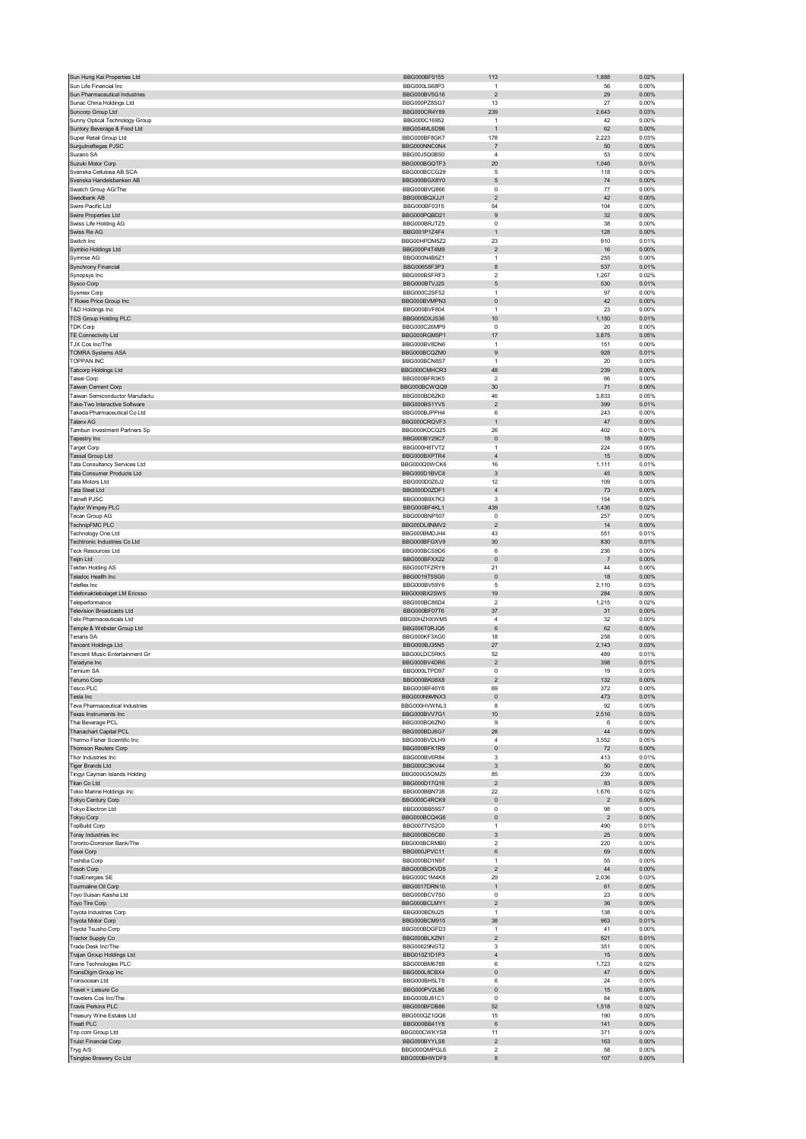| Sun Hung Kai Properties Ltd                                          | BBG000BF0155                 | 113                            | 1,888          | 0.02%             |
|----------------------------------------------------------------------|------------------------------|--------------------------------|----------------|-------------------|
| Sun Life Financial Inc                                               | BBG000LS68P3                 | $\mathbf{1}$                   | 56             | 0.00%             |
| Sun Pharmaceutical Industries                                        | BBG000BV5G16                 | $\sqrt{2}$                     | 29             | 0.00%             |
| Sunac China Holdings Ltd                                             | BBG000PZ8SG7                 | 13                             | 27             | 0.00%             |
| Suncorp Group Ltd<br>Sunny Optical Technology Group                  | BBG000CR4Y89<br>BBG000C16952 | 239<br>$\mathbf{1}$            | 2,643<br>42    | 0.03%<br>0.00%    |
| Suntory Beverage & Food Ltd                                          | BBG004ML6D96                 | $\overline{1}$                 | 62             | $0.00\%$          |
| Super Retail Group Ltd                                               | BBG000BF8GK7                 | 178                            | 2,223          | 0.03%             |
| Surgutneftegas PJSC                                                  | BBG000NNC0N4                 | $\overline{7}$                 | 50             | 0.00%             |
| Suzano SA                                                            | BBG00J5Q0BS0                 | 4                              | 53             | 0.00%             |
| Suzuki Motor Corp                                                    | BBG000BGQTF3                 | 20                             | 1,046          | 0.01%             |
| Svenska Cellulosa AB SCA                                             | BBG000BCCG29                 | 5                              | 118            | 0.00%             |
| Svenska Handelsbanken AB                                             | BBG000BGX8Y0                 | 5                              | 74             | 0.00%             |
| Swatch Group AG/The<br>Swedbank AB                                   | BBG000BVQ866<br>BBG000BQXJJ1 | 0<br>$\sqrt{2}$                | 77<br>42       | 0.00%<br>0.00%    |
| Swire Pacific Ltd                                                    | BBG000BF0315                 | 54                             | 104            | 0.00%             |
| Swire Properties Ltd                                                 | BBG000PQBD21                 | 9                              | 32             | 0.00%             |
| Swiss Life Holding AG                                                | BBG000BRJTZ5                 | 0                              | 38             | 0.00%             |
| Swiss Re AG                                                          | BBG001P1Z4F4                 | $\mathbf{1}$                   | 128            | 0.00%             |
| Switch Inc                                                           | BBG00HPDM5Z2                 | 23                             | 910            | 0.01%             |
| Symbio Holdings Ltd                                                  | BBG000P4T4M9                 | $\sqrt{2}$                     | 16             | 0.00%             |
| Symrise AG                                                           | BBG000N4B6Z1                 | 1                              | 255            | 0.00%             |
| Synchrony Financial                                                  | BBG00658F3P3                 | 8                              | 537            | 0.01%             |
| Synopsys Inc                                                         | BBG000BSFRF3                 | $\boldsymbol{2}$               | 1,267          | 0.02%             |
| Sysco Corp                                                           | BBG000BTVJ25                 | $\mathbf 5$                    | 530            | 0.01%             |
| Sysmex Corp                                                          | BBG000C2SF52<br>BBG000BVMPN3 | $\mathbf{1}$<br>0              | 97<br>42       | 0.00%<br>0.00%    |
| T Rowe Price Group Inc<br>T&D Holdings Inc                           | BBG000BVF804                 | $\mathbf{1}$                   | 23             | 0.00%             |
| <b>TCS Group Holding PLC</b>                                         | BBG005DXJS36                 | 10                             | 1,150          | 0.01%             |
| TDK Corp                                                             | BBG000C26MP9                 | $^{\circ}$                     | 20             | 0.00%             |
| TE Connectivity Ltd                                                  | BBG000RGM5P1                 | 17                             | 3,875          | 0.05%             |
| TJX Cos Inc/The                                                      | BBG000BV8DN6                 | 1                              | 151            | 0.00%             |
| <b>TOMRA Systems ASA</b>                                             | BBG000BCQZM0                 | $\boldsymbol{9}$               | 928            | 0.01%             |
| TOPPAN INC                                                           | BBG000BCN8S7                 | $\overline{1}$                 | 20             | 0.00%             |
| Tabcorp Holdings Ltd                                                 | BBG000CMHCR3                 | 48                             | 239            | 0.00%             |
| Taisei Corp                                                          | BBG000BFR3K5                 | $\boldsymbol{2}$               | 66             | 0.00%             |
| Taiwan Cement Corp                                                   | BBG000BCWQQ9                 | 30                             | 71             | 0.00%             |
| Taiwan Semiconductor Manufactu                                       | BBG000BD8ZK0                 | 46                             | 3,833          | 0.05%             |
| <b>Take-Two Interactive Software</b><br>Takeda Pharmaceutical Co Ltd | BBG000BS1YV5                 | $\overline{\mathbf{c}}$<br>6   | 399<br>243     | 0.01%<br>0.00%    |
| Talanx AG                                                            | BBG000BJPPH4<br>BBG000CRQVF3 | $\mathbf{1}$                   | 47             | 0.00%             |
| Tamburi Investment Partners Sp                                       | BBG000KDCQ25                 | 26                             | 402            | 0.01%             |
| Tapestry Inc                                                         | BBG000BY29C7                 | 0                              | 18             | 0.00%             |
| Target Corp                                                          | BBG000H8TVT2                 | $\mathbf{1}$                   | 224            | 0.00%             |
| Tassal Group Ltd                                                     | BBG000BXPTR4                 | $\overline{4}$                 | 15             | 0.00%             |
| Tata Consultancy Services Ltd                                        | BBG000Q0WCK6                 | 16                             | 1,111          | 0.01%             |
| <b>Tata Consumer Products Ltd</b>                                    | BBG000D1BVC8                 | 3                              | 45             | 0.00%             |
| Tata Motors Ltd                                                      | BBG000D0Z6J2                 | 12                             | 109            | 0.00%             |
| Tata Steel Ltd                                                       | BBG000D0ZDF1                 | $\overline{4}$                 | 73             | 0.00%             |
| Tatneft PJSC                                                         | BBG000B9X7K3                 | 3                              | 154            | 0.00%             |
| Taylor Wimpey PLC                                                    | BBG000BF4KL1                 | 439                            | 1,436          | 0.02%             |
| Tecan Group AG<br>TechnipFMC PLC                                     | BBG000BNP507                 | 0<br>$\sqrt{2}$                | 257            | 0.00%<br>0.00%    |
| Technology One Ltd                                                   | BBG00DL8NMV2<br>BBG000BMDJH4 | 43                             | 14<br>551      | 0.01%             |
| Techtronic Industries Co Ltd                                         | BBG000BFGXV9                 | 30                             | 830            | 0.01%             |
| <b>Teck Resources Ltd</b>                                            | BBG000BCS9D6                 | 6                              | 236            | 0.00%             |
| Teijin Ltd                                                           | BBG000BFXX22                 | $\pmb{0}$                      | $\overline{7}$ | $0.00\%$          |
| <b>Tekfen Holding AS</b>                                             | BBG000TFZRY9                 |                                | 44             | 0.00%             |
|                                                                      |                              | 21                             |                |                   |
| <b>Teladoc Health Inc</b>                                            | BBG0019T5SG0                 | $\mathbf 0$                    | 18             | 0.00%             |
| Teleflex Inc                                                         | BBG000BV59Y6                 | 5                              | 2,110          | 0.03%             |
| Telefonaktiebolaget LM Ericsso                                       | BBG000BX2SW5                 | 19                             | 284            | 0.00%             |
| Teleperformance                                                      | BBG000BC86D4                 | $\overline{\mathbf{c}}$        | 1,215          | 0.02%             |
| <b>Television Broadcasts Ltd</b>                                     | BBG000BF07T6                 | 37                             | 31             | 0.00%             |
| Telix Pharmaceuticals Ltd                                            | BBG00HZHXWM5                 | 4                              | 32             | 0.00%             |
| Temple & Webster Group Ltd                                           | BBG006T0RJQ5                 | $\,6$                          | 62             | 0.00%             |
| <b>Tenaris SA</b>                                                    | BBG000KF3XG0                 | 18                             | 258            | 0.00%             |
| Tencent Holdings Ltd                                                 | BBG000BJ35N5                 | $27\,$                         | 2,143          | 0.03%             |
| Tencent Music Entertainment Gr                                       | BBG00LDC5RK5                 | 52                             | 489            | 0.01%             |
| Teradyne Inc<br>Ternium SA                                           | BBG000BV4DR6<br>BBG000LTPD97 | $\sqrt{2}$<br>$\mathsf 0$      | 398<br>19      | 0.01%<br>0.00%    |
|                                                                      | <b>BBG000BK08X8</b>          |                                | 132            | n nn%             |
| Tesco PLC                                                            | BBG000BF46Y8                 | 69                             | 372            | 0.00%             |
| Tesla Inc                                                            | BBG000N9MNX3                 | $\pmb{0}$                      | 473            | 0.01%             |
| Teva Pharmaceutical Industries                                       | BBG000HVWNL3                 | 8                              | 92             | 0.00%             |
| Texas Instruments Inc                                                | BBG000BVV7G1                 | 10                             | 2,516          | 0.03%             |
| Thai Beverage PCL                                                    | BBG000BQ6ZN0                 | 9                              | 6              | 0.00%             |
| Thanachart Capital PCL                                               | BBG000BDJ6G7                 | 28                             | 44             | $0.00\%$          |
| Thermo Fisher Scientific Inc                                         | BBG000BVDI H9                | 4                              | 3,552          | 0.05%             |
| Thomson Reuters Corp                                                 | BBG000BFK1R9                 | 0                              | 72             | 0.00%             |
| Thor Industries Inc<br>Tiger Brands Ltd                              | BBG000BV6R84<br>BBG000C3KV44 | 3<br>$\ensuremath{\mathsf{3}}$ | 413<br>50      | 0.01%<br>$0.00\%$ |
| Tingyi Cayman Islands Holding                                        | BBG000G5OM75                 | 85                             | 239            | 0.00%             |
| Titan Co Ltd                                                         | BBG000D17Q16                 | $\overline{c}$                 | 83             | 0.00%             |
| Tokio Marine Holdings Inc                                            | BBG000BBN738                 | 22                             | 1,676          | 0.02%             |
| Tokyo Century Corp                                                   | BBG000C4RCK9                 | 0                              | $\overline{2}$ | 0.00%             |
| Tokyo Electron Ltd                                                   | BBG000BB59S7                 | 0                              | 98             | 0.00%             |
| <b>Tokyu Corp</b>                                                    | BBG000BCQ4G6                 | 0                              | $\sqrt{2}$     | $0.00\%$          |
| <b>TopBuild Corp</b>                                                 | BBG0077VS2C0                 | 1                              | 490            | 0.01%             |
| Toray Industries Inc<br>Toronto-Dominion Bank/The                    | BBG000BD5C60<br>BBG000BCRMB0 | 3<br>$\boldsymbol{2}$          | 25<br>220      | 0.00%<br>0.00%    |
| Tosei Corp                                                           | BBG000JPVC11                 | 6                              | 69             | 0.00%             |
| Toshiba Corp                                                         | BBG000BD1N97                 | $\mathbf{1}$                   | 55             | 0.00%             |
| <b>Tosoh Corp</b>                                                    | BBG000BCKVD5                 | $\overline{\mathbf{c}}$        | 44             | 0.00%             |
| <b>TotalEnergies SE</b>                                              | BBG000C1M4K8                 | 29                             | 2,036          | 0.03%             |
| Tourmaline Oil Corp                                                  | BBG0017DRN10                 | $\mathbf{1}$                   | 61             | 0.00%             |
| Toyo Suisan Kaisha Ltd                                               | BBG000BCV7S0                 | $^{\circ}$                     | 23             | 0.00%             |
| Toyo Tire Corp                                                       | BBG000BCLMY1                 | $\overline{\mathbf{c}}$        | 36             | 0.00%             |
| Toyota Industries Corp                                               | BBG000BD9J25<br>BBG000BCM915 | $\mathbf{1}$                   | 138            | 0.00%             |
| Toyota Motor Corp                                                    |                              | 38<br>$\overline{1}$           | 963<br>41      | 0.01%             |
| Toyota Tsusho Corp                                                   | BBG000BDGFD3<br>BBG000BLXZN1 | $\overline{c}$                 | 521            | 0.00%<br>0.01%    |
| Tractor Supply Co<br>Trade Desk Inc/The                              | BBG00629NGT2                 | 3                              | 351            | 0.00%             |
| Trajan Group Holdings Ltd                                            | BBG010Z1D1P3                 | $\overline{4}$                 | 15             | $0.00\%$          |
| Trane Technologies PLC                                               | BBG000BM6788                 | 6                              | 1,723          | 0.02%             |
| TransDigm Group Inc                                                  | BBG000L8CBX4                 | 0                              | 47             | 0.00%             |
| <b>Transocean Ltd</b>                                                | BBG000BH5LT6                 | 6                              | 24             | 0.00%             |
| Travel + Leisure Co                                                  | BBG000PV2L86                 | $\mathsf 0$                    | 15             | 0.00%             |
| Travelers Cos Inc/The                                                | BBG000BJ81C1                 | $\Omega$                       | 84             | 0.00%             |
| <b>Travis Perkins PLC</b>                                            | BBG000BFDB86                 | 52                             | 1,518          | 0.02%             |
| Treasury Wine Estates Ltd                                            | BBG000QZ1QQ6                 | 15<br>6                        | 190            | 0.00%             |
| <b>Treatt PLC</b>                                                    | BBG000BB41Y8                 | 11                             | 141<br>371     | 0.00%<br>0.00%    |
| Trip.com Group Ltd<br><b>Truist Financial Corp</b>                   | BBG000CWKYS8<br>BBG000BYYLS8 | $\overline{\mathbf{c}}$        | 163            | 0.00%             |
| Tryg A/S<br>Tsingtao Brewery Co Ltd                                  | BBG000QMPGL6<br>BBG000BHWDF9 | 2<br>8                         | 58<br>107      | 0.00%<br>$0.00\%$ |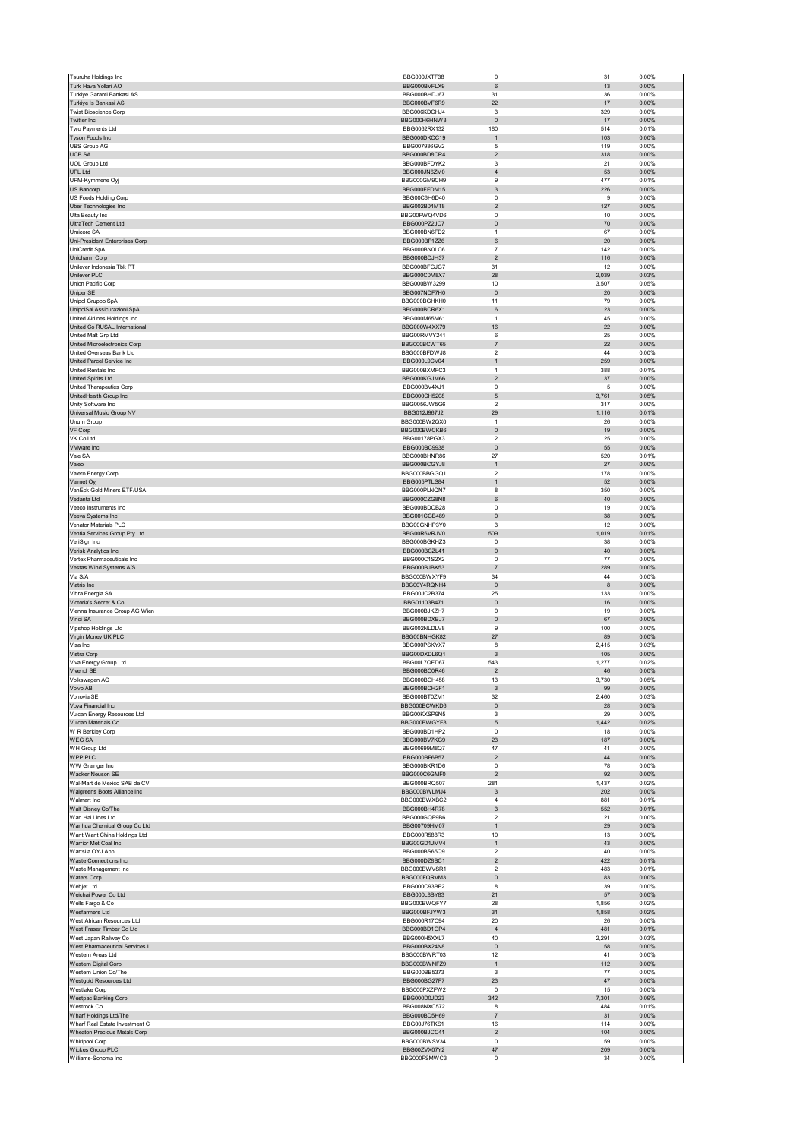| Tsuruha Holdings Inc                                          | BBG000JXTF38                 | $\mathbf 0$                             | 31           | 0.00%             |
|---------------------------------------------------------------|------------------------------|-----------------------------------------|--------------|-------------------|
| Turk Hava Yollari AO                                          | BBG000BVFLX9                 | 6                                       | 13           | 0.00%             |
| Turkiye Garanti Bankasi AS                                    | BBG000BHDJ67                 | 31                                      | 36           | 0.00%             |
| Turkiye Is Bankasi AS                                         | BBG000BVF6R9                 | 22                                      | 17           | $0.00\%$          |
| <b>Twist Bioscience Corp</b>                                  | BBG006KDCHJ4                 | 3                                       | 329<br>17    | 0.00%<br>$0.00\%$ |
| Twitter Inc<br>Tyro Payments Ltd                              | BBG000H6HNW3<br>BBG0062RX132 | $\pmb{0}$<br>180                        | 514          | 0.01%             |
| Tyson Foods Inc                                               | BBG000DKCC19                 | $\mathbf{1}$                            | 103          | 0.00%             |
| <b>UBS Group AG</b>                                           | BBG007936GV2                 | 5                                       | 119          | 0.00%             |
| <b>UCB SA</b>                                                 | BBG000BD8CR4                 | $\mathbf 2$                             | 318          | 0.00%             |
| <b>UOL Group Ltd</b>                                          | BBG000BFDYK2                 | 3                                       | 21           | 0.00%             |
| <b>UPL Ltd</b>                                                | BBG000JN6ZM0                 | $\overline{4}$                          | 53           | 0.00%             |
| UPM-Kymmene Oyj                                               | BBG000GM9CH9                 | $\boldsymbol{9}$                        | 477          | 0.01%<br>0.00%    |
| US Bancorp<br>US Foods Holding Corp                           | BBG000FFDM15<br>BBG00C6H6D40 | 3<br>0                                  | 226<br>9     | 0.00%             |
| Uber Technologies Inc                                         | BBG002B04MT8                 | $\mathbf 2$                             | 127          | $0.00\%$          |
| Ulta Beauty Inc                                               | BBG00FWQ4VD6                 | $\mathbf 0$                             | 10           | 0.00%             |
| UltraTech Cement Ltd                                          | BBG000PZ2JC7                 | $\pmb{0}$                               | 70           | 0.00%             |
| Umicore SA                                                    | BBG000BN6FD2                 | $\mathbf{1}$                            | 67           | 0.00%             |
| Uni-President Enterprises Corp                                | BBG000BF1ZZ6                 | 6                                       | 20           | 0.00%             |
| UniCredit SpA                                                 | BBG000BN0LC6<br>BBG000BDJH37 | $\overline{7}$<br>$\mathbf 2$           | 142<br>116   | 0.00%<br>0.00%    |
| Unicharm Corp<br>Unilever Indonesia Tbk PT                    | BBG000BFGJG7                 | 31                                      | 12           | 0.00%             |
| Unilever PLC                                                  | BBG000C0M8X7                 | 28                                      | 2,039        | 0.03%             |
| Union Pacific Corp                                            | BBG000BW3299                 | 10                                      | 3,507        | 0.05%             |
| Uniper SE                                                     | BBG007NDF7H0                 | $\pmb{0}$                               | 20           | 0.00%             |
| Unipol Gruppo SpA                                             | BBG000BGHKH0                 | 11                                      | 79           | 0.00%             |
| UnipolSai Assicurazioni SpA                                   | BBG000BCR6X1                 | 6                                       | 23           | 0.00%             |
| United Airlines Holdings Inc<br>United Co RUSAL International | BBG000M65M61<br>BBG000W4XX79 | $\mathbf{1}$<br>16                      | 45<br>22     | 0.00%<br>0.00%    |
| United Malt Grp Ltd                                           | BBG00RMVY241                 | 6                                       | 25           | 0.00%             |
| United Microelectronics Corp                                  | BBG000BCWT65                 | $\overline{\mathfrak{c}}$               | 22           | 0.00%             |
| United Overseas Bank Ltd                                      | BBG000BFDWJ8                 | $\boldsymbol{2}$                        | 44           | 0.00%             |
| United Parcel Service Inc                                     | BBG000L9CV04                 | $\mathbf{1}$                            | 259          | 0.00%             |
| United Rentals Inc                                            | BBG000BXMFC3                 | $\mathbf{1}$                            | 388          | 0.01%             |
| <b>United Spirits Ltd</b>                                     | BBG000KGJM66                 | $\mathbf 2$                             | 37           | 0.00%             |
| United Therapeutics Corp                                      | BBG000BV4XJ1<br>BBG000CH5208 | 0                                       | 5            | 0.00%             |
| UnitedHealth Group Inc<br>Unity Software Inc                  | BBG0056JW5G6                 | $\mathbf 5$<br>$\overline{\phantom{a}}$ | 3,761<br>317 | 0.05%<br>0.00%    |
| Universal Music Group NV                                      | BBG012J967J2                 | 29                                      | 1,116        | 0.01%             |
| Unum Group                                                    | BBG000BW2QX0                 | 1                                       | 26           | 0.00%             |
| VF Corp                                                       | BBG000BWCKB6                 | $\pmb{0}$                               | 19           | 0.00%             |
| VK Co Ltd                                                     | BBG00178PGX3                 | $\overline{2}$                          | 25           | 0.00%             |
| VMware Inc                                                    | BBG000BC9938                 | $\pmb{0}$                               | 55           | 0.00%             |
| Vale SA                                                       | BBG000BHNR86<br>BBG000BCGYJ8 | 27                                      | 520          | 0.01%             |
| Valeo                                                         | BBG000BBGGQ1                 | $\mathbf{1}$<br>$\overline{2}$          | 27<br>178    | 0.00%<br>0.00%    |
| Valero Energy Corp<br>Valmet Oyj                              | BBG005PTLS84                 | $\mathbf{1}$                            | 52           | 0.00%             |
| VanEck Gold Miners ETF/USA                                    | BBG000PLNQN7                 | 8                                       | 350          | 0.00%             |
| Vedanta Ltd                                                   | BBG000CZG8N8                 | 6                                       | 40           | 0.00%             |
| Veeco Instruments Inc                                         | BBG000BDCB28                 | $\mathbf 0$                             | 19           | 0.00%             |
| Veeva Systems Inc                                             | BBG001CGB489                 | $\pmb{0}$                               | 38           | 0.00%             |
| Venator Materials PLC                                         | BBG00GNHP3Y0                 | 3                                       | 12           | 0.00%             |
| Ventia Services Group Pty Ltd<br>VeriSign Inc                 | BBG00R6VRJV0<br>BBG000BGKHZ3 | 509<br>$\pmb{0}$                        | 1,019<br>38  | 0.01%<br>0.00%    |
| Verisk Analytics Inc                                          | BBG000BCZL41                 | 0                                       | 40           | 0.00%             |
| Vertex Pharmaceuticals Inc                                    | BBG000C1S2X2                 | 0                                       | 77           | 0.00%             |
| Vestas Wind Systems A/S                                       | BBG000BJBK53                 | $\overline{7}$                          | 289          | 0.00%             |
| Via S/A                                                       | BBG000BWXYF9                 | 34                                      | 44           | 0.00%             |
|                                                               |                              |                                         |              | 0.00%             |
| Viatris Inc                                                   | BBG00Y4RQNH4                 | $\pmb{0}$                               | 8            |                   |
| Vibra Energia SA                                              | BBG00JC2B374                 | 25                                      | 133          | 0.00%             |
| Victoria's Secret & Co                                        | BBG01103B471                 | $\mathbf 0$                             | 16           | 0.00%             |
| Vienna Insurance Group AG Wien                                | BBG000BJKZH7                 | $\mathbf 0$                             | 19           | 0.00%             |
| Vinci SA                                                      | BBG000BDXBJ7                 | $\pmb{0}$                               | 67           | 0.00%             |
| Vipshop Holdings Ltd                                          | BBG002NLDLV8<br>BBG00BNHGK82 | 9<br>27                                 | 100<br>89    | 0.00%<br>$0.00\%$ |
| Virgin Money UK PLC<br>Visa Inc                               | BBG000PSKYX7                 | 8                                       | 2,415        | 0.03%             |
| Vistra Corp                                                   | BBG00DXDL6Q1                 | 3                                       | 105          | 0.00%             |
| Viva Energy Group Ltd                                         | BBG00L7QFD67                 | 543                                     | 1,277        | 0.02%             |
| Vivendi SE                                                    | BBG000BC0R46                 | $\overline{2}$                          | 46           | 0.00%             |
| /olkswagen AG                                                 | BBG000BCH458                 | 13                                      | 3730         | 0.05%             |
| Volvo AB                                                      | BBG000BCH2F1                 | 3                                       | 99           | 0.00%             |
| Vonovia SE<br>Voya Financial Inc                              | BBG000BT0ZM1<br>BBG000BCWKD6 | 32<br>$\pmb{0}$                         | 2,460<br>28  | 0.03%<br>0.00%    |
| Vulcan Energy Resources Ltd                                   | BBG00KXSP9N5                 | 3                                       | 29           | 0.00%             |
| Vulcan Materials Co                                           | BBG000BWGYF8                 | 5                                       | 1,442        | 0.02%             |
| W R Berkley Corp                                              | BBG000BD1HP2                 | 0                                       | 18           | 0.00%             |
| <b>WEGSA</b>                                                  | BBG000BV7KG9                 | 23                                      | 187          | $0.00\%$          |
| WH Group Ltd                                                  | BBG00699M8Q7                 | 47                                      | 41           | 0.00%             |
| WPP PLC                                                       | BBG000BF6B57<br>BBG000BKR1D6 | $\mathbf 2$<br>0                        | 44<br>78     | 0.00%<br>0.00%    |
| WW Grainger Inc<br>Wacker Neuson SE                           | BBG000C6GMF0                 | $\mathbf 2$                             | 92           | $0.00\%$          |
| Wal-Mart de Mexico SAB de CV                                  | BBG000BRQ507                 | 281                                     | 1,437        | 0.02%             |
| Walgreens Boots Alliance Inc                                  | BBG000BWLMJ4                 | $\ensuremath{\mathsf{3}}$               | 202          | 0.00%             |
| Walmart Inc                                                   | BBG000BWXBC2                 | $\overline{4}$                          | 881          | 0.01%             |
| Walt Disney Co/The                                            | BBG000BH4R78                 | $\ensuremath{\mathsf{3}}$               | 552          | 0.01%             |
| Wan Hai Lines Ltd<br>Wanhua Chemical Group Co Ltd             | BBG000GQF9B6<br>BBG00709HM07 | 2<br>$\mathbf{1}$                       | 21<br>29     | 0.00%<br>$0.00\%$ |
| Want Want China Holdings Ltd                                  | BBG000R588R3                 | 10                                      | 13           | 0.00%             |
| Warrior Met Coal Inc                                          | BBG00GD1JMV4                 | $\mathbf{1}$                            | 43           | 0.00%             |
| Wartsila OYJ Abp                                              | BBG000BS65Q9                 | $\boldsymbol{2}$                        | 40           | 0.00%             |
| Waste Connections Inc                                         | BBG000DZ8BC1                 | $\overline{c}$                          | 422          | 0.01%             |
| Waste Management Inc                                          | BBG000BWVSR1                 | $\overline{2}$                          | 483          | 0.01%             |
| Waters Corp<br>Webjet Ltd                                     | BBG000FQRVM3<br>BBG000C93BF2 | $\pmb{0}$<br>8                          | 83<br>39     | 0.00%<br>0.00%    |
| Weichai Power Co Ltd                                          | BBG000L8BY83                 | 21                                      | 57           | $0.00\%$          |
| Wells Fargo & Co                                              | BBG000BWQFY7                 | 28                                      | 1,856        | 0.02%             |
| Wesfarmers Ltd                                                | BBG000BFJYW3                 | 31                                      | 1,858        | 0.02%             |
| West African Resources Ltd                                    | BBG000R17C94                 | 20                                      | 26           | 0.00%             |
| West Fraser Timber Co Ltd                                     | BBG000BD1GP4                 | $\sqrt{4}$                              | 481          | 0.01%             |
| West Japan Railway Co                                         | BBG000H5XXL7                 | 40                                      | 2,291        | 0.03%             |
| West Pharmaceutical Services I                                | BBG000BX24N8                 | $\pmb{0}$                               | 58           | 0.00%             |
| Western Areas Ltd                                             | BBG000BWRT03                 | 12                                      | 41           | 0.00%             |
| Western Digital Corp<br>Western Union Co/The                  | BBG000BWNFZ9<br>BBG000BB5373 | $\mathbf{1}$<br>3                       | 112<br>77    | $0.00\%$<br>0.00% |
| Westgold Resources Ltd                                        | BBG000BG27F7                 | 23                                      | 47           | 0.00%             |
| Westlake Corp                                                 | BBG000PXZFW2                 | 0                                       | 15           | 0.00%             |
| Westpac Banking Corp                                          | BBG000D0JD23                 | 342                                     | 7,301        | 0.09%             |
| Westrock Co                                                   | BBG008NXC572                 | 8                                       | 484          | 0.01%             |
| Wharf Holdings Ltd/The                                        | BBG000BD5H69                 | $\overline{\mathfrak{c}}$               | 31           | 0.00%             |
| Wharf Real Estate Investment C                                | BBG00J76TKS1                 | 16                                      | 114<br>104   | 0.00%<br>0.00%    |
| Wheaton Precious Metals Corp<br>Whirlpool Corp                | BBG000BJCC41<br>BBG000BWSV34 | $\mathbf 2$<br>$\mathbf 0$              | 59           | 0.00%             |
| Wickes Group PLC<br>Williams-Sonoma Inc                       | BBG00ZVX07Y2<br>BBG000FSMWC3 | 47<br>0                                 | 209<br>34    | 0.00%<br>0.00%    |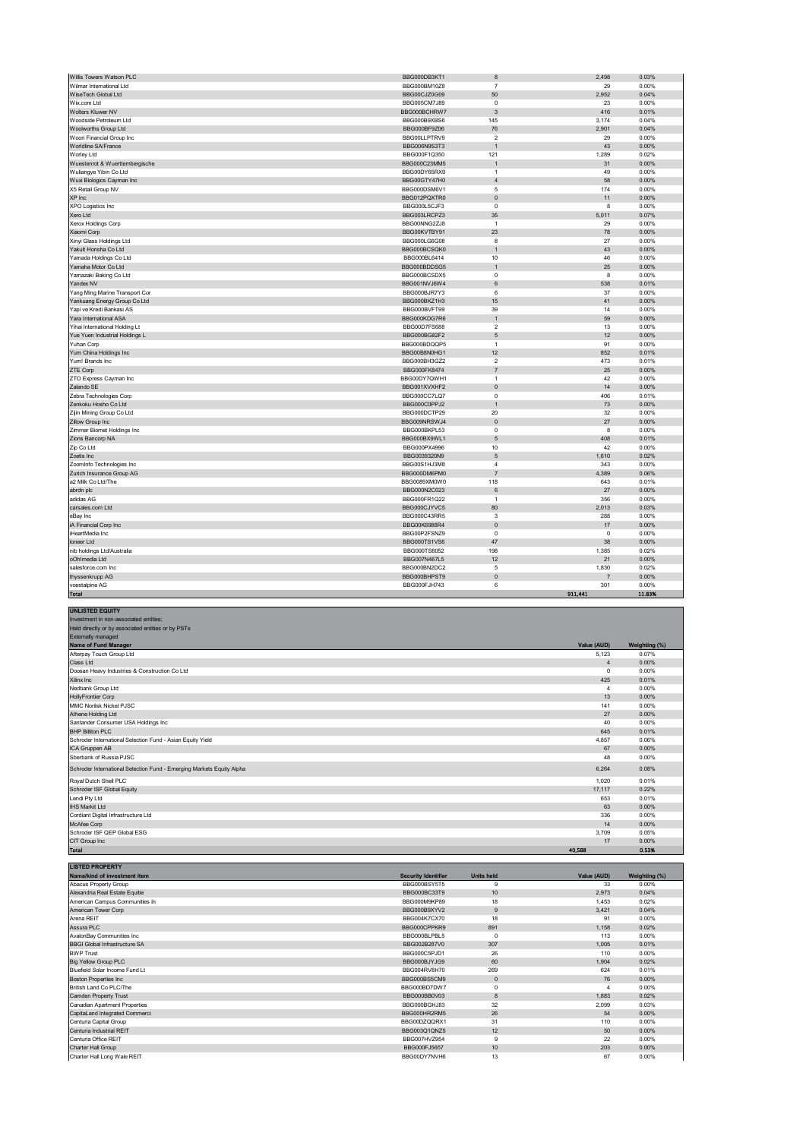| Willis Towers Watson PLC                                 | BBG000DB3KT1 | 8                                | 2,498          | 0.03%  |
|----------------------------------------------------------|--------------|----------------------------------|----------------|--------|
| Wilmar International Ltd                                 | BBG000BM10Z8 | $\overline{7}$                   | 29             | 0.00%  |
| WiseTech Global Ltd                                      | BBG00CJZ0G09 | 50                               | 2,952          | 0.04%  |
| Wix.com Ltd                                              | BBG005CM7J89 | $\mathbf 0$                      | 23             | 0.00%  |
| <b>Wolters Kluwer NV</b>                                 | BBG000BCHRW7 | 3                                | 416            | 0.01%  |
| Woodside Petroleum Ltd                                   | BBG000B9XBS6 | 145                              | 3,174          | 0.04%  |
| Woolworths Group Ltd                                     | BBG000BF9Z06 | 76                               | 2,901          | 0.04%  |
| Woori Financial Group Inc                                | BBG00LLPTRV9 | $\overline{2}$                   | 29             | 0.00%  |
| Worldline SA/France                                      | BBG006N9S3T3 | 1                                | 43             | 0.00%  |
| Worley Ltd                                               | BBG000F1Q350 | 121                              | 1,289          | 0.02%  |
| Wuestenrot & Wuerttembergische                           | BBG000C23MM5 | $\overline{1}$                   | 31             | 0.00%  |
| Wuliangye Yibin Co Ltd                                   | BBG00DY65RX9 | $\mathbf{1}$                     | 49             | 0.00%  |
| Wuxi Biologics Cayman Inc                                | BBG00GTY47H0 | $\overline{4}$                   | 58             | 0.00%  |
| X5 Retail Group NV                                       | BBG000DSM6V1 | 5                                | 174            | 0.00%  |
| XP Inc                                                   | BBG012PQXTR0 | $\mathbf 0$                      | 11             | 0.00%  |
| XPO Logistics Inc                                        | BBG000L5CJF3 | $\mathbf 0$                      | 8              | 0.00%  |
| Xero Ltd                                                 | BBG003LRCPZ3 | 35                               | 5,011          | 0.07%  |
| Xerox Holdings Corp                                      | BBG00NNG2ZJ8 | $\overline{1}$                   | 29             | 0.00%  |
| Xiaomi Corp                                              | BBG00KVTBY91 | 23                               | 78             | 0.00%  |
| Xinyi Glass Holdings Ltd                                 | BBG000LG6G08 | 8                                | 27             | 0.00%  |
| Yakult Honsha Co Ltd                                     | BBG000BCSQK0 | $\overline{1}$                   | 43             | 0.00%  |
| Yamada Holdings Co Ltd                                   | BBG000BL6414 | 10                               | 46             | 0.00%  |
| Yamaha Motor Co Ltd                                      | BBG000BDDSG5 | 1                                | 25             | 0.00%  |
| Yamazaki Baking Co Ltd                                   | BBG000BCSDX5 | $^{\circ}$                       | 8              | 0.00%  |
| Yandex NV                                                | BBG001NVJ6W4 | 6                                | 538            | 0.01%  |
|                                                          |              | 6                                | 37             | 0.00%  |
| Yang Ming Marine Transport Cor                           | BBG000BJR7Y3 | 15                               |                | 0.00%  |
| Yankuang Energy Group Co Ltd<br>Yapi ve Kredi Bankasi AS | BBG000BKZ1H3 | 39                               | 41<br>14       | 0.00%  |
|                                                          | BBG000BVFT99 |                                  |                |        |
| Yara International ASA                                   | BBG000KDG7R6 | $\overline{1}$<br>$\overline{2}$ | 59             | 0.00%  |
| Yihai International Holding Lt                           | BBG00D7FS688 |                                  | 13<br>12       | 0.00%  |
| Yue Yuen Industrial Holdings L                           | BBG000BG82F2 | 5                                |                | 0.00%  |
| Yuhan Corp                                               | BBG000BDQQP5 | $\mathbf{1}$                     | 91             | 0.00%  |
| Yum China Holdings Inc                                   | BBG00B8N0HG1 | 12                               | 852            | 0.01%  |
| Yum! Brands Inc                                          | BBG000BH3GZ2 | $\overline{2}$                   | 473            | 0.01%  |
| ZTE Corp                                                 | BBG000FK8474 | $\overline{7}$                   | 25             | 0.00%  |
| ZTO Express Cayman Inc                                   | BBG00DY7QWH1 | $\mathbf{1}$                     | 42             | 0.00%  |
| Zalando SE                                               | BBG001XVXHF2 | $\mathbf 0$                      | 14             | 0.00%  |
| Zebra Technologies Corp                                  | BBG000CC7LQ7 | $\mathbf 0$                      | 406            | 0.01%  |
| Zenkoku Hosho Co Ltd                                     | BBG000C0PPJ2 | $\overline{1}$                   | 73             | 0.00%  |
| Zijin Mining Group Co Ltd                                | BBG000DCTP29 | 20                               | 32             | 0.00%  |
| Zillow Group Inc                                         | BBG009NRSWJ4 | $\mathbb O$                      | 27             | 0.00%  |
| Zimmer Biomet Holdings Inc                               | BBG000BKPL53 | $\mathbf 0$                      | 8              | 0.00%  |
| Zions Bancorp NA                                         | BBG000BX9WL1 | $\mathbf 5$                      | 408            | 0.01%  |
| Zip Co Ltd                                               | BBG000PX4996 | 10                               | 42             | 0.00%  |
| Zoetis Inc                                               | BBG0039320N9 | $\mathbf 5$                      | 1,610          | 0.02%  |
| ZoomInfo Technologies Inc                                | BBG00S1HJ3M8 | $\overline{4}$                   | 343            | 0.00%  |
| Zurich Insurance Group AG                                | BBG000DM6PM0 | $\overline{7}$                   | 4.389          | 0.06%  |
| a2 Milk Co Ltd/The                                       | BBG0089XM0W0 | 118                              | 643            | 0.01%  |
| abrdn plc                                                | BBG000N2C023 | $\,6\,$                          | 27             | 0.00%  |
| adidas AG                                                | BBG000FR1Q22 | $\overline{1}$                   | 356            | 0.00%  |
| carsales.com Ltd                                         | BBG000CJYVC5 | 80                               | 2,013          | 0.03%  |
| eBay Inc                                                 | BBG000C43RR5 | 3                                | 288            | 0.00%  |
| iA Financial Corp Inc                                    | BBG00K6988R4 | $\mathbb O$                      | 17             | 0.00%  |
| iHeartMedia Inc                                          | BBG00P2FSNZ9 | $\mathbf 0$                      | 0              | 0.00%  |
| ioneer Ltd                                               | BBG000TS1VS6 | 47                               | 38             | 0.00%  |
| nib holdings Ltd/Australia                               | BBG000TS8052 | 198                              | 1,385          | 0.02%  |
| oOh!media Ltd                                            | BBG007N467L5 | 12                               | 21             | 0.00%  |
| salesforce.com Inc                                       | BBG000BN2DC2 | 5                                | 1,830          | 0.02%  |
| thyssenkrupp AG                                          | BBG000BHPST9 | $\Omega$                         | $\overline{7}$ | 0.00%  |
| voestalpine AG                                           | BBG000FJH743 | 6                                | 301            | 0.00%  |
| Total                                                    |              |                                  | 911,441        | 11.83% |

| <b>UNLISTED EQUITY</b>                                                |             |               |
|-----------------------------------------------------------------------|-------------|---------------|
| Investment in non-associated entities;                                |             |               |
| Held directly or by associated entities or by PSTs                    |             |               |
| <b>Externally managed</b>                                             |             |               |
| Name of Fund Manager                                                  | Value (AUD) | Weighting (%) |
| Afterpay Touch Group Ltd                                              | 5.123       | 0.07%         |
| Class Ltd                                                             |             | 0.00%         |
| Doosan Heavy Industries & Construction Co Ltd                         | $\Omega$    | 0.00%         |
| Xilinx Inc                                                            | 425         | 0.01%         |
| Nedbank Group Ltd                                                     |             | 0.00%         |
| <b>HollyFrontier Corp</b>                                             | 13          | 0.00%         |
| MMC Norilsk Nickel PJSC                                               | 141         | 0.00%         |
| Athene Holding Ltd                                                    | 27          | 0.00%         |
| Santander Consumer USA Holdings Inc                                   | 40          | 0.00%         |
| <b>BHP Billiton PLC</b>                                               | 645         | 0.01%         |
| Schroder International Selection Fund - Asian Equity Yield            | 4.857       | 0.06%         |
| ICA Gruppen AB                                                        | 67          | 0.00%         |
| Sberbank of Russia PJSC                                               | 48          | 0.00%         |
| Schroder International Selection Fund - Emerging Markets Equity Alpha | 6.264       | 0.08%         |
| Royal Dutch Shell PLC                                                 | 1,020       | 0.01%         |
| Schroder ISF Global Equity                                            | 17,117      | 0.22%         |
| Lendi Pty Ltd                                                         | 653         | 0.01%         |
| <b>IHS Markit Ltd</b>                                                 | 63          | 0.00%         |
| Cordiant Digital Infrastructure Ltd                                   | 336         | 0.00%         |
| McAfee Corp                                                           | 14          | 0.00%         |
| Schroder ISF QEP Global ESG                                           | 3,709       | 0.05%         |
| CIT Group Inc                                                         | 17          | 0.00%         |
| <b>Total</b>                                                          | 40,588      | 0.53%         |

| <b>LISTED PROPERTY</b>               |                            |                   |             |               |
|--------------------------------------|----------------------------|-------------------|-------------|---------------|
| Name/kind of investment item         | <b>Security Identifier</b> | <b>Units held</b> | Value (AUD) | Weighting (%) |
| Abacus Property Group                | BBG000BSY5T5               | 9                 | 33          | 0.00%         |
| Alexandria Real Estate Equitie       | BBG000BC33T9               | 10                | 2,973       | 0.04%         |
| American Campus Communities In       | BBG000M9KP89               | 18                | 1,453       | 0.02%         |
| American Tower Corp                  | BBG000B9XYV2               | 9                 | 3,421       | 0.04%         |
| Arena REIT                           | BBG004K7CX70               | 18                | 91          | 0.00%         |
| Assura PLC                           | BBG000CPPKR9               | 891               | 1,158       | 0.02%         |
| AvalonBay Communities Inc            | BBG000BLPBL5               | $^{\circ}$        | 113         | 0.00%         |
| <b>BBGI Global Infrastructure SA</b> | BBG002B287V0               | 307               | 1,005       | 0.01%         |
| <b>BWP Trust</b>                     | BBG000C5PJD1               | 26                | 110         | 0.00%         |
| <b>Big Yellow Group PLC</b>          | BBG000BJYJG9               | 60                | 1,904       | 0.02%         |
| Bluefield Solar Income Fund Lt       | BBG004RV8H70               | 269               | 624         | 0.01%         |
| <b>Boston Properties Inc</b>         | BBG000BS5CM9               | $\mathbf 0$       | 76          | 0.00%         |
| British Land Co PLC/The              | BBG000BD7DW7               | $^{\circ}$        |             | 0.00%         |
| Camden Property Trust                | BBG000BB0V03               | 8                 | 1,883       | 0.02%         |
| Canadian Apartment Properties        | BBG000BGHJ83               | 32                | 2,099       | 0.03%         |
| CapitaLand Integrated Commerci       | BBG000HR2RM5               | 26                | 54          | 0.00%         |
| Centuria Capital Group               | BBG00DZQQRX1               | 31                | 110         | 0.00%         |
| Centuria Industrial REIT             | BBG003Q1QNZ5               | 12                | 50          | 0.00%         |
| Centuria Office REIT                 | BBG007HVZ954               | 9                 | 22          | 0.00%         |
| Charter Hall Group                   | BBG000FJ5657               | 10                | 203         | 0.00%         |
| Charter Hall Long Wale REIT          | BBG00DY7NVH6               | 13                | 67          | 0.00%         |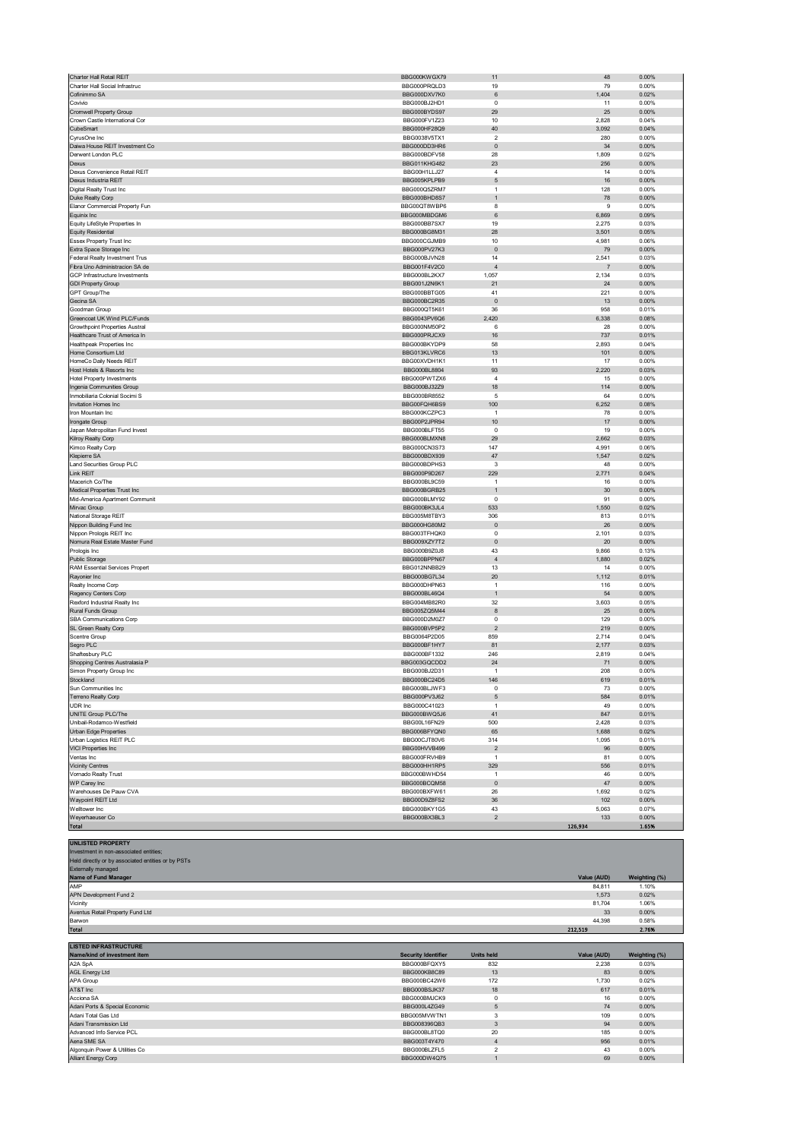| Charter Hall Retail REIT<br>Charter Hall Social Infrastruc | BBG000KWGX79<br>BBG000PRQLD3 | 11<br>19                         | 48<br>79       | 0.00%<br>0.00% |
|------------------------------------------------------------|------------------------------|----------------------------------|----------------|----------------|
| Cofinimmo SA                                               | BBG000DXV7K0                 | 6                                | 1,404          | 0.02%          |
| Covivio                                                    | BBG000BJ2HD1                 | $\Omega$                         | 11             | 0.00%          |
| <b>Cromwell Property Group</b>                             | BBG000BYDS97                 | 29                               | 25             | 0.00%          |
| Crown Castle International Cor                             | BBG000FV1Z23                 | 10                               | 2,828          | 0.04%          |
| CubeSmart                                                  | BBG000HF28Q9                 | 40                               | 3,092          | 0.04%          |
| CyrusOne Inc                                               | BBG0038V5TX1                 | $\overline{2}$                   | 280            | 0.00%          |
| Daiwa House REIT Investment Co                             | BBG000DD3HR6                 | $\pmb{0}$                        | 34             | 0.00%          |
| Derwent London PLC                                         | BBG000BDFV58                 | 28                               | 1,809          | 0.02%          |
| Dexus                                                      | <b>BBG011KHG482</b>          | 23                               | 256            | 0.00%          |
| Dexus Convenience Retail REIT                              | BBG00H1LLJ27                 | $\overline{4}$                   | 14             | 0.00%          |
| Dexus Industria REIT                                       | BBG005KPLPB9                 | $\mathbf 5$                      | 16             | 0.00%          |
| Digital Realty Trust Inc                                   | BBG000Q5ZRM7                 | $\mathbf{1}$                     | 128            | 0.00%          |
| Duke Realty Corp                                           | BBG000BHD8S7                 | $\mathbf{1}$                     | 78             | 0.00%          |
| Elanor Commercial Property Fun                             | BBG00QT8WBP6                 | 8                                | 9              | 0.00%          |
| Equinix Inc                                                | BBG000MBDGM6                 | 6                                | 6,869          | 0.09%          |
| Equity LifeStyle Properties In                             | BBG000BB7SX7                 | 19                               | 2,275          | 0.03%          |
| <b>Equity Residential</b>                                  | BBG000BG8M31                 | 28<br>10                         | 3,501          | 0.05%          |
| Essex Property Trust Inc<br>Extra Space Storage Inc        | BBG000CGJMB9<br>BBG000PV27K3 | $\pmb{0}$                        | 4,981<br>79    | 0.06%<br>0.00% |
| Federal Realty Investment Trus                             | BBG000BJVN28                 | 14                               | 2,541          | 0.03%          |
| Fibra Uno Administracion SA de                             | BBG001F4V2C0                 | $\overline{4}$                   |                | 0.00%          |
| GCP Infrastructure Investments                             | BBG000BL2KX7                 | 1,057                            | 2,134          | 0.03%          |
| <b>GDI Property Group</b>                                  | BBG001J2N6K1                 | 21                               | 24             | 0.00%          |
| GPT Group/The                                              | BBG000BBTG05                 | 41                               | 221            | 0.00%          |
| Gecina SA                                                  | BBG000BC2R35                 | $\mathbf 0$                      | 13             | 0.00%          |
| Goodman Group                                              | BBG000QT5K61                 | 36                               | 958            | 0.01%          |
| Greencoat UK Wind PLC/Funds                                | BBG0043PV6Q6                 | 2,420                            | 6,338          | 0.08%          |
| <b>Growthpoint Properties Austral</b>                      | BBG000NM50P2                 | 6                                | 28             | 0.00%          |
| Healthcare Trust of America In                             | BBG000PRJCX9                 | 16                               | 737            | 0.01%          |
| <b>Healthpeak Properties Inc</b>                           | BBG000BKYDP9                 | 58                               | 2,893          | 0.04%          |
| Home Consortium Ltd                                        | BBG013KLVRC6                 | 13                               | 101            | 0.00%          |
| HomeCo Daily Needs REIT                                    | BBG00XVDH1K1                 | 11                               | 17             | 0.00%          |
| Host Hotels & Resorts Inc                                  | BBG000BL8804                 | 93                               | 2,220          | 0.03%          |
| <b>Hotel Property Investments</b>                          | BBG000PWTZX6                 | $\sqrt{4}$                       | 15             | 0.00%          |
| Ingenia Communities Group                                  | BBG000BJ32Z9                 | 18                               | 114            | 0.00%          |
| Inmobiliaria Colonial Socimi S<br>Invitation Homes Inc     | BBG000BR8552<br>BBG00FQH6BS9 | 5<br>100                         | 64<br>6,252    | 0.00%<br>0.08% |
| Iron Mountain Inc                                          | BBG000KCZPC3                 | $\overline{1}$                   | 78             | 0.00%          |
| Irongate Group                                             | BBG00P2JPR94                 | 10                               | 17             | 0.00%          |
| Japan Metropolitan Fund Invest                             | BBG000BLFT55                 | $^{\circ}$                       | 19             | 0.00%          |
| Kilroy Realty Corp                                         | BBG000BLMXN8                 | 29                               | 2,662          | 0.03%          |
| Kimco Realty Corp                                          | BBG000CN3S73                 | 147                              | 4,991          | 0.06%          |
| Klepierre SA                                               | BBG000BDX939                 | 47                               | 1,547          | 0.02%          |
| Land Securities Group PLC                                  | BBG000BDPHS3                 | 3                                | 48             | 0.00%          |
| Link REIT                                                  | BBG000P9D267                 | 229                              | 2,771          | 0.04%          |
| Macerich Co/The                                            | BBG000BL9C59                 | $\mathbf{1}$                     | 16             | 0.00%          |
| Medical Properties Trust Inc                               | BBG000BGRB25                 | $\mathbf{1}$                     | 30             | 0.00%          |
| Mid-America Apartment Communit                             | BBG000BLMY92                 | 0                                | 91             | 0.00%          |
| Mirvac Group                                               | BBG000BK3JL4                 | 533                              | 1,550          | 0.02%          |
| National Storage REIT                                      | BBG005M8TBY3                 | 306                              | 813            | 0.01%          |
| Nippon Building Fund Inc                                   | BBG000HG80M2                 | $\pmb{0}$                        | 26             | 0.00%          |
| Nippon Prologis REIT Inc                                   | BBG003TFHQK0                 | $\mathsf 0$                      | 2,101          | 0.03%          |
| Nomura Real Estate Master Fund                             | BBG009XZY7T2                 | $\pmb{0}$                        | 20             | 0.00%          |
| Prologis Inc                                               | BBG000B9Z0J8                 | 43                               | 9,866          | 0.13%          |
| Public Storage                                             | BBG000BPPN67                 | $\overline{4}$                   | 1,880          | 0.02%          |
| RAM Essential Services Propert                             | BBG012NNBB29                 | 13                               | 14             | 0.00%<br>0.01% |
|                                                            |                              |                                  |                |                |
| Rayonier Inc                                               | BBG000BG7L34                 | 20                               | 1,112          |                |
| Realty Income Corp                                         | BBG000DHPN63                 | $\mathbf{1}$                     | 116            | 0.00%          |
| Regency Centers Corp                                       | BBG000BL46Q4                 | $\overline{1}$                   | 54             | 0.00%          |
| Rexford Industrial Realty Inc                              | BBG004MB82R0                 | 32                               | 3,603          | 0.05%          |
| Rural Funds Group                                          | BBG005ZQ5M44                 | 8                                | 25             | 0.00%          |
| SBA Communications Corp                                    | BBG000D2M0Z7                 | $\pmb{0}$                        | 129            | 0.00%          |
| SL Green Realty Corp                                       | BBG000BVP5P2                 | $\sqrt{2}$                       | 219            | 0.00%<br>0.04% |
| Scentre Group                                              | BBG0064P2D05                 | 859                              | 2,714          |                |
| Segro PLC<br>Shaftesbury PLC                               | BBG000BF1HY7<br>BBG000BF1332 | 81<br>246                        | 2,177<br>2,819 | 0.03%<br>0.04% |
| Shopping Centres Australasia P                             | BBG003GQCDD2                 | 24                               | 71             | 0.00%          |
| Simon Property Group Inc                                   | BBG000BJ2D31                 | $\mathbf{1}$                     | 208            | 0.00%          |
| Stockland                                                  | BBG000BC24D5                 | 146                              | 619            | 0.01%          |
| Sun Communities Inc                                        | BBG000BLJWF3                 | 0                                | 73             | 0.00%          |
| Terreno Realty Corp                                        | BBG000PV3J62                 | $\sqrt{5}$                       | 584            | 0.01%          |
| UDR Inc                                                    | BBG000C41023                 | $\mathbf{1}$                     | 49             | 0.00%          |
| UNITE Group PLC/The                                        | BBG000BWQ5J6                 | 41                               | 847            | 0.01%          |
| Unibail-Rodamco-Westfield                                  | BBG00L16FN29                 | 500                              | 2,428          | 0.03%          |
| Urban Edge Properties                                      | BBG006BFYQN0                 | 65                               | 1,688          | 0.02%          |
| Urban Logistics REIT PLC                                   | BBG00CJT80V6                 | 314                              | 1,095          | 0.01%          |
| VICI Properties Inc                                        | BBG00HVVB499                 | $\overline{c}$                   | 96             | 0.00%          |
| Ventas Inc                                                 | BBG000FRVHB9                 | $\mathbf{1}$                     | 81             | 0.00%          |
| <b>Vicinity Centres</b>                                    | BBG000HH1RP5                 | 329<br>$\mathbf{1}$              | 556            | 0.01%          |
| Vornado Realty Trust                                       | BBG000BWHD54                 |                                  | 46             | 0.00%          |
| WP Carey Inc<br>Warehouses De Pauw CVA                     | BBG000BCQM58<br>BBG000BXFW61 | $\pmb{0}$<br>26                  | 47<br>1,692    | 0.00%<br>0.02% |
| Waypoint REIT Ltd                                          | BBG00D9Z8FS2                 | 36                               | 102            | 0.00%          |
| Welltower Inc                                              | BBG000BKY1G5                 | 43                               | 5,063          | 0.07%          |
| Weyerhaeuser Co                                            | BBG000BX3BL3                 | $\sqrt{2}$                       | 133            | 0.00%          |
| <b>Total</b>                                               |                              |                                  | 126,934        | 1.65%          |
|                                                            |                              |                                  |                |                |
| <b>UNLISTED PROPERTY</b>                                   |                              |                                  |                |                |
| Investment in non-associated entities;                     |                              |                                  |                |                |
| Held directly or by associated entities or by PSTs         |                              |                                  |                |                |
| <b>Externally managed</b>                                  |                              |                                  |                |                |
| Name of Fund Manager                                       |                              |                                  | Value (AUD)    | Weighting (%)  |
| AMP                                                        |                              |                                  | 84,811         | 1.10%          |
| APN Development Fund 2                                     |                              |                                  | 1,573          | 0.02%          |
| Vicinity                                                   |                              |                                  | 81,704         | 1.06%          |
| Aventus Retail Property Fund Ltd                           |                              |                                  | 33             | 0.00%          |
| Barwon                                                     |                              |                                  | 44,398         | 0.58%          |
| Total                                                      |                              |                                  | 212,519        | 2.76%          |
| <b>LISTED INFRASTRUCTURE</b>                               |                              |                                  |                |                |
| Name/kind of investment item                               | <b>Security Identifier</b>   | <b>Units held</b>                | Value (AUD)    | Weighting (%)  |
| A2A SpA                                                    | BBG000BFQXY5                 | 832                              | 2,238          | 0.03%          |
| AGL Energy Ltd                                             | BBG000KB8C89                 | 13                               | 83             | 0.00%          |
| APA Group                                                  | BBG000BC42W6                 | 172                              | 1,730          | 0.02%          |
| AT&T Inc                                                   | BBG000BSJK37                 | 18                               | 617            | 0.01%          |
| Acciona SA                                                 | BBG000BMJCK9                 | $\mathbf 0$                      | 16             | 0.00%          |
| Adani Ports & Special Economic                             | BBG000L4ZG49                 | 5                                | 74             | 0.00%          |
| Adani Total Gas Ltd                                        | BBG005MVWTN1                 | 3                                | 109            | 0.00%          |
| Adani Transmission Ltd                                     | BBG008396QB3                 | 3                                | 94             | 0.00%          |
| Advanced Info Service PCL                                  | BBG000BL8TQ0                 | 20                               | 185            | 0.00%          |
| Aena SME SA                                                | BBG003T4Y470                 | $\sqrt{4}$                       | 956            | 0.01%          |
| Algonquin Power & Utilities Co<br>Alliant Energy Corp      | BBG000BLZFL5<br>BBG000DW4Q75 | $\boldsymbol{2}$<br>$\mathbf{1}$ | 43<br>69       | 0.00%<br>0.00% |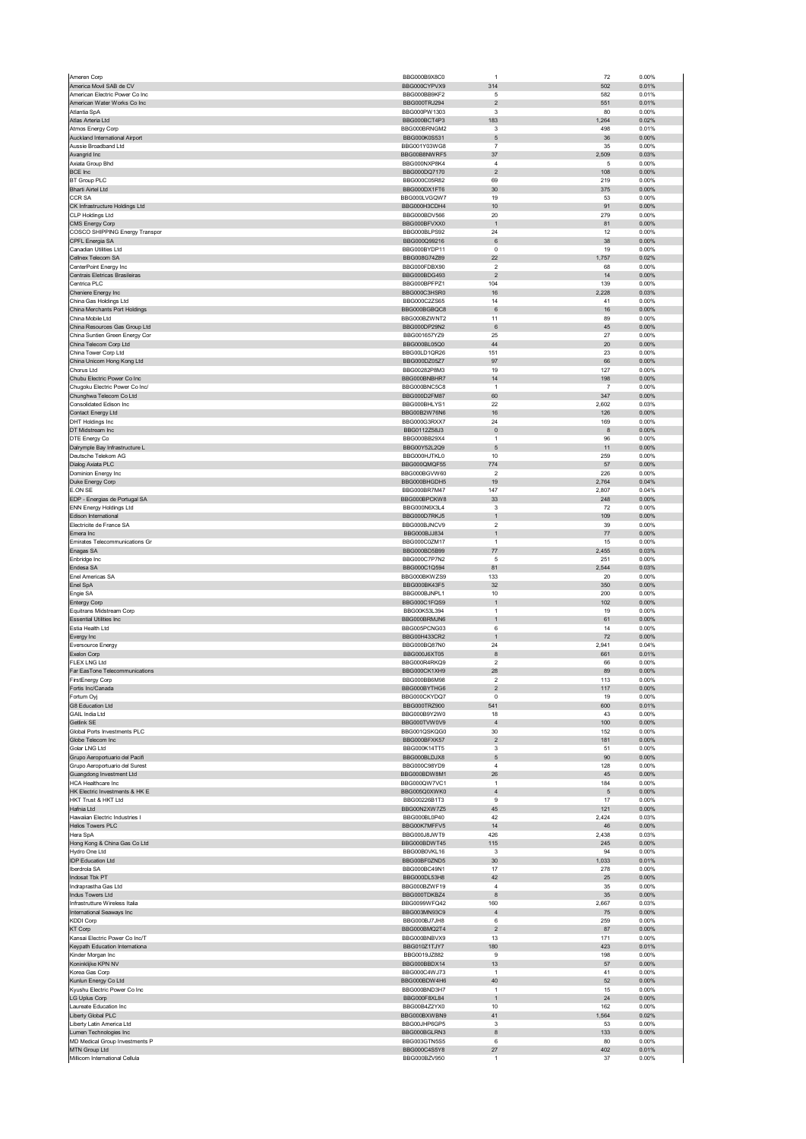| Ameren Corp                                              | BBG000B9X8C0                 | $\overline{1}$               | 72             | 0.00%             |
|----------------------------------------------------------|------------------------------|------------------------------|----------------|-------------------|
| America Movil SAB de CV                                  | BBG000CYPVX9                 | 314                          | 502            | 0.01%             |
| American Electric Power Co Inc                           | BBG000BB9KF2                 | 5                            | 582            | 0.01%             |
| American Water Works Co Inc                              | BBG000TRJ294                 | $\mathbf 2$                  | 551            | 0.01%             |
| Atlantia SpA<br>Atlas Arteria Ltd                        | BBG000PW1303                 | 3<br>183                     | 80             | 0.00%<br>0.02%    |
| Atmos Energy Corp                                        | BBG000BCT4P3<br>BBG000BRNGM2 | 3                            | 1,264<br>498   | 0.01%             |
| Auckland International Airport                           | BBG000K0S531                 | $\mathbf 5$                  | 36             | 0.00%             |
| Aussie Broadband Ltd                                     | BBG001Y03WG8                 | $\overline{7}$               | 35             | 0.00%             |
| Avangrid Inc                                             | BBG00B8NWRF5                 | 37                           | 2,509          | 0.03%             |
| Axiata Group Bhd                                         | BBG000NXP8K4                 | $\overline{4}$               | 5              | 0.00%             |
| <b>BCE Inc</b>                                           | BBG000DQ7170                 | $\mathbf 2$                  | 108            | 0.00%             |
| <b>BT Group PLC</b>                                      | BBG000C05R82                 | 69                           | 219            | 0.00%             |
| <b>Bharti Airtel Ltd</b>                                 | BBG000DX1FT6                 | 30                           | 375            | 0.00%             |
| <b>CCR SA</b><br>CK Infrastructure Holdings Ltd          | BBG000LVGQW7<br>BBG000H3CDH4 | 19<br>10                     | 53<br>91       | 0.00%<br>$0.00\%$ |
| CLP Holdings Ltd                                         | BBG000BDV566                 | 20                           | 279            | 0.00%             |
| CMS Energy Corp                                          | BBG000BFVXX0                 | $\mathbf{1}$                 | 81             | 0.00%             |
| COSCO SHIPPING Energy Transpor                           | BBG000BLPS92                 | 24                           | 12             | 0.00%             |
| CPFL Energia SA                                          | BBG000Q99216                 | 6                            | 38             | 0.00%             |
| Canadian Utilities Ltd                                   | BBG000BYDP11                 | $\pmb{0}$                    | 19             | 0.00%             |
| Cellnex Telecom SA                                       | BBG008G74Z89                 | 22                           | 1,757          | 0.02%             |
| CenterPoint Energy Inc<br>Centrais Eletricas Brasileiras | BBG000FDBX90<br>BBG000BDG493 | $\overline{2}$<br>$\sqrt{2}$ | 68<br>14       | 0.00%<br>0.00%    |
| Centrica PLC                                             | BBG000BPFPZ1                 | 104                          | 139            | 0.00%             |
| Cheniere Energy Inc                                      | BBG000C3HSR0                 | 16                           | 2,228          | 0.03%             |
| China Gas Holdings Ltd                                   | BBG000C2ZS65                 | 14                           | 41             | 0.00%             |
| China Merchants Port Holdings                            | BBG000BGBQC8                 | 6                            | 16             | 0.00%             |
| China Mobile Ltd                                         | BBG000BZWNT2                 | 11                           | 89             | 0.00%             |
| China Resources Gas Group Ltd                            | BBG000DP29N2                 | 6                            | 45             | 0.00%             |
| China Suntien Green Energy Cor                           | BBG001657YZ9                 | 25                           | 27             | 0.00%             |
| China Telecom Corp Ltd<br>China Tower Corp Ltd           | BBG000BL05Q0<br>BBG00LD1QR26 | 44<br>151                    | 20<br>23       | 0.00%<br>0.00%    |
| China Unicom Hong Kong Ltd                               | BBG000D70577                 | 97                           | 66             | 0.00%             |
| Chorus Ltd                                               | BBG00282P8M3                 | 19                           | 127            | 0.00%             |
| Chubu Electric Power Co Inc                              | BBG000BNBHR7                 | 14                           | 198            | 0.00%             |
| Chugoku Electric Power Co Inc/                           | BBG000BNC5C8                 | $\mathbf{1}$                 | $\overline{7}$ | 0.00%             |
| Chunghwa Telecom Co Ltd                                  | BBG000D2FM87                 | 60                           | 347            | $0.00\%$          |
| Consolidated Edison Inc                                  | BBG000BHLYS1                 | 22                           | 2,602          | 0.03%             |
| Contact Energy Ltd                                       | BBG00B2W76N6                 | 16                           | 126            | 0.00%             |
| <b>DHT Holdings Inc</b><br>DT Midstream Inc              | BBG000G3RXX7<br>BBG0112Z58J3 | 24<br>$\pmb{0}$              | 169<br>8       | 0.00%<br>0.00%    |
| DTE Energy Co                                            | BBG000BB29X4                 | $\mathbf{1}$                 | 96             | 0.00%             |
| Dalrymple Bay Infrastructure L                           | BBG00Y52L2Q9                 | 5                            | 11             | 0.00%             |
| Deutsche Telekom AG                                      | BBG000HJTKL0                 | 10                           | 259            | 0.00%             |
| Dialog Axiata PLC                                        | BBG000QMQF55                 | 774                          | 57             | 0.00%             |
| Dominion Energy Inc                                      | BBG000BGVW60                 | $\overline{2}$               | 226            | 0.00%             |
| Duke Energy Corp                                         | BBG000BHGDH5                 | 19                           | 2,764          | 0.04%             |
| E.ON SE                                                  | BBG000BR7M47                 | 147                          | 2,807          | 0.04%             |
| EDP - Energias de Portugal SA<br>ENN Energy Holdings Ltd | BBG000BPCKW8<br>BBG000N6X3L4 | 33<br>3                      | 248<br>72      | 0.00%<br>0.00%    |
| Edison International                                     | BBG000D7RKJ5                 | $\mathbf{1}$                 | 109            | 0.00%             |
| Electricite de France SA                                 | BBG000BJNCV9                 | 2                            | 39             | 0.00%             |
| Emera Inc                                                | BBG000BJJ834                 | $\mathbf{1}$                 | 77             | 0.00%             |
| Emirates Telecommunications Gr                           | BBG000C0ZM17                 | $\mathbf{1}$                 | 15             | 0.00%             |
| Enagas SA                                                | BBG000BD5B99                 | 77                           | 2,455          | 0.03%             |
|                                                          |                              |                              | 251            | 0.00%             |
| Enbridge Inc                                             | BBG000C7P7N2                 | 5                            |                |                   |
| Endesa SA                                                | BBG000C1Q594                 | 81                           | 2,544          | 0.03%             |
| Enel Americas SA                                         | BBG000BKWZS9                 | 133                          | 20             | 0.00%             |
| Enel SpA                                                 | BBG000BK43F5                 | 32                           | 350            | 0.00%             |
| Engie SA<br><b>Entergy Corp</b>                          | BBG000BJNPL1<br>BBG000C1FQS9 | 10<br>$\mathbf{1}$           | 200<br>102     | 0.00%<br>0.00%    |
| Equitrans Midstream Corp                                 | BBG00K53L394                 | $\mathbf{1}$                 | 19             | 0.00%             |
| <b>Essential Utilities Inc.</b>                          | BBG000BRMJN6                 | $\mathbf{1}$                 | 61             | 0.00%             |
| Estia Health Ltd                                         | BBG005PCNG03                 | 6                            | 14             | 0.00%             |
| Evergy Inc                                               | BBG00H433CR2                 | $\mathbf{1}$                 | $72\,$         | $0.00\%$          |
| Eversource Energy                                        | BBG000BQ87N0                 | 24                           | 2,941          | 0.04%             |
| Exelon Corp                                              | BBG000J6XT05                 | 8                            | 661            | 0.01%             |
| <b>FLEX LNG Ltd</b><br>Far EasTone Telecommunications    | BBG000R4RKQ9<br>BBG000CK1XH9 | 2<br>28                      | 66<br>89       | 0.00%<br>0.00%    |
| FirstEnergy Corp                                         | <b>BRG000BB6M98</b>          |                              | 113            | 0.00%             |
| Fortis Inc/Canada                                        | BBG000BYTHG6                 | $\overline{\mathbf{c}}$      | 117            | 0.00%             |
| Fortum Oyj                                               | BBG000CKYDQ7                 | 0                            | 19             | 0.00%             |
| G8 Education Ltd                                         | BBG000TRZ900                 | 541                          | 600            | 0.01%             |
| <b>GAIL India Ltd</b>                                    | BBG000B9Y2W0                 | 18                           | 43             | 0.00%             |
| Getlink SE                                               | BBG000TVW0V9                 | $\sqrt{4}$                   | 100            | 0.00%             |
| Global Ports Investments PLC<br>Globe Telecom Inc        | BBG001QSKQG0<br>BBG000BFXK57 | 30<br>$\mathbf 2$            | 152<br>181     | 0.00%<br>$0.00\%$ |
| Golar LNG Ltd                                            | BBG000K14TT5                 | 3                            | 51             | 0.00%             |
| Grupo Aeroportuario del Pacifi                           | BBG000BLDJX8                 | 5                            | 90             | 0.00%             |
| Grupo Aeroportuario del Surest                           | BBG000C98YD9                 | 4                            | 128            | 0.00%             |
| Guangdong Investment Ltd<br><b>HCA Healthcare Inc</b>    | BBG000BDW8M1                 | 26<br>$\mathbf{1}$           | 45             | $0.00\%$          |
| HK Electric Investments & HK E                           | BBG000QW7VC1<br>BBG005Q0XWK0 | $\sqrt{4}$                   | 184<br>5       | 0.00%<br>0.00%    |
| HKT Trust & HKT Ltd                                      | BBG00226B1T3                 | 9                            | 17             | 0.00%             |
| Hafnia Ltd                                               | BBG00N2XW7Z5                 | 45                           | 121            | 0.00%             |
| Hawaiian Electric Industries I                           | BBG000BL0P40                 | 42                           | 2,424          | 0.03%             |
| <b>Helios Towers PLC</b>                                 | BBG00K7MFFV5                 | 14                           | 46             | $0.00\%$          |
| Hera SpA                                                 | BBG000J8JWT9                 | 426                          | 2,438          | 0.03%             |
| Hong Kong & China Gas Co Ltd<br>Hydro One Ltd            | BBG000BDWT45<br>BBG00B0VKL16 | 115<br>3                     | 245<br>94      | 0.00%<br>0.00%    |
| <b>IDP Education Ltd</b>                                 | BBG00BF0ZND5                 | 30                           | 1,033          | 0.01%             |
| Iberdrola SA                                             | BBG000BC49N1                 | 17                           | 278            | 0.00%             |
| Indosat Tbk PT                                           | BBG000DL53H8                 | 42                           | 25             | 0.00%             |
| Indraprastha Gas Ltd                                     | BBG000BZWF19                 | 4                            | 35             | 0.00%             |
| Indus Towers Ltd                                         | BBG000TDKBZ4                 | 8                            | 35             | 0.00%             |
| Infrastrutture Wireless Italia                           | BBG0099WFQ42<br>BBG003MN93C9 | 160<br>$\sqrt{4}$            | 2,667          | 0.03%<br>0.00%    |
| International Seaways Inc<br><b>KDDI Corp</b>            | BBG000BJ7JH8                 | 6                            | 75<br>259      | 0.00%             |
| <b>KT Corp</b>                                           | BBG000BMQ2T4                 | $\overline{2}$               | 87             | 0.00%             |
| Kansai Electric Power Co Inc/T                           | BBG000BNBVX9                 | 13                           | 171            | 0.00%             |
| Keypath Education Internationa                           | BBG010Z1TJY7                 | 180                          | 423            | 0.01%             |
| Kinder Morgan Inc                                        | BBG0019JZ882                 | 9                            | 198            | 0.00%             |
| Koninklijke KPN NV                                       | BBG000BBDX14                 | 13<br>$\mathbf{1}$           | 57             | $0.00\%$          |
| Korea Gas Corp                                           | BBG000C4WJ73                 |                              | 41             | 0.00%             |
| Kunlun Energy Co Ltd<br>Kyushu Electric Power Co Inc     | BBG000BDW4H6<br>BBG000BND3H7 | 40<br>$\mathbf{1}$           | 52<br>15       | 0.00%<br>0.00%    |
| LG Uplus Corp                                            | BBG000F8XL84                 | $\mathbf{1}$                 | 24             | 0.00%             |
| Laureate Education Inc                                   | BBG00B4Z2YX0                 | 10                           | 162            | 0.00%             |
| Liberty Global PLC                                       | BBG000BXWBN9                 | 41                           | 1,564          | 0.02%             |
| Liberty Latin America Ltd                                | BBG00JHP6GP5                 | 3                            | 53             | 0.00%             |
| Lumen Technologies Inc                                   | BBG000BGLRN3                 | 8                            | 133            | 0.00%             |
| MD Medical Group Investments P<br>MTN Group Ltd          | BBG003GTN5S5<br>BBG000C4S5Y8 | 6<br>27                      | 80<br>402      | 0.00%<br>0.01%    |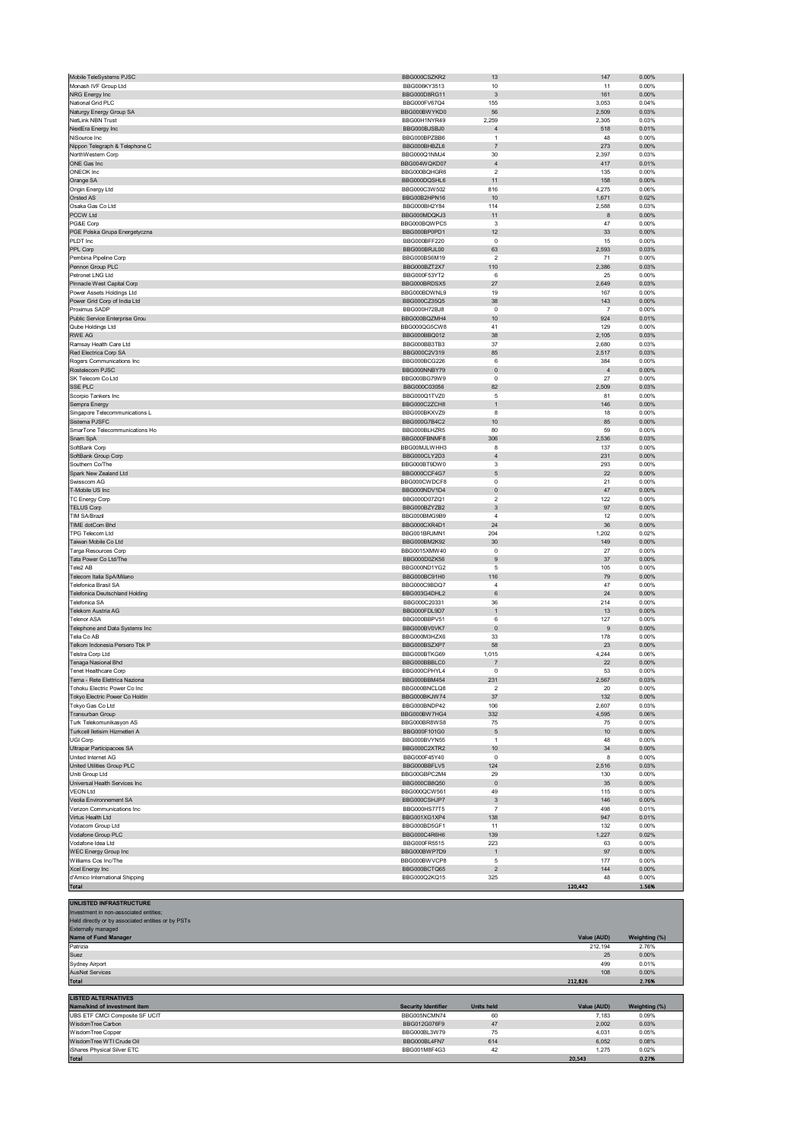| Monash IVF Group Ltd                                                                                                                                 | BBG006KY3513                 | 10                        | 11             | 0.00%             |
|------------------------------------------------------------------------------------------------------------------------------------------------------|------------------------------|---------------------------|----------------|-------------------|
| NRG Energy Inc                                                                                                                                       | BBG000D8RG11                 | 3                         | 161            | 0.00%             |
| National Grid PLC                                                                                                                                    | BBG000FV67Q4                 | 155                       | 3,053          | 0.04%             |
| Naturgy Energy Group SA                                                                                                                              | BBG000BWYKD0                 | 56                        | 2,509          | 0.03%             |
| NetLink NBN Trust                                                                                                                                    | BBG00H1NYR49                 | 2,259                     | 2,305          | 0.03%             |
| NextEra Energy Inc                                                                                                                                   | BBG000BJSBJ0                 | $\overline{4}$            | 518            | 0.01%             |
| NiSource Inc                                                                                                                                         | BBG000BPZBB6                 | $\mathbf{1}$              | 48             | 0.00%             |
| Nippon Telegraph & Telephone C                                                                                                                       | BBG000BHBZL6                 | $\overline{7}$            | 273            | 0.00%             |
| NorthWestern Corp                                                                                                                                    | BBG000Q1NMJ4                 | 30                        | 2,397          | 0.03%             |
| ONE Gas Inc                                                                                                                                          | BBG004WQKD07                 | $\sqrt{4}$                | 417            | 0.01%             |
| ONEOK Inc                                                                                                                                            | BBG000BQHGR6                 | $\overline{2}$            | 135            | 0.00%             |
| Orange SA                                                                                                                                            | BBG000DQSHL6                 | 11                        | 158            | 0.00%             |
| Origin Energy Ltd                                                                                                                                    | BBG000C3W502                 | 816                       | 4,275          | 0.06%             |
| Orsted AS                                                                                                                                            | BBG00B2HPN16                 | 10                        | 1,671          | 0.02%             |
| Osaka Gas Co Ltd                                                                                                                                     | BBG000BH2Y84                 | 114                       | 2,588          | 0.03%             |
| PCCW Ltd                                                                                                                                             | BBG000MDQKJ3                 | 11                        | 8              | 0.00%             |
| PG&E Corp                                                                                                                                            | BBG000BQWPC5                 | 3                         | 47             | 0.00%             |
| PGE Polska Grupa Energetyczna                                                                                                                        | BBG000BP0PD1                 | 12                        | 33             | 0.00%             |
| PLDT Inc                                                                                                                                             | BBG000BFF220                 | $\mathbf 0$               | 15             | 0.00%             |
| PPL Corp                                                                                                                                             | BBG000BRJL00                 | 63                        | 2,593          | 0.03%             |
| Pembina Pipeline Corp                                                                                                                                | BBG000BS6M19                 | $\overline{\mathbf{c}}$   | 71             | 0.00%             |
| Pennon Group PLC                                                                                                                                     | BBG000BZT2X7                 | 110                       | 2,386          | 0.03%             |
| Petronet LNG Ltd                                                                                                                                     | BBG000F53YT2                 | 6                         | 25             | 0.00%             |
| Pinnacle West Capital Corp                                                                                                                           | BBG000BRDSX5                 | 27                        | 2,649          | 0.03%             |
| Power Assets Holdings Ltd                                                                                                                            | BBG000BDWNL9                 | 19                        | 167            | 0.00%             |
| Power Grid Corp of India Ltd                                                                                                                         | BBG000CZ35Q5                 | 38                        | 143            | 0.00%             |
| Proximus SADP                                                                                                                                        | BBG000H72BJ8                 | $\mathbf 0$               | $\overline{7}$ | 0.00%             |
| Public Service Enterprise Grou                                                                                                                       | BBG000BQZMH4                 | $10$                      | 924            | 0.01%             |
| Qube Holdings Ltd                                                                                                                                    | BBG000QG5CW8                 | 41                        | 129            | 0.00%             |
| <b>RWE AG</b>                                                                                                                                        | BBG000BBQ012                 | 38                        | 2,105          | 0.03%             |
| Ramsay Health Care Ltd                                                                                                                               | BBG000BB3TB3                 | 37                        | 2,680          | 0.03%             |
| Red Electrica Corp SA                                                                                                                                | BBG000C2V319                 | 85                        | 2,517          | 0.03%             |
| Rogers Communications Inc.                                                                                                                           | BBG000BCG226                 | 6                         | 384            | 0.00%             |
| Rostelecom PJSC                                                                                                                                      | BBG000NNBY79                 | $\pmb{0}$                 | $\overline{4}$ | 0.00%             |
| SK Telecom Co Ltd                                                                                                                                    | BBG000BG79W9                 | $\mathbf 0$               | 27             | 0.00%             |
| SSE PLC                                                                                                                                              | BBG000C03056                 | 82                        | 2,509          | 0.03%             |
| Scorpio Tankers Inc                                                                                                                                  | BBG000Q1TVZ0                 | 5                         | 81             | 0.00%             |
| Sempra Energy                                                                                                                                        | BBG000C2ZCH8                 | $\mathbf{1}$              | 146            | 0.00%             |
| Singapore Telecommunications L                                                                                                                       | BBG000BKXVZ9                 | 8                         | 18             | 0.00%             |
|                                                                                                                                                      |                              |                           |                |                   |
| Sistema PJSFC                                                                                                                                        | BBG000G7B4C2                 | 10                        | 85             | 0.00%             |
| SmarTone Telecommunications Ho                                                                                                                       | BBG000BLHZR5                 | 80                        | 59             | 0.00%             |
| Snam SpA                                                                                                                                             | BBG000FBNMF8                 | 306                       | 2,536          | 0.03%             |
| SoftBank Corp                                                                                                                                        | BBG00MJLWHH3                 | 8                         | 137            | 0.00%             |
| SoftBank Group Corp                                                                                                                                  | BBG000CLY2D3                 | $\sqrt{4}$                | 231            | 0.00%             |
| Southern Co/The                                                                                                                                      | BBG000BT9DW0                 | 3                         | 293            | 0.00%             |
| Spark New Zealand Ltd                                                                                                                                | BBG000CCF4G7                 | $\mathbf 5$               | 22             | 0.00%             |
| Swisscom AG                                                                                                                                          | BBG000CWDCF8                 | $\mathbf 0$               | 21             | 0.00%             |
| T-Mobile US Inc                                                                                                                                      | BBG000NDV1D4                 | $\mathbf 0$               | 47             | 0.00%             |
| TC Energy Corp                                                                                                                                       | BBG000D07ZQ1                 | $\overline{2}$            | 122            | 0.00%             |
| <b>TELUS Corp</b>                                                                                                                                    | BBG000BZYZB2                 | 3                         | 97             | 0.00%             |
| <b>TIM SA/Brazil</b>                                                                                                                                 | BBG000BMG9B9                 | $\overline{4}$            | 12             | 0.00%             |
| TIME dotCom Bhd                                                                                                                                      | BBG000CXR4D1                 | 24                        | 36             | 0.00%             |
| TPG Telecom Ltd                                                                                                                                      | BBG001BRJMN1                 | 204                       | 1,202          | 0.02%             |
| Taiwan Mobile Co Ltd                                                                                                                                 | BBG000BM2K92                 | $30\,$                    | 149            | 0.00%             |
| Targa Resources Corp                                                                                                                                 | BBG0015XMW40                 | $\pmb{0}$                 | 27             | 0.00%             |
| Tata Power Co Ltd/The                                                                                                                                | BBG000D0ZK56                 | $9\,$                     | 37             | 0.00%             |
| Tele2 AB                                                                                                                                             | BBG000ND1YG2                 | 5                         | 105            | 0.00%             |
| Telecom Italia SpA/Milano                                                                                                                            | BBG000BC91H0                 | 116                       | 79             | 0.00%             |
| Telefonica Brasil SA                                                                                                                                 | BBG000C9BDQ7                 | $\sqrt{4}$                | 47             | 0.00%             |
| Telefonica Deutschland Holding                                                                                                                       | BBG003G4DHL2                 | 6                         | 24             | 0.00%             |
| Telefonica SA                                                                                                                                        | BBG000C20331                 | 36                        | 214            | 0.00%             |
| Telekom Austria AG                                                                                                                                   | BBG000FDL9D7                 | 1                         | 13             | 0.00%             |
| <b>Telenor ASA</b>                                                                                                                                   |                              | 6                         | 127            | 0.00%             |
|                                                                                                                                                      | BBG000BBPV51<br>BBG000BV0VK7 | $\pmb{0}$                 | 9              | 0.00%             |
| Telephone and Data Systems Inc                                                                                                                       |                              |                           |                |                   |
| Telia Co AB                                                                                                                                          | BBG000M3HZX6                 | 33                        | 178            | 0.00%             |
| Telkom Indonesia Persero Tbk P                                                                                                                       | BBG000BSZXP7                 | 58                        | 23             | 0.00%             |
| Telstra Corp Ltd                                                                                                                                     | BBG000BTKG69                 | 1,015                     | 4,244          | 0.06%             |
| Tenaga Nasional Bhd                                                                                                                                  | BBG000BBBLC0                 | 7                         | 22             | 0.00%             |
| Tenet Healthcare Corp                                                                                                                                | BBG000CPHYL4                 | $\mathbf 0$               | 53             | 0.00%             |
| Terna - Rete Elettrica Naziona                                                                                                                       | BBG000BBM454                 | 231                       | 2,567          | 0.03%             |
| Tohoku Electric Power Co Inc                                                                                                                         | BBG000BNCLQ8                 | $\overline{2}$            | 20             | 0.00%             |
| Tokyo Electric Power Co Holdin                                                                                                                       | BBG000BKJW74                 | 37                        | 132            | 0.00%             |
| Tokyo Gas Co Ltd                                                                                                                                     | BBG000BNDP42                 | 106                       | 2,607          | 0.03%             |
| Transurban Group                                                                                                                                     | BBG000BW7HG4                 | 332                       | 4,595          | 0.06%             |
| Turk Telekomunikasyon AS                                                                                                                             | BBG000BR8WS8                 | 75                        | 75             | 0.00%             |
| Turkcell lletisim Hizmetleri A                                                                                                                       | BBG000F101G0                 | $\sqrt{5}$                | 10             | $0.00\%$          |
| UGI Corp                                                                                                                                             | BBG000BVYN55                 | $\mathbf{1}$              | 48             | 0.00%             |
| Ultrapar Participacoes SA                                                                                                                            | BBG000C2XTR2                 | 10                        | 34             | 0.00%             |
| United Internet AG                                                                                                                                   | BBG000F45Y40                 | $^{\circ}$                | 8              | 0.00%             |
| United Utilities Group PLC                                                                                                                           | BBG000BBFLV5                 | 124                       | 2,516          | 0.03%             |
| Uniti Group Ltd                                                                                                                                      | BBG00GBPC2M4                 | 29                        | 130            | 0.00%             |
| Universal Health Services Inc                                                                                                                        | BBG000CB8Q50                 | $\mathbf 0$               | 35             | 0.00%             |
| <b>VEON Ltd</b>                                                                                                                                      | BBG000QCW561                 | 49                        | 115            | 0.00%             |
| Veolia Environnement SA                                                                                                                              | BBG000CSHJP7                 | $\ensuremath{\mathsf{3}}$ | 146            | $0.00\%$          |
| Verizon Communications Inc                                                                                                                           | BBG000HS77T5                 | $\overline{7}$            | 498            | 0.01%             |
| Virtus Health Ltd                                                                                                                                    | BBG001XG1XP4                 | 138                       | 947            | 0.01%             |
| Vodacom Group Ltd                                                                                                                                    | BBG000BD5GF1                 | 11                        | 132            | 0.00%             |
| Vodafone Group PLC                                                                                                                                   | BBG000C4R6H6                 | 139                       | 1,227          | 0.02%             |
| Vodafone Idea Ltd                                                                                                                                    | BBG000FR5515                 | 223                       | 63             | 0.00%             |
| WEC Energy Group Inc                                                                                                                                 | BBG000BWP7D9                 | $\mathbf{1}$              | 97             | 0.00%             |
| Williams Cos Inc/The                                                                                                                                 | BBG000BWVCP8                 | 5                         | 177            | 0.00%             |
| Xcel Energy Inc                                                                                                                                      | BBG000BCTQ65                 | $\overline{c}$            | 144            | $0.00\%$          |
| d'Amico International Shipping                                                                                                                       | BBG000Q2KQ15                 | 325                       | 48             | 0.00%             |
| Total                                                                                                                                                |                              |                           | 120,442        | 1.56%             |
|                                                                                                                                                      |                              |                           |                |                   |
| UNLISTED INFRASTRUCTURE<br>Investment in non-associated entities;<br>Held directly or by associated entities or by PSTs<br><b>Externally managed</b> |                              |                           |                |                   |
| Name of Fund Manager<br>Patrizia                                                                                                                     |                              |                           | Value (AUD)    | Weighting (%)     |
|                                                                                                                                                      |                              |                           |                |                   |
|                                                                                                                                                      |                              |                           | 212,194        | 2.76%             |
| Suez<br><b>Sydney Airport</b>                                                                                                                        |                              |                           | 25<br>499      | $0.00\%$<br>0.01% |

Mobile TeleSystems PJSC **147** 0.00%

| <b>AusNet Services</b>         |                            |                   | 108         | 0.00%         |
|--------------------------------|----------------------------|-------------------|-------------|---------------|
| <b>Total</b>                   |                            |                   | 212.826     | 2.76%         |
|                                |                            |                   |             |               |
| <b>LISTED ALTERNATIVES</b>     |                            |                   |             |               |
| Name/kind of investment item   | <b>Security Identifier</b> | <b>Units held</b> | Value (AUD) | Weighting (%) |
| UBS ETF CMCI Composite SF UCIT | BBG005NCMN74               | 60                | 7.183       | 0.09%         |
| WisdomTree Carbon              | BBG012G076F9               | 47                | 2,002       | 0.03%         |
| <b>WisdomTree Copper</b>       | BBG000BL3W79               | 75                | 4.031       | 0.05%         |
| WisdomTree WTI Crude Oil       | BBG000BL4FN7               | 614               | 6.052       | 0.08%         |
| iShares Physical Silver ETC    | BBG001M8F4G3               | 42                | 1.275       | 0.02%         |

Total  $20,543$   $0.27$ %  $0.27$